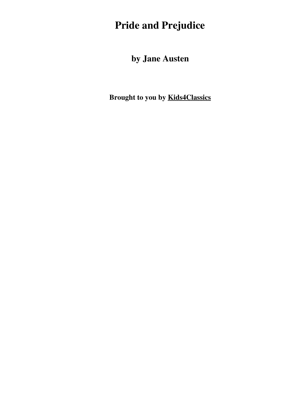# **Pride and Prejudice**

**by Jane Austen**

**Brought to you by [Kids4Classics](http://www.kids4classics.com)**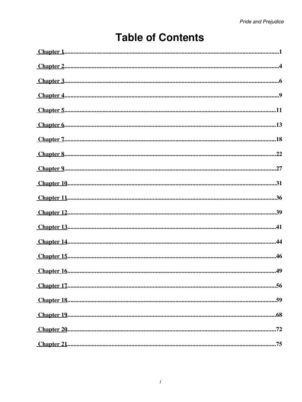## **Table of Contents**

| $\underline{\textit{Chapter 1}}\textit{}{\textit{}}\textit{}{\textit{}}\textit{}{\textit{}}\textit{}{\textit{}}\textit{}{\textit{}}\textit{}{\textit{}}\textit{}{\textit{}}\textit{}{\textit{}}\textit{}{\textit{}}\textit{}{\textit{}}$                                                                                                                                                                                                                                                                                   |
|----------------------------------------------------------------------------------------------------------------------------------------------------------------------------------------------------------------------------------------------------------------------------------------------------------------------------------------------------------------------------------------------------------------------------------------------------------------------------------------------------------------------------|
|                                                                                                                                                                                                                                                                                                                                                                                                                                                                                                                            |
| $Chapter 3$                                                                                                                                                                                                                                                                                                                                                                                                                                                                                                                |
|                                                                                                                                                                                                                                                                                                                                                                                                                                                                                                                            |
|                                                                                                                                                                                                                                                                                                                                                                                                                                                                                                                            |
| $\underline{\text{Chapter 6}}.\textcolor{red}{\text{5}}. \textcolor{red}{\text{5}}. \textcolor{red}{\text{6}}. \textcolor{red}{\text{6}}. \textcolor{red}{\text{6}}. \textcolor{red}{\text{6}}. \textcolor{red}{\text{6}}. \textcolor{red}{\text{6}}. \textcolor{red}{\text{6}}. \textcolor{red}{\text{6}}. \textcolor{red}{\text{6}}. \textcolor{red}{\text{6}}. \textcolor{red}{\text{6}}. \textcolor{red}{\text{6}}. \textcolor{red}{\text{6}}. \textcolor{red}{\text{6}}. \textcolor{red}{\text{6}}. \textcolor{red}{$ |
|                                                                                                                                                                                                                                                                                                                                                                                                                                                                                                                            |
| $\underline{\text{Chapter 8}}\text{}{\text{}}\text{}{\text{}}22$                                                                                                                                                                                                                                                                                                                                                                                                                                                           |
| $Chapter 9$                                                                                                                                                                                                                                                                                                                                                                                                                                                                                                                |
| $\underline{\text{Chapter 10}}\text{}{\text{}}\text{}31$                                                                                                                                                                                                                                                                                                                                                                                                                                                                   |
|                                                                                                                                                                                                                                                                                                                                                                                                                                                                                                                            |
|                                                                                                                                                                                                                                                                                                                                                                                                                                                                                                                            |
|                                                                                                                                                                                                                                                                                                                                                                                                                                                                                                                            |
|                                                                                                                                                                                                                                                                                                                                                                                                                                                                                                                            |
|                                                                                                                                                                                                                                                                                                                                                                                                                                                                                                                            |
|                                                                                                                                                                                                                                                                                                                                                                                                                                                                                                                            |
|                                                                                                                                                                                                                                                                                                                                                                                                                                                                                                                            |
|                                                                                                                                                                                                                                                                                                                                                                                                                                                                                                                            |
|                                                                                                                                                                                                                                                                                                                                                                                                                                                                                                                            |
|                                                                                                                                                                                                                                                                                                                                                                                                                                                                                                                            |
|                                                                                                                                                                                                                                                                                                                                                                                                                                                                                                                            |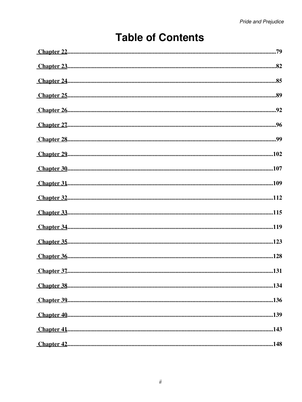## **Table of Contents**

| $\underline{\text{Chapter 30}}\text{}107$ |
|-------------------------------------------|
| $Chapter 31$                              |
| $Chapter 32 32 4 11 2$                    |
|                                           |
|                                           |
|                                           |
| $Chapter 36$                              |
|                                           |
|                                           |
|                                           |
|                                           |
|                                           |
|                                           |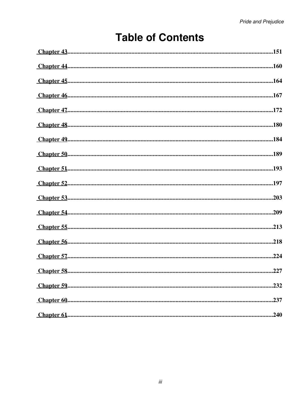## **Table of Contents**

| $Chapter 43$                                                                                                                                                                          |
|---------------------------------------------------------------------------------------------------------------------------------------------------------------------------------------|
| $Chapter 44 160$                                                                                                                                                                      |
|                                                                                                                                                                                       |
| $Chapter 46$                                                                                                                                                                          |
|                                                                                                                                                                                       |
|                                                                                                                                                                                       |
|                                                                                                                                                                                       |
| $Chapter 50$                                                                                                                                                                          |
| $Chapter 51$                                                                                                                                                                          |
|                                                                                                                                                                                       |
|                                                                                                                                                                                       |
|                                                                                                                                                                                       |
|                                                                                                                                                                                       |
| $\underline{\text{Chapter 56}}\text{}{\dots}\text{}{\dots}\text{}{\dots}\text{}{\dots}\text{}{\dots}\text{}{\dots}\text{}{\dots}\text{}{\dots}\text{}{\dots}\text{}{\dots}\text{}218$ |
|                                                                                                                                                                                       |
|                                                                                                                                                                                       |
|                                                                                                                                                                                       |
|                                                                                                                                                                                       |
|                                                                                                                                                                                       |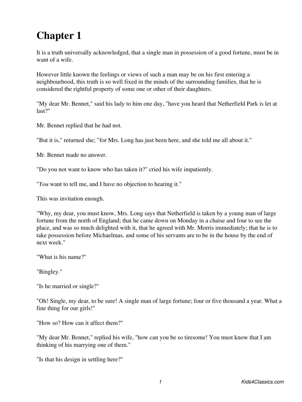<span id="page-4-0"></span>It is a truth universally acknowledged, that a single man in possession of a good fortune, must be in want of a wife.

However little known the feelings or views of such a man may be on his first entering a neighbourhood, this truth is so well fixed in the minds of the surrounding families, that he is considered the rightful property of some one or other of their daughters.

"My dear Mr. Bennet," said his lady to him one day, "have you heard that Netherfield Park is let at last?"

Mr. Bennet replied that he had not.

"But it is," returned she; "for Mrs. Long has just been here, and she told me all about it."

Mr. Bennet made no answer.

"Do you not want to know who has taken it?" cried his wife impatiently.

"*You* want to tell me, and I have no objection to hearing it."

This was invitation enough.

"Why, my dear, you must know, Mrs. Long says that Netherfield is taken by a young man of large fortune from the north of England; that he came down on Monday in a chaise and four to see the place, and was so much delighted with it, that he agreed with Mr. Morris immediately; that he is to take possession before Michaelmas, and some of his servants are to be in the house by the end of next week."

"What is his name?"

"Bingley."

"Is he married or single?"

"Oh! Single, my dear, to be sure! A single man of large fortune; four or five thousand a year. What a fine thing for our girls!"

"How so? How can it affect them?"

"My dear Mr. Bennet," replied his wife, "how can you be so tiresome! You must know that I am thinking of his marrying one of them."

"Is that his design in settling here?"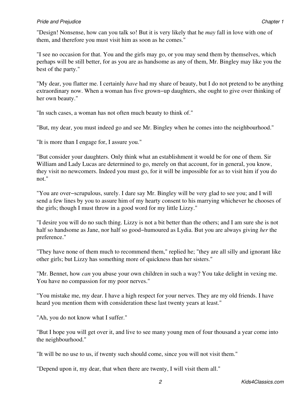#### *Pride and Prejudice* Chapter 1 **Chapter 1 Chapter 1 Chapter 1 Chapter 1 Chapter 1**

"Design! Nonsense, how can you talk so! But it is very likely that he *may* fall in love with one of them, and therefore you must visit him as soon as he comes."

"I see no occasion for that. You and the girls may go, or you may send them by themselves, which perhaps will be still better, for as you are as handsome as any of them, Mr. Bingley may like you the best of the party."

"My dear, you flatter me. I certainly *have* had my share of beauty, but I do not pretend to be anything extraordinary now. When a woman has five grown−up daughters, she ought to give over thinking of her own beauty."

"In such cases, a woman has not often much beauty to think of."

"But, my dear, you must indeed go and see Mr. Bingley when he comes into the neighbourhood."

"It is more than I engage for, I assure you."

"But consider your daughters. Only think what an establishment it would be for one of them. Sir William and Lady Lucas are determined to go, merely on that account, for in general, you know, they visit no newcomers. Indeed you must go, for it will be impossible for *us* to visit him if you do not."

"You are over−scrupulous, surely. I dare say Mr. Bingley will be very glad to see you; and I will send a few lines by you to assure him of my hearty consent to his marrying whichever he chooses of the girls; though I must throw in a good word for my little Lizzy."

"I desire you will do no such thing. Lizzy is not a bit better than the others; and I am sure she is not half so handsome as Jane, nor half so good−humoured as Lydia. But you are always giving *her* the preference."

"They have none of them much to recommend them," replied he; "they are all silly and ignorant like other girls; but Lizzy has something more of quickness than her sisters."

"Mr. Bennet, how *can* you abuse your own children in such a way? You take delight in vexing me. You have no compassion for my poor nerves."

"You mistake me, my dear. I have a high respect for your nerves. They are my old friends. I have heard you mention them with consideration these last twenty years at least."

"Ah, you do not know what I suffer."

"But I hope you will get over it, and live to see many young men of four thousand a year come into the neighbourhood."

"It will be no use to us, if twenty such should come, since you will not visit them."

"Depend upon it, my dear, that when there are twenty, I will visit them all."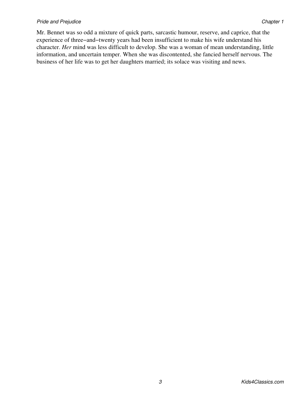Mr. Bennet was so odd a mixture of quick parts, sarcastic humour, reserve, and caprice, that the experience of three−and−twenty years had been insufficient to make his wife understand his character. *Her* mind was less difficult to develop. She was a woman of mean understanding, little information, and uncertain temper. When she was discontented, she fancied herself nervous. The business of her life was to get her daughters married; its solace was visiting and news.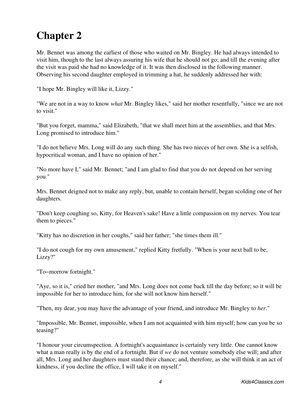<span id="page-7-0"></span>Mr. Bennet was among the earliest of those who waited on Mr. Bingley. He had always intended to visit him, though to the last always assuring his wife that he should not go; and till the evening after the visit was paid she had no knowledge of it. It was then disclosed in the following manner. Observing his second daughter employed in trimming a hat, he suddenly addressed her with:

"I hope Mr. Bingley will like it, Lizzy."

"We are not in a way to know *what* Mr. Bingley likes," said her mother resentfully, "since we are not to visit."

"But you forget, mamma," said Elizabeth, "that we shall meet him at the assemblies, and that Mrs. Long promised to introduce him."

"I do not believe Mrs. Long will do any such thing. She has two nieces of her own. She is a selfish, hypocritical woman, and I have no opinion of her."

"No more have I," said Mr. Bennet; "and I am glad to find that you do not depend on her serving you."

Mrs. Bennet deigned not to make any reply, but, unable to contain herself, began scolding one of her daughters.

"Don't keep coughing so, Kitty, for Heaven's sake! Have a little compassion on my nerves. You tear them to pieces."

"Kitty has no discretion in her coughs," said her father; "she times them ill."

"I do not cough for my own amusement," replied Kitty fretfully. "When is your next ball to be, Lizzy?"

"To−morrow fortnight."

"Aye, so it is," cried her mother, "and Mrs. Long does not come back till the day before; so it will be impossible for her to introduce him, for she will not know him herself."

"Then, my dear, you may have the advantage of your friend, and introduce Mr. Bingley to *her*."

"Impossible, Mr. Bennet, impossible, when I am not acquainted with him myself; how can you be so teasing?"

"I honour your circumspection. A fortnight's acquaintance is certainly very little. One cannot know what a man really is by the end of a fortnight. But if *we* do not venture somebody else will; and after all, Mrs. Long and her daughters must stand their chance; and, therefore, as she will think it an act of kindness, if you decline the office, I will take it on myself."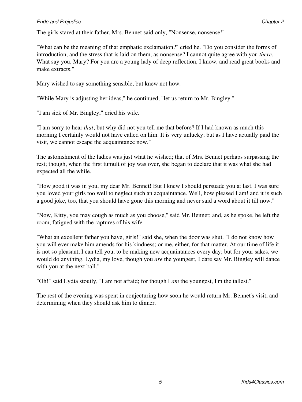"What can be the meaning of that emphatic exclamation?" cried he. "Do you consider the forms of introduction, and the stress that is laid on them, as nonsense? I cannot quite agree with you *there*. What say you, Mary? For you are a young lady of deep reflection, I know, and read great books and make extracts."

Mary wished to say something sensible, but knew not how.

"While Mary is adjusting her ideas," he continued, "let us return to Mr. Bingley."

"I am sick of Mr. Bingley," cried his wife.

"I am sorry to hear *that*; but why did not you tell me that before? If I had known as much this morning I certainly would not have called on him. It is very unlucky; but as I have actually paid the visit, we cannot escape the acquaintance now."

The astonishment of the ladies was just what he wished; that of Mrs. Bennet perhaps surpassing the rest; though, when the first tumult of joy was over, she began to declare that it was what she had expected all the while.

"How good it was in you, my dear Mr. Bennet! But I knew I should persuade you at last. I was sure you loved your girls too well to neglect such an acquaintance. Well, how pleased I am! and it is such a good joke, too, that you should have gone this morning and never said a word about it till now."

"Now, Kitty, you may cough as much as you choose," said Mr. Bennet; and, as he spoke, he left the room, fatigued with the raptures of his wife.

"What an excellent father you have, girls!" said she, when the door was shut. "I do not know how you will ever make him amends for his kindness; or me, either, for that matter. At our time of life it is not so pleasant, I can tell you, to be making new acquaintances every day; but for your sakes, we would do anything. Lydia, my love, though you *are* the youngest, I dare say Mr. Bingley will dance with you at the next ball."

"Oh!" said Lydia stoutly, "I am not afraid; for though I *am* the youngest, I'm the tallest."

The rest of the evening was spent in conjecturing how soon he would return Mr. Bennet's visit, and determining when they should ask him to dinner.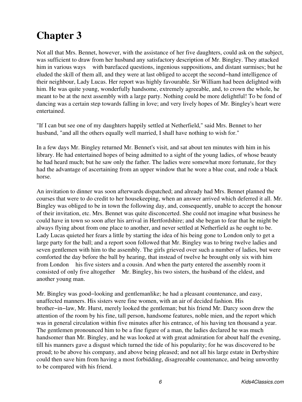<span id="page-9-0"></span>Not all that Mrs. Bennet, however, with the assistance of her five daughters, could ask on the subject, was sufficient to draw from her husband any satisfactory description of Mr. Bingley. They attacked him in various ways with barefaced questions, ingenious suppositions, and distant surmises; but he eluded the skill of them all, and they were at last obliged to accept the second−hand intelligence of their neighbour, Lady Lucas. Her report was highly favourable. Sir William had been delighted with him. He was quite young, wonderfully handsome, extremely agreeable, and, to crown the whole, he meant to be at the next assembly with a large party. Nothing could be more delightful! To be fond of dancing was a certain step towards falling in love; and very lively hopes of Mr. Bingley's heart were entertained.

"If I can but see one of my daughters happily settled at Netherfield," said Mrs. Bennet to her husband, "and all the others equally well married, I shall have nothing to wish for."

In a few days Mr. Bingley returned Mr. Bennet's visit, and sat about ten minutes with him in his library. He had entertained hopes of being admitted to a sight of the young ladies, of whose beauty he had heard much; but he saw only the father. The ladies were somewhat more fortunate, for they had the advantage of ascertaining from an upper window that he wore a blue coat, and rode a black horse.

An invitation to dinner was soon afterwards dispatched; and already had Mrs. Bennet planned the courses that were to do credit to her housekeeping, when an answer arrived which deferred it all. Mr. Bingley was obliged to be in town the following day, and, consequently, unable to accept the honour of their invitation, etc. Mrs. Bennet was quite disconcerted. She could not imagine what business he could have in town so soon after his arrival in Hertfordshire; and she began to fear that he might be always flying about from one place to another, and never settled at Netherfield as he ought to be. Lady Lucas quieted her fears a little by starting the idea of his being gone to London only to get a large party for the ball; and a report soon followed that Mr. Bingley was to bring twelve ladies and seven gentlemen with him to the assembly. The girls grieved over such a number of ladies, but were comforted the day before the ball by hearing, that instead of twelve he brought only six with him from London his five sisters and a cousin. And when the party entered the assembly room it consisted of only five altogether Mr. Bingley, his two sisters, the husband of the eldest, and another young man.

Mr. Bingley was good−looking and gentlemanlike; he had a pleasant countenance, and easy, unaffected manners. His sisters were fine women, with an air of decided fashion. His brother−in−law, Mr. Hurst, merely looked the gentleman; but his friend Mr. Darcy soon drew the attention of the room by his fine, tall person, handsome features, noble mien, and the report which was in general circulation within five minutes after his entrance, of his having ten thousand a year. The gentlemen pronounced him to be a fine figure of a man, the ladies declared he was much handsomer than Mr. Bingley, and he was looked at with great admiration for about half the evening, till his manners gave a disgust which turned the tide of his popularity; for he was discovered to be proud; to be above his company, and above being pleased; and not all his large estate in Derbyshire could then save him from having a most forbidding, disagreeable countenance, and being unworthy to be compared with his friend.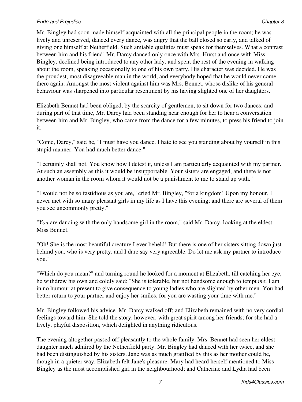#### **Pride and Prejudice Chapter 3** Chapter 3

Mr. Bingley had soon made himself acquainted with all the principal people in the room; he was lively and unreserved, danced every dance, was angry that the ball closed so early, and talked of giving one himself at Netherfield. Such amiable qualities must speak for themselves. What a contrast between him and his friend! Mr. Darcy danced only once with Mrs. Hurst and once with Miss Bingley, declined being introduced to any other lady, and spent the rest of the evening in walking about the room, speaking occasionally to one of his own party. His character was decided. He was the proudest, most disagreeable man in the world, and everybody hoped that he would never come there again. Amongst the most violent against him was Mrs. Bennet, whose dislike of his general behaviour was sharpened into particular resentment by his having slighted one of her daughters.

Elizabeth Bennet had been obliged, by the scarcity of gentlemen, to sit down for two dances; and during part of that time, Mr. Darcy had been standing near enough for her to hear a conversation between him and Mr. Bingley, who came from the dance for a few minutes, to press his friend to join it.

"Come, Darcy," said he, "I must have you dance. I hate to see you standing about by yourself in this stupid manner. You had much better dance."

"I certainly shall not. You know how I detest it, unless I am particularly acquainted with my partner. At such an assembly as this it would be insupportable. Your sisters are engaged, and there is not another woman in the room whom it would not be a punishment to me to stand up with."

"I would not be so fastidious as you are," cried Mr. Bingley, "for a kingdom! Upon my honour, I never met with so many pleasant girls in my life as I have this evening; and there are several of them you see uncommonly pretty."

"*You* are dancing with the only handsome girl in the room," said Mr. Darcy, looking at the eldest Miss Bennet.

"Oh! She is the most beautiful creature I ever beheld! But there is one of her sisters sitting down just behind you, who is very pretty, and I dare say very agreeable. Do let me ask my partner to introduce you."

"Which do you mean?" and turning round he looked for a moment at Elizabeth, till catching her eye, he withdrew his own and coldly said: "She is tolerable, but not handsome enough to tempt *me*; I am in no humour at present to give consequence to young ladies who are slighted by other men. You had better return to your partner and enjoy her smiles, for you are wasting your time with me."

Mr. Bingley followed his advice. Mr. Darcy walked off; and Elizabeth remained with no very cordial feelings toward him. She told the story, however, with great spirit among her friends; for she had a lively, playful disposition, which delighted in anything ridiculous.

The evening altogether passed off pleasantly to the whole family. Mrs. Bennet had seen her eldest daughter much admired by the Netherfield party. Mr. Bingley had danced with her twice, and she had been distinguished by his sisters. Jane was as much gratified by this as her mother could be, though in a quieter way. Elizabeth felt Jane's pleasure. Mary had heard herself mentioned to Miss Bingley as the most accomplished girl in the neighbourhood; and Catherine and Lydia had been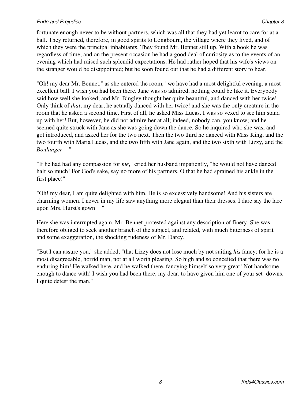fortunate enough never to be without partners, which was all that they had yet learnt to care for at a ball. They returned, therefore, in good spirits to Longbourn, the village where they lived, and of which they were the principal inhabitants. They found Mr. Bennet still up. With a book he was regardless of time; and on the present occasion he had a good deal of curiosity as to the events of an evening which had raised such splendid expectations. He had rather hoped that his wife's views on the stranger would be disappointed; but he soon found out that he had a different story to hear.

"Oh! my dear Mr. Bennet," as she entered the room, "we have had a most delightful evening, a most excellent ball. I wish you had been there. Jane was so admired, nothing could be like it. Everybody said how well she looked; and Mr. Bingley thought her quite beautiful, and danced with her twice! Only think of *that*, my dear; he actually danced with her twice! and she was the only creature in the room that he asked a second time. First of all, he asked Miss Lucas. I was so vexed to see him stand up with her! But, however, he did not admire her at all; indeed, nobody can, you know; and he seemed quite struck with Jane as she was going down the dance. So he inquired who she was, and got introduced, and asked her for the two next. Then the two third he danced with Miss King, and the two fourth with Maria Lucas, and the two fifth with Jane again, and the two sixth with Lizzy, and the  $Boulanger$ 

"If he had had any compassion for *me*," cried her husband impatiently, "he would not have danced half so much! For God's sake, say no more of his partners. O that he had sprained his ankle in the first place!"

"Oh! my dear, I am quite delighted with him. He is so excessively handsome! And his sisters are charming women. I never in my life saw anything more elegant than their dresses. I dare say the lace upon Mrs. Hurst's gown "

Here she was interrupted again. Mr. Bennet protested against any description of finery. She was therefore obliged to seek another branch of the subject, and related, with much bitterness of spirit and some exaggeration, the shocking rudeness of Mr. Darcy.

"But I can assure you," she added, "that Lizzy does not lose much by not suiting *his* fancy; for he is a most disagreeable, horrid man, not at all worth pleasing. So high and so conceited that there was no enduring him! He walked here, and he walked there, fancying himself so very great! Not handsome enough to dance with! I wish you had been there, my dear, to have given him one of your set−downs. I quite detest the man."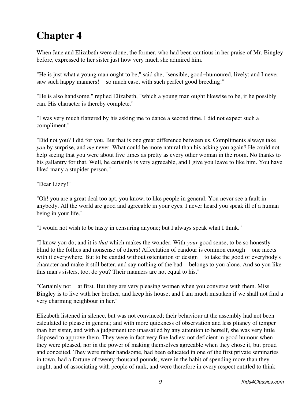<span id="page-12-0"></span>When Jane and Elizabeth were alone, the former, who had been cautious in her praise of Mr. Bingley before, expressed to her sister just how very much she admired him.

"He is just what a young man ought to be," said she, "sensible, good−humoured, lively; and I never saw such happy manners! so much ease, with such perfect good breeding!"

"He is also handsome," replied Elizabeth, "which a young man ought likewise to be, if he possibly can. His character is thereby complete."

"I was very much flattered by his asking me to dance a second time. I did not expect such a compliment."

"Did not you? I did for you. But that is one great difference between us. Compliments always take *you* by surprise, and *me* never. What could be more natural than his asking you again? He could not help seeing that you were about five times as pretty as every other woman in the room. No thanks to his gallantry for that. Well, he certainly is very agreeable, and I give you leave to like him. You have liked many a stupider person."

### "Dear Lizzy!"

"Oh! you are a great deal too apt, you know, to like people in general. You never see a fault in anybody. All the world are good and agreeable in your eyes. I never heard you speak ill of a human being in your life."

"I would not wish to be hasty in censuring anyone; but I always speak what I think."

"I know you do; and it is *that* which makes the wonder. With *your* good sense, to be so honestly blind to the follies and nonsense of others! Affectation of candour is common enough one meets with it everywhere. But to be candid without ostentation or design to take the good of everybody's character and make it still better, and say nothing of the bad belongs to you alone. And so you like this man's sisters, too, do you? Their manners are not equal to his."

"Certainly not at first. But they are very pleasing women when you converse with them. Miss Bingley is to live with her brother, and keep his house; and I am much mistaken if we shall not find a very charming neighbour in her."

Elizabeth listened in silence, but was not convinced; their behaviour at the assembly had not been calculated to please in general; and with more quickness of observation and less pliancy of temper than her sister, and with a judgement too unassailed by any attention to herself, she was very little disposed to approve them. They were in fact very fine ladies; not deficient in good humour when they were pleased, nor in the power of making themselves agreeable when they chose it, but proud and conceited. They were rather handsome, had been educated in one of the first private seminaries in town, had a fortune of twenty thousand pounds, were in the habit of spending more than they ought, and of associating with people of rank, and were therefore in every respect entitled to think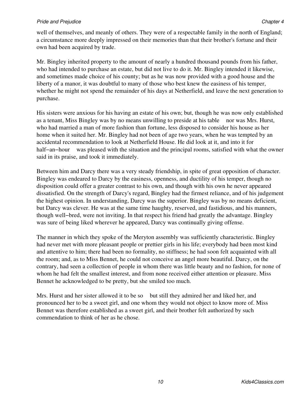#### *Pride and Prejudice* Chapter 4 **Chapter 4 Chapter 4 Chapter 4 Chapter 4 Chapter 4 Chapter 4 Chapter 4 Chapter 4 Chapter 4 Chapter 4 Chapter 4 Chapter 4 Chapter 4 Chapter 4 Chapter 4 Chapter**

well of themselves, and meanly of others. They were of a respectable family in the north of England; a circumstance more deeply impressed on their memories than that their brother's fortune and their own had been acquired by trade.

Mr. Bingley inherited property to the amount of nearly a hundred thousand pounds from his father, who had intended to purchase an estate, but did not live to do it. Mr. Bingley intended it likewise, and sometimes made choice of his county; but as he was now provided with a good house and the liberty of a manor, it was doubtful to many of those who best knew the easiness of his temper, whether he might not spend the remainder of his days at Netherfield, and leave the next generation to purchase.

His sisters were anxious for his having an estate of his own; but, though he was now only established as a tenant, Miss Bingley was by no means unwilling to preside at his table nor was Mrs. Hurst, who had married a man of more fashion than fortune, less disposed to consider his house as her home when it suited her. Mr. Bingley had not been of age two years, when he was tempted by an accidental recommendation to look at Netherfield House. He did look at it, and into it for half−an−hour was pleased with the situation and the principal rooms, satisfied with what the owner said in its praise, and took it immediately.

Between him and Darcy there was a very steady friendship, in spite of great opposition of character. Bingley was endeared to Darcy by the easiness, openness, and ductility of his temper, though no disposition could offer a greater contrast to his own, and though with his own he never appeared dissatisfied. On the strength of Darcy's regard, Bingley had the firmest reliance, and of his judgement the highest opinion. In understanding, Darcy was the superior. Bingley was by no means deficient, but Darcy was clever. He was at the same time haughty, reserved, and fastidious, and his manners, though well−bred, were not inviting. In that respect his friend had greatly the advantage. Bingley was sure of being liked wherever he appeared, Darcy was continually giving offense.

The manner in which they spoke of the Meryton assembly was sufficiently characteristic. Bingley had never met with more pleasant people or prettier girls in his life; everybody had been most kind and attentive to him; there had been no formality, no stiffness; he had soon felt acquainted with all the room; and, as to Miss Bennet, he could not conceive an angel more beautiful. Darcy, on the contrary, had seen a collection of people in whom there was little beauty and no fashion, for none of whom he had felt the smallest interest, and from none received either attention or pleasure. Miss Bennet he acknowledged to be pretty, but she smiled too much.

Mrs. Hurst and her sister allowed it to be so but still they admired her and liked her, and pronounced her to be a sweet girl, and one whom they would not object to know more of. Miss Bennet was therefore established as a sweet girl, and their brother felt authorized by such commendation to think of her as he chose.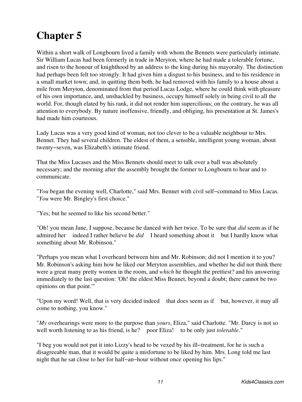<span id="page-14-0"></span>Within a short walk of Longbourn lived a family with whom the Bennets were particularly intimate. Sir William Lucas had been formerly in trade in Meryton, where he had made a tolerable fortune, and risen to the honour of knighthood by an address to the king during his mayoralty. The distinction had perhaps been felt too strongly. It had given him a disgust to his business, and to his residence in a small market town; and, in quitting them both, he had removed with his family to a house about a mile from Meryton, denominated from that period Lucas Lodge, where he could think with pleasure of his own importance, and, unshackled by business, occupy himself solely in being civil to all the world. For, though elated by his rank, it did not render him supercilious; on the contrary, he was all attention to everybody. By nature inoffensive, friendly, and obliging, his presentation at St. James's had made him courteous.

Lady Lucas was a very good kind of woman, not too clever to be a valuable neighbour to Mrs. Bennet. They had several children. The eldest of them, a sensible, intelligent young woman, about twenty−seven, was Elizabeth's intimate friend.

That the Miss Lucases and the Miss Bennets should meet to talk over a ball was absolutely necessary; and the morning after the assembly brought the former to Longbourn to hear and to communicate.

"*You* began the evening well, Charlotte," said Mrs. Bennet with civil self−command to Miss Lucas. "*You* were Mr. Bingley's first choice."

"Yes; but he seemed to like his second better."

"Oh! you mean Jane, I suppose, because he danced with her twice. To be sure that *did* seem as if he admired her indeed I rather believe he *did* I heard something about it but I hardly know what something about Mr. Robinson."

"Perhaps you mean what I overheard between him and Mr. Robinson; did not I mention it to you? Mr. Robinson's asking him how he liked our Meryton assemblies, and whether he did not think there were a great many pretty women in the room, and *which* he thought the prettiest? and his answering immediately to the last question: 'Oh! the eldest Miss Bennet, beyond a doubt; there cannot be two opinions on that point.'"

"Upon my word! Well, that is very decided indeed that does seem as if but, however, it may all come to nothing, you know."

"*My* overhearings were more to the purpose than *yours*, Eliza," said Charlotte. "Mr. Darcy is not so well worth listening to as his friend, is he? poor Eliza! to be only just *tolerable*."

"I beg you would not put it into Lizzy's head to be vexed by his ill−treatment, for he is such a disagreeable man, that it would be quite a misfortune to be liked by him. Mrs. Long told me last night that he sat close to her for half−an−hour without once opening his lips."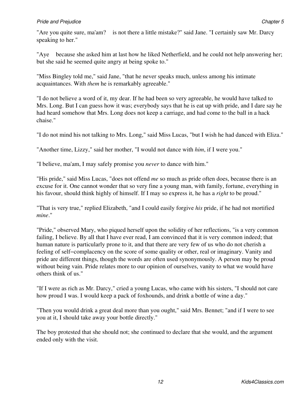"Are you quite sure, ma'am? is not there a little mistake?" said Jane. "I certainly saw Mr. Darcy speaking to her."

"Aye because she asked him at last how he liked Netherfield, and he could not help answering her; but she said he seemed quite angry at being spoke to."

"Miss Bingley told me," said Jane, "that he never speaks much, unless among his intimate acquaintances. With *them* he is remarkably agreeable."

"I do not believe a word of it, my dear. If he had been so very agreeable, he would have talked to Mrs. Long. But I can guess how it was; everybody says that he is eat up with pride, and I dare say he had heard somehow that Mrs. Long does not keep a carriage, and had come to the ball in a hack chaise."

"I do not mind his not talking to Mrs. Long," said Miss Lucas, "but I wish he had danced with Eliza."

"Another time, Lizzy," said her mother, "I would not dance with *him*, if I were you."

"I believe, ma'am, I may safely promise you *never* to dance with him."

"His pride," said Miss Lucas, "does not offend *me* so much as pride often does, because there is an excuse for it. One cannot wonder that so very fine a young man, with family, fortune, everything in his favour, should think highly of himself. If I may so express it, he has a *right* to be proud."

"That is very true," replied Elizabeth, "and I could easily forgive *his* pride, if he had not mortified *mine*."

"Pride," observed Mary, who piqued herself upon the solidity of her reflections, "is a very common failing, I believe. By all that I have ever read, I am convinced that it is very common indeed; that human nature is particularly prone to it, and that there are very few of us who do not cherish a feeling of self−complacency on the score of some quality or other, real or imaginary. Vanity and pride are different things, though the words are often used synonymously. A person may be proud without being vain. Pride relates more to our opinion of ourselves, vanity to what we would have others think of us."

"If I were as rich as Mr. Darcy," cried a young Lucas, who came with his sisters, "I should not care how proud I was. I would keep a pack of foxhounds, and drink a bottle of wine a day."

"Then you would drink a great deal more than you ought," said Mrs. Bennet; "and if I were to see you at it, I should take away your bottle directly."

The boy protested that she should not; she continued to declare that she would, and the argument ended only with the visit.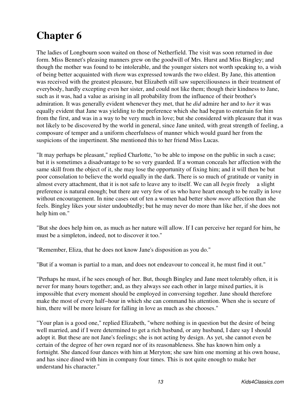<span id="page-16-0"></span>The ladies of Longbourn soon waited on those of Netherfield. The visit was soon returned in due form. Miss Bennet's pleasing manners grew on the goodwill of Mrs. Hurst and Miss Bingley; and though the mother was found to be intolerable, and the younger sisters not worth speaking to, a wish of being better acquainted with *them* was expressed towards the two eldest. By Jane, this attention was received with the greatest pleasure, but Elizabeth still saw superciliousness in their treatment of everybody, hardly excepting even her sister, and could not like them; though their kindness to Jane, such as it was, had a value as arising in all probability from the influence of their brother's admiration. It was generally evident whenever they met, that he *did* admire her and to *her* it was equally evident that Jane was yielding to the preference which she had begun to entertain for him from the first, and was in a way to be very much in love; but she considered with pleasure that it was not likely to be discovered by the world in general, since Jane united, with great strength of feeling, a composure of temper and a uniform cheerfulness of manner which would guard her from the suspicions of the impertinent. She mentioned this to her friend Miss Lucas.

"It may perhaps be pleasant," replied Charlotte, "to be able to impose on the public in such a case; but it is sometimes a disadvantage to be so very guarded. If a woman conceals her affection with the same skill from the object of it, she may lose the opportunity of fixing him; and it will then be but poor consolation to believe the world equally in the dark. There is so much of gratitude or vanity in almost every attachment, that it is not safe to leave any to itself. We can all *begin* freely a slight preference is natural enough; but there are very few of us who have heart enough to be really in love without encouragement. In nine cases out of ten a women had better show *more* affection than she feels. Bingley likes your sister undoubtedly; but he may never do more than like her, if she does not help him on."

"But she does help him on, as much as her nature will allow. If I can perceive her regard for him, he must be a simpleton, indeed, not to discover it too."

"Remember, Eliza, that he does not know Jane's disposition as you do."

"But if a woman is partial to a man, and does not endeavour to conceal it, he must find it out."

"Perhaps he must, if he sees enough of her. But, though Bingley and Jane meet tolerably often, it is never for many hours together; and, as they always see each other in large mixed parties, it is impossible that every moment should be employed in conversing together. Jane should therefore make the most of every half−hour in which she can command his attention. When she is secure of him, there will be more leisure for falling in love as much as she chooses."

"Your plan is a good one," replied Elizabeth, "where nothing is in question but the desire of being well married, and if I were determined to get a rich husband, or any husband, I dare say I should adopt it. But these are not Jane's feelings; she is not acting by design. As yet, she cannot even be certain of the degree of her own regard nor of its reasonableness. She has known him only a fortnight. She danced four dances with him at Meryton; she saw him one morning at his own house, and has since dined with him in company four times. This is not quite enough to make her understand his character."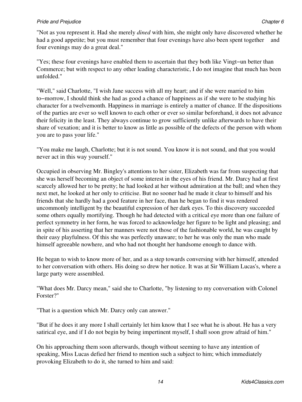#### *Pride and Prejudice* Chapter 6 *Chapter 6*

"Not as you represent it. Had she merely *dined* with him, she might only have discovered whether he had a good appetite; but you must remember that four evenings have also been spent together and four evenings may do a great deal."

"Yes; these four evenings have enabled them to ascertain that they both like Vingt−un better than Commerce; but with respect to any other leading characteristic, I do not imagine that much has been unfolded."

"Well," said Charlotte, "I wish Jane success with all my heart; and if she were married to him to−morrow, I should think she had as good a chance of happiness as if she were to be studying his character for a twelvemonth. Happiness in marriage is entirely a matter of chance. If the dispositions of the parties are ever so well known to each other or ever so similar beforehand, it does not advance their felicity in the least. They always continue to grow sufficiently unlike afterwards to have their share of vexation; and it is better to know as little as possible of the defects of the person with whom you are to pass your life."

"You make me laugh, Charlotte; but it is not sound. You know it is not sound, and that you would never act in this way yourself."

Occupied in observing Mr. Bingley's attentions to her sister, Elizabeth was far from suspecting that she was herself becoming an object of some interest in the eyes of his friend. Mr. Darcy had at first scarcely allowed her to be pretty; he had looked at her without admiration at the ball; and when they next met, he looked at her only to criticise. But no sooner had he made it clear to himself and his friends that she hardly had a good feature in her face, than he began to find it was rendered uncommonly intelligent by the beautiful expression of her dark eyes. To this discovery succeeded some others equally mortifying. Though he had detected with a critical eye more than one failure of perfect symmetry in her form, he was forced to acknowledge her figure to be light and pleasing; and in spite of his asserting that her manners were not those of the fashionable world, he was caught by their easy playfulness. Of this she was perfectly unaware; to her he was only the man who made himself agreeable nowhere, and who had not thought her handsome enough to dance with.

He began to wish to know more of her, and as a step towards conversing with her himself, attended to her conversation with others. His doing so drew her notice. It was at Sir William Lucas's, where a large party were assembled.

"What does Mr. Darcy mean," said she to Charlotte, "by listening to my conversation with Colonel Forster?"

"That is a question which Mr. Darcy only can answer."

"But if he does it any more I shall certainly let him know that I see what he is about. He has a very satirical eye, and if I do not begin by being impertinent myself, I shall soon grow afraid of him."

On his approaching them soon afterwards, though without seeming to have any intention of speaking, Miss Lucas defied her friend to mention such a subject to him; which immediately provoking Elizabeth to do it, she turned to him and said: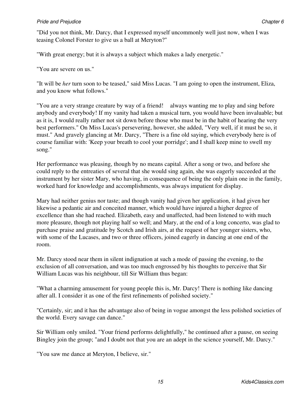#### *Pride and Prejudice* Chapter 6 **Chapter 6 Chapter 6 Chapter 6 Chapter 6 Chapter 6 Chapter 6 Chapter 6 Chapter 6 Chapter 6 Chapter 6 Chapter 6 Chapter 6 Chapter 6 Chapter 6 Chapter 6 Chapter**

"Did you not think, Mr. Darcy, that I expressed myself uncommonly well just now, when I was teasing Colonel Forster to give us a ball at Meryton?"

"With great energy; but it is always a subject which makes a lady energetic."

"You are severe on us."

"It will be *her* turn soon to be teased," said Miss Lucas. "I am going to open the instrument, Eliza, and you know what follows."

"You are a very strange creature by way of a friend! always wanting me to play and sing before anybody and everybody! If my vanity had taken a musical turn, you would have been invaluable; but as it is, I would really rather not sit down before those who must be in the habit of hearing the very best performers." On Miss Lucas's persevering, however, she added, "Very well, if it must be so, it must." And gravely glancing at Mr. Darcy, "There is a fine old saying, which everybody here is of course familiar with: 'Keep your breath to cool your porridge'; and I shall keep mine to swell my song."

Her performance was pleasing, though by no means capital. After a song or two, and before she could reply to the entreaties of several that she would sing again, she was eagerly succeeded at the instrument by her sister Mary, who having, in consequence of being the only plain one in the family, worked hard for knowledge and accomplishments, was always impatient for display.

Mary had neither genius nor taste; and though vanity had given her application, it had given her likewise a pedantic air and conceited manner, which would have injured a higher degree of excellence than she had reached. Elizabeth, easy and unaffected, had been listened to with much more pleasure, though not playing half so well; and Mary, at the end of a long concerto, was glad to purchase praise and gratitude by Scotch and Irish airs, at the request of her younger sisters, who, with some of the Lucases, and two or three officers, joined eagerly in dancing at one end of the room.

Mr. Darcy stood near them in silent indignation at such a mode of passing the evening, to the exclusion of all conversation, and was too much engrossed by his thoughts to perceive that Sir William Lucas was his neighbour, till Sir William thus began:

"What a charming amusement for young people this is, Mr. Darcy! There is nothing like dancing after all. I consider it as one of the first refinements of polished society."

"Certainly, sir; and it has the advantage also of being in vogue amongst the less polished societies of the world. Every savage can dance."

Sir William only smiled. "Your friend performs delightfully," he continued after a pause, on seeing Bingley join the group; "and I doubt not that you are an adept in the science yourself, Mr. Darcy."

"You saw me dance at Meryton, I believe, sir."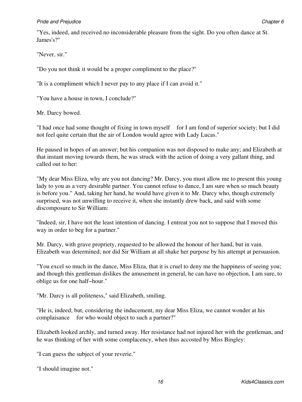#### *Pride and Prejudice* Chapter 6 *Chapter 6*

"Yes, indeed, and received no inconsiderable pleasure from the sight. Do you often dance at St. James's?"

"Never, sir."

"Do you not think it would be a proper compliment to the place?"

"It is a compliment which I never pay to any place if I can avoid it."

"You have a house in town, I conclude?"

Mr. Darcy bowed.

"I had once had some thought of fixing in town myself for I am fond of superior society; but I did not feel quite certain that the air of London would agree with Lady Lucas."

He paused in hopes of an answer; but his companion was not disposed to make any; and Elizabeth at that instant moving towards them, he was struck with the action of doing a very gallant thing, and called out to her:

"My dear Miss Eliza, why are you not dancing? Mr. Darcy, you must allow me to present this young lady to you as a very desirable partner. You cannot refuse to dance, I am sure when so much beauty is before you." And, taking her hand, he would have given it to Mr. Darcy who, though extremely surprised, was not unwilling to receive it, when she instantly drew back, and said with some discomposure to Sir William:

"Indeed, sir, I have not the least intention of dancing. I entreat you not to suppose that I moved this way in order to beg for a partner."

Mr. Darcy, with grave propriety, requested to be allowed the honour of her hand, but in vain. Elizabeth was determined; nor did Sir William at all shake her purpose by his attempt at persuasion.

"You excel so much in the dance, Miss Eliza, that it is cruel to deny me the happiness of seeing you; and though this gentleman dislikes the amusement in general, he can have no objection, I am sure, to oblige us for one half−hour."

"Mr. Darcy is all politeness," said Elizabeth, smiling.

"He is, indeed; but, considering the inducement, my dear Miss Eliza, we cannot wonder at his complaisance for who would object to such a partner?"

Elizabeth looked archly, and turned away. Her resistance had not injured her with the gentleman, and he was thinking of her with some complacency, when thus accosted by Miss Bingley:

"I can guess the subject of your reverie."

"I should imagine not."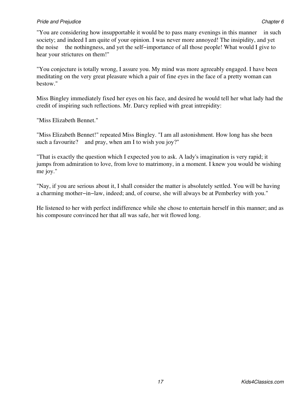#### *Pride and Prejudice* Chapter 6 *Chapter 6*

"You are considering how insupportable it would be to pass many evenings in this manner in such society; and indeed I am quite of your opinion. I was never more annoyed! The insipidity, and yet the noise the nothingness, and yet the self−importance of all those people! What would I give to hear your strictures on them!"

"You conjecture is totally wrong, I assure you. My mind was more agreeably engaged. I have been meditating on the very great pleasure which a pair of fine eyes in the face of a pretty woman can bestow."

Miss Bingley immediately fixed her eyes on his face, and desired he would tell her what lady had the credit of inspiring such reflections. Mr. Darcy replied with great intrepidity:

"Miss Elizabeth Bennet."

"Miss Elizabeth Bennet!" repeated Miss Bingley. "I am all astonishment. How long has she been such a favourite? and pray, when am I to wish you joy?"

"That is exactly the question which I expected you to ask. A lady's imagination is very rapid; it jumps from admiration to love, from love to matrimony, in a moment. I knew you would be wishing me joy."

"Nay, if you are serious about it, I shall consider the matter is absolutely settled. You will be having a charming mother−in−law, indeed; and, of course, she will always be at Pemberley with you."

He listened to her with perfect indifference while she chose to entertain herself in this manner; and as his composure convinced her that all was safe, her wit flowed long.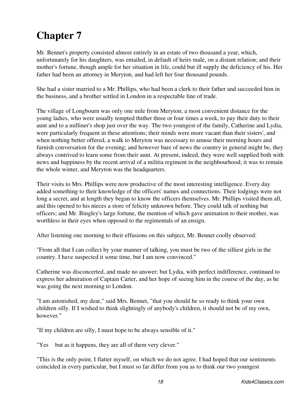<span id="page-21-0"></span>Mr. Bennet's property consisted almost entirely in an estate of two thousand a year, which, unfortunately for his daughters, was entailed, in default of heirs male, on a distant relation; and their mother's fortune, though ample for her situation in life, could but ill supply the deficiency of his. Her father had been an attorney in Meryton, and had left her four thousand pounds.

She had a sister married to a Mr. Phillips, who had been a clerk to their father and succeeded him in the business, and a brother settled in London in a respectable line of trade.

The village of Longbourn was only one mile from Meryton; a most convenient distance for the young ladies, who were usually tempted thither three or four times a week, to pay their duty to their aunt and to a milliner's shop just over the way. The two youngest of the family, Catherine and Lydia, were particularly frequent in these attentions; their minds were more vacant than their sisters', and when nothing better offered, a walk to Meryton was necessary to amuse their morning hours and furnish conversation for the evening; and however bare of news the country in general might be, they always contrived to learn some from their aunt. At present, indeed, they were well supplied both with news and happiness by the recent arrival of a militia regiment in the neighbourhood; it was to remain the whole winter, and Meryton was the headquarters.

Their visits to Mrs. Phillips were now productive of the most interesting intelligence. Every day added something to their knowledge of the officers' names and connections. Their lodgings were not long a secret, and at length they began to know the officers themselves. Mr. Phillips visited them all, and this opened to his nieces a store of felicity unknown before. They could talk of nothing but officers; and Mr. Bingley's large fortune, the mention of which gave animation to their mother, was worthless in their eyes when opposed to the regimentals of an ensign.

After listening one morning to their effusions on this subject, Mr. Bennet coolly observed:

"From all that I can collect by your manner of talking, you must be two of the silliest girls in the country. I have suspected it some time, but I am now convinced."

Catherine was disconcerted, and made no answer; but Lydia, with perfect indifference, continued to express her admiration of Captain Carter, and her hope of seeing him in the course of the day, as he was going the next morning to London.

"I am astonished, my dear," said Mrs. Bennet, "that you should be so ready to think your own children silly. If I wished to think slightingly of anybody's children, it should not be of my own, however."

"If my children are silly, I must hope to be always sensible of it."

"Yes but as it happens, they are all of them very clever."

"This is the only point, I flatter myself, on which we do not agree. I had hoped that our sentiments coincided in every particular, but I must so far differ from you as to think our two youngest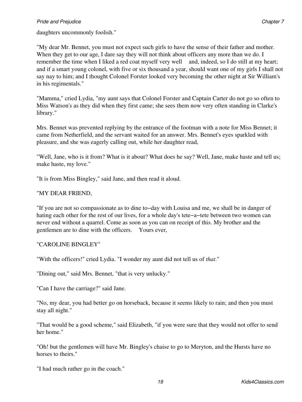daughters uncommonly foolish."

"My dear Mr. Bennet, you must not expect such girls to have the sense of their father and mother. When they get to our age, I dare say they will not think about officers any more than we do. I remember the time when I liked a red coat myself very well and, indeed, so I do still at my heart; and if a smart young colonel, with five or six thousand a year, should want one of my girls I shall not say nay to him; and I thought Colonel Forster looked very becoming the other night at Sir William's in his regimentals."

"Mamma," cried Lydia, "my aunt says that Colonel Forster and Captain Carter do not go so often to Miss Watson's as they did when they first came; she sees them now very often standing in Clarke's library."

Mrs. Bennet was prevented replying by the entrance of the footman with a note for Miss Bennet; it came from Netherfield, and the servant waited for an answer. Mrs. Bennet's eyes sparkled with pleasure, and she was eagerly calling out, while her daughter read,

"Well, Jane, who is it from? What is it about? What does he say? Well, Jane, make haste and tell us; make haste, my love."

"It is from Miss Bingley," said Jane, and then read it aloud.

#### "MY DEAR FRIEND,

"If you are not so compassionate as to dine to−day with Louisa and me, we shall be in danger of hating each other for the rest of our lives, for a whole day's tete−a−tete between two women can never end without a quarrel. Come as soon as you can on receipt of this. My brother and the gentlemen are to dine with the officers. Yours ever,

#### "CAROLINE BINGLEY"

"With the officers!" cried Lydia. "I wonder my aunt did not tell us of *that*."

"Dining out," said Mrs. Bennet, "that is very unlucky."

"Can I have the carriage?" said Jane.

"No, my dear, you had better go on horseback, because it seems likely to rain; and then you must stay all night."

"That would be a good scheme," said Elizabeth, "if you were sure that they would not offer to send her home."

"Oh! but the gentlemen will have Mr. Bingley's chaise to go to Meryton, and the Hursts have no horses to theirs."

"I had much rather go in the coach."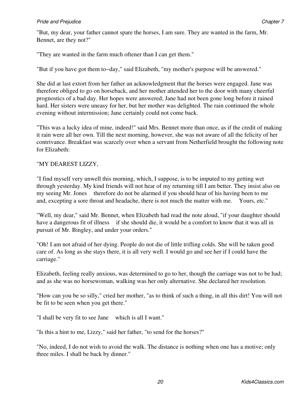#### *Pride and Prejudice* Chapter 7 *Chapter 7**Chapter 7**Chapter 7**Chapter 7**Chapter 7**Chapter 7**Chapter 7**Chapter 7**Chapter 7**Chapter 7**Chapter 7**Chapter 7**Chapter 7**Chapter 7**Chapter 7**Chapte*

"But, my dear, your father cannot spare the horses, I am sure. They are wanted in the farm, Mr. Bennet, are they not?"

"They are wanted in the farm much oftener than I can get them."

"But if you have got them to−day," said Elizabeth, "my mother's purpose will be answered."

She did at last extort from her father an acknowledgment that the horses were engaged. Jane was therefore obliged to go on horseback, and her mother attended her to the door with many cheerful prognostics of a bad day. Her hopes were answered; Jane had not been gone long before it rained hard. Her sisters were uneasy for her, but her mother was delighted. The rain continued the whole evening without intermission; Jane certainly could not come back.

"This was a lucky idea of mine, indeed!" said Mrs. Bennet more than once, as if the credit of making it rain were all her own. Till the next morning, however, she was not aware of all the felicity of her contrivance. Breakfast was scarcely over when a servant from Netherfield brought the following note for Elizabeth:

#### "MY DEAREST LIZZY,

"I find myself very unwell this morning, which, I suppose, is to be imputed to my getting wet through yesterday. My kind friends will not hear of my returning till I am better. They insist also on my seeing Mr. Jones therefore do not be alarmed if you should hear of his having been to me and, excepting a sore throat and headache, there is not much the matter with me. Yours, etc."

"Well, my dear," said Mr. Bennet, when Elizabeth had read the note aloud, "if your daughter should have a dangerous fit of illness if she should die, it would be a comfort to know that it was all in pursuit of Mr. Bingley, and under your orders."

"Oh! I am not afraid of her dying. People do not die of little trifling colds. She will be taken good care of. As long as she stays there, it is all very well. I would go and see her if I could have the carriage."

Elizabeth, feeling really anxious, was determined to go to her, though the carriage was not to be had; and as she was no horsewoman, walking was her only alternative. She declared her resolution.

"How can you be so silly," cried her mother, "as to think of such a thing, in all this dirt! You will not be fit to be seen when you get there."

"I shall be very fit to see Jane which is all I want."

"Is this a hint to me, Lizzy," said her father, "to send for the horses?"

"No, indeed, I do not wish to avoid the walk. The distance is nothing when one has a motive; only three miles. I shall be back by dinner."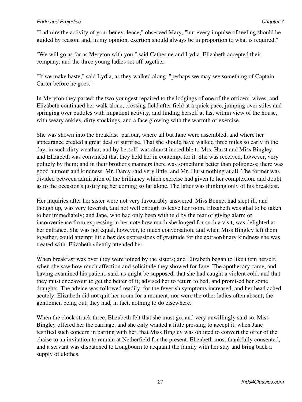#### *Pride and Prejudice* Chapter 7 *Chapter 7*

"I admire the activity of your benevolence," observed Mary, "but every impulse of feeling should be guided by reason; and, in my opinion, exertion should always be in proportion to what is required."

"We will go as far as Meryton with you," said Catherine and Lydia. Elizabeth accepted their company, and the three young ladies set off together.

"If we make haste," said Lydia, as they walked along, "perhaps we may see something of Captain Carter before he goes."

In Meryton they parted; the two youngest repaired to the lodgings of one of the officers' wives, and Elizabeth continued her walk alone, crossing field after field at a quick pace, jumping over stiles and springing over puddles with impatient activity, and finding herself at last within view of the house, with weary ankles, dirty stockings, and a face glowing with the warmth of exercise.

She was shown into the breakfast−parlour, where all but Jane were assembled, and where her appearance created a great deal of surprise. That she should have walked three miles so early in the day, in such dirty weather, and by herself, was almost incredible to Mrs. Hurst and Miss Bingley; and Elizabeth was convinced that they held her in contempt for it. She was received, however, very politely by them; and in their brother's manners there was something better than politeness; there was good humour and kindness. Mr. Darcy said very little, and Mr. Hurst nothing at all. The former was divided between admiration of the brilliancy which exercise had given to her complexion, and doubt as to the occasion's justifying her coming so far alone. The latter was thinking only of his breakfast.

Her inquiries after her sister were not very favourably answered. Miss Bennet had slept ill, and though up, was very feverish, and not well enough to leave her room. Elizabeth was glad to be taken to her immediately; and Jane, who had only been withheld by the fear of giving alarm or inconvenience from expressing in her note how much she longed for such a visit, was delighted at her entrance. She was not equal, however, to much conversation, and when Miss Bingley left them together, could attempt little besides expressions of gratitude for the extraordinary kindness she was treated with. Elizabeth silently attended her.

When breakfast was over they were joined by the sisters; and Elizabeth began to like them herself, when she saw how much affection and solicitude they showed for Jane. The apothecary came, and having examined his patient, said, as might be supposed, that she had caught a violent cold, and that they must endeavour to get the better of it; advised her to return to bed, and promised her some draughts. The advice was followed readily, for the feverish symptoms increased, and her head ached acutely. Elizabeth did not quit her room for a moment; nor were the other ladies often absent; the gentlemen being out, they had, in fact, nothing to do elsewhere.

When the clock struck three, Elizabeth felt that she must go, and very unwillingly said so. Miss Bingley offered her the carriage, and she only wanted a little pressing to accept it, when Jane testified such concern in parting with her, that Miss Bingley was obliged to convert the offer of the chaise to an invitation to remain at Netherfield for the present. Elizabeth most thankfully consented, and a servant was dispatched to Longbourn to acquaint the family with her stay and bring back a supply of clothes.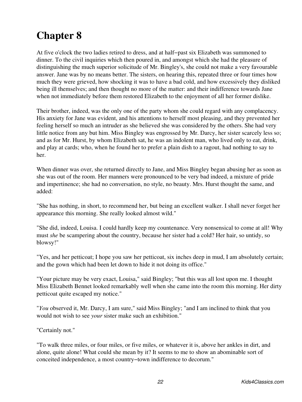<span id="page-25-0"></span>At five o'clock the two ladies retired to dress, and at half−past six Elizabeth was summoned to dinner. To the civil inquiries which then poured in, and amongst which she had the pleasure of distinguishing the much superior solicitude of Mr. Bingley's, she could not make a very favourable answer. Jane was by no means better. The sisters, on hearing this, repeated three or four times how much they were grieved, how shocking it was to have a bad cold, and how excessively they disliked being ill themselves; and then thought no more of the matter: and their indifference towards Jane when not immediately before them restored Elizabeth to the enjoyment of all her former dislike.

Their brother, indeed, was the only one of the party whom she could regard with any complacency. His anxiety for Jane was evident, and his attentions to herself most pleasing, and they prevented her feeling herself so much an intruder as she believed she was considered by the others. She had very little notice from any but him. Miss Bingley was engrossed by Mr. Darcy, her sister scarcely less so; and as for Mr. Hurst, by whom Elizabeth sat, he was an indolent man, who lived only to eat, drink, and play at cards; who, when he found her to prefer a plain dish to a ragout, had nothing to say to her.

When dinner was over, she returned directly to Jane, and Miss Bingley began abusing her as soon as she was out of the room. Her manners were pronounced to be very bad indeed, a mixture of pride and impertinence; she had no conversation, no style, no beauty. Mrs. Hurst thought the same, and added:

"She has nothing, in short, to recommend her, but being an excellent walker. I shall never forget her appearance this morning. She really looked almost wild."

"She did, indeed, Louisa. I could hardly keep my countenance. Very nonsensical to come at all! Why must *she* be scampering about the country, because her sister had a cold? Her hair, so untidy, so blowsy!"

"Yes, and her petticoat; I hope you saw her petticoat, six inches deep in mud, I am absolutely certain; and the gown which had been let down to hide it not doing its office."

"Your picture may be very exact, Louisa," said Bingley; "but this was all lost upon me. I thought Miss Elizabeth Bennet looked remarkably well when she came into the room this morning. Her dirty petticoat quite escaped my notice."

"*You* observed it, Mr. Darcy, I am sure," said Miss Bingley; "and I am inclined to think that you would not wish to see *your* sister make such an exhibition."

"Certainly not."

"To walk three miles, or four miles, or five miles, or whatever it is, above her ankles in dirt, and alone, quite alone! What could she mean by it? It seems to me to show an abominable sort of conceited independence, a most country−town indifference to decorum."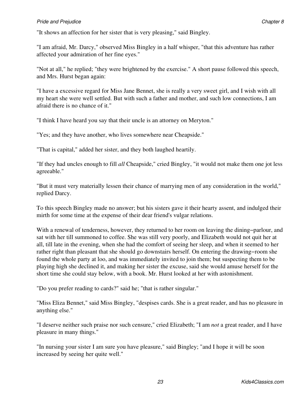"It shows an affection for her sister that is very pleasing," said Bingley.

"I am afraid, Mr. Darcy," observed Miss Bingley in a half whisper, "that this adventure has rather affected your admiration of her fine eyes."

"Not at all," he replied; "they were brightened by the exercise." A short pause followed this speech, and Mrs. Hurst began again:

"I have a excessive regard for Miss Jane Bennet, she is really a very sweet girl, and I wish with all my heart she were well settled. But with such a father and mother, and such low connections, I am afraid there is no chance of it."

"I think I have heard you say that their uncle is an attorney on Meryton."

"Yes; and they have another, who lives somewhere near Cheapside."

"That is capital," added her sister, and they both laughed heartily.

"If they had uncles enough to fill *all* Cheapside," cried Bingley, "it would not make them one jot less agreeable."

"But it must very materially lessen their chance of marrying men of any consideration in the world," replied Darcy.

To this speech Bingley made no answer; but his sisters gave it their hearty assent, and indulged their mirth for some time at the expense of their dear friend's vulgar relations.

With a renewal of tenderness, however, they returned to her room on leaving the dining−parlour, and sat with her till summoned to coffee. She was still very poorly, and Elizabeth would not quit her at all, till late in the evening, when she had the comfort of seeing her sleep, and when it seemed to her rather right than pleasant that she should go downstairs herself. On entering the drawing−room she found the whole party at loo, and was immediately invited to join them; but suspecting them to be playing high she declined it, and making her sister the excuse, said she would amuse herself for the short time she could stay below, with a book. Mr. Hurst looked at her with astonishment.

"Do you prefer reading to cards?" said he; "that is rather singular."

"Miss Eliza Bennet," said Miss Bingley, "despises cards. She is a great reader, and has no pleasure in anything else."

"I deserve neither such praise nor such censure," cried Elizabeth; "I am *not* a great reader, and I have pleasure in many things."

"In nursing your sister I am sure you have pleasure," said Bingley; "and I hope it will be soon increased by seeing her quite well."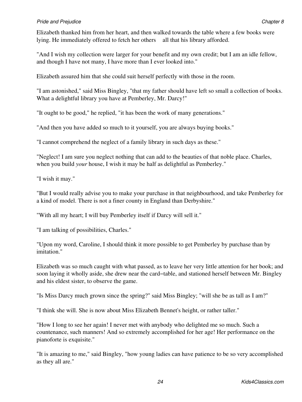Elizabeth thanked him from her heart, and then walked towards the table where a few books were lying. He immediately offered to fetch her others all that his library afforded.

"And I wish my collection were larger for your benefit and my own credit; but I am an idle fellow, and though I have not many, I have more than I ever looked into."

Elizabeth assured him that she could suit herself perfectly with those in the room.

"I am astonished," said Miss Bingley, "that my father should have left so small a collection of books. What a delightful library you have at Pemberley, Mr. Darcy!"

"It ought to be good," he replied, "it has been the work of many generations."

"And then you have added so much to it yourself, you are always buying books."

"I cannot comprehend the neglect of a family library in such days as these."

"Neglect! I am sure you neglect nothing that can add to the beauties of that noble place. Charles, when you build *your* house, I wish it may be half as delightful as Pemberley."

"I wish it may."

"But I would really advise you to make your purchase in that neighbourhood, and take Pemberley for a kind of model. There is not a finer county in England than Derbyshire."

"With all my heart; I will buy Pemberley itself if Darcy will sell it."

"I am talking of possibilities, Charles."

"Upon my word, Caroline, I should think it more possible to get Pemberley by purchase than by imitation."

Elizabeth was so much caught with what passed, as to leave her very little attention for her book; and soon laying it wholly aside, she drew near the card−table, and stationed herself between Mr. Bingley and his eldest sister, to observe the game.

"Is Miss Darcy much grown since the spring?" said Miss Bingley; "will she be as tall as I am?"

"I think she will. She is now about Miss Elizabeth Bennet's height, or rather taller."

"How I long to see her again! I never met with anybody who delighted me so much. Such a countenance, such manners! And so extremely accomplished for her age! Her performance on the pianoforte is exquisite."

"It is amazing to me," said Bingley, "how young ladies can have patience to be so very accomplished as they all are."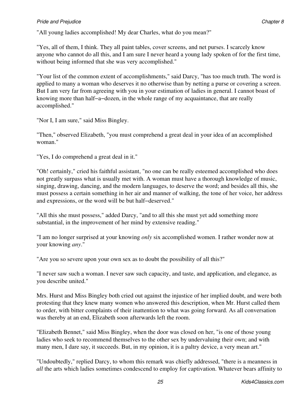"All young ladies accomplished! My dear Charles, what do you mean?"

"Yes, all of them, I think. They all paint tables, cover screens, and net purses. I scarcely know anyone who cannot do all this, and I am sure I never heard a young lady spoken of for the first time, without being informed that she was very accomplished."

"Your list of the common extent of accomplishments," said Darcy, "has too much truth. The word is applied to many a woman who deserves it no otherwise than by netting a purse or covering a screen. But I am very far from agreeing with you in your estimation of ladies in general. I cannot boast of knowing more than half−a−dozen, in the whole range of my acquaintance, that are really accomplished."

"Nor I, I am sure," said Miss Bingley.

"Then," observed Elizabeth, "you must comprehend a great deal in your idea of an accomplished woman."

"Yes, I do comprehend a great deal in it."

"Oh! certainly," cried his faithful assistant, "no one can be really esteemed accomplished who does not greatly surpass what is usually met with. A woman must have a thorough knowledge of music, singing, drawing, dancing, and the modern languages, to deserve the word; and besides all this, she must possess a certain something in her air and manner of walking, the tone of her voice, her address and expressions, or the word will be but half−deserved."

"All this she must possess," added Darcy, "and to all this she must yet add something more substantial, in the improvement of her mind by extensive reading."

"I am no longer surprised at your knowing *only* six accomplished women. I rather wonder now at your knowing *any*."

"Are you so severe upon your own sex as to doubt the possibility of all this?"

"I never saw such a woman. I never saw such capacity, and taste, and application, and elegance, as you describe united."

Mrs. Hurst and Miss Bingley both cried out against the injustice of her implied doubt, and were both protesting that they knew many women who answered this description, when Mr. Hurst called them to order, with bitter complaints of their inattention to what was going forward. As all conversation was thereby at an end, Elizabeth soon afterwards left the room.

"Elizabeth Bennet," said Miss Bingley, when the door was closed on her, "is one of those young ladies who seek to recommend themselves to the other sex by undervaluing their own; and with many men, I dare say, it succeeds. But, in my opinion, it is a paltry device, a very mean art."

"Undoubtedly," replied Darcy, to whom this remark was chiefly addressed, "there is a meanness in *all* the arts which ladies sometimes condescend to employ for captivation. Whatever bears affinity to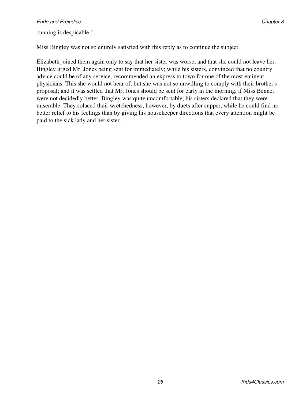cunning is despicable."

Miss Bingley was not so entirely satisfied with this reply as to continue the subject.

Elizabeth joined them again only to say that her sister was worse, and that she could not leave her. Bingley urged Mr. Jones being sent for immediately; while his sisters, convinced that no country advice could be of any service, recommended an express to town for one of the most eminent physicians. This she would not hear of; but she was not so unwilling to comply with their brother's proposal; and it was settled that Mr. Jones should be sent for early in the morning, if Miss Bennet were not decidedly better. Bingley was quite uncomfortable; his sisters declared that they were miserable. They solaced their wretchedness, however, by duets after supper, while he could find no better relief to his feelings than by giving his housekeeper directions that every attention might be paid to the sick lady and her sister.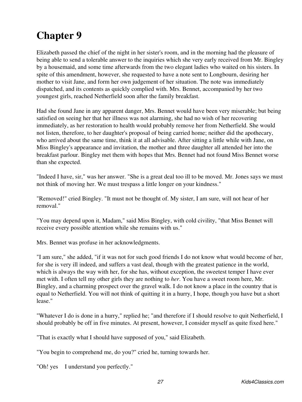<span id="page-30-0"></span>Elizabeth passed the chief of the night in her sister's room, and in the morning had the pleasure of being able to send a tolerable answer to the inquiries which she very early received from Mr. Bingley by a housemaid, and some time afterwards from the two elegant ladies who waited on his sisters. In spite of this amendment, however, she requested to have a note sent to Longbourn, desiring her mother to visit Jane, and form her own judgement of her situation. The note was immediately dispatched, and its contents as quickly complied with. Mrs. Bennet, accompanied by her two youngest girls, reached Netherfield soon after the family breakfast.

Had she found Jane in any apparent danger, Mrs. Bennet would have been very miserable; but being satisfied on seeing her that her illness was not alarming, she had no wish of her recovering immediately, as her restoration to health would probably remove her from Netherfield. She would not listen, therefore, to her daughter's proposal of being carried home; neither did the apothecary, who arrived about the same time, think it at all advisable. After sitting a little while with Jane, on Miss Bingley's appearance and invitation, the mother and three daughter all attended her into the breakfast parlour. Bingley met them with hopes that Mrs. Bennet had not found Miss Bennet worse than she expected.

"Indeed I have, sir," was her answer. "She is a great deal too ill to be moved. Mr. Jones says we must not think of moving her. We must trespass a little longer on your kindness."

"Removed!" cried Bingley. "It must not be thought of. My sister, I am sure, will not hear of her removal."

"You may depend upon it, Madam," said Miss Bingley, with cold civility, "that Miss Bennet will receive every possible attention while she remains with us."

Mrs. Bennet was profuse in her acknowledgments.

"I am sure," she added, "if it was not for such good friends I do not know what would become of her, for she is very ill indeed, and suffers a vast deal, though with the greatest patience in the world, which is always the way with her, for she has, without exception, the sweetest temper I have ever met with. I often tell my other girls they are nothing to *her*. You have a sweet room here, Mr. Bingley, and a charming prospect over the gravel walk. I do not know a place in the country that is equal to Netherfield. You will not think of quitting it in a hurry, I hope, though you have but a short lease."

"Whatever I do is done in a hurry," replied he; "and therefore if I should resolve to quit Netherfield, I should probably be off in five minutes. At present, however, I consider myself as quite fixed here."

"That is exactly what I should have supposed of you," said Elizabeth.

"You begin to comprehend me, do you?" cried he, turning towards her.

"Oh! yes I understand you perfectly."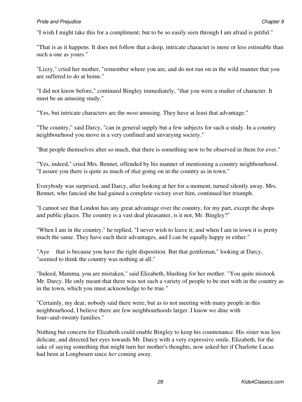#### **Pride and Prejudice Chapter 9** Chapter 9

"I wish I might take this for a compliment; but to be so easily seen through I am afraid is pitiful."

"That is as it happens. It does not follow that a deep, intricate character is more or less estimable than such a one as yours."

"Lizzy," cried her mother, "remember where you are, and do not run on in the wild manner that you are suffered to do at home."

"I did not know before," continued Bingley immediately, "that you were a studier of character. It must be an amusing study."

"Yes, but intricate characters are the *most* amusing. They have at least that advantage."

"The country," said Darcy, "can in general supply but a few subjects for such a study. In a country neighbourhood you move in a very confined and unvarying society."

"But people themselves alter so much, that there is something new to be observed in them for ever."

"Yes, indeed," cried Mrs. Bennet, offended by his manner of mentioning a country neighbourhood. "I assure you there is quite as much of *that* going on in the country as in town."

Everybody was surprised, and Darcy, after looking at her for a moment, turned silently away. Mrs. Bennet, who fancied she had gained a complete victory over him, continued her triumph.

"I cannot see that London has any great advantage over the country, for my part, except the shops and public places. The country is a vast deal pleasanter, is it not, Mr. Bingley?"

"When I am in the country," he replied, "I never wish to leave it; and when I am in town it is pretty much the same. They have each their advantages, and I can be equally happy in either."

"Aye that is because you have the right disposition. But that gentleman," looking at Darcy, "seemed to think the country was nothing at all."

"Indeed, Mamma, you are mistaken," said Elizabeth, blushing for her mother. "You quite mistook Mr. Darcy. He only meant that there was not such a variety of people to be met with in the country as in the town, which you must acknowledge to be true."

"Certainly, my dear, nobody said there were; but as to not meeting with many people in this neighbourhood, I believe there are few neighbourhoods larger. I know we dine with four−and−twenty families."

Nothing but concern for Elizabeth could enable Bingley to keep his countenance. His sister was less delicate, and directed her eyes towards Mr. Darcy with a very expressive smile. Elizabeth, for the sake of saying something that might turn her mother's thoughts, now asked her if Charlotte Lucas had been at Longbourn since *her* coming away.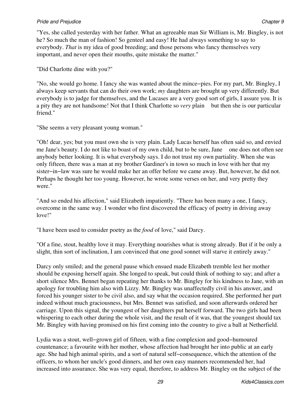#### **Pride and Prejudice Chapter 9** Chapter 9

"Yes, she called yesterday with her father. What an agreeable man Sir William is, Mr. Bingley, is not he? So much the man of fashion! So genteel and easy! He had always something to say to everybody. *That* is my idea of good breeding; and those persons who fancy themselves very important, and never open their mouths, quite mistake the matter."

"Did Charlotte dine with you?"

"No, she would go home. I fancy she was wanted about the mince−pies. For my part, Mr. Bingley, I always keep servants that can do their own work; *my* daughters are brought up very differently. But everybody is to judge for themselves, and the Lucases are a very good sort of girls, I assure you. It is a pity they are not handsome! Not that I think Charlotte so *very* plain but then she is our particular friend."

"She seems a very pleasant young woman."

"Oh! dear, yes; but you must own she is very plain. Lady Lucas herself has often said so, and envied me Jane's beauty. I do not like to boast of my own child, but to be sure, Jane one does not often see anybody better looking. It is what everybody says. I do not trust my own partiality. When she was only fifteen, there was a man at my brother Gardiner's in town so much in love with her that my sister−in−law was sure he would make her an offer before we came away. But, however, he did not. Perhaps he thought her too young. However, he wrote some verses on her, and very pretty they were."

"And so ended his affection," said Elizabeth impatiently. "There has been many a one, I fancy, overcome in the same way. I wonder who first discovered the efficacy of poetry in driving away love!"

"I have been used to consider poetry as the *food* of love," said Darcy.

"Of a fine, stout, healthy love it may. Everything nourishes what is strong already. But if it be only a slight, thin sort of inclination, I am convinced that one good sonnet will starve it entirely away."

Darcy only smiled; and the general pause which ensued made Elizabeth tremble lest her mother should be exposing herself again. She longed to speak, but could think of nothing to say; and after a short silence Mrs. Bennet began repeating her thanks to Mr. Bingley for his kindness to Jane, with an apology for troubling him also with Lizzy. Mr. Bingley was unaffectedly civil in his answer, and forced his younger sister to be civil also, and say what the occasion required. She performed her part indeed without much graciousness, but Mrs. Bennet was satisfied, and soon afterwards ordered her carriage. Upon this signal, the youngest of her daughters put herself forward. The two girls had been whispering to each other during the whole visit, and the result of it was, that the youngest should tax Mr. Bingley with having promised on his first coming into the country to give a ball at Netherfield.

Lydia was a stout, well−grown girl of fifteen, with a fine complexion and good−humoured countenance; a favourite with her mother, whose affection had brought her into public at an early age. She had high animal spirits, and a sort of natural self−consequence, which the attention of the officers, to whom her uncle's good dinners, and her own easy manners recommended her, had increased into assurance. She was very equal, therefore, to address Mr. Bingley on the subject of the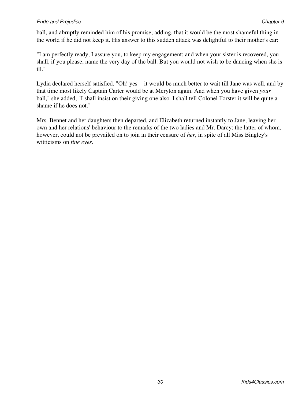ball, and abruptly reminded him of his promise; adding, that it would be the most shameful thing in the world if he did not keep it. His answer to this sudden attack was delightful to their mother's ear:

"I am perfectly ready, I assure you, to keep my engagement; and when your sister is recovered, you shall, if you please, name the very day of the ball. But you would not wish to be dancing when she is ill."

Lydia declared herself satisfied. "Oh! yes it would be much better to wait till Jane was well, and by that time most likely Captain Carter would be at Meryton again. And when you have given *your* ball," she added, "I shall insist on their giving one also. I shall tell Colonel Forster it will be quite a shame if he does not."

Mrs. Bennet and her daughters then departed, and Elizabeth returned instantly to Jane, leaving her own and her relations' behaviour to the remarks of the two ladies and Mr. Darcy; the latter of whom, however, could not be prevailed on to join in their censure of *her*, in spite of all Miss Bingley's witticisms on *fine eyes*.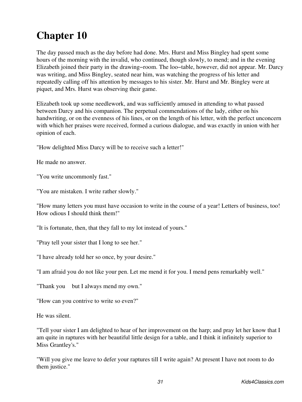<span id="page-34-0"></span>The day passed much as the day before had done. Mrs. Hurst and Miss Bingley had spent some hours of the morning with the invalid, who continued, though slowly, to mend; and in the evening Elizabeth joined their party in the drawing−room. The loo−table, however, did not appear. Mr. Darcy was writing, and Miss Bingley, seated near him, was watching the progress of his letter and repeatedly calling off his attention by messages to his sister. Mr. Hurst and Mr. Bingley were at piquet, and Mrs. Hurst was observing their game.

Elizabeth took up some needlework, and was sufficiently amused in attending to what passed between Darcy and his companion. The perpetual commendations of the lady, either on his handwriting, or on the evenness of his lines, or on the length of his letter, with the perfect unconcern with which her praises were received, formed a curious dialogue, and was exactly in union with her opinion of each.

"How delighted Miss Darcy will be to receive such a letter!"

He made no answer.

"You write uncommonly fast."

"You are mistaken. I write rather slowly."

"How many letters you must have occasion to write in the course of a year! Letters of business, too! How odious I should think them!"

"It is fortunate, then, that they fall to my lot instead of yours."

"Pray tell your sister that I long to see her."

"I have already told her so once, by your desire."

"I am afraid you do not like your pen. Let me mend it for you. I mend pens remarkably well."

"Thank you but I always mend my own."

"How can you contrive to write so even?"

He was silent.

"Tell your sister I am delighted to hear of her improvement on the harp; and pray let her know that I am quite in raptures with her beautiful little design for a table, and I think it infinitely superior to Miss Grantley's."

"Will you give me leave to defer your raptures till I write again? At present I have not room to do them justice."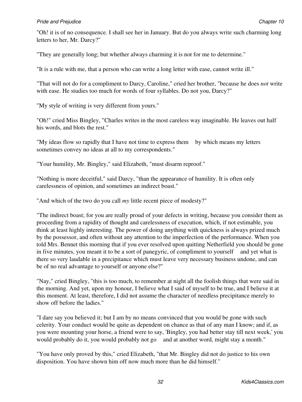#### **Pride and Prejudice Chapter 10 Chapter 10 Chapter 10 Chapter 10 Chapter 10 Chapter 10 Chapter 10**

"Oh! it is of no consequence. I shall see her in January. But do you always write such charming long letters to her, Mr. Darcy?"

"They are generally long; but whether always charming it is not for me to determine."

"It is a rule with me, that a person who can write a long letter with ease, cannot write ill."

"That will not do for a compliment to Darcy, Caroline," cried her brother, "because he does *not* write with ease. He studies too much for words of four syllables. Do not you, Darcy?"

"My style of writing is very different from yours."

"Oh!" cried Miss Bingley, "Charles writes in the most careless way imaginable. He leaves out half his words, and blots the rest."

"My ideas flow so rapidly that I have not time to express them by which means my letters sometimes convey no ideas at all to my correspondents."

"Your humility, Mr. Bingley," said Elizabeth, "must disarm reproof."

"Nothing is more deceitful," said Darcy, "than the appearance of humility. It is often only carelessness of opinion, and sometimes an indirect boast."

"And which of the two do you call *my* little recent piece of modesty?"

"The indirect boast; for you are really proud of your defects in writing, because you consider them as proceeding from a rapidity of thought and carelessness of execution, which, if not estimable, you think at least highly interesting. The power of doing anything with quickness is always prized much by the possessor, and often without any attention to the imperfection of the performance. When you told Mrs. Bennet this morning that if you ever resolved upon quitting Netherfield you should be gone in five minutes, you meant it to be a sort of panegyric, of compliment to yourself and yet what is there so very laudable in a precipitance which must leave very necessary business undone, and can be of no real advantage to yourself or anyone else?"

"Nay," cried Bingley, "this is too much, to remember at night all the foolish things that were said in the morning. And yet, upon my honour, I believe what I said of myself to be true, and I believe it at this moment. At least, therefore, I did not assume the character of needless precipitance merely to show off before the ladies."

"I dare say you believed it; but I am by no means convinced that you would be gone with such celerity. Your conduct would be quite as dependent on chance as that of any man I know; and if, as you were mounting your horse, a friend were to say, 'Bingley, you had better stay till next week,' you would probably do it, you would probably not go and at another word, might stay a month."

"You have only proved by this," cried Elizabeth, "that Mr. Bingley did not do justice to his own disposition. You have shown him off now much more than he did himself."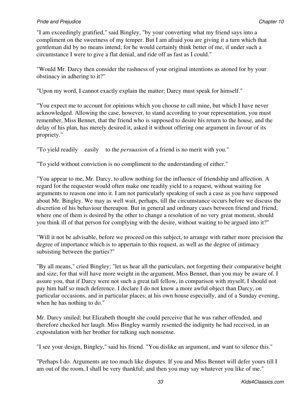"I am exceedingly gratified," said Bingley, "by your converting what my friend says into a compliment on the sweetness of my temper. But I am afraid you are giving it a turn which that gentleman did by no means intend; for he would certainly think better of me, if under such a circumstance I were to give a flat denial, and ride off as fast as I could."

"Would Mr. Darcy then consider the rashness of your original intentions as atoned for by your obstinacy in adhering to it?"

"Upon my word, I cannot exactly explain the matter; Darcy must speak for himself."

"You expect me to account for opinions which you choose to call mine, but which I have never acknowledged. Allowing the case, however, to stand according to your representation, you must remember, Miss Bennet, that the friend who is supposed to desire his return to the house, and the delay of his plan, has merely desired it, asked it without offering one argument in favour of its propriety."

"To yield readily easily to the *persuasion* of a friend is no merit with you."

"To yield without conviction is no compliment to the understanding of either."

"You appear to me, Mr. Darcy, to allow nothing for the influence of friendship and affection. A regard for the requester would often make one readily yield to a request, without waiting for arguments to reason one into it. I am not particularly speaking of such a case as you have supposed about Mr. Bingley. We may as well wait, perhaps, till the circumstance occurs before we discuss the discretion of his behaviour thereupon. But in general and ordinary cases between friend and friend, where one of them is desired by the other to change a resolution of no very great moment, should you think ill of that person for complying with the desire, without waiting to be argued into it?"

"Will it not be advisable, before we proceed on this subject, to arrange with rather more precision the degree of importance which is to appertain to this request, as well as the degree of intimacy subsisting between the parties?"

"By all means," cried Bingley; "let us hear all the particulars, not forgetting their comparative height and size; for that will have more weight in the argument, Miss Bennet, than you may be aware of. I assure you, that if Darcy were not such a great tall fellow, in comparison with myself, I should not pay him half so much deference. I declare I do not know a more awful object than Darcy, on particular occasions, and in particular places; at his own house especially, and of a Sunday evening, when he has nothing to do."

Mr. Darcy smiled; but Elizabeth thought she could perceive that he was rather offended, and therefore checked her laugh. Miss Bingley warmly resented the indignity he had received, in an expostulation with her brother for talking such nonsense.

"I see your design, Bingley," said his friend. "You dislike an argument, and want to silence this."

"Perhaps I do. Arguments are too much like disputes. If you and Miss Bennet will defer yours till I am out of the room, I shall be very thankful; and then you may say whatever you like of me."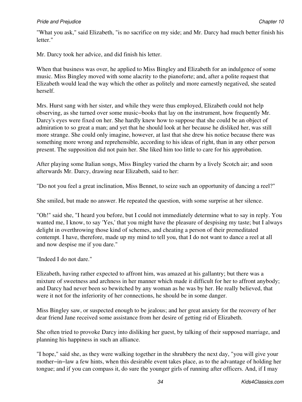## **Pride and Prejudice Chapter 10 Chapter 10 Chapter 10 Chapter 10 Chapter 10 Chapter 10 Chapter 10**

"What you ask," said Elizabeth, "is no sacrifice on my side; and Mr. Darcy had much better finish his letter."

Mr. Darcy took her advice, and did finish his letter.

When that business was over, he applied to Miss Bingley and Elizabeth for an indulgence of some music. Miss Bingley moved with some alacrity to the pianoforte; and, after a polite request that Elizabeth would lead the way which the other as politely and more earnestly negatived, she seated herself.

Mrs. Hurst sang with her sister, and while they were thus employed, Elizabeth could not help observing, as she turned over some music−books that lay on the instrument, how frequently Mr. Darcy's eyes were fixed on her. She hardly knew how to suppose that she could be an object of admiration to so great a man; and yet that he should look at her because he disliked her, was still more strange. She could only imagine, however, at last that she drew his notice because there was something more wrong and reprehensible, according to his ideas of right, than in any other person present. The supposition did not pain her. She liked him too little to care for his approbation.

After playing some Italian songs, Miss Bingley varied the charm by a lively Scotch air; and soon afterwards Mr. Darcy, drawing near Elizabeth, said to her:

"Do not you feel a great inclination, Miss Bennet, to seize such an opportunity of dancing a reel?"

She smiled, but made no answer. He repeated the question, with some surprise at her silence.

"Oh!" said she, "I heard you before, but I could not immediately determine what to say in reply. You wanted me, I know, to say 'Yes,' that you might have the pleasure of despising my taste; but I always delight in overthrowing those kind of schemes, and cheating a person of their premeditated contempt. I have, therefore, made up my mind to tell you, that I do not want to dance a reel at all and now despise me if you dare."

"Indeed I do not dare."

Elizabeth, having rather expected to affront him, was amazed at his gallantry; but there was a mixture of sweetness and archness in her manner which made it difficult for her to affront anybody; and Darcy had never been so bewitched by any woman as he was by her. He really believed, that were it not for the inferiority of her connections, he should be in some danger.

Miss Bingley saw, or suspected enough to be jealous; and her great anxiety for the recovery of her dear friend Jane received some assistance from her desire of getting rid of Elizabeth.

She often tried to provoke Darcy into disliking her guest, by talking of their supposed marriage, and planning his happiness in such an alliance.

"I hope," said she, as they were walking together in the shrubbery the next day, "you will give your mother−in−law a few hints, when this desirable event takes place, as to the advantage of holding her tongue; and if you can compass it, do sure the younger girls of running after officers. And, if I may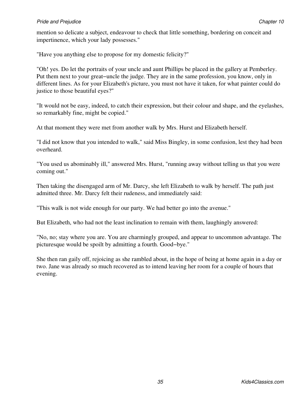mention so delicate a subject, endeavour to check that little something, bordering on conceit and impertinence, which your lady possesses."

"Have you anything else to propose for my domestic felicity?"

"Oh! yes. Do let the portraits of your uncle and aunt Phillips be placed in the gallery at Pemberley. Put them next to your great−uncle the judge. They are in the same profession, you know, only in different lines. As for your Elizabeth's picture, you must not have it taken, for what painter could do justice to those beautiful eyes?"

"It would not be easy, indeed, to catch their expression, but their colour and shape, and the eyelashes, so remarkably fine, might be copied."

At that moment they were met from another walk by Mrs. Hurst and Elizabeth herself.

"I did not know that you intended to walk," said Miss Bingley, in some confusion, lest they had been overheard.

"You used us abominably ill," answered Mrs. Hurst, "running away without telling us that you were coming out."

Then taking the disengaged arm of Mr. Darcy, she left Elizabeth to walk by herself. The path just admitted three. Mr. Darcy felt their rudeness, and immediately said:

"This walk is not wide enough for our party. We had better go into the avenue."

But Elizabeth, who had not the least inclination to remain with them, laughingly answered:

"No, no; stay where you are. You are charmingly grouped, and appear to uncommon advantage. The picturesque would be spoilt by admitting a fourth. Good−bye."

She then ran gaily off, rejoicing as she rambled about, in the hope of being at home again in a day or two. Jane was already so much recovered as to intend leaving her room for a couple of hours that evening.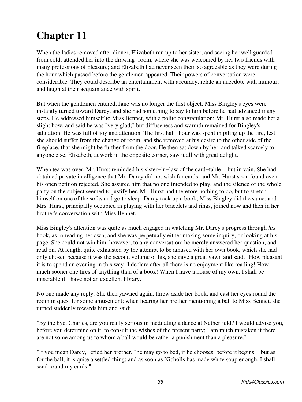When the ladies removed after dinner, Elizabeth ran up to her sister, and seeing her well guarded from cold, attended her into the drawing−room, where she was welcomed by her two friends with many professions of pleasure; and Elizabeth had never seen them so agreeable as they were during the hour which passed before the gentlemen appeared. Their powers of conversation were considerable. They could describe an entertainment with accuracy, relate an anecdote with humour, and laugh at their acquaintance with spirit.

But when the gentlemen entered, Jane was no longer the first object; Miss Bingley's eyes were instantly turned toward Darcy, and she had something to say to him before he had advanced many steps. He addressed himself to Miss Bennet, with a polite congratulation; Mr. Hurst also made her a slight bow, and said he was "very glad;" but diffuseness and warmth remained for Bingley's salutation. He was full of joy and attention. The first half−hour was spent in piling up the fire, lest she should suffer from the change of room; and she removed at his desire to the other side of the fireplace, that she might be further from the door. He then sat down by her, and talked scarcely to anyone else. Elizabeth, at work in the opposite corner, saw it all with great delight.

When tea was over, Mr. Hurst reminded his sister−in−law of the card−table but in vain. She had obtained private intelligence that Mr. Darcy did not wish for cards; and Mr. Hurst soon found even his open petition rejected. She assured him that no one intended to play, and the silence of the whole party on the subject seemed to justify her. Mr. Hurst had therefore nothing to do, but to stretch himself on one of the sofas and go to sleep. Darcy took up a book; Miss Bingley did the same; and Mrs. Hurst, principally occupied in playing with her bracelets and rings, joined now and then in her brother's conversation with Miss Bennet.

Miss Bingley's attention was quite as much engaged in watching Mr. Darcy's progress through *his* book, as in reading her own; and she was perpetually either making some inquiry, or looking at his page. She could not win him, however, to any conversation; he merely answered her question, and read on. At length, quite exhausted by the attempt to be amused with her own book, which she had only chosen because it was the second volume of his, she gave a great yawn and said, "How pleasant it is to spend an evening in this way! I declare after all there is no enjoyment like reading! How much sooner one tires of anything than of a book! When I have a house of my own, I shall be miserable if I have not an excellent library."

No one made any reply. She then yawned again, threw aside her book, and cast her eyes round the room in quest for some amusement; when hearing her brother mentioning a ball to Miss Bennet, she turned suddenly towards him and said:

"By the bye, Charles, are you really serious in meditating a dance at Netherfield? I would advise you, before you determine on it, to consult the wishes of the present party; I am much mistaken if there are not some among us to whom a ball would be rather a punishment than a pleasure."

"If you mean Darcy," cried her brother, "he may go to bed, if he chooses, before it begins but as for the ball, it is quite a settled thing; and as soon as Nicholls has made white soup enough, I shall send round my cards."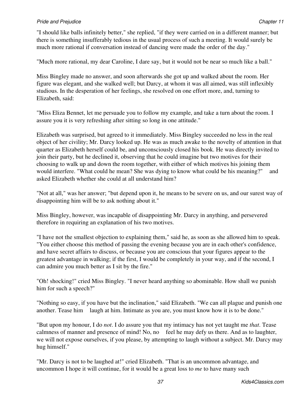"I should like balls infinitely better," she replied, "if they were carried on in a different manner; but there is something insufferably tedious in the usual process of such a meeting. It would surely be much more rational if conversation instead of dancing were made the order of the day."

"Much more rational, my dear Caroline, I dare say, but it would not be near so much like a ball."

Miss Bingley made no answer, and soon afterwards she got up and walked about the room. Her figure was elegant, and she walked well; but Darcy, at whom it was all aimed, was still inflexibly studious. In the desperation of her feelings, she resolved on one effort more, and, turning to Elizabeth, said:

"Miss Eliza Bennet, let me persuade you to follow my example, and take a turn about the room. I assure you it is very refreshing after sitting so long in one attitude."

Elizabeth was surprised, but agreed to it immediately. Miss Bingley succeeded no less in the real object of her civility; Mr. Darcy looked up. He was as much awake to the novelty of attention in that quarter as Elizabeth herself could be, and unconsciously closed his book. He was directly invited to join their party, but he declined it, observing that he could imagine but two motives for their choosing to walk up and down the room together, with either of which motives his joining them would interfere. "What could he mean? She was dying to know what could be his meaning?" and asked Elizabeth whether she could at all understand him?

"Not at all," was her answer; "but depend upon it, he means to be severe on us, and our surest way of disappointing him will be to ask nothing about it."

Miss Bingley, however, was incapable of disappointing Mr. Darcy in anything, and persevered therefore in requiring an explanation of his two motives.

"I have not the smallest objection to explaining them," said he, as soon as she allowed him to speak. "You either choose this method of passing the evening because you are in each other's confidence, and have secret affairs to discuss, or because you are conscious that your figures appear to the greatest advantage in walking; if the first, I would be completely in your way, and if the second, I can admire you much better as I sit by the fire."

"Oh! shocking!" cried Miss Bingley. "I never heard anything so abominable. How shall we punish him for such a speech?"

"Nothing so easy, if you have but the inclination," said Elizabeth. "We can all plague and punish one another. Tease him laugh at him. Intimate as you are, you must know how it is to be done."

"But upon my honour, I do *not*. I do assure you that my intimacy has not yet taught me *that*. Tease calmness of manner and presence of mind! No, no feel he may defy us there. And as to laughter, we will not expose ourselves, if you please, by attempting to laugh without a subject. Mr. Darcy may hug himself."

"Mr. Darcy is not to be laughed at!" cried Elizabeth. "That is an uncommon advantage, and uncommon I hope it will continue, for it would be a great loss to *me* to have many such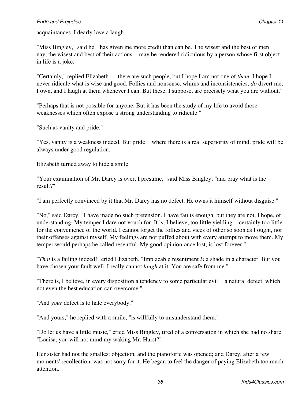acquaintances. I dearly love a laugh."

"Miss Bingley," said he, "has given me more credit than can be. The wisest and the best of men nay, the wisest and best of their actions may be rendered ridiculous by a person whose first object in life is a joke."

"Certainly," replied Elizabeth "there are such people, but I hope I am not one of *them*. I hope I never ridicule what is wise and good. Follies and nonsense, whims and inconsistencies, *do* divert me, I own, and I laugh at them whenever I can. But these, I suppose, are precisely what you are without."

"Perhaps that is not possible for anyone. But it has been the study of my life to avoid those weaknesses which often expose a strong understanding to ridicule."

"Such as vanity and pride."

"Yes, vanity is a weakness indeed. But pride where there is a real superiority of mind, pride will be always under good regulation."

Elizabeth turned away to hide a smile.

"Your examination of Mr. Darcy is over, I presume," said Miss Bingley; "and pray what is the result?"

"I am perfectly convinced by it that Mr. Darcy has no defect. He owns it himself without disguise."

"No," said Darcy, "I have made no such pretension. I have faults enough, but they are not, I hope, of understanding. My temper I dare not vouch for. It is, I believe, too little yielding certainly too little for the convenience of the world. I cannot forget the follies and vices of other so soon as I ought, nor their offenses against myself. My feelings are not puffed about with every attempt to move them. My temper would perhaps be called resentful. My good opinion once lost, is lost forever."

"*That* is a failing indeed!" cried Elizabeth. "Implacable resentment *is* a shade in a character. But you have chosen your fault well. I really cannot *laugh* at it. You are safe from me."

"There is, I believe, in every disposition a tendency to some particular evil a natural defect, which not even the best education can overcome."

"And *your* defect is to hate everybody."

"And yours," he replied with a smile, "is willfully to misunderstand them."

"Do let us have a little music," cried Miss Bingley, tired of a conversation in which she had no share. "Louisa, you will not mind my waking Mr. Hurst?"

Her sister had not the smallest objection, and the pianoforte was opened; and Darcy, after a few moments' recollection, was not sorry for it. He began to feel the danger of paying Elizabeth too much attention.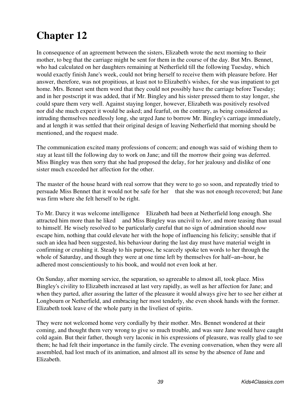In consequence of an agreement between the sisters, Elizabeth wrote the next morning to their mother, to beg that the carriage might be sent for them in the course of the day. But Mrs. Bennet, who had calculated on her daughters remaining at Netherfield till the following Tuesday, which would exactly finish Jane's week, could not bring herself to receive them with pleasure before. Her answer, therefore, was not propitious, at least not to Elizabeth's wishes, for she was impatient to get home. Mrs. Bennet sent them word that they could not possibly have the carriage before Tuesday; and in her postscript it was added, that if Mr. Bingley and his sister pressed them to stay longer, she could spare them very well. Against staying longer, however, Elizabeth was positively resolved nor did she much expect it would be asked; and fearful, on the contrary, as being considered as intruding themselves needlessly long, she urged Jane to borrow Mr. Bingley's carriage immediately, and at length it was settled that their original design of leaving Netherfield that morning should be mentioned, and the request made.

The communication excited many professions of concern; and enough was said of wishing them to stay at least till the following day to work on Jane; and till the morrow their going was deferred. Miss Bingley was then sorry that she had proposed the delay, for her jealousy and dislike of one sister much exceeded her affection for the other.

The master of the house heard with real sorrow that they were to go so soon, and repeatedly tried to persuade Miss Bennet that it would not be safe for her that she was not enough recovered; but Jane was firm where she felt herself to be right.

To Mr. Darcy it was welcome intelligence Elizabeth had been at Netherfield long enough. She attracted him more than he liked and Miss Bingley was uncivil to *her*, and more teasing than usual to himself. He wisely resolved to be particularly careful that no sign of admiration should *now* escape him, nothing that could elevate her with the hope of influencing his felicity; sensible that if such an idea had been suggested, his behaviour during the last day must have material weight in confirming or crushing it. Steady to his purpose, he scarcely spoke ten words to her through the whole of Saturday, and though they were at one time left by themselves for half−an−hour, he adhered most conscientiously to his book, and would not even look at her.

On Sunday, after morning service, the separation, so agreeable to almost all, took place. Miss Bingley's civility to Elizabeth increased at last very rapidly, as well as her affection for Jane; and when they parted, after assuring the latter of the pleasure it would always give her to see her either at Longbourn or Netherfield, and embracing her most tenderly, she even shook hands with the former. Elizabeth took leave of the whole party in the liveliest of spirits.

They were not welcomed home very cordially by their mother. Mrs. Bennet wondered at their coming, and thought them very wrong to give so much trouble, and was sure Jane would have caught cold again. But their father, though very laconic in his expressions of pleasure, was really glad to see them; he had felt their importance in the family circle. The evening conversation, when they were all assembled, had lost much of its animation, and almost all its sense by the absence of Jane and Elizabeth.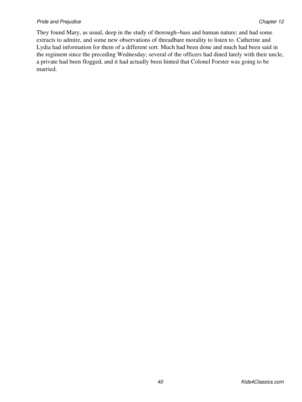#### **Pride and Prejudice Chapter 12** Chapter 12

They found Mary, as usual, deep in the study of thorough−bass and human nature; and had some extracts to admire, and some new observations of threadbare morality to listen to. Catherine and Lydia had information for them of a different sort. Much had been done and much had been said in the regiment since the preceding Wednesday; several of the officers had dined lately with their uncle, a private had been flogged, and it had actually been hinted that Colonel Forster was going to be married.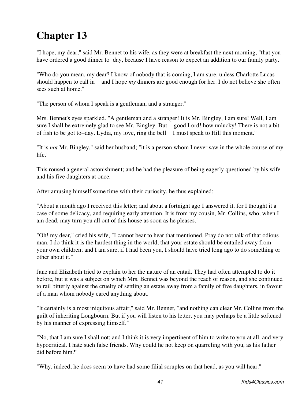"I hope, my dear," said Mr. Bennet to his wife, as they were at breakfast the next morning, "that you have ordered a good dinner to−day, because I have reason to expect an addition to our family party."

"Who do you mean, my dear? I know of nobody that is coming, I am sure, unless Charlotte Lucas should happen to call in and I hope *my* dinners are good enough for her. I do not believe she often sees such at home."

"The person of whom I speak is a gentleman, and a stranger."

Mrs. Bennet's eyes sparkled. "A gentleman and a stranger! It is Mr. Bingley, I am sure! Well, I am sure I shall be extremely glad to see Mr. Bingley. But good Lord! how unlucky! There is not a bit of fish to be got to−day. Lydia, my love, ring the bell I must speak to Hill this moment."

"It is *not* Mr. Bingley," said her husband; "it is a person whom I never saw in the whole course of my life."

This roused a general astonishment; and he had the pleasure of being eagerly questioned by his wife and his five daughters at once.

After amusing himself some time with their curiosity, he thus explained:

"About a month ago I received this letter; and about a fortnight ago I answered it, for I thought it a case of some delicacy, and requiring early attention. It is from my cousin, Mr. Collins, who, when I am dead, may turn you all out of this house as soon as he pleases."

"Oh! my dear," cried his wife, "I cannot bear to hear that mentioned. Pray do not talk of that odious man. I do think it is the hardest thing in the world, that your estate should be entailed away from your own children; and I am sure, if I had been you, I should have tried long ago to do something or other about it."

Jane and Elizabeth tried to explain to her the nature of an entail. They had often attempted to do it before, but it was a subject on which Mrs. Bennet was beyond the reach of reason, and she continued to rail bitterly against the cruelty of settling an estate away from a family of five daughters, in favour of a man whom nobody cared anything about.

"It certainly is a most iniquitous affair," said Mr. Bennet, "and nothing can clear Mr. Collins from the guilt of inheriting Longbourn. But if you will listen to his letter, you may perhaps be a little softened by his manner of expressing himself."

"No, that I am sure I shall not; and I think it is very impertinent of him to write to you at all, and very hypocritical. I hate such false friends. Why could he not keep on quarreling with you, as his father did before him?"

"Why, indeed; he does seem to have had some filial scruples on that head, as you will hear."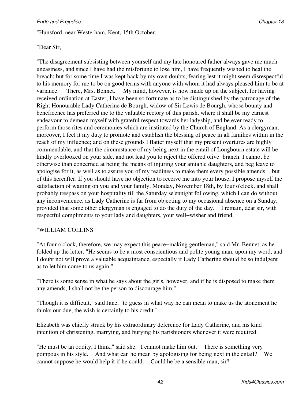"Hunsford, near Westerham, Kent, 15th October.

## "Dear Sir,

"The disagreement subsisting between yourself and my late honoured father always gave me much uneasiness, and since I have had the misfortune to lose him, I have frequently wished to heal the breach; but for some time I was kept back by my own doubts, fearing lest it might seem disrespectful to his memory for me to be on good terms with anyone with whom it had always pleased him to be at variance. 'There, Mrs. Bennet.' My mind, however, is now made up on the subject, for having received ordination at Easter, I have been so fortunate as to be distinguished by the patronage of the Right Honourable Lady Catherine de Bourgh, widow of Sir Lewis de Bourgh, whose bounty and beneficence has preferred me to the valuable rectory of this parish, where it shall be my earnest endeavour to demean myself with grateful respect towards her ladyship, and be ever ready to perform those rites and ceremonies which are instituted by the Church of England. As a clergyman, moreover, I feel it my duty to promote and establish the blessing of peace in all families within in the reach of my influence; and on these grounds I flatter myself that my present overtures are highly commendable, and that the circumstance of my being next in the entail of Longbourn estate will be kindly overlooked on your side, and not lead you to reject the offered olive−branch. I cannot be otherwise than concerned at being the means of injuring your amiable daughters, and beg leave to apologise for it, as well as to assure you of my readiness to make them every possible amends but of this hereafter. If you should have no objection to receive me into your house, I propose myself the satisfaction of waiting on you and your family, Monday, November 18th, by four o'clock, and shall probably trespass on your hospitality till the Saturday se'ennight following, which I can do without any inconvenience, as Lady Catherine is far from objecting to my occasional absence on a Sunday, provided that some other clergyman is engaged to do the duty of the day. I remain, dear sir, with respectful compliments to your lady and daughters, your well−wisher and friend,

## "WILLIAM COLLINS"

"At four o'clock, therefore, we may expect this peace−making gentleman," said Mr. Bennet, as he folded up the letter. "He seems to be a most conscientious and polite young man, upon my word, and I doubt not will prove a valuable acquaintance, especially if Lady Catherine should be so indulgent as to let him come to us again."

"There is some sense in what he says about the girls, however, and if he is disposed to make them any amends, I shall not be the person to discourage him."

"Though it is difficult," said Jane, "to guess in what way he can mean to make us the atonement he thinks our due, the wish is certainly to his credit."

Elizabeth was chiefly struck by his extraordinary deference for Lady Catherine, and his kind intention of christening, marrying, and burying his parishioners whenever it were required.

"He must be an oddity, I think," said she. "I cannot make him out. There is something very pompous in his style. And what can he mean by apologising for being next in the entail? We cannot suppose he would help it if he could. Could he be a sensible man, sir?"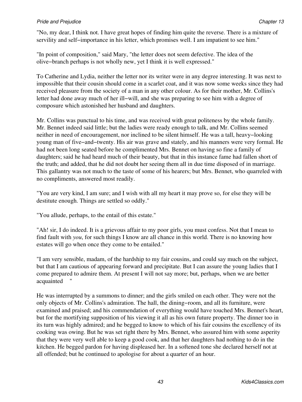"No, my dear, I think not. I have great hopes of finding him quite the reverse. There is a mixture of servility and self-importance in his letter, which promises well. I am impatient to see him."

"In point of composition," said Mary, "the letter does not seem defective. The idea of the olive−branch perhaps is not wholly new, yet I think it is well expressed."

To Catherine and Lydia, neither the letter nor its writer were in any degree interesting. It was next to impossible that their cousin should come in a scarlet coat, and it was now some weeks since they had received pleasure from the society of a man in any other colour. As for their mother, Mr. Collins's letter had done away much of her ill−will, and she was preparing to see him with a degree of composure which astonished her husband and daughters.

Mr. Collins was punctual to his time, and was received with great politeness by the whole family. Mr. Bennet indeed said little; but the ladies were ready enough to talk, and Mr. Collins seemed neither in need of encouragement, nor inclined to be silent himself. He was a tall, heavy−looking young man of five−and−twenty. His air was grave and stately, and his manners were very formal. He had not been long seated before he complimented Mrs. Bennet on having so fine a family of daughters; said he had heard much of their beauty, but that in this instance fame had fallen short of the truth; and added, that he did not doubt her seeing them all in due time disposed of in marriage. This gallantry was not much to the taste of some of his hearers; but Mrs. Bennet, who quarreled with no compliments, answered most readily.

"You are very kind, I am sure; and I wish with all my heart it may prove so, for else they will be destitute enough. Things are settled so oddly."

"You allude, perhaps, to the entail of this estate."

"Ah! sir, I do indeed. It is a grievous affair to my poor girls, you must confess. Not that I mean to find fault with *you*, for such things I know are all chance in this world. There is no knowing how estates will go when once they come to be entailed."

"I am very sensible, madam, of the hardship to my fair cousins, and could say much on the subject, but that I am cautious of appearing forward and precipitate. But I can assure the young ladies that I come prepared to admire them. At present I will not say more; but, perhaps, when we are better acquainted "

He was interrupted by a summons to dinner; and the girls smiled on each other. They were not the only objects of Mr. Collins's admiration. The hall, the dining−room, and all its furniture, were examined and praised; and his commendation of everything would have touched Mrs. Bennet's heart, but for the mortifying supposition of his viewing it all as his own future property. The dinner too in its turn was highly admired; and he begged to know to which of his fair cousins the excellency of its cooking was owing. But he was set right there by Mrs. Bennet, who assured him with some asperity that they were very well able to keep a good cook, and that her daughters had nothing to do in the kitchen. He begged pardon for having displeased her. In a softened tone she declared herself not at all offended; but he continued to apologise for about a quarter of an hour.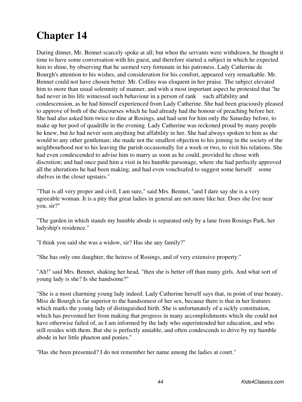During dinner, Mr. Bennet scarcely spoke at all; but when the servants were withdrawn, he thought it time to have some conversation with his guest, and therefore started a subject in which he expected him to shine, by observing that he seemed very fortunate in his patroness. Lady Catherine de Bourgh's attention to his wishes, and consideration for his comfort, appeared very remarkable. Mr. Bennet could not have chosen better. Mr. Collins was eloquent in her praise. The subject elevated him to more than usual solemnity of manner, and with a most important aspect he protested that "he had never in his life witnessed such behaviour in a person of rank such affability and condescension, as he had himself experienced from Lady Catherine. She had been graciously pleased to approve of both of the discourses which he had already had the honour of preaching before her. She had also asked him twice to dine at Rosings, and had sent for him only the Saturday before, to make up her pool of quadrille in the evening. Lady Catherine was reckoned proud by many people he knew, but *he* had never seen anything but affability in her. She had always spoken to him as she would to any other gentleman; she made not the smallest objection to his joining in the society of the neighbourhood nor to his leaving the parish occasionally for a week or two, to visit his relations. She had even condescended to advise him to marry as soon as he could, provided he chose with discretion; and had once paid him a visit in his humble parsonage, where she had perfectly approved all the alterations he had been making, and had even vouchsafed to suggest some herself some shelves in the closet upstairs."

"That is all very proper and civil, I am sure," said Mrs. Bennet, "and I dare say she is a very agreeable woman. It is a pity that great ladies in general are not more like her. Does she live near you, sir?"

"The garden in which stands my humble abode is separated only by a lane from Rosings Park, her ladyship's residence."

"I think you said she was a widow, sir? Has she any family?"

"She has only one daughter, the heiress of Rosings, and of very extensive property."

"Ah!" said Mrs. Bennet, shaking her head, "then she is better off than many girls. And what sort of young lady is she? Is she handsome?"

"She is a most charming young lady indeed. Lady Catherine herself says that, in point of true beauty, Miss de Bourgh is far superior to the handsomest of her sex, because there is that in her features which marks the young lady of distinguished birth. She is unfortunately of a sickly constitution, which has prevented her from making that progress in many accomplishments which she could not have otherwise failed of, as I am informed by the lady who superintended her education, and who still resides with them. But she is perfectly amiable, and often condescends to drive by my humble abode in her little phaeton and ponies."

"Has she been presented? I do not remember her name among the ladies at court."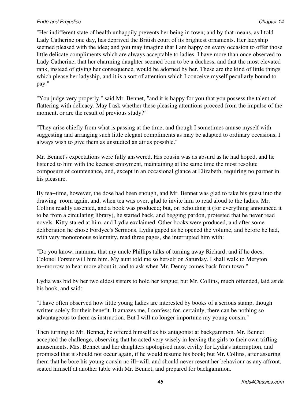## *Pride and Prejudice* Chapter 14 **Chapter 14 Chapter 14 Chapter 14 Chapter 14 Chapter 14**

"Her indifferent state of health unhappily prevents her being in town; and by that means, as I told Lady Catherine one day, has deprived the British court of its brightest ornaments. Her ladyship seemed pleased with the idea; and you may imagine that I am happy on every occasion to offer those little delicate compliments which are always acceptable to ladies. I have more than once observed to Lady Catherine, that her charming daughter seemed born to be a duchess, and that the most elevated rank, instead of giving her consequence, would be adorned by her. These are the kind of little things which please her ladyship, and it is a sort of attention which I conceive myself peculiarly bound to pay."

"You judge very properly," said Mr. Bennet, "and it is happy for you that you possess the talent of flattering with delicacy. May I ask whether these pleasing attentions proceed from the impulse of the moment, or are the result of previous study?"

"They arise chiefly from what is passing at the time, and though I sometimes amuse myself with suggesting and arranging such little elegant compliments as may be adapted to ordinary occasions, I always wish to give them as unstudied an air as possible."

Mr. Bennet's expectations were fully answered. His cousin was as absurd as he had hoped, and he listened to him with the keenest enjoyment, maintaining at the same time the most resolute composure of countenance, and, except in an occasional glance at Elizabeth, requiring no partner in his pleasure.

By tea−time, however, the dose had been enough, and Mr. Bennet was glad to take his guest into the drawing−room again, and, when tea was over, glad to invite him to read aloud to the ladies. Mr. Collins readily assented, and a book was produced; but, on beholding it (for everything announced it to be from a circulating library), he started back, and begging pardon, protested that he never read novels. Kitty stared at him, and Lydia exclaimed. Other books were produced, and after some deliberation he chose Fordyce's Sermons. Lydia gaped as he opened the volume, and before he had, with very monotonous solemnity, read three pages, she interrupted him with:

"Do you know, mamma, that my uncle Phillips talks of turning away Richard; and if he does, Colonel Forster will hire him. My aunt told me so herself on Saturday. I shall walk to Meryton to−morrow to hear more about it, and to ask when Mr. Denny comes back from town."

Lydia was bid by her two eldest sisters to hold her tongue; but Mr. Collins, much offended, laid aside his book, and said:

"I have often observed how little young ladies are interested by books of a serious stamp, though written solely for their benefit. It amazes me, I confess; for, certainly, there can be nothing so advantageous to them as instruction. But I will no longer importune my young cousin."

Then turning to Mr. Bennet, he offered himself as his antagonist at backgammon. Mr. Bennet accepted the challenge, observing that he acted very wisely in leaving the girls to their own trifling amusements. Mrs. Bennet and her daughters apologised most civilly for Lydia's interruption, and promised that it should not occur again, if he would resume his book; but Mr. Collins, after assuring them that he bore his young cousin no ill−will, and should never resent her behaviour as any affront, seated himself at another table with Mr. Bennet, and prepared for backgammon.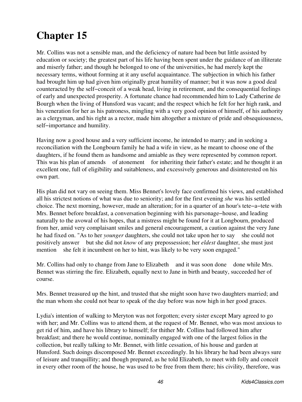Mr. Collins was not a sensible man, and the deficiency of nature had been but little assisted by education or society; the greatest part of his life having been spent under the guidance of an illiterate and miserly father; and though he belonged to one of the universities, he had merely kept the necessary terms, without forming at it any useful acquaintance. The subjection in which his father had brought him up had given him originally great humility of manner; but it was now a good deal counteracted by the self−conceit of a weak head, living in retirement, and the consequential feelings of early and unexpected prosperity. A fortunate chance had recommended him to Lady Catherine de Bourgh when the living of Hunsford was vacant; and the respect which he felt for her high rank, and his veneration for her as his patroness, mingling with a very good opinion of himself, of his authority as a clergyman, and his right as a rector, made him altogether a mixture of pride and obsequiousness, self−importance and humility.

Having now a good house and a very sufficient income, he intended to marry; and in seeking a reconciliation with the Longbourn family he had a wife in view, as he meant to choose one of the daughters, if he found them as handsome and amiable as they were represented by common report. This was his plan of amends of atonement for inheriting their father's estate; and he thought it an excellent one, full of eligibility and suitableness, and excessively generous and disinterested on his own part.

His plan did not vary on seeing them. Miss Bennet's lovely face confirmed his views, and established all his strictest notions of what was due to seniority; and for the first evening *she* was his settled choice. The next morning, however, made an alteration; for in a quarter of an hour's tete−a−tete with Mrs. Bennet before breakfast, a conversation beginning with his parsonage−house, and leading naturally to the avowal of his hopes, that a mistress might be found for it at Longbourn, produced from her, amid very complaisant smiles and general encouragement, a caution against the very Jane he had fixed on. "As to her *younger* daughters, she could not take upon her to say she could not positively answer but she did not *know* of any prepossession; her *eldest* daughter, she must just mention she felt it incumbent on her to hint, was likely to be very soon engaged."

Mr. Collins had only to change from Jane to Elizabeth and it was soon done done while Mrs. Bennet was stirring the fire. Elizabeth, equally next to Jane in birth and beauty, succeeded her of course.

Mrs. Bennet treasured up the hint, and trusted that she might soon have two daughters married; and the man whom she could not bear to speak of the day before was now high in her good graces.

Lydia's intention of walking to Meryton was not forgotten; every sister except Mary agreed to go with her; and Mr. Collins was to attend them, at the request of Mr. Bennet, who was most anxious to get rid of him, and have his library to himself; for thither Mr. Collins had followed him after breakfast; and there he would continue, nominally engaged with one of the largest folios in the collection, but really talking to Mr. Bennet, with little cessation, of his house and garden at Hunsford. Such doings discomposed Mr. Bennet exceedingly. In his library he had been always sure of leisure and tranquillity; and though prepared, as he told Elizabeth, to meet with folly and conceit in every other room of the house, he was used to be free from them there; his civility, therefore, was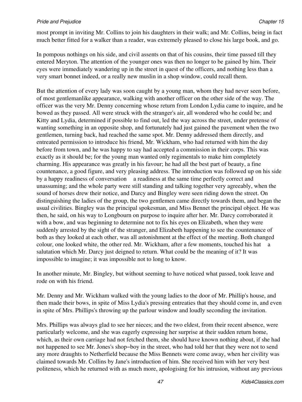most prompt in inviting Mr. Collins to join his daughters in their walk; and Mr. Collins, being in fact much better fitted for a walker than a reader, was extremely pleased to close his large book, and go.

In pompous nothings on his side, and civil assents on that of his cousins, their time passed till they entered Meryton. The attention of the younger ones was then no longer to be gained by him. Their eyes were immediately wandering up in the street in quest of the officers, and nothing less than a very smart bonnet indeed, or a really new muslin in a shop window, could recall them.

But the attention of every lady was soon caught by a young man, whom they had never seen before, of most gentlemanlike appearance, walking with another officer on the other side of the way. The officer was the very Mr. Denny concerning whose return from London Lydia came to inquire, and he bowed as they passed. All were struck with the stranger's air, all wondered who he could be; and Kitty and Lydia, determined if possible to find out, led the way across the street, under pretense of wanting something in an opposite shop, and fortunately had just gained the pavement when the two gentlemen, turning back, had reached the same spot. Mr. Denny addressed them directly, and entreated permission to introduce his friend, Mr. Wickham, who had returned with him the day before from town, and he was happy to say had accepted a commission in their corps. This was exactly as it should be; for the young man wanted only regimentals to make him completely charming. His appearance was greatly in his favour; he had all the best part of beauty, a fine countenance, a good figure, and very pleasing address. The introduction was followed up on his side by a happy readiness of conversation a readiness at the same time perfectly correct and unassuming; and the whole party were still standing and talking together very agreeably, when the sound of horses drew their notice, and Darcy and Bingley were seen riding down the street. On distinguishing the ladies of the group, the two gentlemen came directly towards them, and began the usual civilities. Bingley was the principal spokesman, and Miss Bennet the principal object. He was then, he said, on his way to Longbourn on purpose to inquire after her. Mr. Darcy corroborated it with a bow, and was beginning to determine not to fix his eyes on Elizabeth, when they were suddenly arrested by the sight of the stranger, and Elizabeth happening to see the countenance of both as they looked at each other, was all astonishment at the effect of the meeting. Both changed colour, one looked white, the other red. Mr. Wickham, after a few moments, touched his hat a salutation which Mr. Darcy just deigned to return. What could be the meaning of it? It was impossible to imagine; it was impossible not to long to know.

In another minute, Mr. Bingley, but without seeming to have noticed what passed, took leave and rode on with his friend.

Mr. Denny and Mr. Wickham walked with the young ladies to the door of Mr. Phillip's house, and then made their bows, in spite of Miss Lydia's pressing entreaties that they should come in, and even in spite of Mrs. Phillips's throwing up the parlour window and loudly seconding the invitation.

Mrs. Phillips was always glad to see her nieces; and the two eldest, from their recent absence, were particularly welcome, and she was eagerly expressing her surprise at their sudden return home, which, as their own carriage had not fetched them, she should have known nothing about, if she had not happened to see Mr. Jones's shop−boy in the street, who had told her that they were not to send any more draughts to Netherfield because the Miss Bennets were come away, when her civility was claimed towards Mr. Collins by Jane's introduction of him. She received him with her very best politeness, which he returned with as much more, apologising for his intrusion, without any previous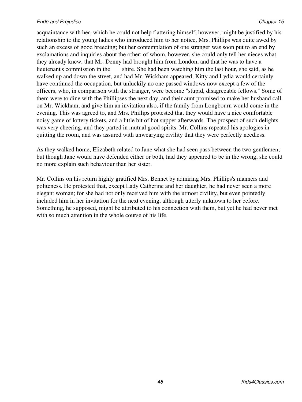acquaintance with her, which he could not help flattering himself, however, might be justified by his relationship to the young ladies who introduced him to her notice. Mrs. Phillips was quite awed by such an excess of good breeding; but her contemplation of one stranger was soon put to an end by exclamations and inquiries about the other; of whom, however, she could only tell her nieces what they already knew, that Mr. Denny had brought him from London, and that he was to have a lieutenant's commission in the shire. She had been watching him the last hour, she said, as he walked up and down the street, and had Mr. Wickham appeared, Kitty and Lydia would certainly have continued the occupation, but unluckily no one passed windows now except a few of the officers, who, in comparison with the stranger, were become "stupid, disagreeable fellows." Some of them were to dine with the Phillipses the next day, and their aunt promised to make her husband call on Mr. Wickham, and give him an invitation also, if the family from Longbourn would come in the evening. This was agreed to, and Mrs. Phillips protested that they would have a nice comfortable noisy game of lottery tickets, and a little bit of hot supper afterwards. The prospect of such delights was very cheering, and they parted in mutual good spirits. Mr. Collins repeated his apologies in quitting the room, and was assured with unwearying civility that they were perfectly needless.

As they walked home, Elizabeth related to Jane what she had seen pass between the two gentlemen; but though Jane would have defended either or both, had they appeared to be in the wrong, she could no more explain such behaviour than her sister.

Mr. Collins on his return highly gratified Mrs. Bennet by admiring Mrs. Phillips's manners and politeness. He protested that, except Lady Catherine and her daughter, he had never seen a more elegant woman; for she had not only received him with the utmost civility, but even pointedly included him in her invitation for the next evening, although utterly unknown to her before. Something, he supposed, might be attributed to his connection with them, but yet he had never met with so much attention in the whole course of his life.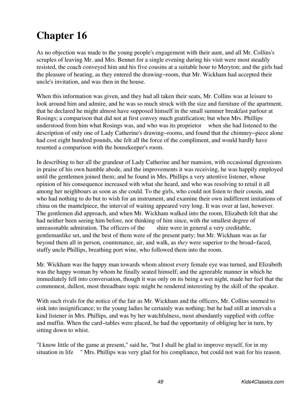As no objection was made to the young people's engagement with their aunt, and all Mr. Collins's scruples of leaving Mr. and Mrs. Bennet for a single evening during his visit were most steadily resisted, the coach conveyed him and his five cousins at a suitable hour to Meryton; and the girls had the pleasure of hearing, as they entered the drawing−room, that Mr. Wickham had accepted their uncle's invitation, and was then in the house.

When this information was given, and they had all taken their seats, Mr. Collins was at leisure to look around him and admire, and he was so much struck with the size and furniture of the apartment, that he declared he might almost have supposed himself in the small summer breakfast parlour at Rosings; a comparison that did not at first convey much gratification; but when Mrs. Phillips understood from him what Rosings was, and who was its proprietor when she had listened to the description of only one of Lady Catherine's drawing−rooms, and found that the chimney−piece alone had cost eight hundred pounds, she felt all the force of the compliment, and would hardly have resented a comparison with the housekeeper's room.

In describing to her all the grandeur of Lady Catherine and her mansion, with occasional digressions in praise of his own humble abode, and the improvements it was receiving, he was happily employed until the gentlemen joined them; and he found in Mrs. Phillips a very attentive listener, whose opinion of his consequence increased with what she heard, and who was resolving to retail it all among her neighbours as soon as she could. To the girls, who could not listen to their cousin, and who had nothing to do but to wish for an instrument, and examine their own indifferent imitations of china on the mantelpiece, the interval of waiting appeared very long. It was over at last, however. The gentlemen did approach, and when Mr. Wickham walked into the room, Elizabeth felt that she had neither been seeing him before, nor thinking of him since, with the smallest degree of unreasonable admiration. The officers of the shire were in general a very creditable, gentlemanlike set, and the best of them were of the present party; but Mr. Wickham was as far beyond them all in person, countenance, air, and walk, as *they* were superior to the broad−faced, stuffy uncle Phillips, breathing port wine, who followed them into the room.

Mr. Wickham was the happy man towards whom almost every female eye was turned, and Elizabeth was the happy woman by whom he finally seated himself; and the agreeable manner in which he immediately fell into conversation, though it was only on its being a wet night, made her feel that the commonest, dullest, most threadbare topic might be rendered interesting by the skill of the speaker.

With such rivals for the notice of the fair as Mr. Wickham and the officers, Mr. Collins seemed to sink into insignificance; to the young ladies he certainly was nothing; but he had still at intervals a kind listener in Mrs. Phillips, and was by her watchfulness, most abundantly supplied with coffee and muffin. When the card−tables were placed, he had the opportunity of obliging her in turn, by sitting down to whist.

"I know little of the game at present," said he, "but I shall be glad to improve myself, for in my situation in life " Mrs. Phillips was very glad for his compliance, but could not wait for his reason.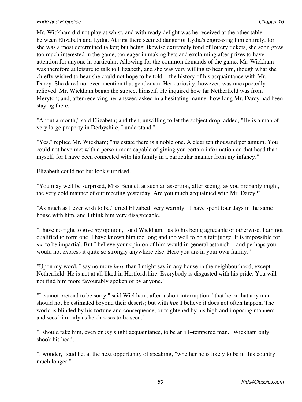Mr. Wickham did not play at whist, and with ready delight was he received at the other table between Elizabeth and Lydia. At first there seemed danger of Lydia's engrossing him entirely, for she was a most determined talker; but being likewise extremely fond of lottery tickets, she soon grew too much interested in the game, too eager in making bets and exclaiming after prizes to have attention for anyone in particular. Allowing for the common demands of the game, Mr. Wickham was therefore at leisure to talk to Elizabeth, and she was very willing to hear him, though what she chiefly wished to hear she could not hope to be told the history of his acquaintance with Mr. Darcy. She dared not even mention that gentleman. Her curiosity, however, was unexpectedly relieved. Mr. Wickham began the subject himself. He inquired how far Netherfield was from Meryton; and, after receiving her answer, asked in a hesitating manner how long Mr. Darcy had been staying there.

"About a month," said Elizabeth; and then, unwilling to let the subject drop, added, "He is a man of very large property in Derbyshire, I understand."

"Yes," replied Mr. Wickham; "his estate there is a noble one. A clear ten thousand per annum. You could not have met with a person more capable of giving you certain information on that head than myself, for I have been connected with his family in a particular manner from my infancy."

Elizabeth could not but look surprised.

"You may well be surprised, Miss Bennet, at such an assertion, after seeing, as you probably might, the very cold manner of our meeting yesterday. Are you much acquainted with Mr. Darcy?"

"As much as I ever wish to be," cried Elizabeth very warmly. "I have spent four days in the same house with him, and I think him very disagreeable."

"I have no right to give *my* opinion," said Wickham, "as to his being agreeable or otherwise. I am not qualified to form one. I have known him too long and too well to be a fair judge. It is impossible for *me* to be impartial. But I believe your opinion of him would in general astonish and perhaps you would not express it quite so strongly anywhere else. Here you are in your own family."

"Upon my word, I say no more *here* than I might say in any house in the neighbourhood, except Netherfield. He is not at all liked in Hertfordshire. Everybody is disgusted with his pride. You will not find him more favourably spoken of by anyone."

"I cannot pretend to be sorry," said Wickham, after a short interruption, "that he or that any man should not be estimated beyond their deserts; but with *him* I believe it does not often happen. The world is blinded by his fortune and consequence, or frightened by his high and imposing manners, and sees him only as he chooses to be seen."

"I should take him, even on *my* slight acquaintance, to be an ill−tempered man." Wickham only shook his head.

"I wonder," said he, at the next opportunity of speaking, "whether he is likely to be in this country much longer."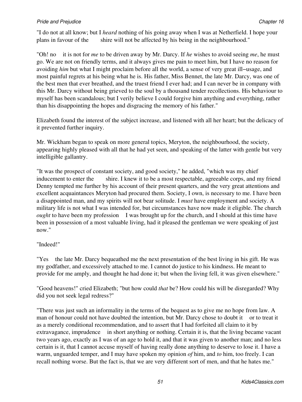"I do not at all know; but I *heard* nothing of his going away when I was at Netherfield. I hope your plans in favour of the shire will not be affected by his being in the neighbourhood."

"Oh! no it is not for *me* to be driven away by Mr. Darcy. If *he* wishes to avoid seeing *me*, he must go. We are not on friendly terms, and it always gives me pain to meet him, but I have no reason for avoiding *him* but what I might proclaim before all the world, a sense of very great ill−usage, and most painful regrets at his being what he is. His father, Miss Bennet, the late Mr. Darcy, was one of the best men that ever breathed, and the truest friend I ever had; and I can never be in company with this Mr. Darcy without being grieved to the soul by a thousand tender recollections. His behaviour to myself has been scandalous; but I verily believe I could forgive him anything and everything, rather than his disappointing the hopes and disgracing the memory of his father."

Elizabeth found the interest of the subject increase, and listened with all her heart; but the delicacy of it prevented further inquiry.

Mr. Wickham began to speak on more general topics, Meryton, the neighbourhood, the society, appearing highly pleased with all that he had yet seen, and speaking of the latter with gentle but very intelligible gallantry.

"It was the prospect of constant society, and good society," he added, "which was my chief inducement to enter the shire. I knew it to be a most respectable, agreeable corps, and my friend Denny tempted me further by his account of their present quarters, and the very great attentions and excellent acquaintances Meryton had procured them. Society, I own, is necessary to me. I have been a disappointed man, and my spirits will not bear solitude. I *must* have employment and society. A military life is not what I was intended for, but circumstances have now made it eligible. The church *ought* to have been my profession I was brought up for the church, and I should at this time have been in possession of a most valuable living, had it pleased the gentleman we were speaking of just now."

## "Indeed!"

"Yes the late Mr. Darcy bequeathed me the next presentation of the best living in his gift. He was my godfather, and excessively attached to me. I cannot do justice to his kindness. He meant to provide for me amply, and thought he had done it; but when the living fell, it was given elsewhere."

"Good heavens!" cried Elizabeth; "but how could *that* be? How could his will be disregarded? Why did you not seek legal redress?"

"There was just such an informality in the terms of the bequest as to give me no hope from law. A man of honour could not have doubted the intention, but Mr. Darcy chose to doubt it or to treat it as a merely conditional recommendation, and to assert that I had forfeited all claim to it by extravagance, imprudence in short anything or nothing. Certain it is, that the living became vacant two years ago, exactly as I was of an age to hold it, and that it was given to another man; and no less certain is it, that I cannot accuse myself of having really done anything to deserve to lose it. I have a warm, unguarded temper, and I may have spoken my opinion *of* him, and *to* him, too freely. I can recall nothing worse. But the fact is, that we are very different sort of men, and that he hates me."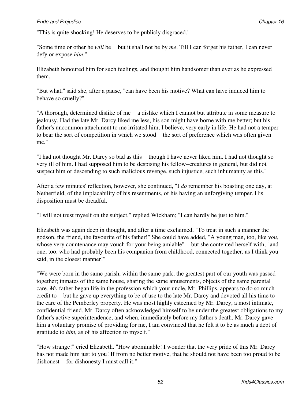"This is quite shocking! He deserves to be publicly disgraced."

"Some time or other he *will* be but it shall not be by *me*. Till I can forget his father, I can never defy or expose *him*."

Elizabeth honoured him for such feelings, and thought him handsomer than ever as he expressed them.

"But what," said she, after a pause, "can have been his motive? What can have induced him to behave so cruelly?"

"A thorough, determined dislike of me a dislike which I cannot but attribute in some measure to jealousy. Had the late Mr. Darcy liked me less, his son might have borne with me better; but his father's uncommon attachment to me irritated him, I believe, very early in life. He had not a temper to bear the sort of competition in which we stood the sort of preference which was often given me."

"I had not thought Mr. Darcy so bad as this though I have never liked him. I had not thought so very ill of him. I had supposed him to be despising his fellow−creatures in general, but did not suspect him of descending to such malicious revenge, such injustice, such inhumanity as this."

After a few minutes' reflection, however, she continued, "I *do* remember his boasting one day, at Netherfield, of the implacability of his resentments, of his having an unforgiving temper. His disposition must be dreadful."

"I will not trust myself on the subject," replied Wickham; "I can hardly be just to him."

Elizabeth was again deep in thought, and after a time exclaimed, "To treat in such a manner the godson, the friend, the favourite of his father!" She could have added, "A young man, too, like *you*, whose very countenance may vouch for your being amiable" but she contented herself with, "and one, too, who had probably been his companion from childhood, connected together, as I think you said, in the closest manner!"

"We were born in the same parish, within the same park; the greatest part of our youth was passed together; inmates of the same house, sharing the same amusements, objects of the same parental care. *My* father began life in the profession which your uncle, Mr. Phillips, appears to do so much credit to but he gave up everything to be of use to the late Mr. Darcy and devoted all his time to the care of the Pemberley property. He was most highly esteemed by Mr. Darcy, a most intimate, confidential friend. Mr. Darcy often acknowledged himself to be under the greatest obligations to my father's active superintendence, and when, immediately before my father's death, Mr. Darcy gave him a voluntary promise of providing for me, I am convinced that he felt it to be as much a debt of gratitude to *him*, as of his affection to myself."

"How strange!" cried Elizabeth. "How abominable! I wonder that the very pride of this Mr. Darcy has not made him just to you! If from no better motive, that he should not have been too proud to be dishonest for dishonesty I must call it."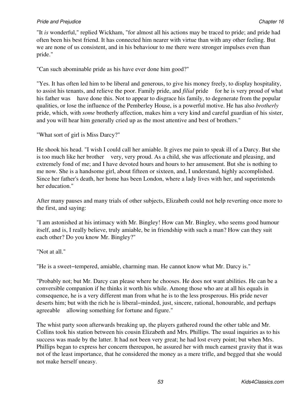"It *is* wonderful," replied Wickham, "for almost all his actions may be traced to pride; and pride had often been his best friend. It has connected him nearer with virtue than with any other feeling. But we are none of us consistent, and in his behaviour to me there were stronger impulses even than pride."

"Can such abominable pride as his have ever done him good?"

"Yes. It has often led him to be liberal and generous, to give his money freely, to display hospitality, to assist his tenants, and relieve the poor. Family pride, and *filial* pride for he is very proud of what his father was have done this. Not to appear to disgrace his family, to degenerate from the popular qualities, or lose the influence of the Pemberley House, is a powerful motive. He has also *brotherly* pride, which, with *some* brotherly affection, makes him a very kind and careful guardian of his sister, and you will hear him generally cried up as the most attentive and best of brothers."

"What sort of girl is Miss Darcy?"

He shook his head. "I wish I could call her amiable. It gives me pain to speak ill of a Darcy. But she is too much like her brother very, very proud. As a child, she was affectionate and pleasing, and extremely fond of me; and I have devoted hours and hours to her amusement. But she is nothing to me now. She is a handsome girl, about fifteen or sixteen, and, I understand, highly accomplished. Since her father's death, her home has been London, where a lady lives with her, and superintends her education."

After many pauses and many trials of other subjects, Elizabeth could not help reverting once more to the first, and saying:

"I am astonished at his intimacy with Mr. Bingley! How can Mr. Bingley, who seems good humour itself, and is, I really believe, truly amiable, be in friendship with such a man? How can they suit each other? Do you know Mr. Bingley?"

"Not at all."

"He is a sweet−tempered, amiable, charming man. He cannot know what Mr. Darcy is."

"Probably not; but Mr. Darcy can please where he chooses. He does not want abilities. He can be a conversible companion if he thinks it worth his while. Among those who are at all his equals in consequence, he is a very different man from what he is to the less prosperous. His pride never deserts him; but with the rich he is liberal−minded, just, sincere, rational, honourable, and perhaps agreeable allowing something for fortune and figure."

The whist party soon afterwards breaking up, the players gathered round the other table and Mr. Collins took his station between his cousin Elizabeth and Mrs. Phillips. The usual inquiries as to his success was made by the latter. It had not been very great; he had lost every point; but when Mrs. Phillips began to express her concern thereupon, he assured her with much earnest gravity that it was not of the least importance, that he considered the money as a mere trifle, and begged that she would not make herself uneasy.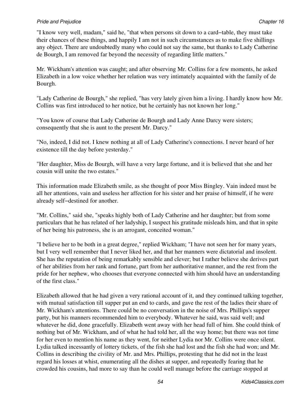"I know very well, madam," said he, "that when persons sit down to a card−table, they must take their chances of these things, and happily I am not in such circumstances as to make five shillings any object. There are undoubtedly many who could not say the same, but thanks to Lady Catherine de Bourgh, I am removed far beyond the necessity of regarding little matters."

Mr. Wickham's attention was caught; and after observing Mr. Collins for a few moments, he asked Elizabeth in a low voice whether her relation was very intimately acquainted with the family of de Bourgh.

"Lady Catherine de Bourgh," she replied, "has very lately given him a living. I hardly know how Mr. Collins was first introduced to her notice, but he certainly has not known her long."

"You know of course that Lady Catherine de Bourgh and Lady Anne Darcy were sisters; consequently that she is aunt to the present Mr. Darcy."

"No, indeed, I did not. I knew nothing at all of Lady Catherine's connections. I never heard of her existence till the day before yesterday."

"Her daughter, Miss de Bourgh, will have a very large fortune, and it is believed that she and her cousin will unite the two estates."

This information made Elizabeth smile, as she thought of poor Miss Bingley. Vain indeed must be all her attentions, vain and useless her affection for his sister and her praise of himself, if he were already self−destined for another.

"Mr. Collins," said she, "speaks highly both of Lady Catherine and her daughter; but from some particulars that he has related of her ladyship, I suspect his gratitude misleads him, and that in spite of her being his patroness, she is an arrogant, conceited woman."

"I believe her to be both in a great degree," replied Wickham; "I have not seen her for many years, but I very well remember that I never liked her, and that her manners were dictatorial and insolent. She has the reputation of being remarkably sensible and clever; but I rather believe she derives part of her abilities from her rank and fortune, part from her authoritative manner, and the rest from the pride for her nephew, who chooses that everyone connected with him should have an understanding of the first class."

Elizabeth allowed that he had given a very rational account of it, and they continued talking together, with mutual satisfaction till supper put an end to cards, and gave the rest of the ladies their share of Mr. Wickham's attentions. There could be no conversation in the noise of Mrs. Phillips's supper party, but his manners recommended him to everybody. Whatever he said, was said well; and whatever he did, done gracefully. Elizabeth went away with her head full of him. She could think of nothing but of Mr. Wickham, and of what he had told her, all the way home; but there was not time for her even to mention his name as they went, for neither Lydia nor Mr. Collins were once silent. Lydia talked incessantly of lottery tickets, of the fish she had lost and the fish she had won; and Mr. Collins in describing the civility of Mr. and Mrs. Phillips, protesting that he did not in the least regard his losses at whist, enumerating all the dishes at supper, and repeatedly fearing that he crowded his cousins, had more to say than he could well manage before the carriage stopped at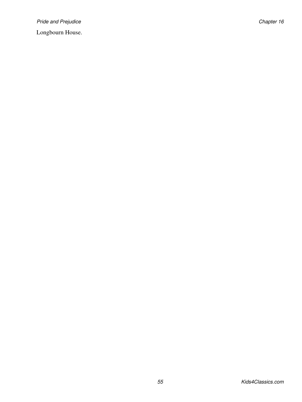Pride and Prejudice **Chapter 16** and Prejudice Chapter 16

Longbourn House.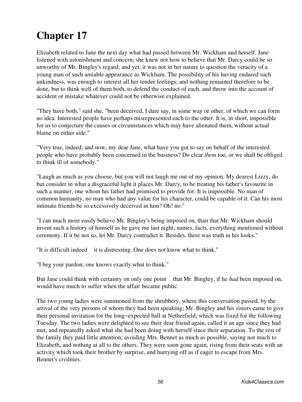Elizabeth related to Jane the next day what had passed between Mr. Wickham and herself. Jane listened with astonishment and concern; she knew not how to believe that Mr. Darcy could be so unworthy of Mr. Bingley's regard; and yet, it was not in her nature to question the veracity of a young man of such amiable appearance as Wickham. The possibility of his having endured such unkindness, was enough to interest all her tender feelings; and nothing remained therefore to be done, but to think well of them both, to defend the conduct of each, and throw into the account of accident or mistake whatever could not be otherwise explained.

"They have both," said she, "been deceived, I dare say, in some way or other, of which we can form no idea. Interested people have perhaps misrepresented each to the other. It is, in short, impossible for us to conjecture the causes or circumstances which may have alienated them, without actual blame on either side."

"Very true, indeed; and now, my dear Jane, what have you got to say on behalf of the interested people who have probably been concerned in the business? Do clear *them* too, or we shall be obliged to think ill of somebody."

"Laugh as much as you choose, but you will not laugh me out of my opinion. My dearest Lizzy, do but consider in what a disgraceful light it places Mr. Darcy, to be treating his father's favourite in such a manner, one whom his father had promised to provide for. It is impossible. No man of common humanity, no man who had any value for his character, could be capable of it. Can his most intimate friends be so excessively deceived in him? Oh! no."

"I can much more easily believe Mr. Bingley's being imposed on, than that Mr. Wickham should invent such a history of himself as he gave me last night; names, facts, everything mentioned without ceremony. If it be not so, let Mr. Darcy contradict it. Besides, there was truth in his looks."

"It is difficult indeed it is distressing. One does not know what to think."

"I beg your pardon; one knows exactly what to think."

But Jane could think with certainty on only one point that Mr. Bingley, if he *had* been imposed on, would have much to suffer when the affair became public.

The two young ladies were summoned from the shrubbery, where this conversation passed, by the arrival of the very persons of whom they had been speaking; Mr. Bingley and his sisters came to give their personal invitation for the long−expected ball at Netherfield, which was fixed for the following Tuesday. The two ladies were delighted to see their dear friend again, called it an age since they had met, and repeatedly asked what she had been doing with herself since their separation. To the rest of the family they paid little attention; avoiding Mrs. Bennet as much as possible, saying not much to Elizabeth, and nothing at all to the others. They were soon gone again, rising from their seats with an activity which took their brother by surprise, and hurrying off as if eager to escape from Mrs. Bennet's civilities.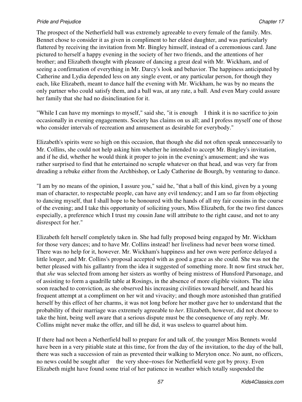## *Pride and Prejudice* Chapter 17 *Chapter 17*

The prospect of the Netherfield ball was extremely agreeable to every female of the family. Mrs. Bennet chose to consider it as given in compliment to her eldest daughter, and was particularly flattered by receiving the invitation from Mr. Bingley himself, instead of a ceremonious card. Jane pictured to herself a happy evening in the society of her two friends, and the attentions of her brother; and Elizabeth thought with pleasure of dancing a great deal with Mr. Wickham, and of seeing a confirmation of everything in Mr. Darcy's look and behavior. The happiness anticipated by Catherine and Lydia depended less on any single event, or any particular person, for though they each, like Elizabeth, meant to dance half the evening with Mr. Wickham, he was by no means the only partner who could satisfy them, and a ball was, at any rate, a ball. And even Mary could assure her family that she had no disinclination for it.

"While I can have my mornings to myself," said she, "it is enough I think it is no sacrifice to join occasionally in evening engagements. Society has claims on us all; and I profess myself one of those who consider intervals of recreation and amusement as desirable for everybody."

Elizabeth's spirits were so high on this occasion, that though she did not often speak unnecessarily to Mr. Collins, she could not help asking him whether he intended to accept Mr. Bingley's invitation, and if he did, whether he would think it proper to join in the evening's amusement; and she was rather surprised to find that he entertained no scruple whatever on that head, and was very far from dreading a rebuke either from the Archbishop, or Lady Catherine de Bourgh, by venturing to dance.

"I am by no means of the opinion, I assure you," said he, "that a ball of this kind, given by a young man of character, to respectable people, can have any evil tendency; and I am so far from objecting to dancing myself, that I shall hope to be honoured with the hands of all my fair cousins in the course of the evening; and I take this opportunity of soliciting yours, Miss Elizabeth, for the two first dances especially, a preference which I trust my cousin Jane will attribute to the right cause, and not to any disrespect for her."

Elizabeth felt herself completely taken in. She had fully proposed being engaged by Mr. Wickham for those very dances; and to have Mr. Collins instead! her liveliness had never been worse timed. There was no help for it, however. Mr. Wickham's happiness and her own were perforce delayed a little longer, and Mr. Collins's proposal accepted with as good a grace as she could. She was not the better pleased with his gallantry from the idea it suggested of something more. It now first struck her, that *she* was selected from among her sisters as worthy of being mistress of Hunsford Parsonage, and of assisting to form a quadrille table at Rosings, in the absence of more eligible visitors. The idea soon reached to conviction, as she observed his increasing civilities toward herself, and heard his frequent attempt at a compliment on her wit and vivacity; and though more astonished than gratified herself by this effect of her charms, it was not long before her mother gave her to understand that the probability of their marriage was extremely agreeable to *her*. Elizabeth, however, did not choose to take the hint, being well aware that a serious dispute must be the consequence of any reply. Mr. Collins might never make the offer, and till he did, it was useless to quarrel about him.

If there had not been a Netherfield ball to prepare for and talk of, the younger Miss Bennets would have been in a very pitiable state at this time, for from the day of the invitation, to the day of the ball, there was such a succession of rain as prevented their walking to Meryton once. No aunt, no officers, no news could be sought after the very shoe−roses for Netherfield were got by proxy. Even Elizabeth might have found some trial of her patience in weather which totally suspended the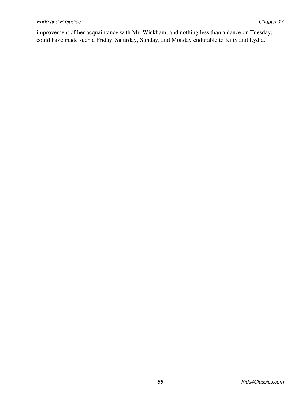## **Pride and Prejudice** Chapter 17 **Chapter 17**

improvement of her acquaintance with Mr. Wickham; and nothing less than a dance on Tuesday, could have made such a Friday, Saturday, Sunday, and Monday endurable to Kitty and Lydia.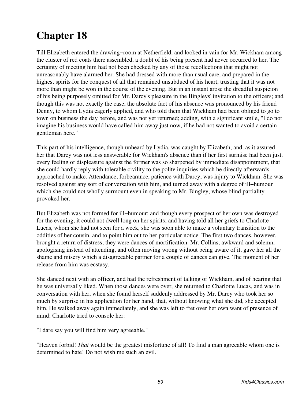Till Elizabeth entered the drawing−room at Netherfield, and looked in vain for Mr. Wickham among the cluster of red coats there assembled, a doubt of his being present had never occurred to her. The certainty of meeting him had not been checked by any of those recollections that might not unreasonably have alarmed her. She had dressed with more than usual care, and prepared in the highest spirits for the conquest of all that remained unsubdued of his heart, trusting that it was not more than might be won in the course of the evening. But in an instant arose the dreadful suspicion of his being purposely omitted for Mr. Darcy's pleasure in the Bingleys' invitation to the officers; and though this was not exactly the case, the absolute fact of his absence was pronounced by his friend Denny, to whom Lydia eagerly applied, and who told them that Wickham had been obliged to go to town on business the day before, and was not yet returned; adding, with a significant smile, "I do not imagine his business would have called him away just now, if he had not wanted to avoid a certain gentleman here."

This part of his intelligence, though unheard by Lydia, was caught by Elizabeth, and, as it assured her that Darcy was not less answerable for Wickham's absence than if her first surmise had been just, every feeling of displeasure against the former was so sharpened by immediate disappointment, that she could hardly reply with tolerable civility to the polite inquiries which he directly afterwards approached to make. Attendance, forbearance, patience with Darcy, was injury to Wickham. She was resolved against any sort of conversation with him, and turned away with a degree of ill−humour which she could not wholly surmount even in speaking to Mr. Bingley, whose blind partiality provoked her.

But Elizabeth was not formed for ill−humour; and though every prospect of her own was destroyed for the evening, it could not dwell long on her spirits; and having told all her griefs to Charlotte Lucas, whom she had not seen for a week, she was soon able to make a voluntary transition to the oddities of her cousin, and to point him out to her particular notice. The first two dances, however, brought a return of distress; they were dances of mortification. Mr. Collins, awkward and solemn, apologising instead of attending, and often moving wrong without being aware of it, gave her all the shame and misery which a disagreeable partner for a couple of dances can give. The moment of her release from him was ecstasy.

She danced next with an officer, and had the refreshment of talking of Wickham, and of hearing that he was universally liked. When those dances were over, she returned to Charlotte Lucas, and was in conversation with her, when she found herself suddenly addressed by Mr. Darcy who took her so much by surprise in his application for her hand, that, without knowing what she did, she accepted him. He walked away again immediately, and she was left to fret over her own want of presence of mind; Charlotte tried to console her:

"I dare say you will find him very agreeable."

"Heaven forbid! *That* would be the greatest misfortune of all! To find a man agreeable whom one is determined to hate! Do not wish me such an evil."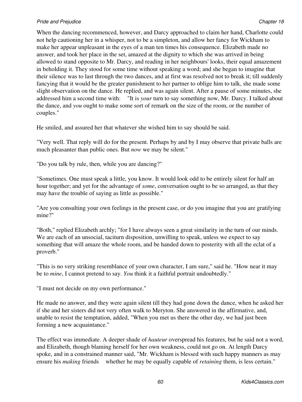## **Pride and Prejudice Chapter 18** and 2008 **Chapter 18** and 2008 **Chapter 18** and 2008 **Chapter 18** and 2008 **Chapter 18**

When the dancing recommenced, however, and Darcy approached to claim her hand, Charlotte could not help cautioning her in a whisper, not to be a simpleton, and allow her fancy for Wickham to make her appear unpleasant in the eyes of a man ten times his consequence. Elizabeth made no answer, and took her place in the set, amazed at the dignity to which she was arrived in being allowed to stand opposite to Mr. Darcy, and reading in her neighbours' looks, their equal amazement in beholding it. They stood for some time without speaking a word; and she began to imagine that their silence was to last through the two dances, and at first was resolved not to break it; till suddenly fancying that it would be the greater punishment to her partner to oblige him to talk, she made some slight observation on the dance. He replied, and was again silent. After a pause of some minutes, she addressed him a second time with: "It is *your* turn to say something now, Mr. Darcy. I talked about the dance, and *you* ought to make some sort of remark on the size of the room, or the number of couples."

He smiled, and assured her that whatever she wished him to say should be said.

"Very well. That reply will do for the present. Perhaps by and by I may observe that private balls are much pleasanter than public ones. But *now* we may be silent."

"Do you talk by rule, then, while you are dancing?"

"Sometimes. One must speak a little, you know. It would look odd to be entirely silent for half an hour together; and yet for the advantage of *some*, conversation ought to be so arranged, as that they may have the trouble of saying as little as possible."

"Are you consulting your own feelings in the present case, or do you imagine that you are gratifying mine?"

"Both," replied Elizabeth archly; "for I have always seen a great similarity in the turn of our minds. We are each of an unsocial, taciturn disposition, unwilling to speak, unless we expect to say something that will amaze the whole room, and be handed down to posterity with all the eclat of a proverb."

"This is no very striking resemblance of your own character, I am sure," said he. "How near it may be to *mine*, I cannot pretend to say. *You* think it a faithful portrait undoubtedly."

"I must not decide on my own performance."

He made no answer, and they were again silent till they had gone down the dance, when he asked her if she and her sisters did not very often walk to Meryton. She answered in the affirmative, and, unable to resist the temptation, added, "When you met us there the other day, we had just been forming a new acquaintance."

The effect was immediate. A deeper shade of *hauteur* overspread his features, but he said not a word, and Elizabeth, though blaming herself for her own weakness, could not go on. At length Darcy spoke, and in a constrained manner said, "Mr. Wickham is blessed with such happy manners as may ensure his *making* friends whether he may be equally capable of *retaining* them, is less certain."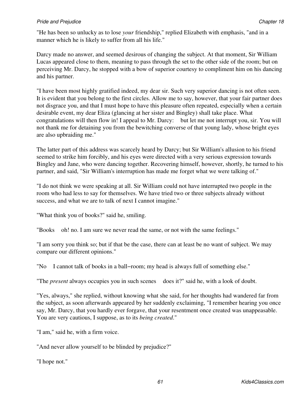## **Pride and Prejudice Chapter 18** and 2008 **Chapter 18** and 2008 **Chapter 18** and 2008 **Chapter 18** and 2008 **Chapter 18**

"He has been so unlucky as to lose *your* friendship," replied Elizabeth with emphasis, "and in a manner which he is likely to suffer from all his life."

Darcy made no answer, and seemed desirous of changing the subject. At that moment, Sir William Lucas appeared close to them, meaning to pass through the set to the other side of the room; but on perceiving Mr. Darcy, he stopped with a bow of superior courtesy to compliment him on his dancing and his partner.

"I have been most highly gratified indeed, my dear sir. Such very superior dancing is not often seen. It is evident that you belong to the first circles. Allow me to say, however, that your fair partner does not disgrace you, and that I must hope to have this pleasure often repeated, especially when a certain desirable event, my dear Eliza (glancing at her sister and Bingley) shall take place. What congratulations will then flow in! I appeal to Mr. Darcy: but let me not interrupt you, sir. You will not thank me for detaining you from the bewitching converse of that young lady, whose bright eyes are also upbraiding me."

The latter part of this address was scarcely heard by Darcy; but Sir William's allusion to his friend seemed to strike him forcibly, and his eyes were directed with a very serious expression towards Bingley and Jane, who were dancing together. Recovering himself, however, shortly, he turned to his partner, and said, "Sir William's interruption has made me forget what we were talking of."

"I do not think we were speaking at all. Sir William could not have interrupted two people in the room who had less to say for themselves. We have tried two or three subjects already without success, and what we are to talk of next I cannot imagine."

"What think you of books?" said he, smiling.

"Books oh! no. I am sure we never read the same, or not with the same feelings."

"I am sorry you think so; but if that be the case, there can at least be no want of subject. We may compare our different opinions."

"No I cannot talk of books in a ball−room; my head is always full of something else."

"The *present* always occupies you in such scenes does it?" said he, with a look of doubt.

"Yes, always," she replied, without knowing what she said, for her thoughts had wandered far from the subject, as soon afterwards appeared by her suddenly exclaiming, "I remember hearing you once say, Mr. Darcy, that you hardly ever forgave, that your resentment once created was unappeasable. You are very cautious, I suppose, as to its *being created*."

"I am," said he, with a firm voice.

"And never allow yourself to be blinded by prejudice?"

"I hope not."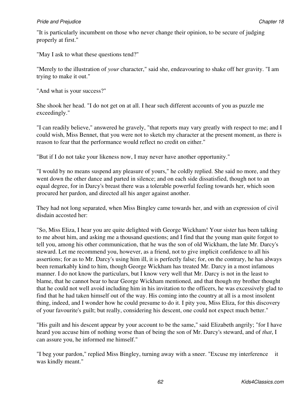"It is particularly incumbent on those who never change their opinion, to be secure of judging properly at first."

"May I ask to what these questions tend?"

"Merely to the illustration of *your* character," said she, endeavouring to shake off her gravity. "I am trying to make it out."

"And what is your success?"

She shook her head. "I do not get on at all. I hear such different accounts of you as puzzle me exceedingly."

"I can readily believe," answered he gravely, "that reports may vary greatly with respect to me; and I could wish, Miss Bennet, that you were not to sketch my character at the present moment, as there is reason to fear that the performance would reflect no credit on either."

"But if I do not take your likeness now, I may never have another opportunity."

"I would by no means suspend any pleasure of yours," he coldly replied. She said no more, and they went down the other dance and parted in silence; and on each side dissatisfied, though not to an equal degree, for in Darcy's breast there was a tolerable powerful feeling towards her, which soon procured her pardon, and directed all his anger against another.

They had not long separated, when Miss Bingley came towards her, and with an expression of civil disdain accosted her:

"So, Miss Eliza, I hear you are quite delighted with George Wickham! Your sister has been talking to me about him, and asking me a thousand questions; and I find that the young man quite forgot to tell you, among his other communication, that he was the son of old Wickham, the late Mr. Darcy's steward. Let me recommend you, however, as a friend, not to give implicit confidence to all his assertions; for as to Mr. Darcy's using him ill, it is perfectly false; for, on the contrary, he has always been remarkably kind to him, though George Wickham has treated Mr. Darcy in a most infamous manner. I do not know the particulars, but I know very well that Mr. Darcy is not in the least to blame, that he cannot bear to hear George Wickham mentioned, and that though my brother thought that he could not well avoid including him in his invitation to the officers, he was excessively glad to find that he had taken himself out of the way. His coming into the country at all is a most insolent thing, indeed, and I wonder how he could presume to do it. I pity you, Miss Eliza, for this discovery of your favourite's guilt; but really, considering his descent, one could not expect much better."

"His guilt and his descent appear by your account to be the same," said Elizabeth angrily; "for I have heard you accuse him of nothing worse than of being the son of Mr. Darcy's steward, and of *that*, I can assure you, he informed me himself."

"I beg your pardon," replied Miss Bingley, turning away with a sneer. "Excuse my interference it was kindly meant."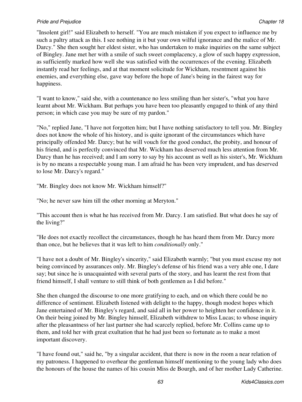## **Pride and Prejudice Chapter 18** and 2008 **Chapter 18** and 2008 **Chapter 18** and 2008 **Chapter 18** and 2008 **Chapter 18**

"Insolent girl!" said Elizabeth to herself. "You are much mistaken if you expect to influence me by such a paltry attack as this. I see nothing in it but your own wilful ignorance and the malice of Mr. Darcy." She then sought her eldest sister, who has undertaken to make inquiries on the same subject of Bingley. Jane met her with a smile of such sweet complacency, a glow of such happy expression, as sufficiently marked how well she was satisfied with the occurrences of the evening. Elizabeth instantly read her feelings, and at that moment solicitude for Wickham, resentment against his enemies, and everything else, gave way before the hope of Jane's being in the fairest way for happiness.

"I want to know," said she, with a countenance no less smiling than her sister's, "what you have learnt about Mr. Wickham. But perhaps you have been too pleasantly engaged to think of any third person; in which case you may be sure of my pardon."

"No," replied Jane, "I have not forgotten him; but I have nothing satisfactory to tell you. Mr. Bingley does not know the whole of his history, and is quite ignorant of the circumstances which have principally offended Mr. Darcy; but he will vouch for the good conduct, the probity, and honour of his friend, and is perfectly convinced that Mr. Wickham has deserved much less attention from Mr. Darcy than he has received; and I am sorry to say by his account as well as his sister's, Mr. Wickham is by no means a respectable young man. I am afraid he has been very imprudent, and has deserved to lose Mr. Darcy's regard."

"Mr. Bingley does not know Mr. Wickham himself?"

"No; he never saw him till the other morning at Meryton."

"This account then is what he has received from Mr. Darcy. I am satisfied. But what does he say of the living?"

"He does not exactly recollect the circumstances, though he has heard them from Mr. Darcy more than once, but he believes that it was left to him *conditionally* only."

"I have not a doubt of Mr. Bingley's sincerity," said Elizabeth warmly; "but you must excuse my not being convinced by assurances only. Mr. Bingley's defense of his friend was a very able one, I dare say; but since he is unacquainted with several parts of the story, and has learnt the rest from that friend himself, I shall venture to still think of both gentlemen as I did before."

She then changed the discourse to one more gratifying to each, and on which there could be no difference of sentiment. Elizabeth listened with delight to the happy, though modest hopes which Jane entertained of Mr. Bingley's regard, and said all in her power to heighten her confidence in it. On their being joined by Mr. Bingley himself, Elizabeth withdrew to Miss Lucas; to whose inquiry after the pleasantness of her last partner she had scarcely replied, before Mr. Collins came up to them, and told her with great exultation that he had just been so fortunate as to make a most important discovery.

"I have found out," said he, "by a singular accident, that there is now in the room a near relation of my patroness. I happened to overhear the gentleman himself mentioning to the young lady who does the honours of the house the names of his cousin Miss de Bourgh, and of her mother Lady Catherine.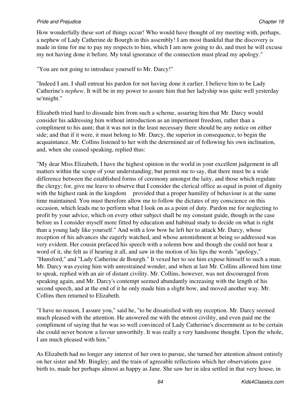## **Pride and Prejudice Chapter 18** and 2008 **Chapter 18** and 2008 **Chapter 18** and 2008 **Chapter 18** and 2008 **Chapter 18**

How wonderfully these sort of things occur! Who would have thought of my meeting with, perhaps, a nephew of Lady Catherine de Bourgh in this assembly! I am most thankful that the discovery is made in time for me to pay my respects to him, which I am now going to do, and trust he will excuse my not having done it before. My total ignorance of the connection must plead my apology."

"You are not going to introduce yourself to Mr. Darcy!"

"Indeed I am. I shall entreat his pardon for not having done it earlier. I believe him to be Lady Catherine's *nephew*. It will be in my power to assure him that her ladyship was quite well yesterday se'nnight."

Elizabeth tried hard to dissuade him from such a scheme, assuring him that Mr. Darcy would consider his addressing him without introduction as an impertinent freedom, rather than a compliment to his aunt; that it was not in the least necessary there should be any notice on either side; and that if it were, it must belong to Mr. Darcy, the superior in consequence, to begin the acquaintance. Mr. Collins listened to her with the determined air of following his own inclination, and, when she ceased speaking, replied thus:

"My dear Miss Elizabeth, I have the highest opinion in the world in your excellent judgement in all matters within the scope of your understanding; but permit me to say, that there must be a wide difference between the established forms of ceremony amongst the laity, and those which regulate the clergy; for, give me leave to observe that I consider the clerical office as equal in point of dignity with the highest rank in the kingdom provided that a proper humility of behaviour is at the same time maintained. You must therefore allow me to follow the dictates of my conscience on this occasion, which leads me to perform what I look on as a point of duty. Pardon me for neglecting to profit by your advice, which on every other subject shall be my constant guide, though in the case before us I consider myself more fitted by education and habitual study to decide on what is right than a young lady like yourself." And with a low bow he left her to attack Mr. Darcy, whose reception of his advances she eagerly watched, and whose astonishment at being so addressed was very evident. Her cousin prefaced his speech with a solemn bow and though she could not hear a word of it, she felt as if hearing it all, and saw in the motion of his lips the words "apology," "Hunsford," and "Lady Catherine de Bourgh." It vexed her to see him expose himself to such a man. Mr. Darcy was eyeing him with unrestrained wonder, and when at last Mr. Collins allowed him time to speak, replied with an air of distant civility. Mr. Collins, however, was not discouraged from speaking again, and Mr. Darcy's contempt seemed abundantly increasing with the length of his second speech, and at the end of it he only made him a slight bow, and moved another way. Mr. Collins then returned to Elizabeth.

"I have no reason, I assure you," said he, "to be dissatisfied with my reception. Mr. Darcy seemed much pleased with the attention. He answered me with the utmost civility, and even paid me the compliment of saying that he was so well convinced of Lady Catherine's discernment as to be certain she could never bestow a favour unworthily. It was really a very handsome thought. Upon the whole, I am much pleased with him."

As Elizabeth had no longer any interest of her own to pursue, she turned her attention almost entirely on her sister and Mr. Bingley; and the train of agreeable reflections which her observations gave birth to, made her perhaps almost as happy as Jane. She saw her in idea settled in that very house, in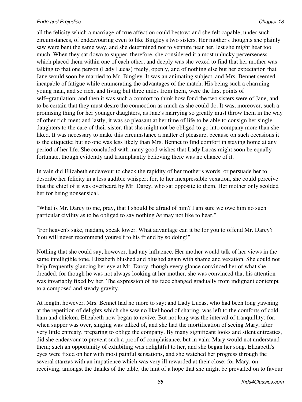all the felicity which a marriage of true affection could bestow; and she felt capable, under such circumstances, of endeavouring even to like Bingley's two sisters. Her mother's thoughts she plainly saw were bent the same way, and she determined not to venture near her, lest she might hear too much. When they sat down to supper, therefore, she considered it a most unlucky perverseness which placed them within one of each other; and deeply was she vexed to find that her mother was talking to that one person (Lady Lucas) freely, openly, and of nothing else but her expectation that Jane would soon be married to Mr. Bingley. It was an animating subject, and Mrs. Bennet seemed incapable of fatigue while enumerating the advantages of the match. His being such a charming young man, and so rich, and living but three miles from them, were the first points of self−gratulation; and then it was such a comfort to think how fond the two sisters were of Jane, and to be certain that they must desire the connection as much as she could do. It was, moreover, such a promising thing for her younger daughters, as Jane's marrying so greatly must throw them in the way of other rich men; and lastly, it was so pleasant at her time of life to be able to consign her single daughters to the care of their sister, that she might not be obliged to go into company more than she liked. It was necessary to make this circumstance a matter of pleasure, because on such occasions it is the etiquette; but no one was less likely than Mrs. Bennet to find comfort in staying home at any period of her life. She concluded with many good wishes that Lady Lucas might soon be equally fortunate, though evidently and triumphantly believing there was no chance of it.

In vain did Elizabeth endeavour to check the rapidity of her mother's words, or persuade her to describe her felicity in a less audible whisper; for, to her inexpressible vexation, she could perceive that the chief of it was overheard by Mr. Darcy, who sat opposite to them. Her mother only scolded her for being nonsensical.

"What is Mr. Darcy to me, pray, that I should be afraid of him? I am sure we owe him no such particular civility as to be obliged to say nothing *he* may not like to hear."

"For heaven's sake, madam, speak lower. What advantage can it be for you to offend Mr. Darcy? You will never recommend yourself to his friend by so doing!"

Nothing that she could say, however, had any influence. Her mother would talk of her views in the same intelligible tone. Elizabeth blushed and blushed again with shame and vexation. She could not help frequently glancing her eye at Mr. Darcy, though every glance convinced her of what she dreaded; for though he was not always looking at her mother, she was convinced that his attention was invariably fixed by her. The expression of his face changed gradually from indignant contempt to a composed and steady gravity.

At length, however, Mrs. Bennet had no more to say; and Lady Lucas, who had been long yawning at the repetition of delights which she saw no likelihood of sharing, was left to the comforts of cold ham and chicken. Elizabeth now began to revive. But not long was the interval of tranquillity; for, when supper was over, singing was talked of, and she had the mortification of seeing Mary, after very little entreaty, preparing to oblige the company. By many significant looks and silent entreaties, did she endeavour to prevent such a proof of complaisance, but in vain; Mary would not understand them; such an opportunity of exhibiting was delightful to her, and she began her song. Elizabeth's eyes were fixed on her with most painful sensations, and she watched her progress through the several stanzas with an impatience which was very ill rewarded at their close; for Mary, on receiving, amongst the thanks of the table, the hint of a hope that she might be prevailed on to favour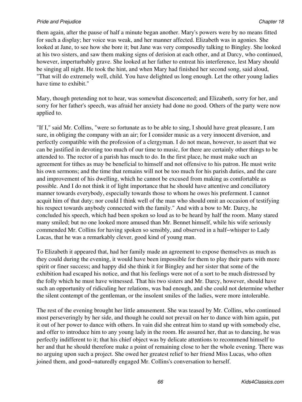them again, after the pause of half a minute began another. Mary's powers were by no means fitted for such a display; her voice was weak, and her manner affected. Elizabeth was in agonies. She looked at Jane, to see how she bore it; but Jane was very composedly talking to Bingley. She looked at his two sisters, and saw them making signs of derision at each other, and at Darcy, who continued, however, imperturbably grave. She looked at her father to entreat his interference, lest Mary should be singing all night. He took the hint, and when Mary had finished her second song, said aloud, "That will do extremely well, child. You have delighted us long enough. Let the other young ladies have time to exhibit."

Mary, though pretending not to hear, was somewhat disconcerted; and Elizabeth, sorry for her, and sorry for her father's speech, was afraid her anxiety had done no good. Others of the party were now applied to.

"If I," said Mr. Collins, "were so fortunate as to be able to sing, I should have great pleasure, I am sure, in obliging the company with an air; for I consider music as a very innocent diversion, and perfectly compatible with the profession of a clergyman. I do not mean, however, to assert that we can be justified in devoting too much of our time to music, for there are certainly other things to be attended to. The rector of a parish has much to do. In the first place, he must make such an agreement for tithes as may be beneficial to himself and not offensive to his patron. He must write his own sermons; and the time that remains will not be too much for his parish duties, and the care and improvement of his dwelling, which he cannot be excused from making as comfortable as possible. And I do not think it of light importance that he should have attentive and conciliatory manner towards everybody, especially towards those to whom he owes his preferment. I cannot acquit him of that duty; nor could I think well of the man who should omit an occasion of testifying his respect towards anybody connected with the family." And with a bow to Mr. Darcy, he concluded his speech, which had been spoken so loud as to be heard by half the room. Many stared many smiled; but no one looked more amused than Mr. Bennet himself, while his wife seriously commended Mr. Collins for having spoken so sensibly, and observed in a half−whisper to Lady Lucas, that he was a remarkably clever, good kind of young man.

To Elizabeth it appeared that, had her family made an agreement to expose themselves as much as they could during the evening, it would have been impossible for them to play their parts with more spirit or finer success; and happy did she think it for Bingley and her sister that some of the exhibition had escaped his notice, and that his feelings were not of a sort to be much distressed by the folly which he must have witnessed. That his two sisters and Mr. Darcy, however, should have such an opportunity of ridiculing her relations, was bad enough, and she could not determine whether the silent contempt of the gentleman, or the insolent smiles of the ladies, were more intolerable.

The rest of the evening brought her little amusement. She was teased by Mr. Collins, who continued most perseveringly by her side, and though he could not prevail on her to dance with him again, put it out of her power to dance with others. In vain did she entreat him to stand up with somebody else, and offer to introduce him to any young lady in the room. He assured her, that as to dancing, he was perfectly indifferent to it; that his chief object was by delicate attentions to recommend himself to her and that he should therefore make a point of remaining close to her the whole evening. There was no arguing upon such a project. She owed her greatest relief to her friend Miss Lucas, who often joined them, and good−naturedly engaged Mr. Collins's conversation to herself.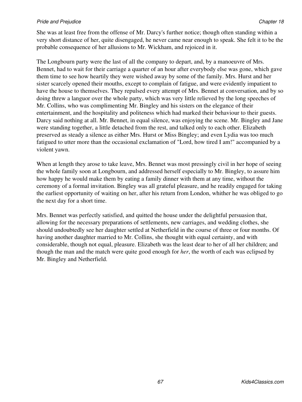#### **Pride and Prejudice Chapter 18** and 2008 **Chapter 18** and 2008 **Chapter 18** and 2008 **Chapter 18** and 2008 **Chapter 18**

She was at least free from the offense of Mr. Darcy's further notice; though often standing within a very short distance of her, quite disengaged, he never came near enough to speak. She felt it to be the probable consequence of her allusions to Mr. Wickham, and rejoiced in it.

The Longbourn party were the last of all the company to depart, and, by a manoeuvre of Mrs. Bennet, had to wait for their carriage a quarter of an hour after everybody else was gone, which gave them time to see how heartily they were wished away by some of the family. Mrs. Hurst and her sister scarcely opened their mouths, except to complain of fatigue, and were evidently impatient to have the house to themselves. They repulsed every attempt of Mrs. Bennet at conversation, and by so doing threw a languor over the whole party, which was very little relieved by the long speeches of Mr. Collins, who was complimenting Mr. Bingley and his sisters on the elegance of their entertainment, and the hospitality and politeness which had marked their behaviour to their guests. Darcy said nothing at all. Mr. Bennet, in equal silence, was enjoying the scene. Mr. Bingley and Jane were standing together, a little detached from the rest, and talked only to each other. Elizabeth preserved as steady a silence as either Mrs. Hurst or Miss Bingley; and even Lydia was too much fatigued to utter more than the occasional exclamation of "Lord, how tired I am!" accompanied by a violent yawn.

When at length they arose to take leave, Mrs. Bennet was most pressingly civil in her hope of seeing the whole family soon at Longbourn, and addressed herself especially to Mr. Bingley, to assure him how happy he would make them by eating a family dinner with them at any time, without the ceremony of a formal invitation. Bingley was all grateful pleasure, and he readily engaged for taking the earliest opportunity of waiting on her, after his return from London, whither he was obliged to go the next day for a short time.

Mrs. Bennet was perfectly satisfied, and quitted the house under the delightful persuasion that, allowing for the necessary preparations of settlements, new carriages, and wedding clothes, she should undoubtedly see her daughter settled at Netherfield in the course of three or four months. Of having another daughter married to Mr. Collins, she thought with equal certainty, and with considerable, though not equal, pleasure. Elizabeth was the least dear to her of all her children; and though the man and the match were quite good enough for *her*, the worth of each was eclipsed by Mr. Bingley and Netherfield.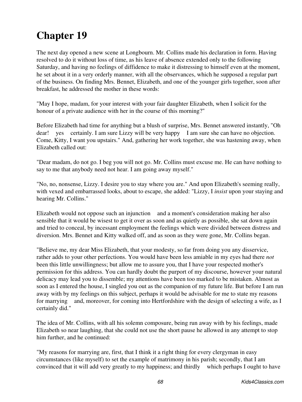The next day opened a new scene at Longbourn. Mr. Collins made his declaration in form. Having resolved to do it without loss of time, as his leave of absence extended only to the following Saturday, and having no feelings of diffidence to make it distressing to himself even at the moment, he set about it in a very orderly manner, with all the observances, which he supposed a regular part of the business. On finding Mrs. Bennet, Elizabeth, and one of the younger girls together, soon after breakfast, he addressed the mother in these words:

"May I hope, madam, for your interest with your fair daughter Elizabeth, when I solicit for the honour of a private audience with her in the course of this morning?"

Before Elizabeth had time for anything but a blush of surprise, Mrs. Bennet answered instantly, "Oh dear! yes certainly. I am sure Lizzy will be very happy I am sure she can have no objection. Come, Kitty, I want you upstairs." And, gathering her work together, she was hastening away, when Elizabeth called out:

"Dear madam, do not go. I beg you will not go. Mr. Collins must excuse me. He can have nothing to say to me that anybody need not hear. I am going away myself."

"No, no, nonsense, Lizzy. I desire you to stay where you are." And upon Elizabeth's seeming really, with vexed and embarrassed looks, about to escape, she added: "Lizzy, I *insist* upon your staying and hearing Mr. Collins."

Elizabeth would not oppose such an injunction and a moment's consideration making her also sensible that it would be wisest to get it over as soon and as quietly as possible, she sat down again and tried to conceal, by incessant employment the feelings which were divided between distress and diversion. Mrs. Bennet and Kitty walked off, and as soon as they were gone, Mr. Collins began.

"Believe me, my dear Miss Elizabeth, that your modesty, so far from doing you any disservice, rather adds to your other perfections. You would have been less amiable in my eyes had there *not* been this little unwillingness; but allow me to assure you, that I have your respected mother's permission for this address. You can hardly doubt the purport of my discourse, however your natural delicacy may lead you to dissemble; my attentions have been too marked to be mistaken. Almost as soon as I entered the house, I singled you out as the companion of my future life. But before I am run away with by my feelings on this subject, perhaps it would be advisable for me to state my reasons for marrying and, moreover, for coming into Hertfordshire with the design of selecting a wife, as I certainly did."

The idea of Mr. Collins, with all his solemn composure, being run away with by his feelings, made Elizabeth so near laughing, that she could not use the short pause he allowed in any attempt to stop him further, and he continued:

"My reasons for marrying are, first, that I think it a right thing for every clergyman in easy circumstances (like myself) to set the example of matrimony in his parish; secondly, that I am convinced that it will add very greatly to my happiness; and thirdly which perhaps I ought to have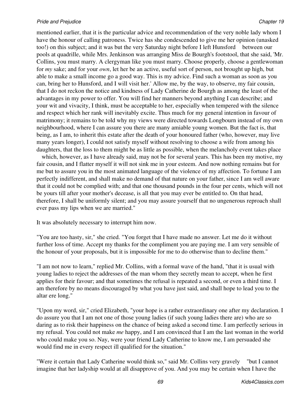mentioned earlier, that it is the particular advice and recommendation of the very noble lady whom I have the honour of calling patroness. Twice has she condescended to give me her opinion (unasked too!) on this subject; and it was but the very Saturday night before I left Hunsford between our pools at quadrille, while Mrs. Jenkinson was arranging Miss de Bourgh's footstool, that she said, 'Mr. Collins, you must marry. A clergyman like you must marry. Choose properly, choose a gentlewoman for *my* sake; and for your *own*, let her be an active, useful sort of person, not brought up high, but able to make a small income go a good way. This is my advice. Find such a woman as soon as you can, bring her to Hunsford, and I will visit her.' Allow me, by the way, to observe, my fair cousin, that I do not reckon the notice and kindness of Lady Catherine de Bourgh as among the least of the advantages in my power to offer. You will find her manners beyond anything I can describe; and your wit and vivacity, I think, must be acceptable to her, especially when tempered with the silence and respect which her rank will inevitably excite. Thus much for my general intention in favour of matrimony; it remains to be told why my views were directed towards Longbourn instead of my own neighbourhood, where I can assure you there are many amiable young women. But the fact is, that being, as I am, to inherit this estate after the death of your honoured father (who, however, may live many years longer), I could not satisfy myself without resolving to choose a wife from among his daughters, that the loss to them might be as little as possible, when the melancholy event takes place

 which, however, as I have already said, may not be for several years. This has been my motive, my fair cousin, and I flatter myself it will not sink me in your esteem. And now nothing remains but for me but to assure you in the most animated language of the violence of my affection. To fortune I am perfectly indifferent, and shall make no demand of that nature on your father, since I am well aware that it could not be complied with; and that one thousand pounds in the four per cents, which will not be yours till after your mother's decease, is all that you may ever be entitled to. On that head, therefore, I shall be uniformly silent; and you may assure yourself that no ungenerous reproach shall ever pass my lips when we are married."

It was absolutely necessary to interrupt him now.

"You are too hasty, sir," she cried. "You forget that I have made no answer. Let me do it without further loss of time. Accept my thanks for the compliment you are paying me. I am very sensible of the honour of your proposals, but it is impossible for me to do otherwise than to decline them."

"I am not now to learn," replied Mr. Collins, with a formal wave of the hand, "that it is usual with young ladies to reject the addresses of the man whom they secretly mean to accept, when he first applies for their favour; and that sometimes the refusal is repeated a second, or even a third time. I am therefore by no means discouraged by what you have just said, and shall hope to lead you to the altar ere long."

"Upon my word, sir," cried Elizabeth, "your hope is a rather extraordinary one after my declaration. I do assure you that I am not one of those young ladies (if such young ladies there are) who are so daring as to risk their happiness on the chance of being asked a second time. I am perfectly serious in my refusal. You could not make *me* happy, and I am convinced that I am the last woman in the world who could make you so. Nay, were your friend Lady Catherine to know me, I am persuaded she would find me in every respect ill qualified for the situation."

"Were it certain that Lady Catherine would think so," said Mr. Collins very gravely "but I cannot imagine that her ladyship would at all disapprove of you. And you may be certain when I have the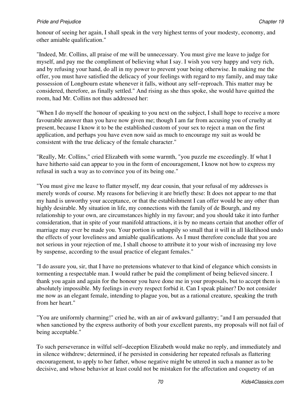honour of seeing her again, I shall speak in the very highest terms of your modesty, economy, and other amiable qualification."

"Indeed, Mr. Collins, all praise of me will be unnecessary. You must give me leave to judge for myself, and pay me the compliment of believing what I say. I wish you very happy and very rich, and by refusing your hand, do all in my power to prevent your being otherwise. In making me the offer, you must have satisfied the delicacy of your feelings with regard to my family, and may take possession of Longbourn estate whenever it falls, without any self−reproach. This matter may be considered, therefore, as finally settled." And rising as she thus spoke, she would have quitted the room, had Mr. Collins not thus addressed her:

"When I do myself the honour of speaking to you next on the subject, I shall hope to receive a more favourable answer than you have now given me; though I am far from accusing you of cruelty at present, because I know it to be the established custom of your sex to reject a man on the first application, and perhaps you have even now said as much to encourage my suit as would be consistent with the true delicacy of the female character."

"Really, Mr. Collins," cried Elizabeth with some warmth, "you puzzle me exceedingly. If what I have hitherto said can appear to you in the form of encouragement, I know not how to express my refusal in such a way as to convince you of its being one."

"You must give me leave to flatter myself, my dear cousin, that your refusal of my addresses is merely words of course. My reasons for believing it are briefly these: It does not appear to me that my hand is unworthy your acceptance, or that the establishment I can offer would be any other than highly desirable. My situation in life, my connections with the family of de Bourgh, and my relationship to your own, are circumstances highly in my favour; and you should take it into further consideration, that in spite of your manifold attractions, it is by no means certain that another offer of marriage may ever be made you. Your portion is unhappily so small that it will in all likelihood undo the effects of your loveliness and amiable qualifications. As I must therefore conclude that you are not serious in your rejection of me, I shall choose to attribute it to your wish of increasing my love by suspense, according to the usual practice of elegant females."

"I do assure you, sir, that I have no pretensions whatever to that kind of elegance which consists in tormenting a respectable man. I would rather be paid the compliment of being believed sincere. I thank you again and again for the honour you have done me in your proposals, but to accept them is absolutely impossible. My feelings in every respect forbid it. Can I speak plainer? Do not consider me now as an elegant female, intending to plague you, but as a rational creature, speaking the truth from her heart."

"You are uniformly charming!" cried he, with an air of awkward gallantry; "and I am persuaded that when sanctioned by the express authority of both your excellent parents, my proposals will not fail of being acceptable."

To such perseverance in wilful self−deception Elizabeth would make no reply, and immediately and in silence withdrew; determined, if he persisted in considering her repeated refusals as flattering encouragement, to apply to her father, whose negative might be uttered in such a manner as to be decisive, and whose behavior at least could not be mistaken for the affectation and coquetry of an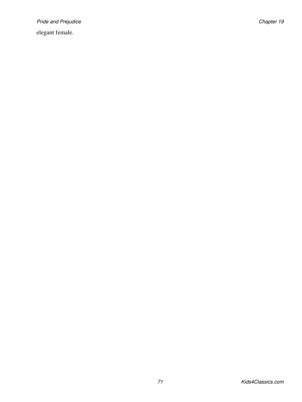Pride and Prejudice **Chapter 19** and Prejudice Chapter 19

elegant female.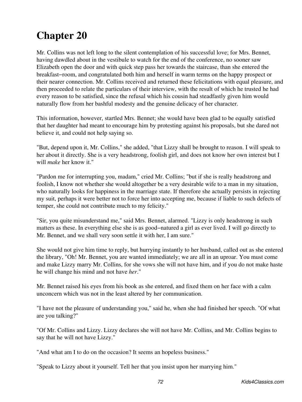Mr. Collins was not left long to the silent contemplation of his successful love; for Mrs. Bennet, having dawdled about in the vestibule to watch for the end of the conference, no sooner saw Elizabeth open the door and with quick step pass her towards the staircase, than she entered the breakfast−room, and congratulated both him and herself in warm terms on the happy prospect or their nearer connection. Mr. Collins received and returned these felicitations with equal pleasure, and then proceeded to relate the particulars of their interview, with the result of which he trusted he had every reason to be satisfied, since the refusal which his cousin had steadfastly given him would naturally flow from her bashful modesty and the genuine delicacy of her character.

This information, however, startled Mrs. Bennet; she would have been glad to be equally satisfied that her daughter had meant to encourage him by protesting against his proposals, but she dared not believe it, and could not help saying so.

"But, depend upon it, Mr. Collins," she added, "that Lizzy shall be brought to reason. I will speak to her about it directly. She is a very headstrong, foolish girl, and does not know her own interest but I will *make* her know it."

"Pardon me for interrupting you, madam," cried Mr. Collins; "but if she is really headstrong and foolish, I know not whether she would altogether be a very desirable wife to a man in my situation, who naturally looks for happiness in the marriage state. If therefore she actually persists in rejecting my suit, perhaps it were better not to force her into accepting me, because if liable to such defects of temper, she could not contribute much to my felicity."

"Sir, you quite misunderstand me," said Mrs. Bennet, alarmed. "Lizzy is only headstrong in such matters as these. In everything else she is as good−natured a girl as ever lived. I will go directly to Mr. Bennet, and we shall very soon settle it with her, I am sure."

She would not give him time to reply, but hurrying instantly to her husband, called out as she entered the library, "Oh! Mr. Bennet, you are wanted immediately; we are all in an uproar. You must come and make Lizzy marry Mr. Collins, for she vows she will not have him, and if you do not make haste he will change his mind and not have *her*."

Mr. Bennet raised his eyes from his book as she entered, and fixed them on her face with a calm unconcern which was not in the least altered by her communication.

"I have not the pleasure of understanding you," said he, when she had finished her speech. "Of what are you talking?"

"Of Mr. Collins and Lizzy. Lizzy declares she will not have Mr. Collins, and Mr. Collins begins to say that he will not have Lizzy."

"And what am I to do on the occasion? It seems an hopeless business."

"Speak to Lizzy about it yourself. Tell her that you insist upon her marrying him."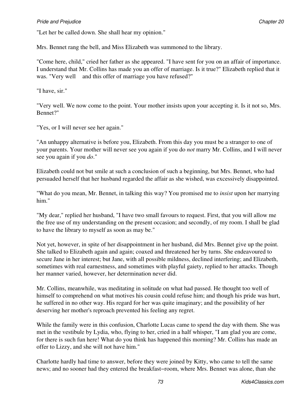"Let her be called down. She shall hear my opinion."

Mrs. Bennet rang the bell, and Miss Elizabeth was summoned to the library.

"Come here, child," cried her father as she appeared. "I have sent for you on an affair of importance. I understand that Mr. Collins has made you an offer of marriage. Is it true?" Elizabeth replied that it was. "Very well and this offer of marriage you have refused?"

"I have, sir."

"Very well. We now come to the point. Your mother insists upon your accepting it. Is it not so, Mrs. Bennet?"

"Yes, or I will never see her again."

"An unhappy alternative is before you, Elizabeth. From this day you must be a stranger to one of your parents. Your mother will never see you again if you do *not* marry Mr. Collins, and I will never see you again if you *do*."

Elizabeth could not but smile at such a conclusion of such a beginning, but Mrs. Bennet, who had persuaded herself that her husband regarded the affair as she wished, was excessively disappointed.

"What do you mean, Mr. Bennet, in talking this way? You promised me to *insist* upon her marrying him."

"My dear," replied her husband, "I have two small favours to request. First, that you will allow me the free use of my understanding on the present occasion; and secondly, of my room. I shall be glad to have the library to myself as soon as may be."

Not yet, however, in spite of her disappointment in her husband, did Mrs. Bennet give up the point. She talked to Elizabeth again and again; coaxed and threatened her by turns. She endeavoured to secure Jane in her interest; but Jane, with all possible mildness, declined interfering; and Elizabeth, sometimes with real earnestness, and sometimes with playful gaiety, replied to her attacks. Though her manner varied, however, her determination never did.

Mr. Collins, meanwhile, was meditating in solitude on what had passed. He thought too well of himself to comprehend on what motives his cousin could refuse him; and though his pride was hurt, he suffered in no other way. His regard for her was quite imaginary; and the possibility of her deserving her mother's reproach prevented his feeling any regret.

While the family were in this confusion, Charlotte Lucas came to spend the day with them. She was met in the vestibule by Lydia, who, flying to her, cried in a half whisper, "I am glad you are come, for there is such fun here! What do you think has happened this morning? Mr. Collins has made an offer to Lizzy, and she will not have him."

Charlotte hardly had time to answer, before they were joined by Kitty, who came to tell the same news; and no sooner had they entered the breakfast−room, where Mrs. Bennet was alone, than she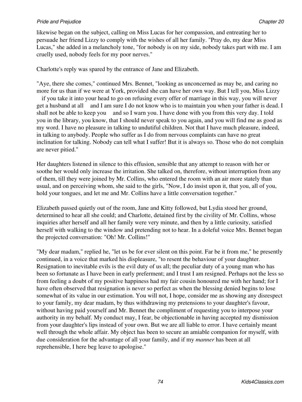likewise began on the subject, calling on Miss Lucas for her compassion, and entreating her to persuade her friend Lizzy to comply with the wishes of all her family. "Pray do, my dear Miss Lucas," she added in a melancholy tone, "for nobody is on my side, nobody takes part with me. I am cruelly used, nobody feels for my poor nerves."

Charlotte's reply was spared by the entrance of Jane and Elizabeth.

"Aye, there she comes," continued Mrs. Bennet, "looking as unconcerned as may be, and caring no more for us than if we were at York, provided she can have her own way. But I tell you, Miss Lizzy

 if you take it into your head to go on refusing every offer of marriage in this way, you will never get a husband at all and I am sure I do not know who is to maintain you when your father is dead. I shall not be able to keep you and so I warn you. I have done with you from this very day. I told you in the library, you know, that I should never speak to you again, and you will find me as good as my word. I have no pleasure in talking to undutiful children. Not that I have much pleasure, indeed, in talking to anybody. People who suffer as I do from nervous complaints can have no great inclination for talking. Nobody can tell what I suffer! But it is always so. Those who do not complain are never pitied."

Her daughters listened in silence to this effusion, sensible that any attempt to reason with her or soothe her would only increase the irritation. She talked on, therefore, without interruption from any of them, till they were joined by Mr. Collins, who entered the room with an air more stately than usual, and on perceiving whom, she said to the girls, "Now, I do insist upon it, that you, all of you, hold your tongues, and let me and Mr. Collins have a little conversation together."

Elizabeth passed quietly out of the room, Jane and Kitty followed, but Lydia stood her ground, determined to hear all she could; and Charlotte, detained first by the civility of Mr. Collins, whose inquiries after herself and all her family were very minute, and then by a little curiosity, satisfied herself with walking to the window and pretending not to hear. In a doleful voice Mrs. Bennet began the projected conversation: "Oh! Mr. Collins!"

"My dear madam," replied he, "let us be for ever silent on this point. Far be it from me," he presently continued, in a voice that marked his displeasure, "to resent the behaviour of your daughter. Resignation to inevitable evils is the evil duty of us all; the peculiar duty of a young man who has been so fortunate as I have been in early preferment; and I trust I am resigned. Perhaps not the less so from feeling a doubt of my positive happiness had my fair cousin honoured me with her hand; for I have often observed that resignation is never so perfect as when the blessing denied begins to lose somewhat of its value in our estimation. You will not, I hope, consider me as showing any disrespect to your family, my dear madam, by thus withdrawing my pretensions to your daughter's favour, without having paid yourself and Mr. Bennet the compliment of requesting you to interpose your authority in my behalf. My conduct may, I fear, be objectionable in having accepted my dismission from your daughter's lips instead of your own. But we are all liable to error. I have certainly meant well through the whole affair. My object has been to secure an amiable companion for myself, with due consideration for the advantage of all your family, and if my *manner* has been at all reprehensible, I here beg leave to apologise."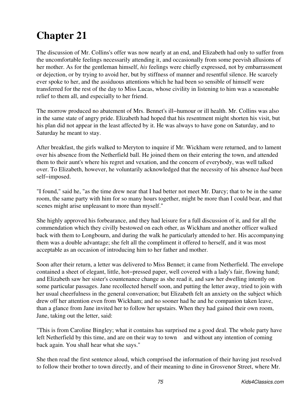The discussion of Mr. Collins's offer was now nearly at an end, and Elizabeth had only to suffer from the uncomfortable feelings necessarily attending it, and occasionally from some peevish allusions of her mother. As for the gentleman himself, *his* feelings were chiefly expressed, not by embarrassment or dejection, or by trying to avoid her, but by stiffness of manner and resentful silence. He scarcely ever spoke to her, and the assiduous attentions which he had been so sensible of himself were transferred for the rest of the day to Miss Lucas, whose civility in listening to him was a seasonable relief to them all, and especially to her friend.

The morrow produced no abatement of Mrs. Bennet's ill−humour or ill health. Mr. Collins was also in the same state of angry pride. Elizabeth had hoped that his resentment might shorten his visit, but his plan did not appear in the least affected by it. He was always to have gone on Saturday, and to Saturday he meant to stay.

After breakfast, the girls walked to Meryton to inquire if Mr. Wickham were returned, and to lament over his absence from the Netherfield ball. He joined them on their entering the town, and attended them to their aunt's where his regret and vexation, and the concern of everybody, was well talked over. To Elizabeth, however, he voluntarily acknowledged that the necessity of his absence *had* been self−imposed.

"I found," said he, "as the time drew near that I had better not meet Mr. Darcy; that to be in the same room, the same party with him for so many hours together, might be more than I could bear, and that scenes might arise unpleasant to more than myself."

She highly approved his forbearance, and they had leisure for a full discussion of it, and for all the commendation which they civilly bestowed on each other, as Wickham and another officer walked back with them to Longbourn, and during the walk he particularly attended to her. His accompanying them was a double advantage; she felt all the compliment it offered to herself, and it was most acceptable as an occasion of introducing him to her father and mother.

Soon after their return, a letter was delivered to Miss Bennet; it came from Netherfield. The envelope contained a sheet of elegant, little, hot−pressed paper, well covered with a lady's fair, flowing hand; and Elizabeth saw her sister's countenance change as she read it, and saw her dwelling intently on some particular passages. Jane recollected herself soon, and putting the letter away, tried to join with her usual cheerfulness in the general conversation; but Elizabeth felt an anxiety on the subject which drew off her attention even from Wickham; and no sooner had he and he companion taken leave, than a glance from Jane invited her to follow her upstairs. When they had gained their own room, Jane, taking out the letter, said:

"This is from Caroline Bingley; what it contains has surprised me a good deal. The whole party have left Netherfield by this time, and are on their way to town and without any intention of coming back again. You shall hear what she says."

She then read the first sentence aloud, which comprised the information of their having just resolved to follow their brother to town directly, and of their meaning to dine in Grosvenor Street, where Mr.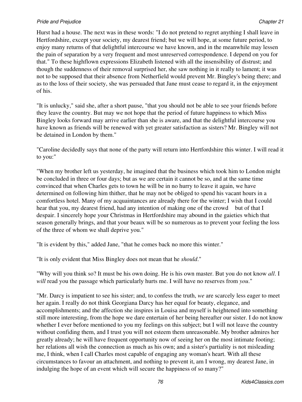Hurst had a house. The next was in these words: "I do not pretend to regret anything I shall leave in Hertfordshire, except your society, my dearest friend; but we will hope, at some future period, to enjoy many returns of that delightful intercourse we have known, and in the meanwhile may lessen the pain of separation by a very frequent and most unreserved correspondence. I depend on you for that." To these highflown expressions Elizabeth listened with all the insensibility of distrust; and though the suddenness of their removal surprised her, she saw nothing in it really to lament; it was not to be supposed that their absence from Netherfield would prevent Mr. Bingley's being there; and as to the loss of their society, she was persuaded that Jane must cease to regard it, in the enjoyment of his.

"It is unlucky," said she, after a short pause, "that you should not be able to see your friends before they leave the country. But may we not hope that the period of future happiness to which Miss Bingley looks forward may arrive earlier than she is aware, and that the delightful intercourse you have known as friends will be renewed with yet greater satisfaction as sisters? Mr. Bingley will not be detained in London by them."

"Caroline decidedly says that none of the party will return into Hertfordshire this winter. I will read it to you:"

"When my brother left us yesterday, he imagined that the business which took him to London might be concluded in three or four days; but as we are certain it cannot be so, and at the same time convinced that when Charles gets to town he will be in no hurry to leave it again, we have determined on following him thither, that he may not be obliged to spend his vacant hours in a comfortless hotel. Many of my acquaintances are already there for the winter; I wish that I could hear that you, my dearest friend, had any intention of making one of the crowd but of that I despair. I sincerely hope your Christmas in Hertfordshire may abound in the gaieties which that season generally brings, and that your beaux will be so numerous as to prevent your feeling the loss of the three of whom we shall deprive you."

"It is evident by this," added Jane, "that he comes back no more this winter."

"It is only evident that Miss Bingley does not mean that he *should*."

"Why will you think so? It must be his own doing. He is his own master. But you do not know *all*. I *will* read you the passage which particularly hurts me. I will have no reserves from *you*."

"Mr. Darcy is impatient to see his sister; and, to confess the truth, *we* are scarcely less eager to meet her again. I really do not think Georgiana Darcy has her equal for beauty, elegance, and accomplishments; and the affection she inspires in Louisa and myself is heightened into something still more interesting, from the hope we dare entertain of her being hereafter our sister. I do not know whether I ever before mentioned to you my feelings on this subject; but I will not leave the country without confiding them, and I trust you will not esteem them unreasonable. My brother admires her greatly already; he will have frequent opportunity now of seeing her on the most intimate footing; her relations all wish the connection as much as his own; and a sister's partiality is not misleading me, I think, when I call Charles most capable of engaging any woman's heart. With all these circumstances to favour an attachment, and nothing to prevent it, am I wrong, my dearest Jane, in indulging the hope of an event which will secure the happiness of so many?"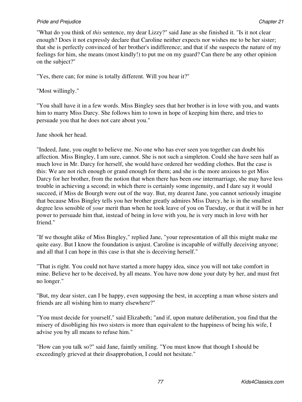"What do you think of *this* sentence, my dear Lizzy?" said Jane as she finished it. "Is it not clear enough? Does it not expressly declare that Caroline neither expects nor wishes me to be her sister; that she is perfectly convinced of her brother's indifference; and that if she suspects the nature of my feelings for him, she means (most kindly!) to put me on my guard? Can there be any other opinion on the subject?"

"Yes, there can; for mine is totally different. Will you hear it?"

"Most willingly."

"You shall have it in a few words. Miss Bingley sees that her brother is in love with you, and wants him to marry Miss Darcy. She follows him to town in hope of keeping him there, and tries to persuade you that he does not care about you."

Jane shook her head.

"Indeed, Jane, you ought to believe me. No one who has ever seen you together can doubt his affection. Miss Bingley, I am sure, cannot. She is not such a simpleton. Could she have seen half as much love in Mr. Darcy for herself, she would have ordered her wedding clothes. But the case is this: We are not rich enough or grand enough for them; and she is the more anxious to get Miss Darcy for her brother, from the notion that when there has been *one* intermarriage, she may have less trouble in achieving a second; in which there is certainly some ingenuity, and I dare say it would succeed, if Miss de Bourgh were out of the way. But, my dearest Jane, you cannot seriously imagine that because Miss Bingley tells you her brother greatly admires Miss Darcy, he is in the smallest degree less sensible of *your* merit than when he took leave of you on Tuesday, or that it will be in her power to persuade him that, instead of being in love with you, he is very much in love with her friend."

"If we thought alike of Miss Bingley," replied Jane, "your representation of all this might make me quite easy. But I know the foundation is unjust. Caroline is incapable of wilfully deceiving anyone; and all that I can hope in this case is that she is deceiving herself."

"That is right. You could not have started a more happy idea, since you will not take comfort in mine. Believe her to be deceived, by all means. You have now done your duty by her, and must fret no longer."

"But, my dear sister, can I be happy, even supposing the best, in accepting a man whose sisters and friends are all wishing him to marry elsewhere?"

"You must decide for yourself," said Elizabeth; "and if, upon mature deliberation, you find that the misery of disobliging his two sisters is more than equivalent to the happiness of being his wife, I advise you by all means to refuse him."

"How can you talk so?" said Jane, faintly smiling. "You must know that though I should be exceedingly grieved at their disapprobation, I could not hesitate."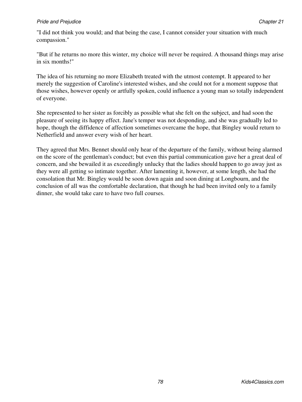"I did not think you would; and that being the case, I cannot consider your situation with much compassion."

"But if he returns no more this winter, my choice will never be required. A thousand things may arise in six months!"

The idea of his returning no more Elizabeth treated with the utmost contempt. It appeared to her merely the suggestion of Caroline's interested wishes, and she could not for a moment suppose that those wishes, however openly or artfully spoken, could influence a young man so totally independent of everyone.

She represented to her sister as forcibly as possible what she felt on the subject, and had soon the pleasure of seeing its happy effect. Jane's temper was not desponding, and she was gradually led to hope, though the diffidence of affection sometimes overcame the hope, that Bingley would return to Netherfield and answer every wish of her heart.

They agreed that Mrs. Bennet should only hear of the departure of the family, without being alarmed on the score of the gentleman's conduct; but even this partial communication gave her a great deal of concern, and she bewailed it as exceedingly unlucky that the ladies should happen to go away just as they were all getting so intimate together. After lamenting it, however, at some length, she had the consolation that Mr. Bingley would be soon down again and soon dining at Longbourn, and the conclusion of all was the comfortable declaration, that though he had been invited only to a family dinner, she would take care to have two full courses.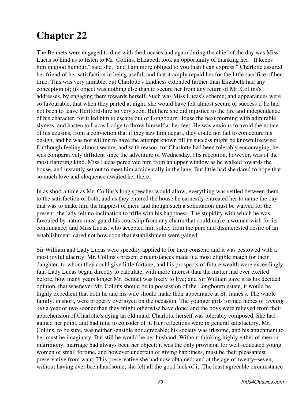The Bennets were engaged to dine with the Lucases and again during the chief of the day was Miss Lucas so kind as to listen to Mr. Collins. Elizabeth took an opportunity of thanking her. "It keeps him in good humour," said she, "and I am more obliged to you than I can express." Charlotte assured her friend of her satisfaction in being useful, and that it amply repaid her for the little sacrifice of her time. This was very amiable, but Charlotte's kindness extended farther than Elizabeth had any conception of; its object was nothing else than to secure her from any return of Mr. Collins's addresses, by engaging them towards herself. Such was Miss Lucas's scheme; and appearances were so favourable, that when they parted at night, she would have felt almost secure of success if he had not been to leave Hertfordshire so very soon. But here she did injustice to the fire and independence of his character, for it led him to escape out of Longbourn House the next morning with admirable slyness, and hasten to Lucas Lodge to throw himself at her feet. He was anxious to avoid the notice of his cousins, from a conviction that if they saw him depart, they could not fail to conjecture his design, and he was not willing to have the attempt known till its success might be known likewise; for though feeling almost secure, and with reason, for Charlotte had been tolerably encouraging, he was comparatively diffident since the adventure of Wednesday. His reception, however, was of the most flattering kind. Miss Lucas perceived him from an upper window as he walked towards the house, and instantly set out to meet him accidentally in the lane. But little had she dared to hope that so much love and eloquence awaited her there.

In as short a time as Mr. Collins's long speeches would allow, everything was settled between them to the satisfaction of both; and as they entered the house he earnestly entreated her to name the day that was to make him the happiest of men; and though such a solicitation must be waived for the present, the lady felt no inclination to trifle with his happiness. The stupidity with which he was favoured by nature must guard his courtship from any charm that could make a woman wish for its continuance; and Miss Lucas, who accepted him solely from the pure and disinterested desire of an establishment, cared not how soon that establishment were gained.

Sir William and Lady Lucas were speedily applied to for their consent; and it was bestowed with a most joyful alacrity. Mr. Collins's present circumstances made it a most eligible match for their daughter, to whom they could give little fortune; and his prospects of future wealth were exceedingly fair. Lady Lucas began directly to calculate, with more interest than the matter had ever excited before, how many years longer Mr. Bennet was likely to live; and Sir William gave it as his decided opinion, that whenever Mr. Collins should be in possession of the Longbourn estate, it would be highly expedient that both he and his wife should make their appearance at St. James's. The whole family, in short, were properly overjoyed on the occasion. The younger girls formed hopes of *coming out* a year or two sooner than they might otherwise have done; and the boys were relieved from their apprehension of Charlotte's dying an old maid. Charlotte herself was tolerably composed. She had gained her point, and had time to consider of it. Her reflections were in general satisfactory. Mr. Collins, to be sure, was neither sensible nor agreeable; his society was irksome, and his attachment to her must be imaginary. But still he would be her husband. Without thinking highly either of men or matrimony, marriage had always been her object; it was the only provision for well−educated young women of small fortune, and however uncertain of giving happiness, must be their pleasantest preservative from want. This preservative she had now obtained; and at the age of twenty−seven, without having ever been handsome, she felt all the good luck of it. The least agreeable circumstance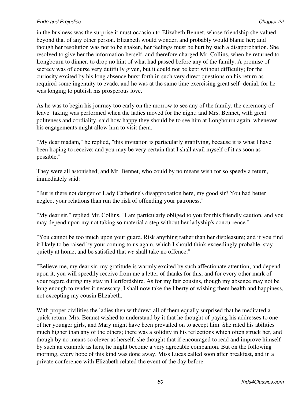#### **Pride and Prejudice Chapter 22** Chapter 22 Chapter 22

in the business was the surprise it must occasion to Elizabeth Bennet, whose friendship she valued beyond that of any other person. Elizabeth would wonder, and probably would blame her; and though her resolution was not to be shaken, her feelings must be hurt by such a disapprobation. She resolved to give her the information herself, and therefore charged Mr. Collins, when he returned to Longbourn to dinner, to drop no hint of what had passed before any of the family. A promise of secrecy was of course very dutifully given, but it could not be kept without difficulty; for the curiosity excited by his long absence burst forth in such very direct questions on his return as required some ingenuity to evade, and he was at the same time exercising great self−denial, for he was longing to publish his prosperous love.

As he was to begin his journey too early on the morrow to see any of the family, the ceremony of leave−taking was performed when the ladies moved for the night; and Mrs. Bennet, with great politeness and cordiality, said how happy they should be to see him at Longbourn again, whenever his engagements might allow him to visit them.

"My dear madam," he replied, "this invitation is particularly gratifying, because it is what I have been hoping to receive; and you may be very certain that I shall avail myself of it as soon as possible."

They were all astonished; and Mr. Bennet, who could by no means wish for so speedy a return, immediately said:

"But is there not danger of Lady Catherine's disapprobation here, my good sir? You had better neglect your relations than run the risk of offending your patroness."

"My dear sir," replied Mr. Collins, "I am particularly obliged to you for this friendly caution, and you may depend upon my not taking so material a step without her ladyship's concurrence."

"You cannot be too much upon your guard. Risk anything rather than her displeasure; and if you find it likely to be raised by your coming to us again, which I should think exceedingly probable, stay quietly at home, and be satisfied that *we* shall take no offence."

"Believe me, my dear sir, my gratitude is warmly excited by such affectionate attention; and depend upon it, you will speedily receive from me a letter of thanks for this, and for every other mark of your regard during my stay in Hertfordshire. As for my fair cousins, though my absence may not be long enough to render it necessary, I shall now take the liberty of wishing them health and happiness, not excepting my cousin Elizabeth."

With proper civilities the ladies then withdrew; all of them equally surprised that he meditated a quick return. Mrs. Bennet wished to understand by it that he thought of paying his addresses to one of her younger girls, and Mary might have been prevailed on to accept him. She rated his abilities much higher than any of the others; there was a solidity in his reflections which often struck her, and though by no means so clever as herself, she thought that if encouraged to read and improve himself by such an example as hers, he might become a very agreeable companion. But on the following morning, every hope of this kind was done away. Miss Lucas called soon after breakfast, and in a private conference with Elizabeth related the event of the day before.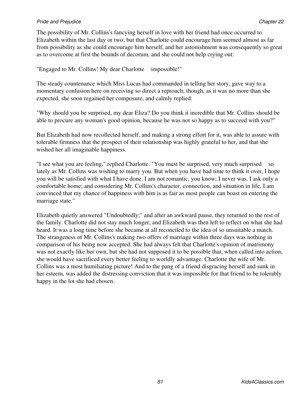#### **Pride and Prejudice Chapter 22** Chapter 22 Chapter 22

The possibility of Mr. Collins's fancying herself in love with her friend had once occurred to Elizabeth within the last day or two; but that Charlotte could encourage him seemed almost as far from possibility as she could encourage him herself, and her astonishment was consequently so great as to overcome at first the bounds of decorum, and she could not help crying out:

"Engaged to Mr. Collins! My dear Charlotte impossible!"

The steady countenance which Miss Lucas had commanded in telling her story, gave way to a momentary confusion here on receiving so direct a reproach; though, as it was no more than she expected, she soon regained her composure, and calmly replied:

"Why should you be surprised, my dear Eliza? Do you think it incredible that Mr. Collins should be able to procure any woman's good opinion, because he was not so happy as to succeed with you?"

But Elizabeth had now recollected herself, and making a strong effort for it, was able to assure with tolerable firmness that the prospect of their relationship was highly grateful to her, and that she wished her all imaginable happiness.

"I see what you are feeling," replied Charlotte. "You must be surprised, very much surprised so lately as Mr. Collins was wishing to marry you. But when you have had time to think it over, I hope you will be satisfied with what I have done. I am not romantic, you know; I never was. I ask only a comfortable home; and considering Mr. Collins's character, connection, and situation in life, I am convinced that my chance of happiness with him is as fair as most people can boast on entering the marriage state."

Elizabeth quietly answered "Undoubtedly;" and after an awkward pause, they returned to the rest of the family. Charlotte did not stay much longer, and Elizabeth was then left to reflect on what she had heard. It was a long time before she became at all reconciled to the idea of so unsuitable a match. The strangeness of Mr. Collins's making two offers of marriage within three days was nothing in comparison of his being now accepted. She had always felt that Charlotte's opinion of matrimony was not exactly like her own, but she had not supposed it to be possible that, when called into action, she would have sacrificed every better feeling to worldly advantage. Charlotte the wife of Mr. Collins was a most humiliating picture! And to the pang of a friend disgracing herself and sunk in her esteem, was added the distressing conviction that it was impossible for that friend to be tolerably happy in the lot she had chosen.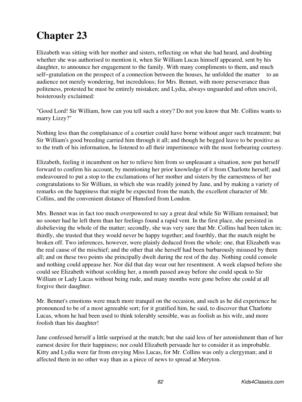Elizabeth was sitting with her mother and sisters, reflecting on what she had heard, and doubting whether she was authorised to mention it, when Sir William Lucas himself appeared, sent by his daughter, to announce her engagement to the family. With many compliments to them, and much self–gratulation on the prospect of a connection between the houses, he unfolded the matter to an audience not merely wondering, but incredulous; for Mrs. Bennet, with more perseverance than politeness, protested he must be entirely mistaken; and Lydia, always unguarded and often uncivil, boisterously exclaimed:

"Good Lord! Sir William, how can you tell such a story? Do not you know that Mr. Collins wants to marry Lizzy?"

Nothing less than the complaisance of a courtier could have borne without anger such treatment; but Sir William's good breeding carried him through it all; and though he begged leave to be positive as to the truth of his information, he listened to all their impertinence with the most forbearing courtesy.

Elizabeth, feeling it incumbent on her to relieve him from so unpleasant a situation, now put herself forward to confirm his account, by mentioning her prior knowledge of it from Charlotte herself; and endeavoured to put a stop to the exclamations of her mother and sisters by the earnestness of her congratulations to Sir William, in which she was readily joined by Jane, and by making a variety of remarks on the happiness that might be expected from the match, the excellent character of Mr. Collins, and the convenient distance of Hunsford from London.

Mrs. Bennet was in fact too much overpowered to say a great deal while Sir William remained; but no sooner had he left them than her feelings found a rapid vent. In the first place, she persisted in disbelieving the whole of the matter; secondly, she was very sure that Mr. Collins had been taken in; thirdly, she trusted that they would never be happy together; and fourthly, that the match might be broken off. Two inferences, however, were plainly deduced from the whole: one, that Elizabeth was the real cause of the mischief; and the other that she herself had been barbarously misused by them all; and on these two points she principally dwelt during the rest of the day. Nothing could console and nothing could appease her. Nor did that day wear out her resentment. A week elapsed before she could see Elizabeth without scolding her, a month passed away before she could speak to Sir William or Lady Lucas without being rude, and many months were gone before she could at all forgive their daughter.

Mr. Bennet's emotions were much more tranquil on the occasion, and such as he did experience he pronounced to be of a most agreeable sort; for it gratified him, he said, to discover that Charlotte Lucas, whom he had been used to think tolerably sensible, was as foolish as his wife, and more foolish than his daughter!

Jane confessed herself a little surprised at the match; but she said less of her astonishment than of her earnest desire for their happiness; nor could Elizabeth persuade her to consider it as improbable. Kitty and Lydia were far from envying Miss Lucas, for Mr. Collins was only a clergyman; and it affected them in no other way than as a piece of news to spread at Meryton.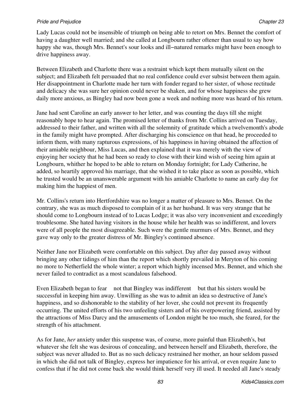Lady Lucas could not be insensible of triumph on being able to retort on Mrs. Bennet the comfort of having a daughter well married; and she called at Longbourn rather oftener than usual to say how happy she was, though Mrs. Bennet's sour looks and ill−natured remarks might have been enough to drive happiness away.

Between Elizabeth and Charlotte there was a restraint which kept them mutually silent on the subject; and Elizabeth felt persuaded that no real confidence could ever subsist between them again. Her disappointment in Charlotte made her turn with fonder regard to her sister, of whose rectitude and delicacy she was sure her opinion could never be shaken, and for whose happiness she grew daily more anxious, as Bingley had now been gone a week and nothing more was heard of his return.

Jane had sent Caroline an early answer to her letter, and was counting the days till she might reasonably hope to hear again. The promised letter of thanks from Mr. Collins arrived on Tuesday, addressed to their father, and written with all the solemnity of gratitude which a twelvemonth's abode in the family might have prompted. After discharging his conscience on that head, he proceeded to inform them, with many rapturous expressions, of his happiness in having obtained the affection of their amiable neighbour, Miss Lucas, and then explained that it was merely with the view of enjoying her society that he had been so ready to close with their kind wish of seeing him again at Longbourn, whither he hoped to be able to return on Monday fortnight; for Lady Catherine, he added, so heartily approved his marriage, that she wished it to take place as soon as possible, which he trusted would be an unanswerable argument with his amiable Charlotte to name an early day for making him the happiest of men.

Mr. Collins's return into Hertfordshire was no longer a matter of pleasure to Mrs. Bennet. On the contrary, she was as much disposed to complain of it as her husband. It was very strange that he should come to Longbourn instead of to Lucas Lodge; it was also very inconvenient and exceedingly troublesome. She hated having visitors in the house while her health was so indifferent, and lovers were of all people the most disagreeable. Such were the gentle murmurs of Mrs. Bennet, and they gave way only to the greater distress of Mr. Bingley's continued absence.

Neither Jane nor Elizabeth were comfortable on this subject. Day after day passed away without bringing any other tidings of him than the report which shortly prevailed in Meryton of his coming no more to Netherfield the whole winter; a report which highly incensed Mrs. Bennet, and which she never failed to contradict as a most scandalous falsehood.

Even Elizabeth began to fear not that Bingley was indifferent but that his sisters would be successful in keeping him away. Unwilling as she was to admit an idea so destructive of Jane's happiness, and so dishonorable to the stability of her lover, she could not prevent its frequently occurring. The united efforts of his two unfeeling sisters and of his overpowering friend, assisted by the attractions of Miss Darcy and the amusements of London might be too much, she feared, for the strength of his attachment.

As for Jane, *her* anxiety under this suspense was, of course, more painful than Elizabeth's, but whatever she felt she was desirous of concealing, and between herself and Elizabeth, therefore, the subject was never alluded to. But as no such delicacy restrained her mother, an hour seldom passed in which she did not talk of Bingley, express her impatience for his arrival, or even require Jane to confess that if he did not come back she would think herself very ill used. It needed all Jane's steady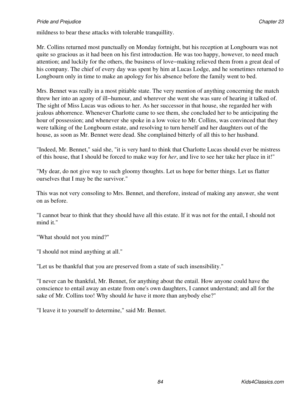mildness to bear these attacks with tolerable tranquillity.

Mr. Collins returned most punctually on Monday fortnight, but his reception at Longbourn was not quite so gracious as it had been on his first introduction. He was too happy, however, to need much attention; and luckily for the others, the business of love−making relieved them from a great deal of his company. The chief of every day was spent by him at Lucas Lodge, and he sometimes returned to Longbourn only in time to make an apology for his absence before the family went to bed.

Mrs. Bennet was really in a most pitiable state. The very mention of anything concerning the match threw her into an agony of ill−humour, and wherever she went she was sure of hearing it talked of. The sight of Miss Lucas was odious to her. As her successor in that house, she regarded her with jealous abhorrence. Whenever Charlotte came to see them, she concluded her to be anticipating the hour of possession; and whenever she spoke in a low voice to Mr. Collins, was convinced that they were talking of the Longbourn estate, and resolving to turn herself and her daughters out of the house, as soon as Mr. Bennet were dead. She complained bitterly of all this to her husband.

"Indeed, Mr. Bennet," said she, "it is very hard to think that Charlotte Lucas should ever be mistress of this house, that I should be forced to make way for *her*, and live to see her take her place in it!"

"My dear, do not give way to such gloomy thoughts. Let us hope for better things. Let us flatter ourselves that I may be the survivor."

This was not very consoling to Mrs. Bennet, and therefore, instead of making any answer, she went on as before.

"I cannot bear to think that they should have all this estate. If it was not for the entail, I should not mind it."

"What should not you mind?"

"I should not mind anything at all."

"Let us be thankful that you are preserved from a state of such insensibility."

"I never can be thankful, Mr. Bennet, for anything about the entail. How anyone could have the conscience to entail away an estate from one's own daughters, I cannot understand; and all for the sake of Mr. Collins too! Why should *he* have it more than anybody else?"

"I leave it to yourself to determine," said Mr. Bennet.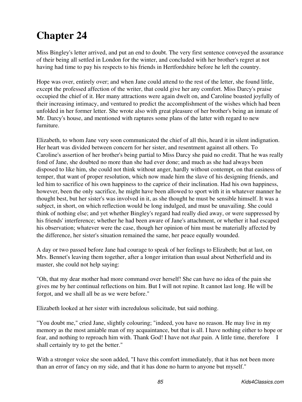Miss Bingley's letter arrived, and put an end to doubt. The very first sentence conveyed the assurance of their being all settled in London for the winter, and concluded with her brother's regret at not having had time to pay his respects to his friends in Hertfordshire before he left the country.

Hope was over, entirely over; and when Jane could attend to the rest of the letter, she found little, except the professed affection of the writer, that could give her any comfort. Miss Darcy's praise occupied the chief of it. Her many attractions were again dwelt on, and Caroline boasted joyfully of their increasing intimacy, and ventured to predict the accomplishment of the wishes which had been unfolded in her former letter. She wrote also with great pleasure of her brother's being an inmate of Mr. Darcy's house, and mentioned with raptures some plans of the latter with regard to new furniture.

Elizabeth, to whom Jane very soon communicated the chief of all this, heard it in silent indignation. Her heart was divided between concern for her sister, and resentment against all others. To Caroline's assertion of her brother's being partial to Miss Darcy she paid no credit. That he was really fond of Jane, she doubted no more than she had ever done; and much as she had always been disposed to like him, she could not think without anger, hardly without contempt, on that easiness of temper, that want of proper resolution, which now made him the slave of his designing friends, and led him to sacrifice of his own happiness to the caprice of their inclination. Had his own happiness, however, been the only sacrifice, he might have been allowed to sport with it in whatever manner he thought best, but her sister's was involved in it, as she thought he must be sensible himself. It was a subject, in short, on which reflection would be long indulged, and must be unavailing. She could think of nothing else; and yet whether Bingley's regard had really died away, or were suppressed by his friends' interference; whether he had been aware of Jane's attachment, or whether it had escaped his observation; whatever were the case, though her opinion of him must be materially affected by the difference, her sister's situation remained the same, her peace equally wounded.

A day or two passed before Jane had courage to speak of her feelings to Elizabeth; but at last, on Mrs. Bennet's leaving them together, after a longer irritation than usual about Netherfield and its master, she could not help saying:

"Oh, that my dear mother had more command over herself! She can have no idea of the pain she gives me by her continual reflections on him. But I will not repine. It cannot last long. He will be forgot, and we shall all be as we were before."

Elizabeth looked at her sister with incredulous solicitude, but said nothing.

"You doubt me," cried Jane, slightly colouring; "indeed, you have no reason. He may live in my memory as the most amiable man of my acquaintance, but that is all. I have nothing either to hope or fear, and nothing to reproach him with. Thank God! I have not *that* pain. A little time, therefore I shall certainly try to get the better."

With a stronger voice she soon added, "I have this comfort immediately, that it has not been more than an error of fancy on my side, and that it has done no harm to anyone but myself."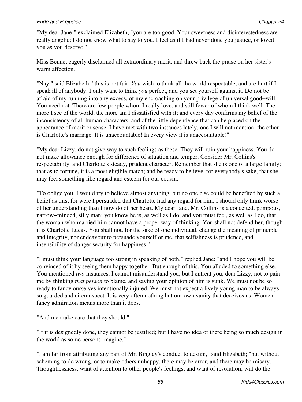"My dear Jane!" exclaimed Elizabeth, "you are too good. Your sweetness and disinterestedness are really angelic; I do not know what to say to you. I feel as if I had never done you justice, or loved you as you deserve."

Miss Bennet eagerly disclaimed all extraordinary merit, and threw back the praise on her sister's warm affection.

"Nay," said Elizabeth, "this is not fair. *You* wish to think all the world respectable, and are hurt if I speak ill of anybody. I only want to think *you* perfect, and you set yourself against it. Do not be afraid of my running into any excess, of my encroaching on your privilege of universal good−will. You need not. There are few people whom I really love, and still fewer of whom I think well. The more I see of the world, the more am I dissatisfied with it; and every day confirms my belief of the inconsistency of all human characters, and of the little dependence that can be placed on the appearance of merit or sense. I have met with two instances lately, one I will not mention; the other is Charlotte's marriage. It is unaccountable! In every view it is unaccountable!"

"My dear Lizzy, do not give way to such feelings as these. They will ruin your happiness. You do not make allowance enough for difference of situation and temper. Consider Mr. Collins's respectability, and Charlotte's steady, prudent character. Remember that she is one of a large family; that as to fortune, it is a most eligible match; and be ready to believe, for everybody's sake, that she may feel something like regard and esteem for our cousin."

"To oblige you, I would try to believe almost anything, but no one else could be benefited by such a belief as this; for were I persuaded that Charlotte had any regard for him, I should only think worse of her understanding than I now do of her heart. My dear Jane, Mr. Collins is a conceited, pompous, narrow−minded, silly man; you know he is, as well as I do; and you must feel, as well as I do, that the woman who married him cannot have a proper way of thinking. You shall not defend her, though it is Charlotte Lucas. You shall not, for the sake of one individual, change the meaning of principle and integrity, nor endeavour to persuade yourself or me, that selfishness is prudence, and insensibility of danger security for happiness."

"I must think your language too strong in speaking of both," replied Jane; "and I hope you will be convinced of it by seeing them happy together. But enough of this. You alluded to something else. You mentioned *two* instances. I cannot misunderstand you, but I entreat you, dear Lizzy, not to pain me by thinking *that person* to blame, and saying your opinion of him is sunk. We must not be so ready to fancy ourselves intentionally injured. We must not expect a lively young man to be always so guarded and circumspect. It is very often nothing but our own vanity that deceives us. Women fancy admiration means more than it does."

"And men take care that they should."

"If it is designedly done, they cannot be justified; but I have no idea of there being so much design in the world as some persons imagine."

"I am far from attributing any part of Mr. Bingley's conduct to design," said Elizabeth; "but without scheming to do wrong, or to make others unhappy, there may be error, and there may be misery. Thoughtlessness, want of attention to other people's feelings, and want of resolution, will do the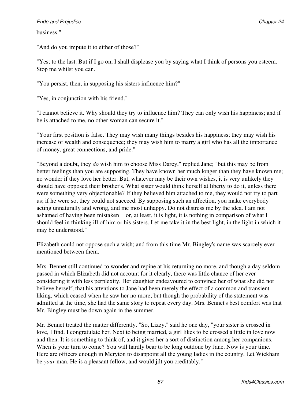### business."

"And do you impute it to either of those?"

"Yes; to the last. But if I go on, I shall displease you by saying what I think of persons you esteem. Stop me whilst you can."

"You persist, then, in supposing his sisters influence him?"

"Yes, in conjunction with his friend."

"I cannot believe it. Why should they try to influence him? They can only wish his happiness; and if he is attached to me, no other woman can secure it."

"Your first position is false. They may wish many things besides his happiness; they may wish his increase of wealth and consequence; they may wish him to marry a girl who has all the importance of money, great connections, and pride."

"Beyond a doubt, they *do* wish him to choose Miss Darcy," replied Jane; "but this may be from better feelings than you are supposing. They have known her much longer than they have known me; no wonder if they love her better. But, whatever may be their own wishes, it is very unlikely they should have opposed their brother's. What sister would think herself at liberty to do it, unless there were something very objectionable? If they believed him attached to me, they would not try to part us; if he were so, they could not succeed. By supposing such an affection, you make everybody acting unnaturally and wrong, and me most unhappy. Do not distress me by the idea. I am not ashamed of having been mistaken or, at least, it is light, it is nothing in comparison of what I should feel in thinking ill of him or his sisters. Let me take it in the best light, in the light in which it may be understood."

Elizabeth could not oppose such a wish; and from this time Mr. Bingley's name was scarcely ever mentioned between them.

Mrs. Bennet still continued to wonder and repine at his returning no more, and though a day seldom passed in which Elizabeth did not account for it clearly, there was little chance of her ever considering it with less perplexity. Her daughter endeavoured to convince her of what she did not believe herself, that his attentions to Jane had been merely the effect of a common and transient liking, which ceased when he saw her no more; but though the probability of the statement was admitted at the time, she had the same story to repeat every day. Mrs. Bennet's best comfort was that Mr. Bingley must be down again in the summer.

Mr. Bennet treated the matter differently. "So, Lizzy," said he one day, "your sister is crossed in love, I find. I congratulate her. Next to being married, a girl likes to be crossed a little in love now and then. It is something to think of, and it gives her a sort of distinction among her companions. When is your turn to come? You will hardly bear to be long outdone by Jane. Now is your time. Here are officers enough in Meryton to disappoint all the young ladies in the country. Let Wickham be *your* man. He is a pleasant fellow, and would jilt you creditably."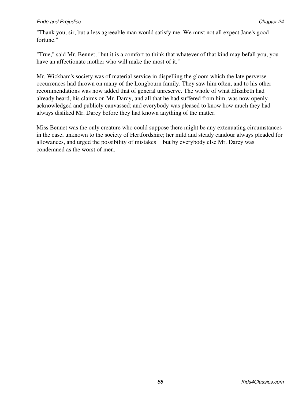"Thank you, sir, but a less agreeable man would satisfy me. We must not all expect Jane's good fortune."

"True," said Mr. Bennet, "but it is a comfort to think that whatever of that kind may befall you, you have an affectionate mother who will make the most of it."

Mr. Wickham's society was of material service in dispelling the gloom which the late perverse occurrences had thrown on many of the Longbourn family. They saw him often, and to his other recommendations was now added that of general unreserve. The whole of what Elizabeth had already heard, his claims on Mr. Darcy, and all that he had suffered from him, was now openly acknowledged and publicly canvassed; and everybody was pleased to know how much they had always disliked Mr. Darcy before they had known anything of the matter.

Miss Bennet was the only creature who could suppose there might be any extenuating circumstances in the case, unknown to the society of Hertfordshire; her mild and steady candour always pleaded for allowances, and urged the possibility of mistakes but by everybody else Mr. Darcy was condemned as the worst of men.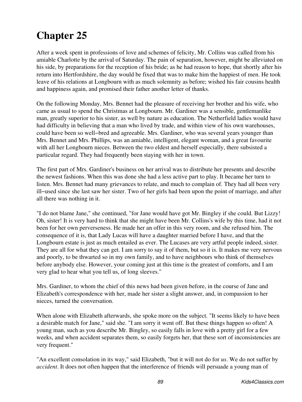After a week spent in professions of love and schemes of felicity, Mr. Collins was called from his amiable Charlotte by the arrival of Saturday. The pain of separation, however, might be alleviated on his side, by preparations for the reception of his bride; as he had reason to hope, that shortly after his return into Hertfordshire, the day would be fixed that was to make him the happiest of men. He took leave of his relations at Longbourn with as much solemnity as before; wished his fair cousins health and happiness again, and promised their father another letter of thanks.

On the following Monday, Mrs. Bennet had the pleasure of receiving her brother and his wife, who came as usual to spend the Christmas at Longbourn. Mr. Gardiner was a sensible, gentlemanlike man, greatly superior to his sister, as well by nature as education. The Netherfield ladies would have had difficulty in believing that a man who lived by trade, and within view of his own warehouses, could have been so well−bred and agreeable. Mrs. Gardiner, who was several years younger than Mrs. Bennet and Mrs. Phillips, was an amiable, intelligent, elegant woman, and a great favourite with all her Longbourn nieces. Between the two eldest and herself especially, there subsisted a particular regard. They had frequently been staying with her in town.

The first part of Mrs. Gardiner's business on her arrival was to distribute her presents and describe the newest fashions. When this was done she had a less active part to play. It became her turn to listen. Mrs. Bennet had many grievances to relate, and much to complain of. They had all been very ill−used since she last saw her sister. Two of her girls had been upon the point of marriage, and after all there was nothing in it.

"I do not blame Jane," she continued, "for Jane would have got Mr. Bingley if she could. But Lizzy! Oh, sister! It is very hard to think that she might have been Mr. Collins's wife by this time, had it not been for her own perverseness. He made her an offer in this very room, and she refused him. The consequence of it is, that Lady Lucas will have a daughter married before I have, and that the Longbourn estate is just as much entailed as ever. The Lucases are very artful people indeed, sister. They are all for what they can get. I am sorry to say it of them, but so it is. It makes me very nervous and poorly, to be thwarted so in my own family, and to have neighbours who think of themselves before anybody else. However, your coming just at this time is the greatest of comforts, and I am very glad to hear what you tell us, of long sleeves."

Mrs. Gardiner, to whom the chief of this news had been given before, in the course of Jane and Elizabeth's correspondence with her, made her sister a slight answer, and, in compassion to her nieces, turned the conversation.

When alone with Elizabeth afterwards, she spoke more on the subject. "It seems likely to have been a desirable match for Jane," said she. "I am sorry it went off. But these things happen so often! A young man, such as you describe Mr. Bingley, so easily falls in love with a pretty girl for a few weeks, and when accident separates them, so easily forgets her, that these sort of inconsistencies are very frequent."

"An excellent consolation in its way," said Elizabeth, "but it will not do for *us*. We do not suffer by *accident*. It does not often happen that the interference of friends will persuade a young man of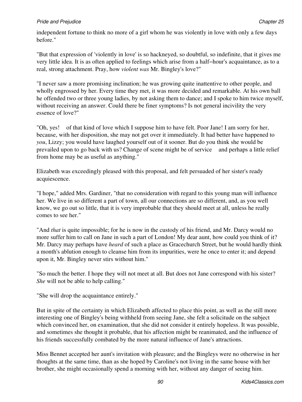independent fortune to think no more of a girl whom he was violently in love with only a few days before."

"But that expression of 'violently in love' is so hackneyed, so doubtful, so indefinite, that it gives me very little idea. It is as often applied to feelings which arise from a half−hour's acquaintance, as to a real, strong attachment. Pray, how *violent was* Mr. Bingley's love?"

"I never saw a more promising inclination; he was growing quite inattentive to other people, and wholly engrossed by her. Every time they met, it was more decided and remarkable. At his own ball he offended two or three young ladies, by not asking them to dance; and I spoke to him twice myself, without receiving an answer. Could there be finer symptoms? Is not general incivility the very essence of love?"

"Oh, yes! of that kind of love which I suppose him to have felt. Poor Jane! I am sorry for her, because, with her disposition, she may not get over it immediately. It had better have happened to *you*, Lizzy; you would have laughed yourself out of it sooner. But do you think she would be prevailed upon to go back with us? Change of scene might be of service and perhaps a little relief from home may be as useful as anything."

Elizabeth was exceedingly pleased with this proposal, and felt persuaded of her sister's ready acquiescence.

"I hope," added Mrs. Gardiner, "that no consideration with regard to this young man will influence her. We live in so different a part of town, all our connections are so different, and, as you well know, we go out so little, that it is very improbable that they should meet at all, unless he really comes to see her."

"And *that* is quite impossible; for he is now in the custody of his friend, and Mr. Darcy would no more suffer him to call on Jane in such a part of London! My dear aunt, how could you think of it? Mr. Darcy may perhaps have *heard* of such a place as Gracechurch Street, but he would hardly think a month's ablution enough to cleanse him from its impurities, were he once to enter it; and depend upon it, Mr. Bingley never stirs without him."

"So much the better. I hope they will not meet at all. But does not Jane correspond with his sister? *She* will not be able to help calling."

"She will drop the acquaintance entirely."

But in spite of the certainty in which Elizabeth affected to place this point, as well as the still more interesting one of Bingley's being withheld from seeing Jane, she felt a solicitude on the subject which convinced her, on examination, that she did not consider it entirely hopeless. It was possible, and sometimes she thought it probable, that his affection might be reanimated, and the influence of his friends successfully combated by the more natural influence of Jane's attractions.

Miss Bennet accepted her aunt's invitation with pleasure; and the Bingleys were no otherwise in her thoughts at the same time, than as she hoped by Caroline's not living in the same house with her brother, she might occasionally spend a morning with her, without any danger of seeing him.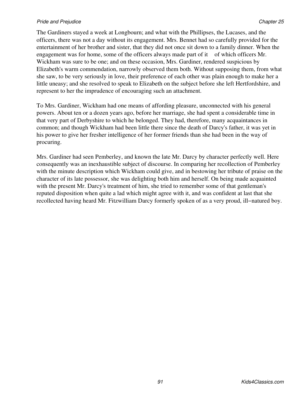The Gardiners stayed a week at Longbourn; and what with the Phillipses, the Lucases, and the officers, there was not a day without its engagement. Mrs. Bennet had so carefully provided for the entertainment of her brother and sister, that they did not once sit down to a family dinner. When the engagement was for home, some of the officers always made part of it of which officers Mr. Wickham was sure to be one; and on these occasion, Mrs. Gardiner, rendered suspicious by Elizabeth's warm commendation, narrowly observed them both. Without supposing them, from what she saw, to be very seriously in love, their preference of each other was plain enough to make her a little uneasy; and she resolved to speak to Elizabeth on the subject before she left Hertfordshire, and represent to her the imprudence of encouraging such an attachment.

To Mrs. Gardiner, Wickham had one means of affording pleasure, unconnected with his general powers. About ten or a dozen years ago, before her marriage, she had spent a considerable time in that very part of Derbyshire to which he belonged. They had, therefore, many acquaintances in common; and though Wickham had been little there since the death of Darcy's father, it was yet in his power to give her fresher intelligence of her former friends than she had been in the way of procuring.

Mrs. Gardiner had seen Pemberley, and known the late Mr. Darcy by character perfectly well. Here consequently was an inexhaustible subject of discourse. In comparing her recollection of Pemberley with the minute description which Wickham could give, and in bestowing her tribute of praise on the character of its late possessor, she was delighting both him and herself. On being made acquainted with the present Mr. Darcy's treatment of him, she tried to remember some of that gentleman's reputed disposition when quite a lad which might agree with it, and was confident at last that she recollected having heard Mr. Fitzwilliam Darcy formerly spoken of as a very proud, ill−natured boy.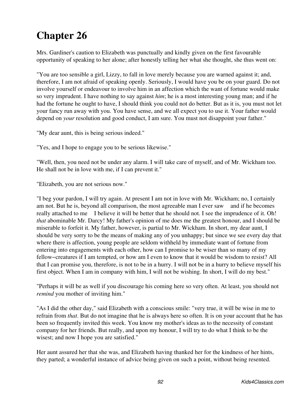Mrs. Gardiner's caution to Elizabeth was punctually and kindly given on the first favourable opportunity of speaking to her alone; after honestly telling her what she thought, she thus went on:

"You are too sensible a girl, Lizzy, to fall in love merely because you are warned against it; and, therefore, I am not afraid of speaking openly. Seriously, I would have you be on your guard. Do not involve yourself or endeavour to involve him in an affection which the want of fortune would make so very imprudent. I have nothing to say against *him*; he is a most interesting young man; and if he had the fortune he ought to have, I should think you could not do better. But as it is, you must not let your fancy run away with you. You have sense, and we all expect you to use it. Your father would depend on *your* resolution and good conduct, I am sure. You must not disappoint your father."

"My dear aunt, this is being serious indeed."

"Yes, and I hope to engage you to be serious likewise."

"Well, then, you need not be under any alarm. I will take care of myself, and of Mr. Wickham too. He shall not be in love with me, if I can prevent it."

"Elizabeth, you are not serious now."

"I beg your pardon, I will try again. At present I am not in love with Mr. Wickham; no, I certainly am not. But he is, beyond all comparison, the most agreeable man I ever saw and if he becomes really attached to me I believe it will be better that he should not. I see the imprudence of it. Oh! *that* abominable Mr. Darcy! My father's opinion of me does me the greatest honour, and I should be miserable to forfeit it. My father, however, is partial to Mr. Wickham. In short, my dear aunt, I should be very sorry to be the means of making any of you unhappy; but since we see every day that where there is affection, young people are seldom withheld by immediate want of fortune from entering into engagements with each other, how can I promise to be wiser than so many of my fellow−creatures if I am tempted, or how am I even to know that it would be wisdom to resist? All that I can promise you, therefore, is not to be in a hurry. I will not be in a hurry to believe myself his first object. When I am in company with him, I will not be wishing. In short, I will do my best."

"Perhaps it will be as well if you discourage his coming here so very often. At least, you should not *remind* you mother of inviting him."

"As I did the other day," said Elizabeth with a conscious smile: "very true, it will be wise in me to refrain from *that*. But do not imagine that he is always here so often. It is on your account that he has been so frequently invited this week. You know my mother's ideas as to the necessity of constant company for her friends. But really, and upon my honour, I will try to do what I think to be the wisest; and now I hope you are satisfied."

Her aunt assured her that she was, and Elizabeth having thanked her for the kindness of her hints, they parted; a wonderful instance of advice being given on such a point, without being resented.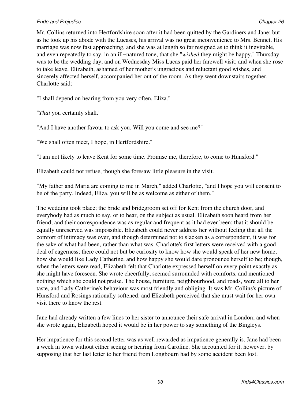Mr. Collins returned into Hertfordshire soon after it had been quitted by the Gardiners and Jane; but as he took up his abode with the Lucases, his arrival was no great inconvenience to Mrs. Bennet. His marriage was now fast approaching, and she was at length so far resigned as to think it inevitable, and even repeatedly to say, in an ill−natured tone, that she "*wished* they might be happy." Thursday was to be the wedding day, and on Wednesday Miss Lucas paid her farewell visit; and when she rose to take leave, Elizabeth, ashamed of her mother's ungracious and reluctant good wishes, and sincerely affected herself, accompanied her out of the room. As they went downstairs together, Charlotte said:

"I shall depend on hearing from you very often, Eliza."

"*That* you certainly shall."

"And I have another favour to ask you. Will you come and see me?"

"We shall often meet, I hope, in Hertfordshire."

"I am not likely to leave Kent for some time. Promise me, therefore, to come to Hunsford."

Elizabeth could not refuse, though she foresaw little pleasure in the visit.

"My father and Maria are coming to me in March," added Charlotte, "and I hope you will consent to be of the party. Indeed, Eliza, you will be as welcome as either of them."

The wedding took place; the bride and bridegroom set off for Kent from the church door, and everybody had as much to say, or to hear, on the subject as usual. Elizabeth soon heard from her friend; and their correspondence was as regular and frequent as it had ever been; that it should be equally unreserved was impossible. Elizabeth could never address her without feeling that all the comfort of intimacy was over, and though determined not to slacken as a correspondent, it was for the sake of what had been, rather than what was. Charlotte's first letters were received with a good deal of eagerness; there could not but be curiosity to know how she would speak of her new home, how she would like Lady Catherine, and how happy she would dare pronounce herself to be; though, when the letters were read, Elizabeth felt that Charlotte expressed herself on every point exactly as she might have foreseen. She wrote cheerfully, seemed surrounded with comforts, and mentioned nothing which she could not praise. The house, furniture, neighbourhood, and roads, were all to her taste, and Lady Catherine's behaviour was most friendly and obliging. It was Mr. Collins's picture of Hunsford and Rosings rationally softened; and Elizabeth perceived that she must wait for her own visit there to know the rest.

Jane had already written a few lines to her sister to announce their safe arrival in London; and when she wrote again, Elizabeth hoped it would be in her power to say something of the Bingleys.

Her impatience for this second letter was as well rewarded as impatience generally is. Jane had been a week in town without either seeing or hearing from Caroline. She accounted for it, however, by supposing that her last letter to her friend from Longbourn had by some accident been lost.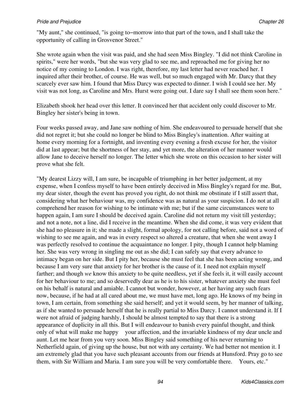"My aunt," she continued, "is going to−morrow into that part of the town, and I shall take the opportunity of calling in Grosvenor Street."

She wrote again when the visit was paid, and she had seen Miss Bingley. "I did not think Caroline in spirits," were her words, "but she was very glad to see me, and reproached me for giving her no notice of my coming to London. I was right, therefore, my last letter had never reached her. I inquired after their brother, of course. He was well, but so much engaged with Mr. Darcy that they scarcely ever saw him. I found that Miss Darcy was expected to dinner. I wish I could see her. My visit was not long, as Caroline and Mrs. Hurst were going out. I dare say I shall see them soon here."

Elizabeth shook her head over this letter. It convinced her that accident only could discover to Mr. Bingley her sister's being in town.

Four weeks passed away, and Jane saw nothing of him. She endeavoured to persuade herself that she did not regret it; but she could no longer be blind to Miss Bingley's inattention. After waiting at home every morning for a fortnight, and inventing every evening a fresh excuse for her, the visitor did at last appear; but the shortness of her stay, and yet more, the alteration of her manner would allow Jane to deceive herself no longer. The letter which she wrote on this occasion to her sister will prove what she felt.

"My dearest Lizzy will, I am sure, be incapable of triumphing in her better judgement, at my expense, when I confess myself to have been entirely deceived in Miss Bingley's regard for me. But, my dear sister, though the event has proved you right, do not think me obstinate if I still assert that, considering what her behaviour was, my confidence was as natural as your suspicion. I do not at all comprehend her reason for wishing to be intimate with me; but if the same circumstances were to happen again, I am sure I should be deceived again. Caroline did not return my visit till yesterday; and not a note, not a line, did I receive in the meantime. When she did come, it was very evident that she had no pleasure in it; she made a slight, formal apology, for not calling before, said not a word of wishing to see me again, and was in every respect so altered a creature, that when she went away I was perfectly resolved to continue the acquaintance no longer. I pity, though I cannot help blaming her. She was very wrong in singling me out as she did; I can safely say that every advance to intimacy began on her side. But I pity her, because she must feel that she has been acting wrong, and because I am very sure that anxiety for her brother is the cause of it. I need not explain myself farther; and though *we* know this anxiety to be quite needless, yet if she feels it, it will easily account for her behaviour to me; and so deservedly dear as he is to his sister, whatever anxiety she must feel on his behalf is natural and amiable. I cannot but wonder, however, at her having any such fears now, because, if he had at all cared about me, we must have met, long ago. He knows of my being in town, I am certain, from something she said herself; and yet it would seem, by her manner of talking, as if she wanted to persuade herself that he is really partial to Miss Darcy. I cannot understand it. If I were not afraid of judging harshly, I should be almost tempted to say that there is a strong appearance of duplicity in all this. But I will endeavour to banish every painful thought, and think only of what will make me happy your affection, and the invariable kindness of my dear uncle and aunt. Let me hear from you very soon. Miss Bingley said something of his never returning to Netherfield again, of giving up the house, but not with any certainty. We had better not mention it. I am extremely glad that you have such pleasant accounts from our friends at Hunsford. Pray go to see them, with Sir William and Maria. I am sure you will be very comfortable there. Yours, etc."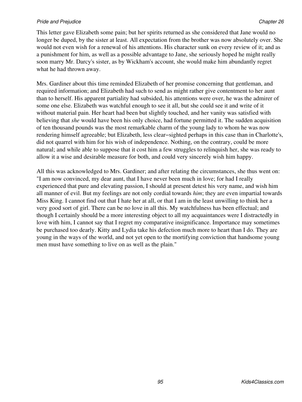This letter gave Elizabeth some pain; but her spirits returned as she considered that Jane would no longer be duped, by the sister at least. All expectation from the brother was now absolutely over. She would not even wish for a renewal of his attentions. His character sunk on every review of it; and as a punishment for him, as well as a possible advantage to Jane, she seriously hoped he might really soon marry Mr. Darcy's sister, as by Wickham's account, she would make him abundantly regret what he had thrown away.

Mrs. Gardiner about this time reminded Elizabeth of her promise concerning that gentleman, and required information; and Elizabeth had such to send as might rather give contentment to her aunt than to herself. His apparent partiality had subsided, his attentions were over, he was the admirer of some one else. Elizabeth was watchful enough to see it all, but she could see it and write of it without material pain. Her heart had been but slightly touched, and her vanity was satisfied with believing that *she* would have been his only choice, had fortune permitted it. The sudden acquisition of ten thousand pounds was the most remarkable charm of the young lady to whom he was now rendering himself agreeable; but Elizabeth, less clear−sighted perhaps in this case than in Charlotte's, did not quarrel with him for his wish of independence. Nothing, on the contrary, could be more natural; and while able to suppose that it cost him a few struggles to relinquish her, she was ready to allow it a wise and desirable measure for both, and could very sincerely wish him happy.

All this was acknowledged to Mrs. Gardiner; and after relating the circumstances, she thus went on: "I am now convinced, my dear aunt, that I have never been much in love; for had I really experienced that pure and elevating passion, I should at present detest his very name, and wish him all manner of evil. But my feelings are not only cordial towards *him*; they are even impartial towards Miss King. I cannot find out that I hate her at all, or that I am in the least unwilling to think her a very good sort of girl. There can be no love in all this. My watchfulness has been effectual; and though I certainly should be a more interesting object to all my acquaintances were I distractedly in love with him, I cannot say that I regret my comparative insignificance. Importance may sometimes be purchased too dearly. Kitty and Lydia take his defection much more to heart than I do. They are young in the ways of the world, and not yet open to the mortifying conviction that handsome young men must have something to live on as well as the plain."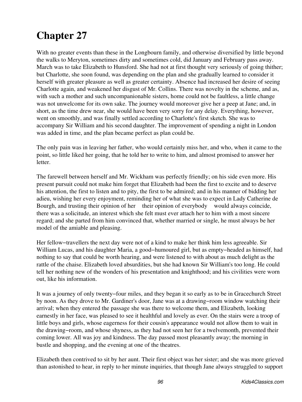With no greater events than these in the Longbourn family, and otherwise diversified by little beyond the walks to Meryton, sometimes dirty and sometimes cold, did January and February pass away. March was to take Elizabeth to Hunsford. She had not at first thought very seriously of going thither; but Charlotte, she soon found, was depending on the plan and she gradually learned to consider it herself with greater pleasure as well as greater certainty. Absence had increased her desire of seeing Charlotte again, and weakened her disgust of Mr. Collins. There was novelty in the scheme, and as, with such a mother and such uncompanionable sisters, home could not be faultless, a little change was not unwelcome for its own sake. The journey would moreover give her a peep at Jane; and, in short, as the time drew near, she would have been very sorry for any delay. Everything, however, went on smoothly, and was finally settled according to Charlotte's first sketch. She was to accompany Sir William and his second daughter. The improvement of spending a night in London was added in time, and the plan became perfect as plan could be.

The only pain was in leaving her father, who would certainly miss her, and who, when it came to the point, so little liked her going, that he told her to write to him, and almost promised to answer her letter.

The farewell between herself and Mr. Wickham was perfectly friendly; on his side even more. His present pursuit could not make him forget that Elizabeth had been the first to excite and to deserve his attention, the first to listen and to pity, the first to be admired; and in his manner of bidding her adieu, wishing her every enjoyment, reminding her of what she was to expect in Lady Catherine de Bourgh, and trusting their opinion of her their opinion of everybody would always coincide, there was a solicitude, an interest which she felt must ever attach her to him with a most sincere regard; and she parted from him convinced that, whether married or single, he must always be her model of the amiable and pleasing.

Her fellow–travellers the next day were not of a kind to make her think him less agreeable. Sir William Lucas, and his daughter Maria, a good−humoured girl, but as empty−headed as himself, had nothing to say that could be worth hearing, and were listened to with about as much delight as the rattle of the chaise. Elizabeth loved absurdities, but she had known Sir William's too long. He could tell her nothing new of the wonders of his presentation and knighthood; and his civilities were worn out, like his information.

It was a journey of only twenty−four miles, and they began it so early as to be in Gracechurch Street by noon. As they drove to Mr. Gardiner's door, Jane was at a drawing−room window watching their arrival; when they entered the passage she was there to welcome them, and Elizabeth, looking earnestly in her face, was pleased to see it healthful and lovely as ever. On the stairs were a troop of little boys and girls, whose eagerness for their cousin's appearance would not allow them to wait in the drawing−room, and whose shyness, as they had not seen her for a twelvemonth, prevented their coming lower. All was joy and kindness. The day passed most pleasantly away; the morning in bustle and shopping, and the evening at one of the theatres.

Elizabeth then contrived to sit by her aunt. Their first object was her sister; and she was more grieved than astonished to hear, in reply to her minute inquiries, that though Jane always struggled to support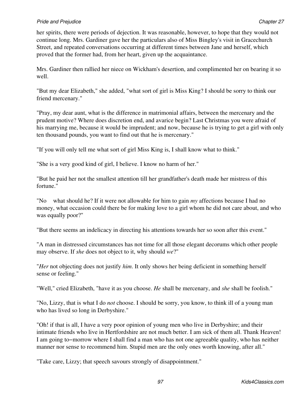#### **Pride and Prejudice Chapter 27 Chapter 27 Chapter 27 Chapter 27 Chapter 27**

her spirits, there were periods of dejection. It was reasonable, however, to hope that they would not continue long. Mrs. Gardiner gave her the particulars also of Miss Bingley's visit in Gracechurch Street, and repeated conversations occurring at different times between Jane and herself, which proved that the former had, from her heart, given up the acquaintance.

Mrs. Gardiner then rallied her niece on Wickham's desertion, and complimented her on bearing it so well.

"But my dear Elizabeth," she added, "what sort of girl is Miss King? I should be sorry to think our friend mercenary."

"Pray, my dear aunt, what is the difference in matrimonial affairs, between the mercenary and the prudent motive? Where does discretion end, and avarice begin? Last Christmas you were afraid of his marrying me, because it would be imprudent; and now, because he is trying to get a girl with only ten thousand pounds, you want to find out that he is mercenary."

"If you will only tell me what sort of girl Miss King is, I shall know what to think."

"She is a very good kind of girl, I believe. I know no harm of her."

"But he paid her not the smallest attention till her grandfather's death made her mistress of this fortune."

"No what should he? If it were not allowable for him to gain *my* affections because I had no money, what occasion could there be for making love to a girl whom he did not care about, and who was equally poor?"

"But there seems an indelicacy in directing his attentions towards her so soon after this event."

"A man in distressed circumstances has not time for all those elegant decorums which other people may observe. If *she* does not object to it, why should *we*?"

"*Her* not objecting does not justify *him*. It only shows her being deficient in something herself sense or feeling."

"Well," cried Elizabeth, "have it as you choose. *He* shall be mercenary, and *she* shall be foolish."

"No, Lizzy, that is what I do *not* choose. I should be sorry, you know, to think ill of a young man who has lived so long in Derbyshire."

"Oh! if that is all, I have a very poor opinion of young men who live in Derbyshire; and their intimate friends who live in Hertfordshire are not much better. I am sick of them all. Thank Heaven! I am going to−morrow where I shall find a man who has not one agreeable quality, who has neither manner nor sense to recommend him. Stupid men are the only ones worth knowing, after all."

"Take care, Lizzy; that speech savours strongly of disappointment."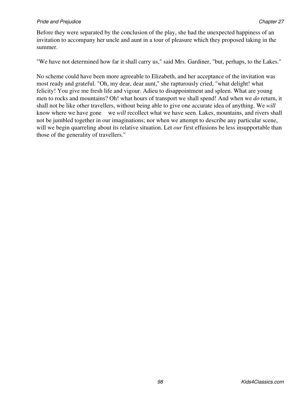#### *Pride and Prejudice* Chapter 27 **Chapter 27 Chapter 27 Chapter 27 Chapter 27**

Before they were separated by the conclusion of the play, she had the unexpected happiness of an invitation to accompany her uncle and aunt in a tour of pleasure which they proposed taking in the summer.

"We have not determined how far it shall carry us," said Mrs. Gardiner, "but, perhaps, to the Lakes."

No scheme could have been more agreeable to Elizabeth, and her acceptance of the invitation was most ready and grateful. "Oh, my dear, dear aunt," she rapturously cried, "what delight! what felicity! You give me fresh life and vigour. Adieu to disappointment and spleen. What are young men to rocks and mountains? Oh! what hours of transport we shall spend! And when we *do* return, it shall not be like other travellers, without being able to give one accurate idea of anything. We *will* know where we have gone we *will* recollect what we have seen. Lakes, mountains, and rivers shall not be jumbled together in our imaginations; nor when we attempt to describe any particular scene, will we begin quarreling about its relative situation. Let *our* first effusions be less insupportable than those of the generality of travellers."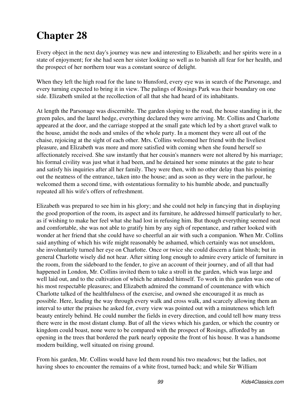Every object in the next day's journey was new and interesting to Elizabeth; and her spirits were in a state of enjoyment; for she had seen her sister looking so well as to banish all fear for her health, and the prospect of her northern tour was a constant source of delight.

When they left the high road for the lane to Hunsford, every eye was in search of the Parsonage, and every turning expected to bring it in view. The palings of Rosings Park was their boundary on one side. Elizabeth smiled at the recollection of all that she had heard of its inhabitants.

At length the Parsonage was discernible. The garden sloping to the road, the house standing in it, the green pales, and the laurel hedge, everything declared they were arriving. Mr. Collins and Charlotte appeared at the door, and the carriage stopped at the small gate which led by a short gravel walk to the house, amidst the nods and smiles of the whole party. In a moment they were all out of the chaise, rejoicing at the sight of each other. Mrs. Collins welcomed her friend with the liveliest pleasure, and Elizabeth was more and more satisfied with coming when she found herself so affectionately received. She saw instantly that her cousin's manners were not altered by his marriage; his formal civility was just what it had been, and he detained her some minutes at the gate to hear and satisfy his inquiries after all her family. They were then, with no other delay than his pointing out the neatness of the entrance, taken into the house; and as soon as they were in the parlour, he welcomed them a second time, with ostentatious formality to his humble abode, and punctually repeated all his wife's offers of refreshment.

Elizabeth was prepared to see him in his glory; and she could not help in fancying that in displaying the good proportion of the room, its aspect and its furniture, he addressed himself particularly to her, as if wishing to make her feel what she had lost in refusing him. But though everything seemed neat and comfortable, she was not able to gratify him by any sigh of repentance, and rather looked with wonder at her friend that she could have so cheerful an air with such a companion. When Mr. Collins said anything of which his wife might reasonably be ashamed, which certainly was not unseldom, she involuntarily turned her eye on Charlotte. Once or twice she could discern a faint blush; but in general Charlotte wisely did not hear. After sitting long enough to admire every article of furniture in the room, from the sideboard to the fender, to give an account of their journey, and of all that had happened in London, Mr. Collins invited them to take a stroll in the garden, which was large and well laid out, and to the cultivation of which he attended himself. To work in this garden was one of his most respectable pleasures; and Elizabeth admired the command of countenance with which Charlotte talked of the healthfulness of the exercise, and owned she encouraged it as much as possible. Here, leading the way through every walk and cross walk, and scarcely allowing them an interval to utter the praises he asked for, every view was pointed out with a minuteness which left beauty entirely behind. He could number the fields in every direction, and could tell how many tress there were in the most distant clump. But of all the views which his garden, or which the country or kingdom could boast, none were to be compared with the prospect of Rosings, afforded by an opening in the trees that bordered the park nearly opposite the front of his house. It was a handsome modern building, well situated on rising ground.

From his garden, Mr. Collins would have led them round his two meadows; but the ladies, not having shoes to encounter the remains of a white frost, turned back; and while Sir William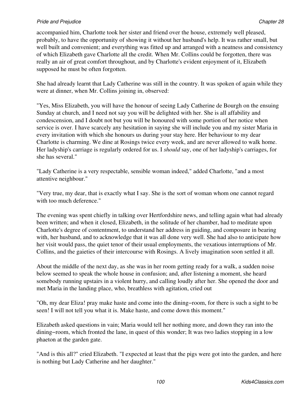accompanied him, Charlotte took her sister and friend over the house, extremely well pleased, probably, to have the opportunity of showing it without her husband's help. It was rather small, but well built and convenient; and everything was fitted up and arranged with a neatness and consistency of which Elizabeth gave Charlotte all the credit. When Mr. Collins could be forgotten, there was really an air of great comfort throughout, and by Charlotte's evident enjoyment of it, Elizabeth supposed he must be often forgotten.

She had already learnt that Lady Catherine was still in the country. It was spoken of again while they were at dinner, when Mr. Collins joining in, observed:

"Yes, Miss Elizabeth, you will have the honour of seeing Lady Catherine de Bourgh on the ensuing Sunday at church, and I need not say you will be delighted with her. She is all affability and condescension, and I doubt not but you will be honoured with some portion of her notice when service is over. I have scarcely any hesitation in saying she will include you and my sister Maria in every invitation with which she honours us during your stay here. Her behaviour to my dear Charlotte is charming. We dine at Rosings twice every week, and are never allowed to walk home. Her ladyship's carriage is regularly ordered for us. I *should* say, one of her ladyship's carriages, for she has several."

"Lady Catherine is a very respectable, sensible woman indeed," added Charlotte, "and a most attentive neighbour."

"Very true, my dear, that is exactly what I say. She is the sort of woman whom one cannot regard with too much deference."

The evening was spent chiefly in talking over Hertfordshire news, and telling again what had already been written; and when it closed, Elizabeth, in the solitude of her chamber, had to meditate upon Charlotte's degree of contentment, to understand her address in guiding, and composure in bearing with, her husband, and to acknowledge that it was all done very well. She had also to anticipate how her visit would pass, the quiet tenor of their usual employments, the vexatious interruptions of Mr. Collins, and the gaieties of their intercourse with Rosings. A lively imagination soon settled it all.

About the middle of the next day, as she was in her room getting ready for a walk, a sudden noise below seemed to speak the whole house in confusion; and, after listening a moment, she heard somebody running upstairs in a violent hurry, and calling loudly after her. She opened the door and met Maria in the landing place, who, breathless with agitation, cried out

"Oh, my dear Eliza! pray make haste and come into the dining−room, for there is such a sight to be seen! I will not tell you what it is. Make haste, and come down this moment."

Elizabeth asked questions in vain; Maria would tell her nothing more, and down they ran into the dining−room, which fronted the lane, in quest of this wonder; It was two ladies stopping in a low phaeton at the garden gate.

"And is this all?" cried Elizabeth. "I expected at least that the pigs were got into the garden, and here is nothing but Lady Catherine and her daughter."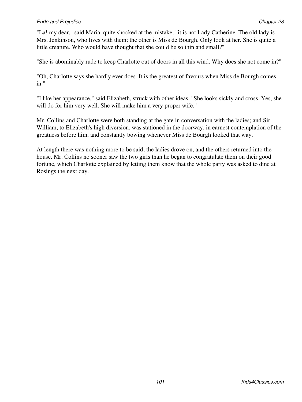"La! my dear," said Maria, quite shocked at the mistake, "it is not Lady Catherine. The old lady is Mrs. Jenkinson, who lives with them; the other is Miss de Bourgh. Only look at her. She is quite a little creature. Who would have thought that she could be so thin and small?"

"She is abominably rude to keep Charlotte out of doors in all this wind. Why does she not come in?"

"Oh, Charlotte says she hardly ever does. It is the greatest of favours when Miss de Bourgh comes in."

"I like her appearance," said Elizabeth, struck with other ideas. "She looks sickly and cross. Yes, she will do for him very well. She will make him a very proper wife."

Mr. Collins and Charlotte were both standing at the gate in conversation with the ladies; and Sir William, to Elizabeth's high diversion, was stationed in the doorway, in earnest contemplation of the greatness before him, and constantly bowing whenever Miss de Bourgh looked that way.

At length there was nothing more to be said; the ladies drove on, and the others returned into the house. Mr. Collins no sooner saw the two girls than he began to congratulate them on their good fortune, which Charlotte explained by letting them know that the whole party was asked to dine at Rosings the next day.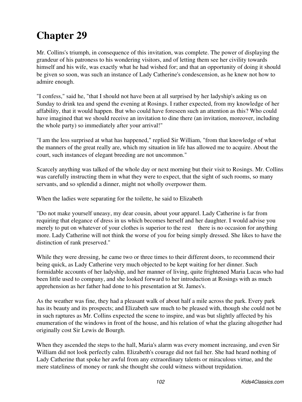Mr. Collins's triumph, in consequence of this invitation, was complete. The power of displaying the grandeur of his patroness to his wondering visitors, and of letting them see her civility towards himself and his wife, was exactly what he had wished for; and that an opportunity of doing it should be given so soon, was such an instance of Lady Catherine's condescension, as he knew not how to admire enough.

"I confess," said he, "that I should not have been at all surprised by her ladyship's asking us on Sunday to drink tea and spend the evening at Rosings. I rather expected, from my knowledge of her affability, that it would happen. But who could have foreseen such an attention as this? Who could have imagined that we should receive an invitation to dine there (an invitation, moreover, including the whole party) so immediately after your arrival!"

"I am the less surprised at what has happened," replied Sir William, "from that knowledge of what the manners of the great really are, which my situation in life has allowed me to acquire. About the court, such instances of elegant breeding are not uncommon."

Scarcely anything was talked of the whole day or next morning but their visit to Rosings. Mr. Collins was carefully instructing them in what they were to expect, that the sight of such rooms, so many servants, and so splendid a dinner, might not wholly overpower them.

When the ladies were separating for the toilette, he said to Elizabeth

"Do not make yourself uneasy, my dear cousin, about your apparel. Lady Catherine is far from requiring that elegance of dress in us which becomes herself and her daughter. I would advise you merely to put on whatever of your clothes is superior to the rest there is no occasion for anything more. Lady Catherine will not think the worse of you for being simply dressed. She likes to have the distinction of rank preserved."

While they were dressing, he came two or three times to their different doors, to recommend their being quick, as Lady Catherine very much objected to be kept waiting for her dinner. Such formidable accounts of her ladyship, and her manner of living, quite frightened Maria Lucas who had been little used to company, and she looked forward to her introduction at Rosings with as much apprehension as her father had done to his presentation at St. James's.

As the weather was fine, they had a pleasant walk of about half a mile across the park. Every park has its beauty and its prospects; and Elizabeth saw much to be pleased with, though she could not be in such raptures as Mr. Collins expected the scene to inspire, and was but slightly affected by his enumeration of the windows in front of the house, and his relation of what the glazing altogether had originally cost Sir Lewis de Bourgh.

When they ascended the steps to the hall, Maria's alarm was every moment increasing, and even Sir William did not look perfectly calm. Elizabeth's courage did not fail her. She had heard nothing of Lady Catherine that spoke her awful from any extraordinary talents or miraculous virtue, and the mere stateliness of money or rank she thought she could witness without trepidation.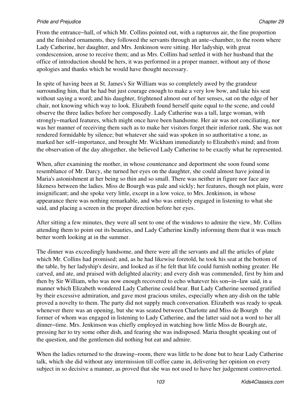From the entrance−hall, of which Mr. Collins pointed out, with a rapturous air, the fine proportion and the finished ornaments, they followed the servants through an ante−chamber, to the room where Lady Catherine, her daughter, and Mrs. Jenkinson were sitting. Her ladyship, with great condescension, arose to receive them; and as Mrs. Collins had settled it with her husband that the office of introduction should be hers, it was performed in a proper manner, without any of those apologies and thanks which he would have thought necessary.

In spite of having been at St. James's Sir William was so completely awed by the grandeur surrounding him, that he had but just courage enough to make a very low bow, and take his seat without saying a word; and his daughter, frightened almost out of her senses, sat on the edge of her chair, not knowing which way to look. Elizabeth found herself quite equal to the scene, and could observe the three ladies before her composedly. Lady Catherine was a tall, large woman, with strongly−marked features, which might once have been handsome. Her air was not conciliating, nor was her manner of receiving them such as to make her visitors forget their inferior rank. She was not rendered formidable by silence; but whatever she said was spoken in so authoritative a tone, as marked her self−importance, and brought Mr. Wickham immediately to Elizabeth's mind; and from the observation of the day altogether, she believed Lady Catherine to be exactly what he represented.

When, after examining the mother, in whose countenance and deportment she soon found some resemblance of Mr. Darcy, she turned her eyes on the daughter, she could almost have joined in Maria's astonishment at her being so thin and so small. There was neither in figure nor face any likeness between the ladies. Miss de Bourgh was pale and sickly; her features, though not plain, were insignificant; and she spoke very little, except in a low voice, to Mrs. Jenkinson, in whose appearance there was nothing remarkable, and who was entirely engaged in listening to what she said, and placing a screen in the proper direction before her eyes.

After sitting a few minutes, they were all sent to one of the windows to admire the view, Mr. Collins attending them to point out its beauties, and Lady Catherine kindly informing them that it was much better worth looking at in the summer.

The dinner was exceedingly handsome, and there were all the servants and all the articles of plate which Mr. Collins had promised; and, as he had likewise foretold, he took his seat at the bottom of the table, by her ladyship's desire, and looked as if he felt that life could furnish nothing greater. He carved, and ate, and praised with delighted alacrity; and every dish was commended, first by him and then by Sir William, who was now enough recovered to echo whatever his son−in−law said, in a manner which Elizabeth wondered Lady Catherine could bear. But Lady Catherine seemed gratified by their excessive admiration, and gave most gracious smiles, especially when any dish on the table proved a novelty to them. The party did not supply much conversation. Elizabeth was ready to speak whenever there was an opening, but she was seated between Charlotte and Miss de Bourgh the former of whom was engaged in listening to Lady Catherine, and the latter said not a word to her all dinner−time. Mrs. Jenkinson was chiefly employed in watching how little Miss de Bourgh ate, pressing her to try some other dish, and fearing she was indisposed. Maria thought speaking out of the question, and the gentlemen did nothing but eat and admire.

When the ladies returned to the drawing−room, there was little to be done but to hear Lady Catherine talk, which she did without any intermission till coffee came in, delivering her opinion on every subject in so decisive a manner, as proved that she was not used to have her judgement controverted.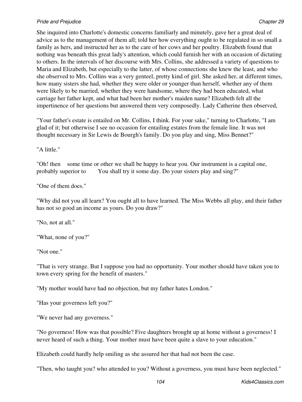She inquired into Charlotte's domestic concerns familiarly and minutely, gave her a great deal of advice as to the management of them all; told her how everything ought to be regulated in so small a family as hers, and instructed her as to the care of her cows and her poultry. Elizabeth found that nothing was beneath this great lady's attention, which could furnish her with an occasion of dictating to others. In the intervals of her discourse with Mrs. Collins, she addressed a variety of questions to Maria and Elizabeth, but especially to the latter, of whose connections she knew the least, and who she observed to Mrs. Collins was a very genteel, pretty kind of girl. She asked her, at different times, how many sisters she had, whether they were older or younger than herself, whether any of them were likely to be married, whether they were handsome, where they had been educated, what carriage her father kept, and what had been her mother's maiden name? Elizabeth felt all the impertinence of her questions but answered them very composedly. Lady Catherine then observed,

"Your father's estate is entailed on Mr. Collins, I think. For your sake," turning to Charlotte, "I am glad of it; but otherwise I see no occasion for entailing estates from the female line. It was not thought necessary in Sir Lewis de Bourgh's family. Do you play and sing, Miss Bennet?"

"A little."

"Oh! then some time or other we shall be happy to hear you. Our instrument is a capital one, probably superior to You shall try it some day. Do your sisters play and sing?"

"One of them does."

"Why did not you all learn? You ought all to have learned. The Miss Webbs all play, and their father has not so good an income as yours. Do you draw?"

"No, not at all."

"What, none of you?"

"Not one."

"That is very strange. But I suppose you had no opportunity. Your mother should have taken you to town every spring for the benefit of masters."

"My mother would have had no objection, but my father hates London."

"Has your governess left you?"

"We never had any governess."

"No governess! How was that possible? Five daughters brought up at home without a governess! I never heard of such a thing. Your mother must have been quite a slave to your education."

Elizabeth could hardly help smiling as she assured her that had not been the case.

"Then, who taught you? who attended to you? Without a governess, you must have been neglected."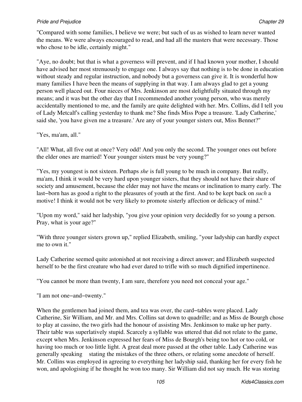"Compared with some families, I believe we were; but such of us as wished to learn never wanted the means. We were always encouraged to read, and had all the masters that were necessary. Those who chose to be idle, certainly might."

"Aye, no doubt; but that is what a governess will prevent, and if I had known your mother, I should have advised her most strenuously to engage one. I always say that nothing is to be done in education without steady and regular instruction, and nobody but a governess can give it. It is wonderful how many families I have been the means of supplying in that way. I am always glad to get a young person well placed out. Four nieces of Mrs. Jenkinson are most delightfully situated through my means; and it was but the other day that I recommended another young person, who was merely accidentally mentioned to me, and the family are quite delighted with her. Mrs. Collins, did I tell you of Lady Metcalf's calling yesterday to thank me? She finds Miss Pope a treasure. 'Lady Catherine,' said she, 'you have given me a treasure.' Are any of your younger sisters out, Miss Bennet?"

"Yes, ma'am, all."

"All! What, all five out at once? Very odd! And you only the second. The younger ones out before the elder ones are married! Your younger sisters must be very young?"

"Yes, my youngest is not sixteen. Perhaps *she* is full young to be much in company. But really, ma'am, I think it would be very hard upon younger sisters, that they should not have their share of society and amusement, because the elder may not have the means or inclination to marry early. The last−born has as good a right to the pleasures of youth at the first. And to be kept back on *such* a motive! I think it would not be very likely to promote sisterly affection or delicacy of mind."

"Upon my word," said her ladyship, "you give your opinion very decidedly for so young a person. Pray, what is your age?"

"With three younger sisters grown up," replied Elizabeth, smiling, "your ladyship can hardly expect me to own it."

Lady Catherine seemed quite astonished at not receiving a direct answer; and Elizabeth suspected herself to be the first creature who had ever dared to trifle with so much dignified impertinence.

"You cannot be more than twenty, I am sure, therefore you need not conceal your age."

"I am not one−and−twenty."

When the gentlemen had joined them, and tea was over, the card−tables were placed. Lady Catherine, Sir William, and Mr. and Mrs. Collins sat down to quadrille; and as Miss de Bourgh chose to play at cassino, the two girls had the honour of assisting Mrs. Jenkinson to make up her party. Their table was superlatively stupid. Scarcely a syllable was uttered that did not relate to the game, except when Mrs. Jenkinson expressed her fears of Miss de Bourgh's being too hot or too cold, or having too much or too little light. A great deal more passed at the other table. Lady Catherine was generally speaking stating the mistakes of the three others, or relating some anecdote of herself. Mr. Collins was employed in agreeing to everything her ladyship said, thanking her for every fish he won, and apologising if he thought he won too many. Sir William did not say much. He was storing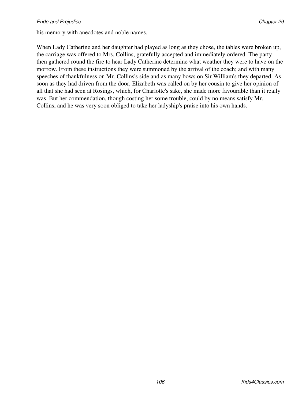his memory with anecdotes and noble names.

When Lady Catherine and her daughter had played as long as they chose, the tables were broken up, the carriage was offered to Mrs. Collins, gratefully accepted and immediately ordered. The party then gathered round the fire to hear Lady Catherine determine what weather they were to have on the morrow. From these instructions they were summoned by the arrival of the coach; and with many speeches of thankfulness on Mr. Collins's side and as many bows on Sir William's they departed. As soon as they had driven from the door, Elizabeth was called on by her cousin to give her opinion of all that she had seen at Rosings, which, for Charlotte's sake, she made more favourable than it really was. But her commendation, though costing her some trouble, could by no means satisfy Mr. Collins, and he was very soon obliged to take her ladyship's praise into his own hands.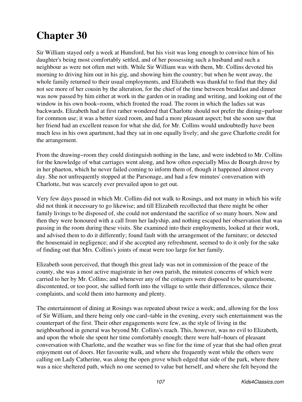Sir William stayed only a week at Hunsford, but his visit was long enough to convince him of his daughter's being most comfortably settled, and of her possessing such a husband and such a neighbour as were not often met with. While Sir William was with them, Mr. Collins devoted his morning to driving him out in his gig, and showing him the country; but when he went away, the whole family returned to their usual employments, and Elizabeth was thankful to find that they did not see more of her cousin by the alteration, for the chief of the time between breakfast and dinner was now passed by him either at work in the garden or in reading and writing, and looking out of the window in his own book−room, which fronted the road. The room in which the ladies sat was backwards. Elizabeth had at first rather wondered that Charlotte should not prefer the dining−parlour for common use; it was a better sized room, and had a more pleasant aspect; but she soon saw that her friend had an excellent reason for what she did, for Mr. Collins would undoubtedly have been much less in his own apartment, had they sat in one equally lively; and she gave Charlotte credit for the arrangement.

From the drawing−room they could distinguish nothing in the lane, and were indebted to Mr. Collins for the knowledge of what carriages went along, and how often especially Miss de Bourgh drove by in her phaeton, which he never failed coming to inform them of, though it happened almost every day. She not unfrequently stopped at the Parsonage, and had a few minutes' conversation with Charlotte, but was scarcely ever prevailed upon to get out.

Very few days passed in which Mr. Collins did not walk to Rosings, and not many in which his wife did not think it necessary to go likewise; and till Elizabeth recollected that there might be other family livings to be disposed of, she could not understand the sacrifice of so many hours. Now and then they were honoured with a call from her ladyship, and nothing escaped her observation that was passing in the room during these visits. She examined into their employments, looked at their work, and advised them to do it differently; found fault with the arrangement of the furniture; or detected the housemaid in negligence; and if she accepted any refreshment, seemed to do it only for the sake of finding out that Mrs. Collins's joints of meat were too large for her family.

Elizabeth soon perceived, that though this great lady was not in commission of the peace of the county, she was a most active magistrate in her own parish, the minutest concerns of which were carried to her by Mr. Collins; and whenever any of the cottagers were disposed to be quarrelsome, discontented, or too poor, she sallied forth into the village to settle their differences, silence their complaints, and scold them into harmony and plenty.

The entertainment of dining at Rosings was repeated about twice a week; and, allowing for the loss of Sir William, and there being only one card−table in the evening, every such entertainment was the counterpart of the first. Their other engagements were few, as the style of living in the neighbourhood in general was beyond Mr. Collins's reach. This, however, was no evil to Elizabeth, and upon the whole she spent her time comfortably enough; there were half−hours of pleasant conversation with Charlotte, and the weather was so fine for the time of year that she had often great enjoyment out of doors. Her favourite walk, and where she frequently went while the others were calling on Lady Catherine, was along the open grove which edged that side of the park, where there was a nice sheltered path, which no one seemed to value but herself, and where she felt beyond the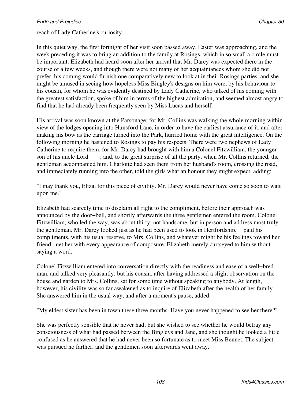In this quiet way, the first fortnight of her visit soon passed away. Easter was approaching, and the week preceding it was to bring an addition to the family at Rosings, which in so small a circle must be important. Elizabeth had heard soon after her arrival that Mr. Darcy was expected there in the course of a few weeks, and though there were not many of her acquaintances whom she did not prefer, his coming would furnish one comparatively new to look at in their Rosings parties, and she might be amused in seeing how hopeless Miss Bingley's designs on him were, by his behaviour to his cousin, for whom he was evidently destined by Lady Catherine, who talked of his coming with the greatest satisfaction, spoke of him in terms of the highest admiration, and seemed almost angry to find that he had already been frequently seen by Miss Lucas and herself.

His arrival was soon known at the Parsonage; for Mr. Collins was walking the whole morning within view of the lodges opening into Hunsford Lane, in order to have the earliest assurance of it, and after making his bow as the carriage turned into the Park, hurried home with the great intelligence. On the following morning he hastened to Rosings to pay his respects. There were two nephews of Lady Catherine to require them, for Mr. Darcy had brought with him a Colonel Fitzwilliam, the younger son of his uncle Lord , and, to the great surprise of all the party, when Mr. Collins returned, the gentleman accompanied him. Charlotte had seen them from her husband's room, crossing the road, and immediately running into the other, told the girls what an honour they might expect, adding:

"I may thank you, Eliza, for this piece of civility. Mr. Darcy would never have come so soon to wait upon me."

Elizabeth had scarcely time to disclaim all right to the compliment, before their approach was announced by the door−bell, and shortly afterwards the three gentlemen entered the room. Colonel Fitzwilliam, who led the way, was about thirty, not handsome, but in person and address most truly the gentleman. Mr. Darcy looked just as he had been used to look in Hertfordshire paid his compliments, with his usual reserve, to Mrs. Collins, and whatever might be his feelings toward her friend, met her with every appearance of composure. Elizabeth merely curtseyed to him without saying a word.

Colonel Fitzwilliam entered into conversation directly with the readiness and ease of a well−bred man, and talked very pleasantly; but his cousin, after having addressed a slight observation on the house and garden to Mrs. Collins, sat for some time without speaking to anybody. At length, however, his civility was so far awakened as to inquire of Elizabeth after the health of her family. She answered him in the usual way, and after a moment's pause, added:

"My eldest sister has been in town these three months. Have you never happened to see her there?"

She was perfectly sensible that he never had; but she wished to see whether he would betray any consciousness of what had passed between the Bingleys and Jane, and she thought he looked a little confused as he answered that he had never been so fortunate as to meet Miss Bennet. The subject was pursued no farther, and the gentlemen soon afterwards went away.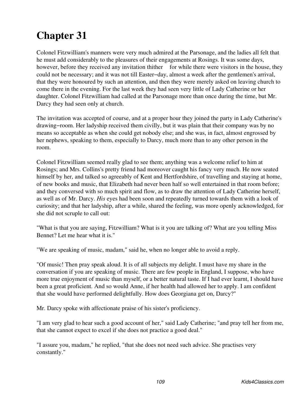Colonel Fitzwilliam's manners were very much admired at the Parsonage, and the ladies all felt that he must add considerably to the pleasures of their engagements at Rosings. It was some days, however, before they received any invitation thither for while there were visitors in the house, they could not be necessary; and it was not till Easter−day, almost a week after the gentlemen's arrival, that they were honoured by such an attention, and then they were merely asked on leaving church to come there in the evening. For the last week they had seen very little of Lady Catherine or her daughter. Colonel Fitzwilliam had called at the Parsonage more than once during the time, but Mr. Darcy they had seen only at church.

The invitation was accepted of course, and at a proper hour they joined the party in Lady Catherine's drawing−room. Her ladyship received them civilly, but it was plain that their company was by no means so acceptable as when she could get nobody else; and she was, in fact, almost engrossed by her nephews, speaking to them, especially to Darcy, much more than to any other person in the room.

Colonel Fitzwilliam seemed really glad to see them; anything was a welcome relief to him at Rosings; and Mrs. Collins's pretty friend had moreover caught his fancy very much. He now seated himself by her, and talked so agreeably of Kent and Hertfordshire, of travelling and staying at home, of new books and music, that Elizabeth had never been half so well entertained in that room before; and they conversed with so much spirit and flow, as to draw the attention of Lady Catherine herself, as well as of Mr. Darcy. *His* eyes had been soon and repeatedly turned towards them with a look of curiosity; and that her ladyship, after a while, shared the feeling, was more openly acknowledged, for she did not scruple to call out:

"What is that you are saying, Fitzwilliam? What is it you are talking of? What are you telling Miss Bennet? Let me hear what it is."

"We are speaking of music, madam," said he, when no longer able to avoid a reply.

"Of music! Then pray speak aloud. It is of all subjects my delight. I must have my share in the conversation if you are speaking of music. There are few people in England, I suppose, who have more true enjoyment of music than myself, or a better natural taste. If I had ever learnt, I should have been a great proficient. And so would Anne, if her health had allowed her to apply. I am confident that she would have performed delightfully. How does Georgiana get on, Darcy?"

Mr. Darcy spoke with affectionate praise of his sister's proficiency.

"I am very glad to hear such a good account of her," said Lady Catherine; "and pray tell her from me, that she cannot expect to excel if she does not practice a good deal."

"I assure you, madam," he replied, "that she does not need such advice. She practises very constantly."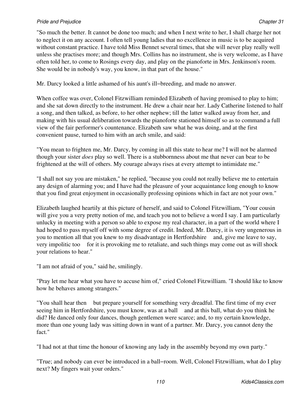"So much the better. It cannot be done too much; and when I next write to her, I shall charge her not to neglect it on any account. I often tell young ladies that no excellence in music is to be acquired without constant practice. I have told Miss Bennet several times, that she will never play really well unless she practises more; and though Mrs. Collins has no instrument, she is very welcome, as I have often told her, to come to Rosings every day, and play on the pianoforte in Mrs. Jenkinson's room. She would be in nobody's way, you know, in that part of the house."

Mr. Darcy looked a little ashamed of his aunt's ill−breeding, and made no answer.

When coffee was over, Colonel Fitzwilliam reminded Elizabeth of having promised to play to him; and she sat down directly to the instrument. He drew a chair near her. Lady Catherine listened to half a song, and then talked, as before, to her other nephew; till the latter walked away from her, and making with his usual deliberation towards the pianoforte stationed himself so as to command a full view of the fair performer's countenance. Elizabeth saw what he was doing, and at the first convenient pause, turned to him with an arch smile, and said:

"You mean to frighten me, Mr. Darcy, by coming in all this state to hear me? I will not be alarmed though your sister *does* play so well. There is a stubbornness about me that never can bear to be frightened at the will of others. My courage always rises at every attempt to intimidate me."

"I shall not say you are mistaken," he replied, "because you could not really believe me to entertain any design of alarming you; and I have had the pleasure of your acquaintance long enough to know that you find great enjoyment in occasionally professing opinions which in fact are not your own."

Elizabeth laughed heartily at this picture of herself, and said to Colonel Fitzwilliam, "Your cousin will give you a very pretty notion of me, and teach you not to believe a word I say. I am particularly unlucky in meeting with a person so able to expose my real character, in a part of the world where I had hoped to pass myself off with some degree of credit. Indeed, Mr. Darcy, it is very ungenerous in you to mention all that you knew to my disadvantage in Hertfordshire and, give me leave to say, very impolitic too for it is provoking me to retaliate, and such things may come out as will shock your relations to hear."

"I am not afraid of you," said he, smilingly.

"Pray let me hear what you have to accuse him of," cried Colonel Fitzwilliam. "I should like to know how he behaves among strangers."

"You shall hear then but prepare yourself for something very dreadful. The first time of my ever seeing him in Hertfordshire, you must know, was at a ball and at this ball, what do you think he did? He danced only four dances, though gentlemen were scarce; and, to my certain knowledge, more than one young lady was sitting down in want of a partner. Mr. Darcy, you cannot deny the fact."

"I had not at that time the honour of knowing any lady in the assembly beyond my own party."

"True; and nobody can ever be introduced in a ball−room. Well, Colonel Fitzwilliam, what do I play next? My fingers wait your orders."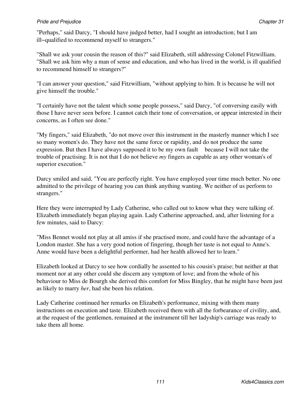"Perhaps," said Darcy, "I should have judged better, had I sought an introduction; but I am ill−qualified to recommend myself to strangers."

"Shall we ask your cousin the reason of this?" said Elizabeth, still addressing Colonel Fitzwilliam. "Shall we ask him why a man of sense and education, and who has lived in the world, is ill qualified to recommend himself to strangers?"

"I can answer your question," said Fitzwilliam, "without applying to him. It is because he will not give himself the trouble."

"I certainly have not the talent which some people possess," said Darcy, "of conversing easily with those I have never seen before. I cannot catch their tone of conversation, or appear interested in their concerns, as I often see done."

"My fingers," said Elizabeth, "do not move over this instrument in the masterly manner which I see so many women's do. They have not the same force or rapidity, and do not produce the same expression. But then I have always supposed it to be my own fault because I will not take the trouble of practising. It is not that I do not believe *my* fingers as capable as any other woman's of superior execution."

Darcy smiled and said, "You are perfectly right. You have employed your time much better. No one admitted to the privilege of hearing you can think anything wanting. We neither of us perform to strangers."

Here they were interrupted by Lady Catherine, who called out to know what they were talking of. Elizabeth immediately began playing again. Lady Catherine approached, and, after listening for a few minutes, said to Darcy:

"Miss Bennet would not play at all amiss if she practised more, and could have the advantage of a London master. She has a very good notion of fingering, though her taste is not equal to Anne's. Anne would have been a delightful performer, had her health allowed her to learn."

Elizabeth looked at Darcy to see how cordially he assented to his cousin's praise; but neither at that moment nor at any other could she discern any symptom of love; and from the whole of his behaviour to Miss de Bourgh she derived this comfort for Miss Bingley, that he might have been just as likely to marry *her*, had she been his relation.

Lady Catherine continued her remarks on Elizabeth's performance, mixing with them many instructions on execution and taste. Elizabeth received them with all the forbearance of civility, and, at the request of the gentlemen, remained at the instrument till her ladyship's carriage was ready to take them all home.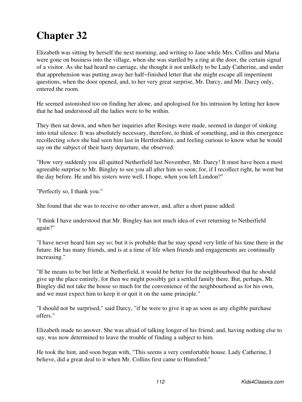Elizabeth was sitting by herself the next morning, and writing to Jane while Mrs. Collins and Maria were gone on business into the village, when she was startled by a ring at the door, the certain signal of a visitor. As she had heard no carriage, she thought it not unlikely to be Lady Catherine, and under that apprehension was putting away her half−finished letter that she might escape all impertinent questions, when the door opened, and, to her very great surprise, Mr. Darcy, and Mr. Darcy only, entered the room.

He seemed astonished too on finding her alone, and apologised for his intrusion by letting her know that he had understood all the ladies were to be within.

They then sat down, and when her inquiries after Rosings were made, seemed in danger of sinking into total silence. It was absolutely necessary, therefore, to think of something, and in this emergence recollecting *when* she had seen him last in Hertfordshire, and feeling curious to know what he would say on the subject of their hasty departure, she observed:

"How very suddenly you all quitted Netherfield last November, Mr. Darcy! It must have been a most agreeable surprise to Mr. Bingley to see you all after him so soon; for, if I recollect right, he went but the day before. He and his sisters were well, I hope, when you left London?"

"Perfectly so, I thank you."

She found that she was to receive no other answer, and, after a short pause added:

"I think I have understood that Mr. Bingley has not much idea of ever returning to Netherfield again?"

"I have never heard him say so; but it is probable that he may spend very little of his time there in the future. He has many friends, and is at a time of life when friends and engagements are continually increasing."

"If he means to be but little at Netherfield, it would be better for the neighbourhood that he should give up the place entirely, for then we might possibly get a settled family there. But, perhaps, Mr. Bingley did not take the house so much for the convenience of the neighbourhood as for his own, and we must expect him to keep it or quit it on the same principle."

"I should not be surprised," said Darcy, "if he were to give it up as soon as any eligible purchase offers."

Elizabeth made no answer. She was afraid of talking longer of his friend; and, having nothing else to say, was now determined to leave the trouble of finding a subject to him.

He took the hint, and soon began with, "This seems a very comfortable house. Lady Catherine, I believe, did a great deal to it when Mr. Collins first came to Hunsford."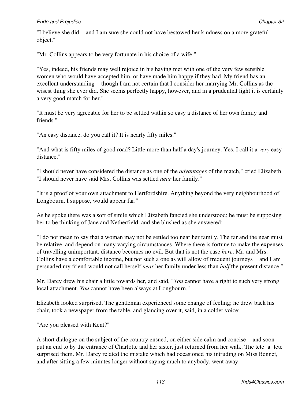## **Pride and Prejudice Chapter 32** Chapter 32

"I believe she did and I am sure she could not have bestowed her kindness on a more grateful object."

"Mr. Collins appears to be very fortunate in his choice of a wife."

"Yes, indeed, his friends may well rejoice in his having met with one of the very few sensible women who would have accepted him, or have made him happy if they had. My friend has an excellent understanding though I am not certain that I consider her marrying Mr. Collins as the wisest thing she ever did. She seems perfectly happy, however, and in a prudential light it is certainly a very good match for her."

"It must be very agreeable for her to be settled within so easy a distance of her own family and friends."

"An easy distance, do you call it? It is nearly fifty miles."

"And what is fifty miles of good road? Little more than half a day's journey. Yes, I call it a *very* easy distance."

"I should never have considered the distance as one of the *advantages* of the match," cried Elizabeth. "I should never have said Mrs. Collins was settled *near* her family."

"It is a proof of your own attachment to Hertfordshire. Anything beyond the very neighbourhood of Longbourn, I suppose, would appear far."

As he spoke there was a sort of smile which Elizabeth fancied she understood; he must be supposing her to be thinking of Jane and Netherfield, and she blushed as she answered:

"I do not mean to say that a woman may not be settled too near her family. The far and the near must be relative, and depend on many varying circumstances. Where there is fortune to make the expenses of travelling unimportant, distance becomes no evil. But that is not the case *here*. Mr. and Mrs. Collins have a comfortable income, but not such a one as will allow of frequent journeys and I am persuaded my friend would not call herself *near* her family under less than *half* the present distance."

Mr. Darcy drew his chair a little towards her, and said, "*You* cannot have a right to such very strong local attachment. *You* cannot have been always at Longbourn."

Elizabeth looked surprised. The gentleman experienced some change of feeling; he drew back his chair, took a newspaper from the table, and glancing over it, said, in a colder voice:

"Are you pleased with Kent?"

A short dialogue on the subject of the country ensued, on either side calm and concise and soon put an end to by the entrance of Charlotte and her sister, just returned from her walk. The tete−a−tete surprised them. Mr. Darcy related the mistake which had occasioned his intruding on Miss Bennet, and after sitting a few minutes longer without saying much to anybody, went away.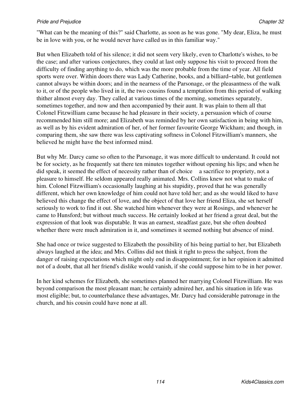#### **Pride and Prejudice Chapter 32** Chapter 32

"What can be the meaning of this?" said Charlotte, as soon as he was gone. "My dear, Eliza, he must be in love with you, or he would never have called us in this familiar way."

But when Elizabeth told of his silence; it did not seem very likely, even to Charlotte's wishes, to be the case; and after various conjectures, they could at last only suppose his visit to proceed from the difficulty of finding anything to do, which was the more probable from the time of year. All field sports were over. Within doors there was Lady Catherine, books, and a billiard−table, but gentlemen cannot always be within doors; and in the nearness of the Parsonage, or the pleasantness of the walk to it, or of the people who lived in it, the two cousins found a temptation from this period of walking thither almost every day. They called at various times of the morning, sometimes separately, sometimes together, and now and then accompanied by their aunt. It was plain to them all that Colonel Fitzwilliam came because he had pleasure in their society, a persuasion which of course recommended him still more; and Elizabeth was reminded by her own satisfaction in being with him, as well as by his evident admiration of her, of her former favourite George Wickham; and though, in comparing them, she saw there was less captivating softness in Colonel Fitzwilliam's manners, she believed he might have the best informed mind.

But why Mr. Darcy came so often to the Parsonage, it was more difficult to understand. It could not be for society, as he frequently sat there ten minutes together without opening his lips; and when he did speak, it seemed the effect of necessity rather than of choice a sacrifice to propriety, not a pleasure to himself. He seldom appeared really animated. Mrs. Collins knew not what to make of him. Colonel Fitzwilliam's occasionally laughing at his stupidity, proved that he was generally different, which her own knowledge of him could not have told her; and as she would liked to have believed this change the effect of love, and the object of that love her friend Eliza, she set herself seriously to work to find it out. She watched him whenever they were at Rosings, and whenever he came to Hunsford; but without much success. He certainly looked at her friend a great deal, but the expression of that look was disputable. It was an earnest, steadfast gaze, but she often doubted whether there were much admiration in it, and sometimes it seemed nothing but absence of mind.

She had once or twice suggested to Elizabeth the possibility of his being partial to her, but Elizabeth always laughed at the idea; and Mrs. Collins did not think it right to press the subject, from the danger of raising expectations which might only end in disappointment; for in her opinion it admitted not of a doubt, that all her friend's dislike would vanish, if she could suppose him to be in her power.

In her kind schemes for Elizabeth, she sometimes planned her marrying Colonel Fitzwilliam. He was beyond comparison the most pleasant man; he certainly admired her, and his situation in life was most eligible; but, to counterbalance these advantages, Mr. Darcy had considerable patronage in the church, and his cousin could have none at all.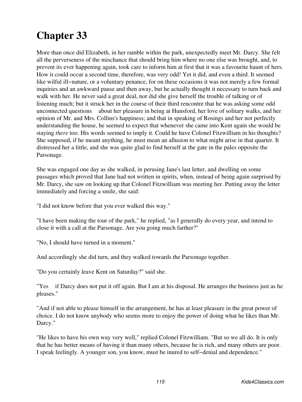More than once did Elizabeth, in her ramble within the park, unexpectedly meet Mr. Darcy. She felt all the perverseness of the mischance that should bring him where no one else was brought, and, to prevent its ever happening again, took care to inform him at first that it was a favourite haunt of hers. How it could occur a second time, therefore, was very odd! Yet it did, and even a third. It seemed like wilful ill−nature, or a voluntary penance, for on these occasions it was not merely a few formal inquiries and an awkward pause and then away, but he actually thought it necessary to turn back and walk with her. He never said a great deal, nor did she give herself the trouble of talking or of listening much; but it struck her in the course of their third rencontre that he was asking some odd unconnected questions about her pleasure in being at Hunsford, her love of solitary walks, and her opinion of Mr. and Mrs. Collins's happiness; and that in speaking of Rosings and her not perfectly understanding the house, he seemed to expect that whenever she came into Kent again she would be staying *there* too. His words seemed to imply it. Could he have Colonel Fitzwilliam in his thoughts? She supposed, if he meant anything, he must mean an allusion to what might arise in that quarter. It distressed her a little, and she was quite glad to find herself at the gate in the pales opposite the Parsonage.

She was engaged one day as she walked, in perusing Jane's last letter, and dwelling on some passages which proved that Jane had not written in spirits, when, instead of being again surprised by Mr. Darcy, she saw on looking up that Colonel Fitzwilliam was meeting her. Putting away the letter immediately and forcing a smile, she said:

"I did not know before that you ever walked this way."

"I have been making the tour of the park," he replied, "as I generally do every year, and intend to close it with a call at the Parsonage. Are you going much farther?"

"No, I should have turned in a moment."

And accordingly she did turn, and they walked towards the Parsonage together.

"Do you certainly leave Kent on Saturday?" said she.

"Yes if Darcy does not put it off again. But I am at his disposal. He arranges the business just as he pleases."

"And if not able to please himself in the arrangement, he has at least pleasure in the great power of choice. I do not know anybody who seems more to enjoy the power of doing what he likes than Mr. Darcy."

"He likes to have his own way very well," replied Colonel Fitzwilliam. "But so we all do. It is only that he has better means of having it than many others, because he is rich, and many others are poor. I speak feelingly. A younger son, you know, must be inured to self−denial and dependence."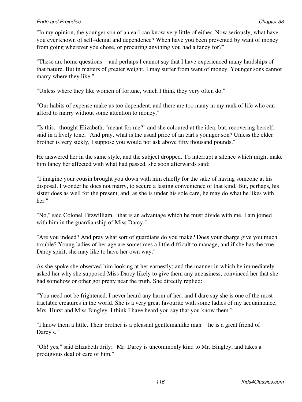"In my opinion, the younger son of an earl can know very little of either. Now seriously, what have you ever known of self−denial and dependence? When have you been prevented by want of money from going wherever you chose, or procuring anything you had a fancy for?"

"These are home questions and perhaps I cannot say that I have experienced many hardships of that nature. But in matters of greater weight, I may suffer from want of money. Younger sons cannot marry where they like."

"Unless where they like women of fortune, which I think they very often do."

"Our habits of expense make us too dependent, and there are too many in my rank of life who can afford to marry without some attention to money."

"Is this," thought Elizabeth, "meant for me?" and she coloured at the idea; but, recovering herself, said in a lively tone, "And pray, what is the usual price of an earl's younger son? Unless the elder brother is very sickly, I suppose you would not ask above fifty thousand pounds."

He answered her in the same style, and the subject dropped. To interrupt a silence which might make him fancy her affected with what had passed, she soon afterwards said:

"I imagine your cousin brought you down with him chiefly for the sake of having someone at his disposal. I wonder he does not marry, to secure a lasting convenience of that kind. But, perhaps, his sister does as well for the present, and, as she is under his sole care, he may do what he likes with her."

"No," said Colonel Fitzwilliam, "that is an advantage which he must divide with me. I am joined with him in the guardianship of Miss Darcy."

"Are you indeed? And pray what sort of guardians do you make? Does your charge give you much trouble? Young ladies of her age are sometimes a little difficult to manage, and if she has the true Darcy spirit, she may like to have her own way."

As she spoke she observed him looking at her earnestly; and the manner in which he immediately asked her why she supposed Miss Darcy likely to give them any uneasiness, convinced her that she had somehow or other got pretty near the truth. She directly replied:

"You need not be frightened. I never heard any harm of her; and I dare say she is one of the most tractable creatures in the world. She is a very great favourite with some ladies of my acquaintance, Mrs. Hurst and Miss Bingley. I think I have heard you say that you know them."

"I know them a little. Their brother is a pleasant gentlemanlike man he is a great friend of Darcy's."

"Oh! yes," said Elizabeth drily; "Mr. Darcy is uncommonly kind to Mr. Bingley, and takes a prodigious deal of care of him."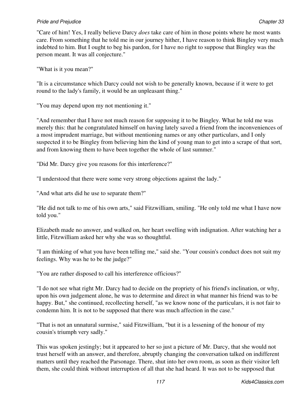"Care of him! Yes, I really believe Darcy *does* take care of him in those points where he most wants care. From something that he told me in our journey hither, I have reason to think Bingley very much indebted to him. But I ought to beg his pardon, for I have no right to suppose that Bingley was the person meant. It was all conjecture."

"What is it you mean?"

"It is a circumstance which Darcy could not wish to be generally known, because if it were to get round to the lady's family, it would be an unpleasant thing."

"You may depend upon my not mentioning it."

"And remember that I have not much reason for supposing it to be Bingley. What he told me was merely this: that he congratulated himself on having lately saved a friend from the inconveniences of a most imprudent marriage, but without mentioning names or any other particulars, and I only suspected it to be Bingley from believing him the kind of young man to get into a scrape of that sort, and from knowing them to have been together the whole of last summer."

"Did Mr. Darcy give you reasons for this interference?"

"I understood that there were some very strong objections against the lady."

"And what arts did he use to separate them?"

"He did not talk to me of his own arts," said Fitzwilliam, smiling. "He only told me what I have now told you."

Elizabeth made no answer, and walked on, her heart swelling with indignation. After watching her a little, Fitzwilliam asked her why she was so thoughtful.

"I am thinking of what you have been telling me," said she. "Your cousin's conduct does not suit my feelings. Why was he to be the judge?"

"You are rather disposed to call his interference officious?"

"I do not see what right Mr. Darcy had to decide on the propriety of his friend's inclination, or why, upon his own judgement alone, he was to determine and direct in what manner his friend was to be happy. But," she continued, recollecting herself, "as we know none of the particulars, it is not fair to condemn him. It is not to be supposed that there was much affection in the case."

"That is not an unnatural surmise," said Fitzwilliam, "but it is a lessening of the honour of my cousin's triumph very sadly."

This was spoken jestingly; but it appeared to her so just a picture of Mr. Darcy, that she would not trust herself with an answer, and therefore, abruptly changing the conversation talked on indifferent matters until they reached the Parsonage. There, shut into her own room, as soon as their visitor left them, she could think without interruption of all that she had heard. It was not to be supposed that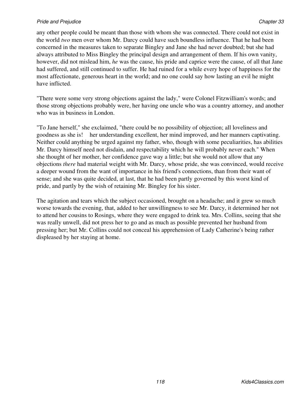any other people could be meant than those with whom she was connected. There could not exist in the world *two* men over whom Mr. Darcy could have such boundless influence. That he had been concerned in the measures taken to separate Bingley and Jane she had never doubted; but she had always attributed to Miss Bingley the principal design and arrangement of them. If his own vanity, however, did not mislead him, *he* was the cause, his pride and caprice were the cause, of all that Jane had suffered, and still continued to suffer. He had ruined for a while every hope of happiness for the most affectionate, generous heart in the world; and no one could say how lasting an evil he might have inflicted.

"There were some very strong objections against the lady," were Colonel Fitzwilliam's words; and those strong objections probably were, her having one uncle who was a country attorney, and another who was in business in London.

"To Jane herself," she exclaimed, "there could be no possibility of objection; all loveliness and goodness as she is! her understanding excellent, her mind improved, and her manners captivating. Neither could anything be urged against my father, who, though with some peculiarities, has abilities Mr. Darcy himself need not disdain, and respectability which he will probably never each." When she thought of her mother, her confidence gave way a little; but she would not allow that any objections *there* had material weight with Mr. Darcy, whose pride, she was convinced, would receive a deeper wound from the want of importance in his friend's connections, than from their want of sense; and she was quite decided, at last, that he had been partly governed by this worst kind of pride, and partly by the wish of retaining Mr. Bingley for his sister.

The agitation and tears which the subject occasioned, brought on a headache; and it grew so much worse towards the evening, that, added to her unwillingness to see Mr. Darcy, it determined her not to attend her cousins to Rosings, where they were engaged to drink tea. Mrs. Collins, seeing that she was really unwell, did not press her to go and as much as possible prevented her husband from pressing her; but Mr. Collins could not conceal his apprehension of Lady Catherine's being rather displeased by her staying at home.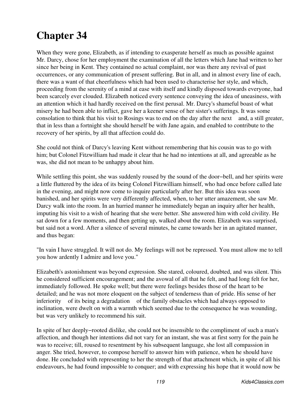When they were gone, Elizabeth, as if intending to exasperate herself as much as possible against Mr. Darcy, chose for her employment the examination of all the letters which Jane had written to her since her being in Kent. They contained no actual complaint, nor was there any revival of past occurrences, or any communication of present suffering. But in all, and in almost every line of each, there was a want of that cheerfulness which had been used to characterise her style, and which, proceeding from the serenity of a mind at ease with itself and kindly disposed towards everyone, had been scarcely ever clouded. Elizabeth noticed every sentence conveying the idea of uneasiness, with an attention which it had hardly received on the first perusal. Mr. Darcy's shameful boast of what misery he had been able to inflict, gave her a keener sense of her sister's sufferings. It was some consolation to think that his visit to Rosings was to end on the day after the next and, a still greater, that in less than a fortnight she should herself be with Jane again, and enabled to contribute to the recovery of her spirits, by all that affection could do.

She could not think of Darcy's leaving Kent without remembering that his cousin was to go with him; but Colonel Fitzwilliam had made it clear that he had no intentions at all, and agreeable as he was, she did not mean to be unhappy about him.

While settling this point, she was suddenly roused by the sound of the door−bell, and her spirits were a little fluttered by the idea of its being Colonel Fitzwilliam himself, who had once before called late in the evening, and might now come to inquire particularly after her. But this idea was soon banished, and her spirits were very differently affected, when, to her utter amazement, she saw Mr. Darcy walk into the room. In an hurried manner he immediately began an inquiry after her health, imputing his visit to a wish of hearing that she were better. She answered him with cold civility. He sat down for a few moments, and then getting up, walked about the room. Elizabeth was surprised, but said not a word. After a silence of several minutes, he came towards her in an agitated manner, and thus began:

"In vain I have struggled. It will not do. My feelings will not be repressed. You must allow me to tell you how ardently I admire and love you."

Elizabeth's astonishment was beyond expression. She stared, coloured, doubted, and was silent. This he considered sufficient encouragement; and the avowal of all that he felt, and had long felt for her, immediately followed. He spoke well; but there were feelings besides those of the heart to be detailed; and he was not more eloquent on the subject of tenderness than of pride. His sense of her inferiority of its being a degradation of the family obstacles which had always opposed to inclination, were dwelt on with a warmth which seemed due to the consequence he was wounding, but was very unlikely to recommend his suit.

In spite of her deeply−rooted dislike, she could not be insensible to the compliment of such a man's affection, and though her intentions did not vary for an instant, she was at first sorry for the pain he was to receive; till, roused to resentment by his subsequent language, she lost all compassion in anger. She tried, however, to compose herself to answer him with patience, when he should have done. He concluded with representing to her the strength of that attachment which, in spite of all his endeavours, he had found impossible to conquer; and with expressing his hope that it would now be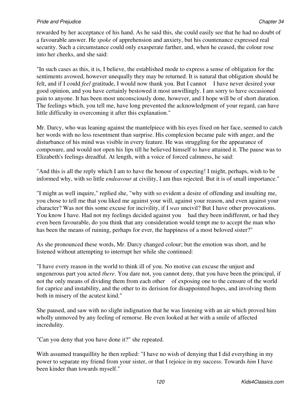rewarded by her acceptance of his hand. As he said this, she could easily see that he had no doubt of a favourable answer. He *spoke* of apprehension and anxiety, but his countenance expressed real security. Such a circumstance could only exasperate farther, and, when he ceased, the colour rose into her cheeks, and she said:

"In such cases as this, it is, I believe, the established mode to express a sense of obligation for the sentiments avowed, however unequally they may be returned. It is natural that obligation should be felt, and if I could *feel* gratitude, I would now thank you. But I cannot I have never desired your good opinion, and you have certainly bestowed it most unwillingly. I am sorry to have occasioned pain to anyone. It has been most unconsciously done, however, and I hope will be of short duration. The feelings which, you tell me, have long prevented the acknowledgment of your regard, can have little difficulty in overcoming it after this explanation."

Mr. Darcy, who was leaning against the mantelpiece with his eyes fixed on her face, seemed to catch her words with no less resentment than surprise. His complexion became pale with anger, and the disturbance of his mind was visible in every feature. He was struggling for the appearance of composure, and would not open his lips till he believed himself to have attained it. The pause was to Elizabeth's feelings dreadful. At length, with a voice of forced calmness, he said:

"And this is all the reply which I am to have the honour of expecting! I might, perhaps, wish to be informed why, with so little *endeavour* at civility, I am thus rejected. But it is of small importance."

"I might as well inquire," replied she, "why with so evident a desire of offending and insulting me, you chose to tell me that you liked me against your will, against your reason, and even against your character? Was not this some excuse for incivility, if I *was* uncivil? But I have other provocations. You know I have. Had not my feelings decided against you had they been indifferent, or had they even been favourable, do you think that any consideration would tempt me to accept the man who has been the means of ruining, perhaps for ever, the happiness of a most beloved sister?"

As she pronounced these words, Mr. Darcy changed colour; but the emotion was short, and he listened without attempting to interrupt her while she continued:

"I have every reason in the world to think ill of you. No motive can excuse the unjust and ungenerous part you acted *there*. You dare not, you cannot deny, that you have been the principal, if not the only means of dividing them from each other of exposing one to the censure of the world for caprice and instability, and the other to its derision for disappointed hopes, and involving them both in misery of the acutest kind."

She paused, and saw with no slight indignation that he was listening with an air which proved him wholly unmoved by any feeling of remorse. He even looked at her with a smile of affected incredulity.

"Can you deny that you have done it?" she repeated.

With assumed tranquillity he then replied: "I have no wish of denying that I did everything in my power to separate my friend from your sister, or that I rejoice in my success. Towards *him* I have been kinder than towards myself."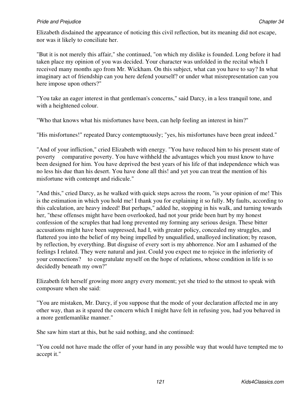Elizabeth disdained the appearance of noticing this civil reflection, but its meaning did not escape, nor was it likely to conciliate her.

"But it is not merely this affair," she continued, "on which my dislike is founded. Long before it had taken place my opinion of you was decided. Your character was unfolded in the recital which I received many months ago from Mr. Wickham. On this subject, what can you have to say? In what imaginary act of friendship can you here defend yourself? or under what misrepresentation can you here impose upon others?"

"You take an eager interest in that gentleman's concerns," said Darcy, in a less tranquil tone, and with a heightened colour.

"Who that knows what his misfortunes have been, can help feeling an interest in him?"

"His misfortunes!" repeated Darcy contemptuously; "yes, his misfortunes have been great indeed."

"And of your infliction," cried Elizabeth with energy. "You have reduced him to his present state of poverty comparative poverty. You have withheld the advantages which you must know to have been designed for him. You have deprived the best years of his life of that independence which was no less his due than his desert. You have done all this! and yet you can treat the mention of his misfortune with contempt and ridicule."

"And this," cried Darcy, as he walked with quick steps across the room, "is your opinion of me! This is the estimation in which you hold me! I thank you for explaining it so fully. My faults, according to this calculation, are heavy indeed! But perhaps," added he, stopping in his walk, and turning towards her, "these offenses might have been overlooked, had not your pride been hurt by my honest confession of the scruples that had long prevented my forming any serious design. These bitter accusations might have been suppressed, had I, with greater policy, concealed my struggles, and flattered you into the belief of my being impelled by unqualified, unalloyed inclination; by reason, by reflection, by everything. But disguise of every sort is my abhorrence. Nor am I ashamed of the feelings I related. They were natural and just. Could you expect me to rejoice in the inferiority of your connections? to congratulate myself on the hope of relations, whose condition in life is so decidedly beneath my own?"

Elizabeth felt herself growing more angry every moment; yet she tried to the utmost to speak with composure when she said:

"You are mistaken, Mr. Darcy, if you suppose that the mode of your declaration affected me in any other way, than as it spared the concern which I might have felt in refusing you, had you behaved in a more gentlemanlike manner."

She saw him start at this, but he said nothing, and she continued:

"You could not have made the offer of your hand in any possible way that would have tempted me to accept it."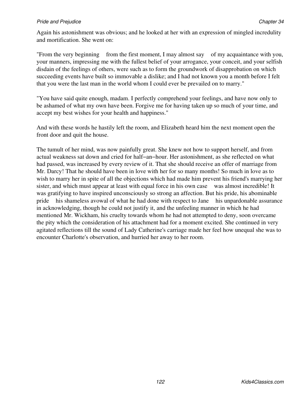Again his astonishment was obvious; and he looked at her with an expression of mingled incredulity and mortification. She went on:

"From the very beginning from the first moment, I may almost say of my acquaintance with you, your manners, impressing me with the fullest belief of your arrogance, your conceit, and your selfish disdain of the feelings of others, were such as to form the groundwork of disapprobation on which succeeding events have built so immovable a dislike; and I had not known you a month before I felt that you were the last man in the world whom I could ever be prevailed on to marry."

"You have said quite enough, madam. I perfectly comprehend your feelings, and have now only to be ashamed of what my own have been. Forgive me for having taken up so much of your time, and accept my best wishes for your health and happiness."

And with these words he hastily left the room, and Elizabeth heard him the next moment open the front door and quit the house.

The tumult of her mind, was now painfully great. She knew not how to support herself, and from actual weakness sat down and cried for half−an−hour. Her astonishment, as she reflected on what had passed, was increased by every review of it. That she should receive an offer of marriage from Mr. Darcy! That he should have been in love with her for so many months! So much in love as to wish to marry her in spite of all the objections which had made him prevent his friend's marrying her sister, and which must appear at least with equal force in his own case was almost incredible! It was gratifying to have inspired unconsciously so strong an affection. But his pride, his abominable pride his shameless avowal of what he had done with respect to Jane his unpardonable assurance in acknowledging, though he could not justify it, and the unfeeling manner in which he had mentioned Mr. Wickham, his cruelty towards whom he had not attempted to deny, soon overcame the pity which the consideration of his attachment had for a moment excited. She continued in very agitated reflections till the sound of Lady Catherine's carriage made her feel how unequal she was to encounter Charlotte's observation, and hurried her away to her room.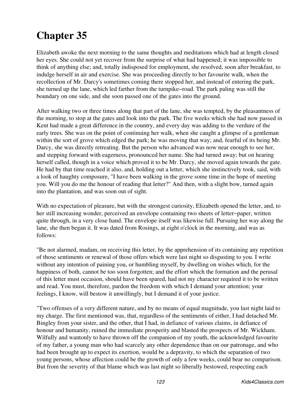Elizabeth awoke the next morning to the same thoughts and meditations which had at length closed her eyes. She could not yet recover from the surprise of what had happened; it was impossible to think of anything else; and, totally indisposed for employment, she resolved, soon after breakfast, to indulge herself in air and exercise. She was proceeding directly to her favourite walk, when the recollection of Mr. Darcy's sometimes coming there stopped her, and instead of entering the park, she turned up the lane, which led farther from the turnpike−road. The park paling was still the boundary on one side, and she soon passed one of the gates into the ground.

After walking two or three times along that part of the lane, she was tempted, by the pleasantness of the morning, to stop at the gates and look into the park. The five weeks which she had now passed in Kent had made a great difference in the country, and every day was adding to the verdure of the early trees. She was on the point of continuing her walk, when she caught a glimpse of a gentleman within the sort of grove which edged the park; he was moving that way; and, fearful of its being Mr. Darcy, she was directly retreating. But the person who advanced was now near enough to see her, and stepping forward with eagerness, pronounced her name. She had turned away; but on hearing herself called, though in a voice which proved it to be Mr. Darcy, she moved again towards the gate. He had by that time reached it also, and, holding out a letter, which she instinctively took, said, with a look of haughty composure, "I have been walking in the grove some time in the hope of meeting you. Will you do me the honour of reading that letter?" And then, with a slight bow, turned again into the plantation, and was soon out of sight.

With no expectation of pleasure, but with the strongest curiosity, Elizabeth opened the letter, and, to her still increasing wonder, perceived an envelope containing two sheets of letter−paper, written quite through, in a very close hand. The envelope itself was likewise full. Pursuing her way along the lane, she then began it. It was dated from Rosings, at eight o'clock in the morning, and was as follows:

"Be not alarmed, madam, on receiving this letter, by the apprehension of its containing any repetition of those sentiments or renewal of those offers which were last night so disgusting to you. I write without any intention of paining you, or humbling myself, by dwelling on wishes which, for the happiness of both, cannot be too soon forgotten; and the effort which the formation and the perusal of this letter must occasion, should have been spared, had not my character required it to be written and read. You must, therefore, pardon the freedom with which I demand your attention; your feelings, I know, will bestow it unwillingly, but I demand it of your justice.

"Two offenses of a very different nature, and by no means of equal magnitude, you last night laid to my charge. The first mentioned was, that, regardless of the sentiments of either, I had detached Mr. Bingley from your sister, and the other, that I had, in defiance of various claims, in defiance of honour and humanity, ruined the immediate prosperity and blasted the prospects of Mr. Wickham. Wilfully and wantonly to have thrown off the companion of my youth, the acknowledged favourite of my father, a young man who had scarcely any other dependence than on our patronage, and who had been brought up to expect its exertion, would be a depravity, to which the separation of two young persons, whose affection could be the growth of only a few weeks, could bear no comparison. But from the severity of that blame which was last night so liberally bestowed, respecting each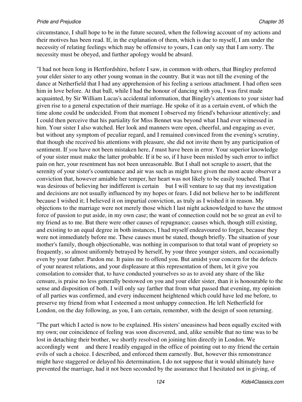circumstance, I shall hope to be in the future secured, when the following account of my actions and their motives has been read. If, in the explanation of them, which is due to myself, I am under the necessity of relating feelings which may be offensive to yours, I can only say that I am sorry. The necessity must be obeyed, and further apology would be absurd.

"I had not been long in Hertfordshire, before I saw, in common with others, that Bingley preferred your elder sister to any other young woman in the country. But it was not till the evening of the dance at Netherfield that I had any apprehension of his feeling a serious attachment. I had often seen him in love before. At that ball, while I had the honour of dancing with you, I was first made acquainted, by Sir William Lucas's accidental information, that Bingley's attentions to your sister had given rise to a general expectation of their marriage. He spoke of it as a certain event, of which the time alone could be undecided. From that moment I observed my friend's behaviour attentively; and I could then perceive that his partiality for Miss Bennet was beyond what I had ever witnessed in him. Your sister I also watched. Her look and manners were open, cheerful, and engaging as ever, but without any symptom of peculiar regard, and I remained convinced from the evening's scrutiny, that though she received his attentions with pleasure, she did not invite them by any participation of sentiment. If *you* have not been mistaken here, *I* must have been in error. Your superior knowledge of your sister must make the latter probable. If it be so, if I have been misled by such error to inflict pain on her, your resentment has not been unreasonable. But I shall not scruple to assert, that the serenity of your sister's countenance and air was such as might have given the most acute observer a conviction that, however amiable her temper, her heart was not likely to be easily touched. That I was desirous of believing her indifferent is certain but I will venture to say that my investigation and decisions are not usually influenced by my hopes or fears. I did not believe her to be indifferent because I wished it; I believed it on impartial conviction, as truly as I wished it in reason. My objections to the marriage were not merely those which I last night acknowledged to have the utmost force of passion to put aside, in my own case; the want of connection could not be so great an evil to my friend as to me. But there were other causes of repugnance; causes which, though still existing, and existing to an equal degree in both instances, I had myself endeavoured to forget, because they were not immediately before me. These causes must be stated, though briefly. The situation of your mother's family, though objectionable, was nothing in comparison to that total want of propriety so frequently, so almost uniformly betrayed by herself, by your three younger sisters, and occasionally even by your father. Pardon me. It pains me to offend you. But amidst your concern for the defects of your nearest relations, and your displeasure at this representation of them, let it give you consolation to consider that, to have conducted yourselves so as to avoid any share of the like censure, is praise no less generally bestowed on you and your elder sister, than it is honourable to the sense and disposition of both. I will only say farther that from what passed that evening, my opinion of all parties was confirmed, and every inducement heightened which could have led me before, to preserve my friend from what I esteemed a most unhappy connection. He left Netherfield for London, on the day following, as you, I am certain, remember, with the design of soon returning.

"The part which I acted is now to be explained. His sisters' uneasiness had been equally excited with my own; our coincidence of feeling was soon discovered, and, alike sensible that no time was to be lost in detaching their brother, we shortly resolved on joining him directly in London. We accordingly went and there I readily engaged in the office of pointing out to my friend the certain evils of such a choice. I described, and enforced them earnestly. But, however this remonstrance might have staggered or delayed his determination, I do not suppose that it would ultimately have prevented the marriage, had it not been seconded by the assurance that I hesitated not in giving, of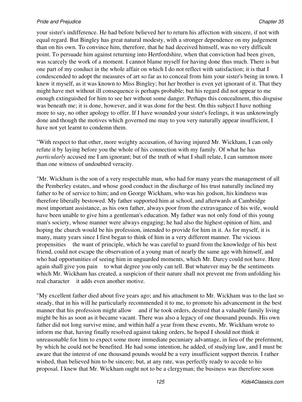your sister's indifference. He had before believed her to return his affection with sincere, if not with equal regard. But Bingley has great natural modesty, with a stronger dependence on my judgement than on his own. To convince him, therefore, that he had deceived himself, was no very difficult point. To persuade him against returning into Hertfordshire, when that conviction had been given, was scarcely the work of a moment. I cannot blame myself for having done thus much. There is but one part of my conduct in the whole affair on which I do not reflect with satisfaction; it is that I condescended to adopt the measures of art so far as to conceal from him your sister's being in town. I knew it myself, as it was known to Miss Bingley; but her brother is even yet ignorant of it. That they might have met without ill consequence is perhaps probable; but his regard did not appear to me enough extinguished for him to see her without some danger. Perhaps this concealment, this disguise was beneath me; it is done, however, and it was done for the best. On this subject I have nothing more to say, no other apology to offer. If I have wounded your sister's feelings, it was unknowingly done and though the motives which governed me may to you very naturally appear insufficient, I have not yet learnt to condemn them.

"With respect to that other, more weighty accusation, of having injured Mr. Wickham, I can only refute it by laying before you the whole of his connection with my family. Of what he has *particularly* accused me I am ignorant; but of the truth of what I shall relate, I can summon more than one witness of undoubted veracity.

"Mr. Wickham is the son of a very respectable man, who had for many years the management of all the Pemberley estates, and whose good conduct in the discharge of his trust naturally inclined my father to be of service to him; and on George Wickham, who was his godson, his kindness was therefore liberally bestowed. My father supported him at school, and afterwards at Cambridge most important assistance, as his own father, always poor from the extravagance of his wife, would have been unable to give him a gentleman's education. My father was not only fond of this young man's society, whose manner were always engaging; he had also the highest opinion of him, and hoping the church would be his profession, intended to provide for him in it. As for myself, it is many, many years since I first began to think of him in a very different manner. The vicious propensities the want of principle, which he was careful to guard from the knowledge of his best friend, could not escape the observation of a young man of nearly the same age with himself, and who had opportunities of seeing him in unguarded moments, which Mr. Darcy could not have. Here again shall give you pain to what degree you only can tell. But whatever may be the sentiments which Mr. Wickham has created, a suspicion of their nature shall not prevent me from unfolding his real character it adds even another motive.

"My excellent father died about five years ago; and his attachment to Mr. Wickham was to the last so steady, that in his will he particularly recommended it to me, to promote his advancement in the best manner that his profession might allow and if he took orders, desired that a valuable family living might be his as soon as it became vacant. There was also a legacy of one thousand pounds. His own father did not long survive mine, and within half a year from these events, Mr. Wickham wrote to inform me that, having finally resolved against taking orders, he hoped I should not think it unreasonable for him to expect some more immediate pecuniary advantage, in lieu of the preferment, by which he could not be benefited. He had some intention, he added, of studying law, and I must be aware that the interest of one thousand pounds would be a very insufficient support therein. I rather wished, than believed him to be sincere; but, at any rate, was perfectly ready to accede to his proposal. I knew that Mr. Wickham ought not to be a clergyman; the business was therefore soon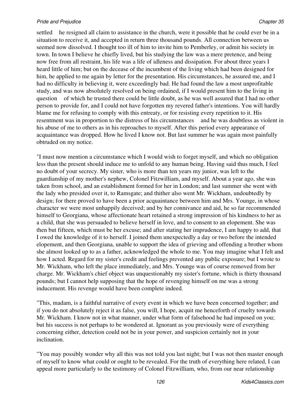settled he resigned all claim to assistance in the church, were it possible that he could ever be in a situation to receive it, and accepted in return three thousand pounds. All connection between us seemed now dissolved. I thought too ill of him to invite him to Pemberley, or admit his society in town. In town I believe he chiefly lived, but his studying the law was a mere pretence, and being now free from all restraint, his life was a life of idleness and dissipation. For about three years I heard little of him; but on the decease of the incumbent of the living which had been designed for him, he applied to me again by letter for the presentation. His circumstances, he assured me, and I had no difficulty in believing it, were exceedingly bad. He had found the law a most unprofitable study, and was now absolutely resolved on being ordained, if I would present him to the living in question of which he trusted there could be little doubt, as he was well assured that I had no other person to provide for, and I could not have forgotten my revered father's intentions. You will hardly blame me for refusing to comply with this entreaty, or for resisting every repetition to it. His resentment was in proportion to the distress of his circumstances and he was doubtless as violent in his abuse of me to others as in his reproaches to myself. After this period every appearance of acquaintance was dropped. How he lived I know not. But last summer he was again most painfully obtruded on my notice.

"I must now mention a circumstance which I would wish to forget myself, and which no obligation less than the present should induce me to unfold to any human being. Having said thus much, I feel no doubt of your secrecy. My sister, who is more than ten years my junior, was left to the guardianship of my mother's nephew, Colonel Fitzwilliam, and myself. About a year ago, she was taken from school, and an establishment formed for her in London; and last summer she went with the lady who presided over it, to Ramsgate; and thither also went Mr. Wickham, undoubtedly by design; for there proved to have been a prior acquaintance between him and Mrs. Younge, in whose character we were most unhappily deceived; and by her connivance and aid, he so far recommended himself to Georgiana, whose affectionate heart retained a strong impression of his kindness to her as a child, that she was persuaded to believe herself in love, and to consent to an elopement. She was then but fifteen, which must be her excuse; and after stating her imprudence, I am happy to add, that I owed the knowledge of it to herself. I joined them unexpectedly a day or two before the intended elopement, and then Georgiana, unable to support the idea of grieving and offending a brother whom she almost looked up to as a father, acknowledged the whole to me. You may imagine what I felt and how I acted. Regard for my sister's credit and feelings prevented any public exposure; but I wrote to Mr. Wickham, who left the place immediately, and Mrs. Younge was of course removed from her charge. Mr. Wickham's chief object was unquestionably my sister's fortune, which is thirty thousand pounds; but I cannot help supposing that the hope of revenging himself on me was a strong inducement. His revenge would have been complete indeed.

"This, madam, is a faithful narrative of every event in which we have been concerned together; and if you do not absolutely reject it as false, you will, I hope, acquit me henceforth of cruelty towards Mr. Wickham. I know not in what manner, under what form of falsehood he had imposed on you; but his success is not perhaps to be wondered at. Ignorant as you previously were of everything concerning either, detection could not be in your power, and suspicion certainly not in your inclination.

"You may possibly wonder why all this was not told you last night; but I was not then master enough of myself to know what could or ought to be revealed. For the truth of everything here related, I can appeal more particularly to the testimony of Colonel Fitzwilliam, who, from our near relationship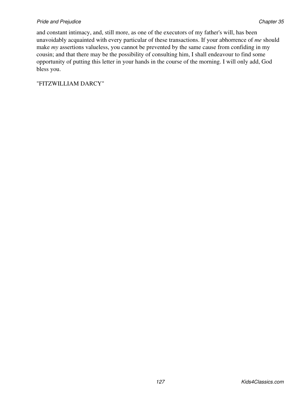and constant intimacy, and, still more, as one of the executors of my father's will, has been unavoidably acquainted with every particular of these transactions. If your abhorrence of *me* should make *my* assertions valueless, you cannot be prevented by the same cause from confiding in my cousin; and that there may be the possibility of consulting him, I shall endeavour to find some opportunity of putting this letter in your hands in the course of the morning. I will only add, God bless you.

"FITZWILLIAM DARCY"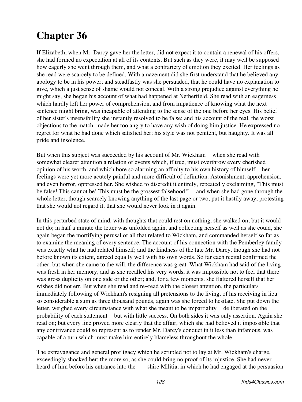If Elizabeth, when Mr. Darcy gave her the letter, did not expect it to contain a renewal of his offers, she had formed no expectation at all of its contents. But such as they were, it may well be supposed how eagerly she went through them, and what a contrariety of emotion they excited. Her feelings as she read were scarcely to be defined. With amazement did she first understand that he believed any apology to be in his power; and steadfastly was she persuaded, that he could have no explanation to give, which a just sense of shame would not conceal. With a strong prejudice against everything he might say, she began his account of what had happened at Netherfield. She read with an eagerness which hardly left her power of comprehension, and from impatience of knowing what the next sentence might bring, was incapable of attending to the sense of the one before her eyes. His belief of her sister's insensibility she instantly resolved to be false; and his account of the real, the worst objections to the match, made her too angry to have any wish of doing him justice. He expressed no regret for what he had done which satisfied her; his style was not penitent, but haughty. It was all pride and insolence.

But when this subject was succeeded by his account of Mr. Wickham when she read with somewhat clearer attention a relation of events which, if true, must overthrow every cherished opinion of his worth, and which bore so alarming an affinity to his own history of himself her feelings were yet more acutely painful and more difficult of definition. Astonishment, apprehension, and even horror, oppressed her. She wished to discredit it entirely, repeatedly exclaiming, "This must be false! This cannot be! This must be the grossest falsehood!" and when she had gone through the whole letter, though scarcely knowing anything of the last page or two, put it hastily away, protesting that she would not regard it, that she would never look in it again.

In this perturbed state of mind, with thoughts that could rest on nothing, she walked on; but it would not do; in half a minute the letter was unfolded again, and collecting herself as well as she could, she again began the mortifying perusal of all that related to Wickham, and commanded herself so far as to examine the meaning of every sentence. The account of his connection with the Pemberley family was exactly what he had related himself; and the kindness of the late Mr. Darcy, though she had not before known its extent, agreed equally well with his own words. So far each recital confirmed the other; but when she came to the will, the difference was great. What Wickham had said of the living was fresh in her memory, and as she recalled his very words, it was impossible not to feel that there was gross duplicity on one side or the other; and, for a few moments, she flattered herself that her wishes did not err. But when she read and re−read with the closest attention, the particulars immediately following of Wickham's resigning all pretensions to the living, of his receiving in lieu so considerable a sum as three thousand pounds, again was she forced to hesitate. She put down the letter, weighed every circumstance with what she meant to be impartiality deliberated on the probability of each statement but with little success. On both sides it was only assertion. Again she read on; but every line proved more clearly that the affair, which she had believed it impossible that any contrivance could so represent as to render Mr. Darcy's conduct in it less than infamous, was capable of a turn which must make him entirely blameless throughout the whole.

The extravagance and general profligacy which he scrupled not to lay at Mr. Wickham's charge, exceedingly shocked her; the more so, as she could bring no proof of its injustice. She had never heard of him before his entrance into the shire Militia, in which he had engaged at the persuasion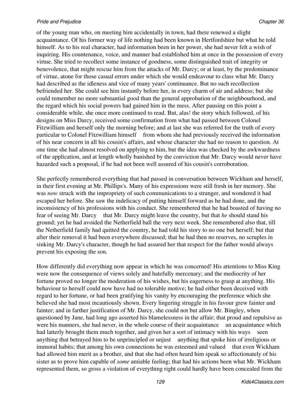of the young man who, on meeting him accidentally in town, had there renewed a slight acquaintance. Of his former way of life nothing had been known in Hertfordshire but what he told himself. As to his real character, had information been in her power, she had never felt a wish of inquiring. His countenance, voice, and manner had established him at once in the possession of every virtue. She tried to recollect some instance of goodness, some distinguished trait of integrity or benevolence, that might rescue him from the attacks of Mr. Darcy; or at least, by the predominance of virtue, atone for those casual errors under which she would endeavour to class what Mr. Darcy had described as the idleness and vice of many years' continuance. But no such recollection befriended her. She could see him instantly before her, in every charm of air and address; but she could remember no more substantial good than the general approbation of the neighbourhood, and the regard which his social powers had gained him in the mess. After pausing on this point a considerable while, she once more continued to read. But, alas! the story which followed, of his designs on Miss Darcy, received some confirmation from what had passed between Colonel Fitzwilliam and herself only the morning before; and at last she was referred for the truth of every particular to Colonel Fitzwilliam himself from whom she had previously received the information of his near concern in all his cousin's affairs, and whose character she had no reason to question. At one time she had almost resolved on applying to him, but the idea was checked by the awkwardness of the application, and at length wholly banished by the conviction that Mr. Darcy would never have hazarded such a proposal, if he had not been well assured of his cousin's corroboration.

She perfectly remembered everything that had passed in conversation between Wickham and herself, in their first evening at Mr. Phillips's. Many of his expressions were still fresh in her memory. She was *now* struck with the impropriety of such communications to a stranger, and wondered it had escaped her before. She saw the indelicacy of putting himself forward as he had done, and the inconsistency of his professions with his conduct. She remembered that he had boasted of having no fear of seeing Mr. Darcy that Mr. Darcy might leave the country, but that *he* should stand his ground; yet he had avoided the Netherfield ball the very next week. She remembered also that, till the Netherfield family had quitted the country, he had told his story to no one but herself; but that after their removal it had been everywhere discussed; that he had then no reserves, no scruples in sinking Mr. Darcy's character, though he had assured her that respect for the father would always prevent his exposing the son.

How differently did everything now appear in which he was concerned! His attentions to Miss King were now the consequence of views solely and hatefully mercenary; and the mediocrity of her fortune proved no longer the moderation of his wishes, but his eagerness to grasp at anything. His behaviour to herself could now have had no tolerable motive; he had either been deceived with regard to her fortune, or had been gratifying his vanity by encouraging the preference which she believed she had most incautiously shown. Every lingering struggle in his favour grew fainter and fainter; and in farther justification of Mr. Darcy, she could not but allow Mr. Bingley, when questioned by Jane, had long ago asserted his blamelessness in the affair; that proud and repulsive as were his manners, she had never, in the whole course of their acquaintance an acquaintance which had latterly brought them much together, and given her a sort of intimacy with his ways seen anything that betrayed him to be unprincipled or unjust anything that spoke him of irreligious or immoral habits; that among his own connections he was esteemed and valued that even Wickham had allowed him merit as a brother, and that she had often heard him speak so affectionately of his sister as to prove him capable of *some* amiable feeling; that had his actions been what Mr. Wickham represented them, so gross a violation of everything right could hardly have been concealed from the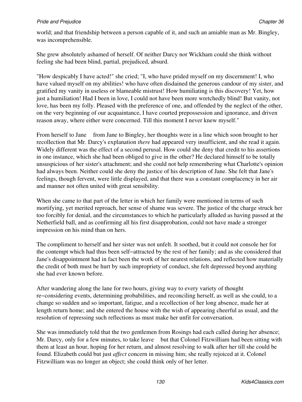world; and that friendship between a person capable of it, and such an amiable man as Mr. Bingley, was incomprehensible.

She grew absolutely ashamed of herself. Of neither Darcy nor Wickham could she think without feeling she had been blind, partial, prejudiced, absurd.

"How despicably I have acted!" she cried; "I, who have prided myself on my discernment! I, who have valued myself on my abilities! who have often disdained the generous candour of my sister, and gratified my vanity in useless or blameable mistrust! How humiliating is this discovery! Yet, how just a humiliation! Had I been in love, I could not have been more wretchedly blind! But vanity, not love, has been my folly. Pleased with the preference of one, and offended by the neglect of the other, on the very beginning of our acquaintance, I have courted prepossession and ignorance, and driven reason away, where either were concerned. Till this moment I never knew myself."

From herself to Jane from Jane to Bingley, her thoughts were in a line which soon brought to her recollection that Mr. Darcy's explanation *there* had appeared very insufficient, and she read it again. Widely different was the effect of a second perusal. How could she deny that credit to his assertions in one instance, which she had been obliged to give in the other? He declared himself to be totally unsuspicious of her sister's attachment; and she could not help remembering what Charlotte's opinion had always been. Neither could she deny the justice of his description of Jane. She felt that Jane's feelings, though fervent, were little displayed, and that there was a constant complacency in her air and manner not often united with great sensibility.

When she came to that part of the letter in which her family were mentioned in terms of such mortifying, yet merited reproach, her sense of shame was severe. The justice of the charge struck her too forcibly for denial, and the circumstances to which he particularly alluded as having passed at the Netherfield ball, and as confirming all his first disapprobation, could not have made a stronger impression on his mind than on hers.

The compliment to herself and her sister was not unfelt. It soothed, but it could not console her for the contempt which had thus been self−attracted by the rest of her family; and as she considered that Jane's disappointment had in fact been the work of her nearest relations, and reflected how materially the credit of both must be hurt by such impropriety of conduct, she felt depressed beyond anything she had ever known before.

After wandering along the lane for two hours, giving way to every variety of thought re−considering events, determining probabilities, and reconciling herself, as well as she could, to a change so sudden and so important, fatigue, and a recollection of her long absence, made her at length return home; and she entered the house with the wish of appearing cheerful as usual, and the resolution of repressing such reflections as must make her unfit for conversation.

She was immediately told that the two gentlemen from Rosings had each called during her absence; Mr. Darcy, only for a few minutes, to take leave but that Colonel Fitzwilliam had been sitting with them at least an hour, hoping for her return, and almost resolving to walk after her till she could be found. Elizabeth could but just *affect* concern in missing him; she really rejoiced at it. Colonel Fitzwilliam was no longer an object; she could think only of her letter.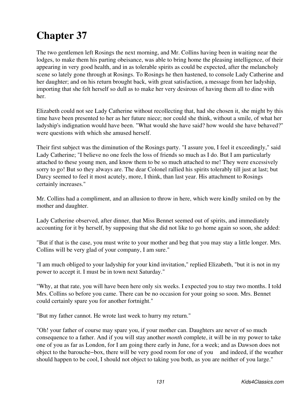The two gentlemen left Rosings the next morning, and Mr. Collins having been in waiting near the lodges, to make them his parting obeisance, was able to bring home the pleasing intelligence, of their appearing in very good health, and in as tolerable spirits as could be expected, after the melancholy scene so lately gone through at Rosings. To Rosings he then hastened, to console Lady Catherine and her daughter; and on his return brought back, with great satisfaction, a message from her ladyship, importing that she felt herself so dull as to make her very desirous of having them all to dine with her.

Elizabeth could not see Lady Catherine without recollecting that, had she chosen it, she might by this time have been presented to her as her future niece; nor could she think, without a smile, of what her ladyship's indignation would have been. "What would she have said? how would she have behaved?" were questions with which she amused herself.

Their first subject was the diminution of the Rosings party. "I assure you, I feel it exceedingly," said Lady Catherine; "I believe no one feels the loss of friends so much as I do. But I am particularly attached to these young men, and know them to be so much attached to me! They were excessively sorry to go! But so they always are. The dear Colonel rallied his spirits tolerably till just at last; but Darcy seemed to feel it most acutely, more, I think, than last year. His attachment to Rosings certainly increases."

Mr. Collins had a compliment, and an allusion to throw in here, which were kindly smiled on by the mother and daughter.

Lady Catherine observed, after dinner, that Miss Bennet seemed out of spirits, and immediately accounting for it by herself, by supposing that she did not like to go home again so soon, she added:

"But if that is the case, you must write to your mother and beg that you may stay a little longer. Mrs. Collins will be very glad of your company, I am sure."

"I am much obliged to your ladyship for your kind invitation," replied Elizabeth, "but it is not in my power to accept it. I must be in town next Saturday."

"Why, at that rate, you will have been here only six weeks. I expected you to stay two months. I told Mrs. Collins so before you came. There can be no occasion for your going so soon. Mrs. Bennet could certainly spare you for another fortnight."

"But my father cannot. He wrote last week to hurry my return."

"Oh! your father of course may spare you, if your mother can. Daughters are never of so much consequence to a father. And if you will stay another *month* complete, it will be in my power to take one of you as far as London, for I am going there early in June, for a week; and as Dawson does not object to the barouche−box, there will be very good room for one of you and indeed, if the weather should happen to be cool, I should not object to taking you both, as you are neither of you large."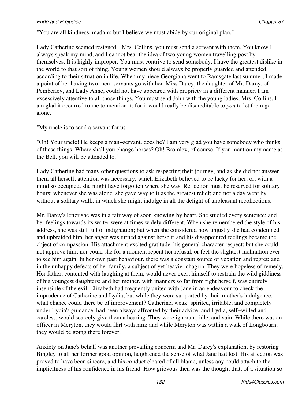"You are all kindness, madam; but I believe we must abide by our original plan."

Lady Catherine seemed resigned. "Mrs. Collins, you must send a servant with them. You know I always speak my mind, and I cannot bear the idea of two young women travelling post by themselves. It is highly improper. You must contrive to send somebody. I have the greatest dislike in the world to that sort of thing. Young women should always be properly guarded and attended, according to their situation in life. When my niece Georgiana went to Ramsgate last summer, I made a point of her having two men−servants go with her. Miss Darcy, the daughter of Mr. Darcy, of Pemberley, and Lady Anne, could not have appeared with propriety in a different manner. I am excessively attentive to all those things. You must send John with the young ladies, Mrs. Collins. I am glad it occurred to me to mention it; for it would really be discreditable to *you* to let them go alone."

"My uncle is to send a servant for us."

"Oh! Your uncle! He keeps a man−servant, does he? I am very glad you have somebody who thinks of these things. Where shall you change horses? Oh! Bromley, of course. If you mention my name at the Bell, you will be attended to."

Lady Catherine had many other questions to ask respecting their journey, and as she did not answer them all herself, attention was necessary, which Elizabeth believed to be lucky for her; or, with a mind so occupied, she might have forgotten where she was. Reflection must be reserved for solitary hours; whenever she was alone, she gave way to it as the greatest relief; and not a day went by without a solitary walk, in which she might indulge in all the delight of unpleasant recollections.

Mr. Darcy's letter she was in a fair way of soon knowing by heart. She studied every sentence; and her feelings towards its writer were at times widely different. When she remembered the style of his address, she was still full of indignation; but when she considered how unjustly she had condemned and upbraided him, her anger was turned against herself; and his disappointed feelings became the object of compassion. His attachment excited gratitude, his general character respect; but she could not approve him; nor could she for a moment repent her refusal, or feel the slightest inclination ever to see him again. In her own past behaviour, there was a constant source of vexation and regret; and in the unhappy defects of her family, a subject of yet heavier chagrin. They were hopeless of remedy. Her father, contented with laughing at them, would never exert himself to restrain the wild giddiness of his youngest daughters; and her mother, with manners so far from right herself, was entirely insensible of the evil. Elizabeth had frequently united with Jane in an endeavour to check the imprudence of Catherine and Lydia; but while they were supported by their mother's indulgence, what chance could there be of improvement? Catherine, weak−spirited, irritable, and completely under Lydia's guidance, had been always affronted by their advice; and Lydia, self−willed and careless, would scarcely give them a hearing. They were ignorant, idle, and vain. While there was an officer in Meryton, they would flirt with him; and while Meryton was within a walk of Longbourn, they would be going there forever.

Anxiety on Jane's behalf was another prevailing concern; and Mr. Darcy's explanation, by restoring Bingley to all her former good opinion, heightened the sense of what Jane had lost. His affection was proved to have been sincere, and his conduct cleared of all blame, unless any could attach to the implicitness of his confidence in his friend. How grievous then was the thought that, of a situation so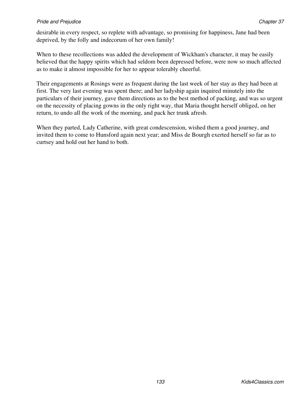desirable in every respect, so replete with advantage, so promising for happiness, Jane had been deprived, by the folly and indecorum of her own family!

When to these recollections was added the development of Wickham's character, it may be easily believed that the happy spirits which had seldom been depressed before, were now so much affected as to make it almost impossible for her to appear tolerably cheerful.

Their engagements at Rosings were as frequent during the last week of her stay as they had been at first. The very last evening was spent there; and her ladyship again inquired minutely into the particulars of their journey, gave them directions as to the best method of packing, and was so urgent on the necessity of placing gowns in the only right way, that Maria thought herself obliged, on her return, to undo all the work of the morning, and pack her trunk afresh.

When they parted, Lady Catherine, with great condescension, wished them a good journey, and invited them to come to Hunsford again next year; and Miss de Bourgh exerted herself so far as to curtsey and hold out her hand to both.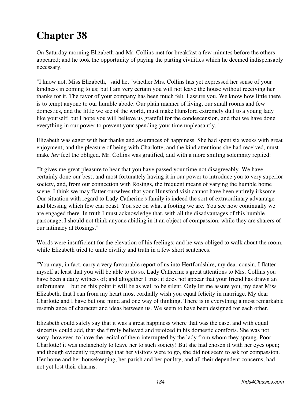On Saturday morning Elizabeth and Mr. Collins met for breakfast a few minutes before the others appeared; and he took the opportunity of paying the parting civilities which he deemed indispensably necessary.

"I know not, Miss Elizabeth," said he, "whether Mrs. Collins has yet expressed her sense of your kindness in coming to us; but I am very certain you will not leave the house without receiving her thanks for it. The favor of your company has been much felt, I assure you. We know how little there is to tempt anyone to our humble abode. Our plain manner of living, our small rooms and few domestics, and the little we see of the world, must make Hunsford extremely dull to a young lady like yourself; but I hope you will believe us grateful for the condescension, and that we have done everything in our power to prevent your spending your time unpleasantly."

Elizabeth was eager with her thanks and assurances of happiness. She had spent six weeks with great enjoyment; and the pleasure of being with Charlotte, and the kind attentions she had received, must make *her* feel the obliged. Mr. Collins was gratified, and with a more smiling solemnity replied:

"It gives me great pleasure to hear that you have passed your time not disagreeably. We have certainly done our best; and most fortunately having it in our power to introduce you to very superior society, and, from our connection with Rosings, the frequent means of varying the humble home scene, I think we may flatter ourselves that your Hunsford visit cannot have been entirely irksome. Our situation with regard to Lady Catherine's family is indeed the sort of extraordinary advantage and blessing which few can boast. You see on what a footing we are. You see how continually we are engaged there. In truth I must acknowledge that, with all the disadvantages of this humble parsonage, I should not think anyone abiding in it an object of compassion, while they are sharers of our intimacy at Rosings."

Words were insufficient for the elevation of his feelings; and he was obliged to walk about the room, while Elizabeth tried to unite civility and truth in a few short sentences.

"You may, in fact, carry a very favourable report of us into Hertfordshire, my dear cousin. I flatter myself at least that you will be able to do so. Lady Catherine's great attentions to Mrs. Collins you have been a daily witness of; and altogether I trust it does not appear that your friend has drawn an unfortunate but on this point it will be as well to be silent. Only let me assure you, my dear Miss Elizabeth, that I can from my heart most cordially wish you equal felicity in marriage. My dear Charlotte and I have but one mind and one way of thinking. There is in everything a most remarkable resemblance of character and ideas between us. We seem to have been designed for each other."

Elizabeth could safely say that it was a great happiness where that was the case, and with equal sincerity could add, that she firmly believed and rejoiced in his domestic comforts. She was not sorry, however, to have the recital of them interrupted by the lady from whom they sprang. Poor Charlotte! it was melancholy to leave her to such society! But she had chosen it with her eyes open; and though evidently regretting that her visitors were to go, she did not seem to ask for compassion. Her home and her housekeeping, her parish and her poultry, and all their dependent concerns, had not yet lost their charms.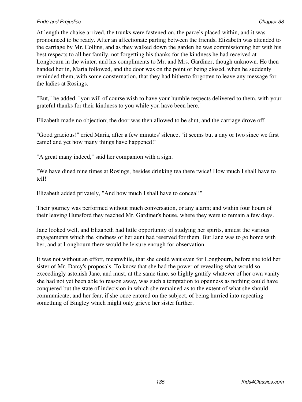At length the chaise arrived, the trunks were fastened on, the parcels placed within, and it was pronounced to be ready. After an affectionate parting between the friends, Elizabeth was attended to the carriage by Mr. Collins, and as they walked down the garden he was commissioning her with his best respects to all her family, not forgetting his thanks for the kindness he had received at Longbourn in the winter, and his compliments to Mr. and Mrs. Gardiner, though unknown. He then handed her in, Maria followed, and the door was on the point of being closed, when he suddenly reminded them, with some consternation, that they had hitherto forgotten to leave any message for the ladies at Rosings.

"But," he added, "you will of course wish to have your humble respects delivered to them, with your grateful thanks for their kindness to you while you have been here."

Elizabeth made no objection; the door was then allowed to be shut, and the carriage drove off.

"Good gracious!" cried Maria, after a few minutes' silence, "it seems but a day or two since we first came! and yet how many things have happened!"

"A great many indeed," said her companion with a sigh.

"We have dined nine times at Rosings, besides drinking tea there twice! How much I shall have to tell!"

Elizabeth added privately, "And how much I shall have to conceal!"

Their journey was performed without much conversation, or any alarm; and within four hours of their leaving Hunsford they reached Mr. Gardiner's house, where they were to remain a few days.

Jane looked well, and Elizabeth had little opportunity of studying her spirits, amidst the various engagements which the kindness of her aunt had reserved for them. But Jane was to go home with her, and at Longbourn there would be leisure enough for observation.

It was not without an effort, meanwhile, that she could wait even for Longbourn, before she told her sister of Mr. Darcy's proposals. To know that she had the power of revealing what would so exceedingly astonish Jane, and must, at the same time, so highly gratify whatever of her own vanity she had not yet been able to reason away, was such a temptation to openness as nothing could have conquered but the state of indecision in which she remained as to the extent of what she should communicate; and her fear, if she once entered on the subject, of being hurried into repeating something of Bingley which might only grieve her sister further.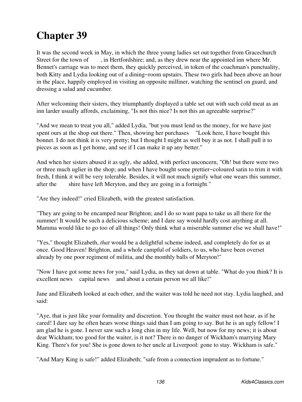It was the second week in May, in which the three young ladies set out together from Gracechurch Street for the town of , in Hertfordshire; and, as they drew near the appointed inn where Mr. Bennet's carriage was to meet them, they quickly perceived, in token of the coachman's punctuality, both Kitty and Lydia looking out of a dining−room upstairs. These two girls had been above an hour in the place, happily employed in visiting an opposite milliner, watching the sentinel on guard, and dressing a salad and cucumber.

After welcoming their sisters, they triumphantly displayed a table set out with such cold meat as an inn larder usually affords, exclaiming, "Is not this nice? Is not this an agreeable surprise?"

"And we mean to treat you all," added Lydia, "but you must lend us the money, for we have just spent ours at the shop out there." Then, showing her purchases "Look here, I have bought this bonnet. I do not think it is very pretty; but I thought I might as well buy it as not. I shall pull it to pieces as soon as I get home, and see if I can make it up any better."

And when her sisters abused it as ugly, she added, with perfect unconcern, "Oh! but there were two or three much uglier in the shop; and when I have bought some prettier−coloured satin to trim it with fresh, I think it will be very tolerable. Besides, it will not much signify what one wears this summer, after the shire have left Meryton, and they are going in a fortnight."

"Are they indeed!" cried Elizabeth, with the greatest satisfaction.

"They are going to be encamped near Brighton; and I do so want papa to take us all there for the summer! It would be such a delicious scheme; and I dare say would hardly cost anything at all. Mamma would like to go too of all things! Only think what a miserable summer else we shall have!"

"Yes," thought Elizabeth, *that* would be a delightful scheme indeed, and completely do for us at once. Good Heaven! Brighton, and a whole campful of soldiers, to us, who have been overset already by one poor regiment of militia, and the monthly balls of Meryton!"

"Now I have got some news for you," said Lydia, as they sat down at table. "What do you think? It is excellent news capital news and about a certain person we all like!"

Jane and Elizabeth looked at each other, and the waiter was told he need not stay. Lydia laughed, and said:

"Aye, that is just like your formality and discretion. You thought the waiter must not hear, as if he cared! I dare say he often hears worse things said than I am going to say. But he is an ugly fellow! I am glad he is gone. I never saw such a long chin in my life. Well, but now for my news; it is about dear Wickham; too good for the waiter, is it not? There is no danger of Wickham's marrying Mary King. There's for you! She is gone down to her uncle at Liverpool: gone to stay. Wickham is safe."

"And Mary King is safe!" added Elizabeth; "safe from a connection imprudent as to fortune."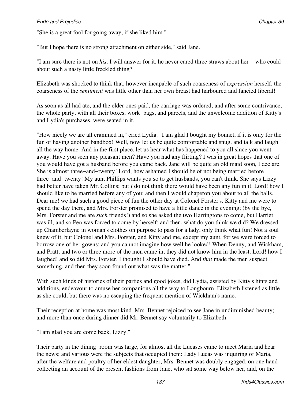"She is a great fool for going away, if she liked him."

"But I hope there is no strong attachment on either side," said Jane.

"I am sure there is not on *his*. I will answer for it, he never cared three straws about her who could about such a nasty little freckled thing?"

Elizabeth was shocked to think that, however incapable of such coarseness of *expression* herself, the coarseness of the *sentiment* was little other than her own breast had harboured and fancied liberal!

As soon as all had ate, and the elder ones paid, the carriage was ordered; and after some contrivance, the whole party, with all their boxes, work−bags, and parcels, and the unwelcome addition of Kitty's and Lydia's purchases, were seated in it.

"How nicely we are all crammed in," cried Lydia. "I am glad I bought my bonnet, if it is only for the fun of having another bandbox! Well, now let us be quite comfortable and snug, and talk and laugh all the way home. And in the first place, let us hear what has happened to you all since you went away. Have you seen any pleasant men? Have you had any flirting? I was in great hopes that one of you would have got a husband before you came back. Jane will be quite an old maid soon, I declare. She is almost three−and−twenty! Lord, how ashamed I should be of not being married before three−and−twenty! My aunt Phillips wants you so to get husbands, you can't think. She says Lizzy had better have taken Mr. Collins; but *I* do not think there would have been any fun in it. Lord! how I should like to be married before any of you; and then I would chaperon you about to all the balls. Dear me! we had such a good piece of fun the other day at Colonel Forster's. Kitty and me were to spend the day there, and Mrs. Forster promised to have a little dance in the evening; (by the bye, Mrs. Forster and me are *such* friends!) and so she asked the two Harringtons to come, but Harriet was ill, and so Pen was forced to come by herself; and then, what do you think we did? We dressed up Chamberlayne in woman's clothes on purpose to pass for a lady, only think what fun! Not a soul knew of it, but Colonel and Mrs. Forster, and Kitty and me, except my aunt, for we were forced to borrow one of her gowns; and you cannot imagine how well he looked! When Denny, and Wickham, and Pratt, and two or three more of the men came in, they did not know him in the least. Lord! how I laughed! and so did Mrs. Forster. I thought I should have died. And *that* made the men suspect something, and then they soon found out what was the matter."

With such kinds of histories of their parties and good jokes, did Lydia, assisted by Kitty's hints and additions, endeavour to amuse her companions all the way to Longbourn. Elizabeth listened as little as she could, but there was no escaping the frequent mention of Wickham's name.

Their reception at home was most kind. Mrs. Bennet rejoiced to see Jane in undiminished beauty; and more than once during dinner did Mr. Bennet say voluntarily to Elizabeth:

"I am glad you are come back, Lizzy."

Their party in the dining−room was large, for almost all the Lucases came to meet Maria and hear the news; and various were the subjects that occupied them: Lady Lucas was inquiring of Maria, after the welfare and poultry of her eldest daughter; Mrs. Bennet was doubly engaged, on one hand collecting an account of the present fashions from Jane, who sat some way below her, and, on the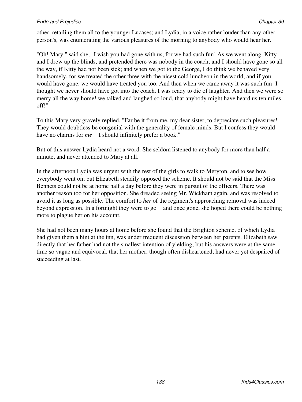other, retailing them all to the younger Lucases; and Lydia, in a voice rather louder than any other person's, was enumerating the various pleasures of the morning to anybody who would hear her.

"Oh! Mary," said she, "I wish you had gone with us, for we had such fun! As we went along, Kitty and I drew up the blinds, and pretended there was nobody in the coach; and I should have gone so all the way, if Kitty had not been sick; and when we got to the George, I do think we behaved very handsomely, for we treated the other three with the nicest cold luncheon in the world, and if you would have gone, we would have treated you too. And then when we came away it was such fun! I thought we never should have got into the coach. I was ready to die of laughter. And then we were so merry all the way home! we talked and laughed so loud, that anybody might have heard us ten miles off!"

To this Mary very gravely replied, "Far be it from me, my dear sister, to depreciate such pleasures! They would doubtless be congenial with the generality of female minds. But I confess they would have no charms for *me* I should infinitely prefer a book."

But of this answer Lydia heard not a word. She seldom listened to anybody for more than half a minute, and never attended to Mary at all.

In the afternoon Lydia was urgent with the rest of the girls to walk to Meryton, and to see how everybody went on; but Elizabeth steadily opposed the scheme. It should not be said that the Miss Bennets could not be at home half a day before they were in pursuit of the officers. There was another reason too for her opposition. She dreaded seeing Mr. Wickham again, and was resolved to avoid it as long as possible. The comfort to *her* of the regiment's approaching removal was indeed beyond expression. In a fortnight they were to go and once gone, she hoped there could be nothing more to plague her on his account.

She had not been many hours at home before she found that the Brighton scheme, of which Lydia had given them a hint at the inn, was under frequent discussion between her parents. Elizabeth saw directly that her father had not the smallest intention of yielding; but his answers were at the same time so vague and equivocal, that her mother, though often disheartened, had never yet despaired of succeeding at last.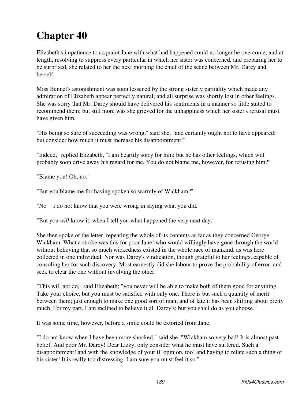Elizabeth's impatience to acquaint Jane with what had happened could no longer be overcome; and at length, resolving to suppress every particular in which her sister was concerned, and preparing her to be surprised, she related to her the next morning the chief of the scene between Mr. Darcy and herself.

Miss Bennet's astonishment was soon lessened by the strong sisterly partiality which made any admiration of Elizabeth appear perfectly natural; and all surprise was shortly lost in other feelings. She was sorry that Mr. Darcy should have delivered his sentiments in a manner so little suited to recommend them; but still more was she grieved for the unhappiness which her sister's refusal must have given him.

"His being so sure of succeeding was wrong," said she, "and certainly ought not to have appeared; but consider how much it must increase his disappointment!"

"Indeed," replied Elizabeth, "I am heartily sorry for him; but he has other feelings, which will probably soon drive away his regard for me. You do not blame me, however, for refusing him?"

"Blame you! Oh, no."

"But you blame me for having spoken so warmly of Wickham?"

"No I do not know that you were wrong in saying what you did."

"But you *will* know it, when I tell you what happened the very next day."

She then spoke of the letter, repeating the whole of its contents as far as they concerned George Wickham. What a stroke was this for poor Jane! who would willingly have gone through the world without believing that so much wickedness existed in the whole race of mankind, as was here collected in one individual. Nor was Darcy's vindication, though grateful to her feelings, capable of consoling her for such discovery. Most earnestly did she labour to prove the probability of error, and seek to clear the one without involving the other.

"This will not do," said Elizabeth; "you never will be able to make both of them good for anything. Take your choice, but you must be satisfied with only one. There is but such a quantity of merit between them; just enough to make one good sort of man; and of late it has been shifting about pretty much. For my part, I am inclined to believe it all Darcy's; but you shall do as you choose."

It was some time, however, before a smile could be extorted from Jane.

"I do not know when I have been more shocked," said she. "Wickham so very bad! It is almost past belief. And poor Mr. Darcy! Dear Lizzy, only consider what he must have suffered. Such a disappointment! and with the knowledge of your ill opinion, too! and having to relate such a thing of his sister! It is really too distressing. I am sure you must feel it so."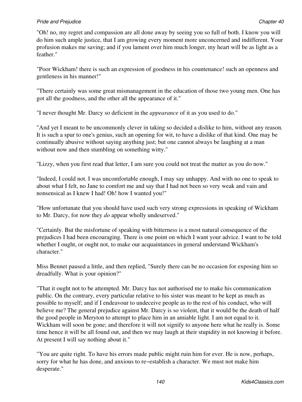"Oh! no, my regret and compassion are all done away by seeing you so full of both. I know you will do him such ample justice, that I am growing every moment more unconcerned and indifferent. Your profusion makes me saving; and if you lament over him much longer, my heart will be as light as a feather."

"Poor Wickham! there is such an expression of goodness in his countenance! such an openness and gentleness in his manner!"

"There certainly was some great mismanagement in the education of those two young men. One has got all the goodness, and the other all the appearance of it."

"I never thought Mr. Darcy so deficient in the *appearance* of it as you used to do."

"And yet I meant to be uncommonly clever in taking so decided a dislike to him, without any reason. It is such a spur to one's genius, such an opening for wit, to have a dislike of that kind. One may be continually abusive without saying anything just; but one cannot always be laughing at a man without now and then stumbling on something witty."

"Lizzy, when you first read that letter, I am sure you could not treat the matter as you do now."

"Indeed, I could not. I was uncomfortable enough, I may say unhappy. And with no one to speak to about what I felt, no Jane to comfort me and say that I had not been so very weak and vain and nonsensical as I knew I had! Oh! how I wanted you!"

"How unfortunate that you should have used such very strong expressions in speaking of Wickham to Mr. Darcy, for now they *do* appear wholly undeserved."

"Certainly. But the misfortune of speaking with bitterness is a most natural consequence of the prejudices I had been encouraging. There is one point on which I want your advice. I want to be told whether I ought, or ought not, to make our acquaintances in general understand Wickham's character."

Miss Bennet paused a little, and then replied, "Surely there can be no occasion for exposing him so dreadfully. What is your opinion?"

"That it ought not to be attempted. Mr. Darcy has not authorised me to make his communication public. On the contrary, every particular relative to his sister was meant to be kept as much as possible to myself; and if I endeavour to undeceive people as to the rest of his conduct, who will believe me? The general prejudice against Mr. Darcy is so violent, that it would be the death of half the good people in Meryton to attempt to place him in an amiable light. I am not equal to it. Wickham will soon be gone; and therefore it will not signify to anyone here what he really is. Some time hence it will be all found out, and then we may laugh at their stupidity in not knowing it before. At present I will say nothing about it."

"You are quite right. To have his errors made public might ruin him for ever. He is now, perhaps, sorry for what he has done, and anxious to re−establish a character. We must not make him desperate."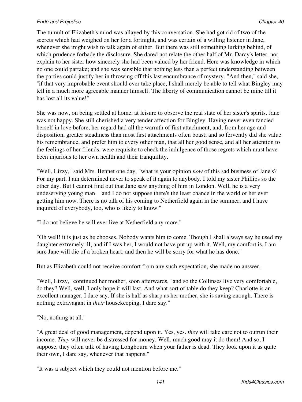The tumult of Elizabeth's mind was allayed by this conversation. She had got rid of two of the secrets which had weighed on her for a fortnight, and was certain of a willing listener in Jane, whenever she might wish to talk again of either. But there was still something lurking behind, of which prudence forbade the disclosure. She dared not relate the other half of Mr. Darcy's letter, nor explain to her sister how sincerely she had been valued by her friend. Here was knowledge in which no one could partake; and she was sensible that nothing less than a perfect understanding between the parties could justify her in throwing off this last encumbrance of mystery. "And then," said she, "if that very improbable event should ever take place, I shall merely be able to tell what Bingley may tell in a much more agreeable manner himself. The liberty of communication cannot be mine till it has lost all its value!"

She was now, on being settled at home, at leisure to observe the real state of her sister's spirits. Jane was not happy. She still cherished a very tender affection for Bingley. Having never even fancied herself in love before, her regard had all the warmth of first attachment, and, from her age and disposition, greater steadiness than most first attachments often boast; and so fervently did she value his remembrance, and prefer him to every other man, that all her good sense, and all her attention to the feelings of her friends, were requisite to check the indulgence of those regrets which must have been injurious to her own health and their tranquillity.

"Well, Lizzy," said Mrs. Bennet one day, "what is your opinion *now* of this sad business of Jane's? For my part, I am determined never to speak of it again to anybody. I told my sister Phillips so the other day. But I cannot find out that Jane saw anything of him in London. Well, he is a very undeserving young man and I do not suppose there's the least chance in the world of her ever getting him now. There is no talk of his coming to Netherfield again in the summer; and I have inquired of everybody, too, who is likely to know."

"I do not believe he will ever live at Netherfield any more."

"Oh well! it is just as he chooses. Nobody wants him to come. Though I shall always say he used my daughter extremely ill; and if I was her, I would not have put up with it. Well, my comfort is, I am sure Jane will die of a broken heart; and then he will be sorry for what he has done."

But as Elizabeth could not receive comfort from any such expectation, she made no answer.

"Well, Lizzy," continued her mother, soon afterwards, "and so the Collinses live very comfortable, do they? Well, well, I only hope it will last. And what sort of table do they keep? Charlotte is an excellent manager, I dare say. If she is half as sharp as her mother, she is saving enough. There is nothing extravagant in *their* housekeeping, I dare say."

"No, nothing at all."

"A great deal of good management, depend upon it. Yes, yes. *they* will take care not to outrun their income. *They* will never be distressed for money. Well, much good may it do them! And so, I suppose, they often talk of having Longbourn when your father is dead. They look upon it as quite their own, I dare say, whenever that happens."

"It was a subject which they could not mention before me."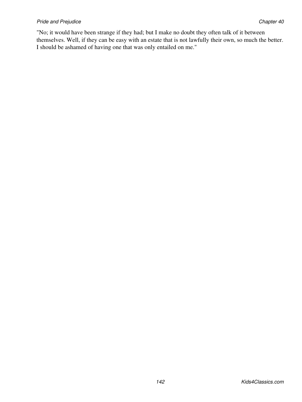"No; it would have been strange if they had; but I make no doubt they often talk of it between themselves. Well, if they can be easy with an estate that is not lawfully their own, so much the better. I should be ashamed of having one that was only entailed on me."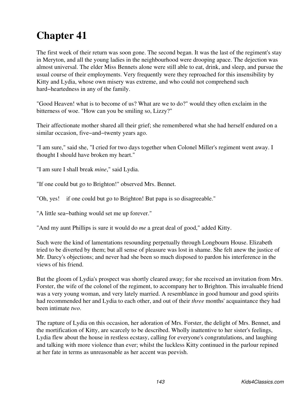# **Chapter 41**

The first week of their return was soon gone. The second began. It was the last of the regiment's stay in Meryton, and all the young ladies in the neighbourhood were drooping apace. The dejection was almost universal. The elder Miss Bennets alone were still able to eat, drink, and sleep, and pursue the usual course of their employments. Very frequently were they reproached for this insensibility by Kitty and Lydia, whose own misery was extreme, and who could not comprehend such hard−heartedness in any of the family.

"Good Heaven! what is to become of us? What are we to do?" would they often exclaim in the bitterness of woe. "How can you be smiling so, Lizzy?"

Their affectionate mother shared all their grief; she remembered what she had herself endured on a similar occasion, five−and−twenty years ago.

"I am sure," said she, "I cried for two days together when Colonel Miller's regiment went away. I thought I should have broken my heart."

"I am sure I shall break *mine*," said Lydia.

"If one could but go to Brighton!" observed Mrs. Bennet.

"Oh, yes! if one could but go to Brighton! But papa is so disagreeable."

"A little sea−bathing would set me up forever."

"And my aunt Phillips is sure it would do *me* a great deal of good," added Kitty.

Such were the kind of lamentations resounding perpetually through Longbourn House. Elizabeth tried to be diverted by them; but all sense of pleasure was lost in shame. She felt anew the justice of Mr. Darcy's objections; and never had she been so much disposed to pardon his interference in the views of his friend.

But the gloom of Lydia's prospect was shortly cleared away; for she received an invitation from Mrs. Forster, the wife of the colonel of the regiment, to accompany her to Brighton. This invaluable friend was a very young woman, and very lately married. A resemblance in good humour and good spirits had recommended her and Lydia to each other, and out of their *three* months' acquaintance they had been intimate *two*.

The rapture of Lydia on this occasion, her adoration of Mrs. Forster, the delight of Mrs. Bennet, and the mortification of Kitty, are scarcely to be described. Wholly inattentive to her sister's feelings, Lydia flew about the house in restless ecstasy, calling for everyone's congratulations, and laughing and talking with more violence than ever; whilst the luckless Kitty continued in the parlour repined at her fate in terms as unreasonable as her accent was peevish.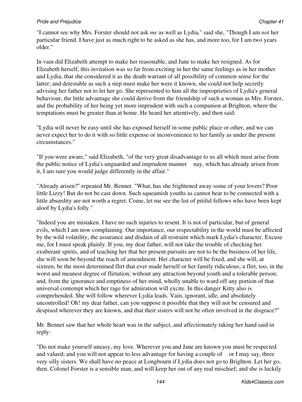"I cannot see why Mrs. Forster should not ask *me* as well as Lydia," said she, "Though I am *not* her particular friend. I have just as much right to be asked as she has, and more too, for I am two years older."

In vain did Elizabeth attempt to make her reasonable, and Jane to make her resigned. As for Elizabeth herself, this invitation was so far from exciting in her the same feelings as in her mother and Lydia, that she considered it as the death warrant of all possibility of common sense for the latter; and detestable as such a step must make her were it known, she could not help secretly advising her father not to let her go. She represented to him all the improprieties of Lydia's general behaviour, the little advantage she could derive from the friendship of such a woman as Mrs. Forster, and the probability of her being yet more imprudent with such a companion at Brighton, where the temptations must be greater than at home. He heard her attentively, and then said:

"Lydia will never be easy until she has exposed herself in some public place or other, and we can never expect her to do it with so little expense or inconvenience to her family as under the present circumstances."

"If you were aware," said Elizabeth, "of the very great disadvantage to us all which must arise from the public notice of Lydia's unguarded and imprudent manner nay, which has already arisen from it, I am sure you would judge differently in the affair."

"Already arisen?" repeated Mr. Bennet. "What, has she frightened away some of your lovers? Poor little Lizzy! But do not be cast down. Such squeamish youths as cannot bear to be connected with a little absurdity are not worth a regret. Come, let me see the list of pitiful fellows who have been kept aloof by Lydia's folly."

"Indeed you are mistaken. I have no such injuries to resent. It is not of particular, but of general evils, which I am now complaining. Our importance, our respectability in the world must be affected by the wild volatility, the assurance and disdain of all restraint which mark Lydia's character. Excuse me, for I must speak plainly. If you, my dear father, will not take the trouble of checking her exuberant spirits, and of teaching her that her present pursuits are not to be the business of her life, she will soon be beyond the reach of amendment. Her character will be fixed, and she will, at sixteen, be the most determined flirt that ever made herself or her family ridiculous; a flirt, too, in the worst and meanest degree of flirtation; without any attraction beyond youth and a tolerable person; and, from the ignorance and emptiness of her mind, wholly unable to ward off any portion of that universal contempt which her rage for admiration will excite. In this danger Kitty also is comprehended. She will follow wherever Lydia leads. Vain, ignorant, idle, and absolutely uncontrolled! Oh! my dear father, can you suppose it possible that they will not be censured and despised wherever they are known, and that their sisters will not be often involved in the disgrace?"

Mr. Bennet saw that her whole heart was in the subject, and affectionately taking her hand said in reply:

"Do not make yourself uneasy, my love. Wherever you and Jane are known you must be respected and valued; and you will not appear to less advantage for having a couple of or I may say, three very silly sisters. We shall have no peace at Longbourn if Lydia does not go to Brighton. Let her go, then. Colonel Forster is a sensible man, and will keep her out of any real mischief; and she is luckily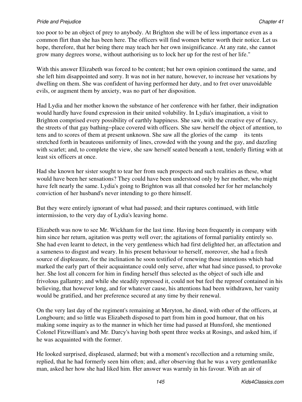too poor to be an object of prey to anybody. At Brighton she will be of less importance even as a common flirt than she has been here. The officers will find women better worth their notice. Let us hope, therefore, that her being there may teach her her own insignificance. At any rate, she cannot grow many degrees worse, without authorising us to lock her up for the rest of her life."

With this answer Elizabeth was forced to be content; but her own opinion continued the same, and she left him disappointed and sorry. It was not in her nature, however, to increase her vexations by dwelling on them. She was confident of having performed her duty, and to fret over unavoidable evils, or augment them by anxiety, was no part of her disposition.

Had Lydia and her mother known the substance of her conference with her father, their indignation would hardly have found expression in their united volubility. In Lydia's imagination, a visit to Brighton comprised every possibility of earthly happiness. She saw, with the creative eye of fancy, the streets of that gay bathing−place covered with officers. She saw herself the object of attention, to tens and to scores of them at present unknown. She saw all the glories of the camp its tents stretched forth in beauteous uniformity of lines, crowded with the young and the gay, and dazzling with scarlet; and, to complete the view, she saw herself seated beneath a tent, tenderly flirting with at least six officers at once.

Had she known her sister sought to tear her from such prospects and such realities as these, what would have been her sensations? They could have been understood only by her mother, who might have felt nearly the same. Lydia's going to Brighton was all that consoled her for her melancholy conviction of her husband's never intending to go there himself.

But they were entirely ignorant of what had passed; and their raptures continued, with little intermission, to the very day of Lydia's leaving home.

Elizabeth was now to see Mr. Wickham for the last time. Having been frequently in company with him since her return, agitation was pretty well over; the agitations of formal partiality entirely so. She had even learnt to detect, in the very gentleness which had first delighted her, an affectation and a sameness to disgust and weary. In his present behaviour to herself, moreover, she had a fresh source of displeasure, for the inclination he soon testified of renewing those intentions which had marked the early part of their acquaintance could only serve, after what had since passed, to provoke her. She lost all concern for him in finding herself thus selected as the object of such idle and frivolous gallantry; and while she steadily repressed it, could not but feel the reproof contained in his believing, that however long, and for whatever cause, his attentions had been withdrawn, her vanity would be gratified, and her preference secured at any time by their renewal.

On the very last day of the regiment's remaining at Meryton, he dined, with other of the officers, at Longbourn; and so little was Elizabeth disposed to part from him in good humour, that on his making some inquiry as to the manner in which her time had passed at Hunsford, she mentioned Colonel Fitzwilliam's and Mr. Darcy's having both spent three weeks at Rosings, and asked him, if he was acquainted with the former.

He looked surprised, displeased, alarmed; but with a moment's recollection and a returning smile, replied, that he had formerly seen him often; and, after observing that he was a very gentlemanlike man, asked her how she had liked him. Her answer was warmly in his favour. With an air of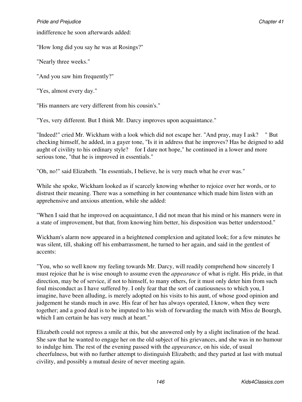indifference he soon afterwards added:

"How long did you say he was at Rosings?"

"Nearly three weeks."

"And you saw him frequently?"

"Yes, almost every day."

"His manners are very different from his cousin's."

"Yes, very different. But I think Mr. Darcy improves upon acquaintance."

"Indeed!" cried Mr. Wickham with a look which did not escape her. "And pray, may I ask? " But checking himself, he added, in a gayer tone, "Is it in address that he improves? Has he deigned to add aught of civility to his ordinary style? for I dare not hope," he continued in a lower and more serious tone, "that he is improved in essentials."

"Oh, no!" said Elizabeth. "In essentials, I believe, he is very much what he ever was."

While she spoke, Wickham looked as if scarcely knowing whether to rejoice over her words, or to distrust their meaning. There was a something in her countenance which made him listen with an apprehensive and anxious attention, while she added:

"When I said that he improved on acquaintance, I did not mean that his mind or his manners were in a state of improvement, but that, from knowing him better, his disposition was better understood."

Wickham's alarm now appeared in a heightened complexion and agitated look; for a few minutes he was silent, till, shaking off his embarrassment, he turned to her again, and said in the gentlest of accents:

"You, who so well know my feeling towards Mr. Darcy, will readily comprehend how sincerely I must rejoice that he is wise enough to assume even the *appearance* of what is right. His pride, in that direction, may be of service, if not to himself, to many others, for it must only deter him from such foul misconduct as I have suffered by. I only fear that the sort of cautiousness to which you, I imagine, have been alluding, is merely adopted on his visits to his aunt, of whose good opinion and judgement he stands much in awe. His fear of her has always operated, I know, when they were together; and a good deal is to be imputed to his wish of forwarding the match with Miss de Bourgh, which I am certain he has very much at heart."

Elizabeth could not repress a smile at this, but she answered only by a slight inclination of the head. She saw that he wanted to engage her on the old subject of his grievances, and she was in no humour to indulge him. The rest of the evening passed with the *appearance*, on his side, of usual cheerfulness, but with no further attempt to distinguish Elizabeth; and they parted at last with mutual civility, and possibly a mutual desire of never meeting again.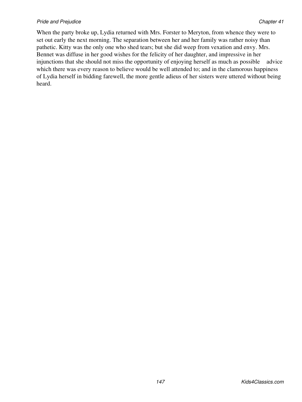When the party broke up, Lydia returned with Mrs. Forster to Meryton, from whence they were to set out early the next morning. The separation between her and her family was rather noisy than pathetic. Kitty was the only one who shed tears; but she did weep from vexation and envy. Mrs. Bennet was diffuse in her good wishes for the felicity of her daughter, and impressive in her injunctions that she should not miss the opportunity of enjoying herself as much as possible advice which there was every reason to believe would be well attended to; and in the clamorous happiness of Lydia herself in bidding farewell, the more gentle adieus of her sisters were uttered without being heard.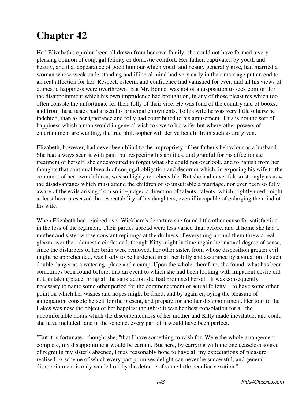# **Chapter 42**

Had Elizabeth's opinion been all drawn from her own family, she could not have formed a very pleasing opinion of conjugal felicity or domestic comfort. Her father, captivated by youth and beauty, and that appearance of good humour which youth and beauty generally give, had married a woman whose weak understanding and illiberal mind had very early in their marriage put an end to all real affection for her. Respect, esteem, and confidence had vanished for ever; and all his views of domestic happiness were overthrown. But Mr. Bennet was not of a disposition to seek comfort for the disappointment which his own imprudence had brought on, in any of those pleasures which too often console the unfortunate for their folly of their vice. He was fond of the country and of books; and from these tastes had arisen his principal enjoyments. To his wife he was very little otherwise indebted, than as her ignorance and folly had contributed to his amusement. This is not the sort of happiness which a man would in general wish to owe to his wife; but where other powers of entertainment are wanting, the true philosopher will derive benefit from such as are given.

Elizabeth, however, had never been blind to the impropriety of her father's behaviour as a husband. She had always seen it with pain; but respecting his abilities, and grateful for his affectionate treatment of herself, she endeavoured to forget what she could not overlook, and to banish from her thoughts that continual breach of conjugal obligation and decorum which, in exposing his wife to the contempt of her own children, was so highly reprehensible. But she had never felt so strongly as now the disadvantages which must attend the children of so unsuitable a marriage, nor ever been so fully aware of the evils arising from so ill−judged a direction of talents; talents, which, rightly used, might at least have preserved the respectability of his daughters, even if incapable of enlarging the mind of his wife.

When Elizabeth had rejoiced over Wickham's departure she found little other cause for satisfaction in the loss of the regiment. Their parties abroad were less varied than before, and at home she had a mother and sister whose constant repinings at the dullness of everything around them threw a real gloom over their domestic circle; and, though Kitty might in time regain her natural degree of sense, since the disturbers of her brain were removed, her other sister, from whose disposition greater evil might be apprehended, was likely to be hardened in all her folly and assurance by a situation of such double danger as a watering−place and a camp. Upon the whole, therefore, she found, what has been sometimes been found before, that an event to which she had been looking with impatient desire did not, in taking place, bring all the satisfaction she had promised herself. It was consequently necessary to name some other period for the commencement of actual felicity to have some other point on which her wishes and hopes might be fixed, and by again enjoying the pleasure of anticipation, console herself for the present, and prepare for another disappointment. Her tour to the Lakes was now the object of her happiest thoughts; it was her best consolation for all the uncomfortable hours which the discontentedness of her mother and Kitty made inevitable; and could she have included Jane in the scheme, every part of it would have been perfect.

"But it is fortunate," thought she, "that I have something to wish for. Were the whole arrangement complete, my disappointment would be certain. But here, by carrying with me one ceaseless source of regret in my sister's absence, I may reasonably hope to have all my expectations of pleasure realised. A scheme of which every part promises delight can never be successful; and general disappointment is only warded off by the defence of some little peculiar vexation."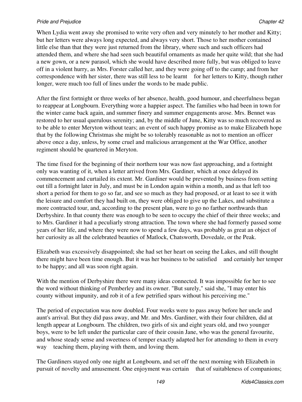## **Pride and Prejudice Chapter 22** Chapter 42

When Lydia went away she promised to write very often and very minutely to her mother and Kitty; but her letters were always long expected, and always very short. Those to her mother contained little else than that they were just returned from the library, where such and such officers had attended them, and where she had seen such beautiful ornaments as made her quite wild; that she had a new gown, or a new parasol, which she would have described more fully, but was obliged to leave off in a violent hurry, as Mrs. Forster called her, and they were going off to the camp; and from her correspondence with her sister, there was still less to be learnt for her letters to Kitty, though rather longer, were much too full of lines under the words to be made public.

After the first fortnight or three weeks of her absence, health, good humour, and cheerfulness began to reappear at Longbourn. Everything wore a happier aspect. The families who had been in town for the winter came back again, and summer finery and summer engagements arose. Mrs. Bennet was restored to her usual querulous serenity; and, by the middle of June, Kitty was so much recovered as to be able to enter Meryton without tears; an event of such happy promise as to make Elizabeth hope that by the following Christmas she might be so tolerably reasonable as not to mention an officer above once a day, unless, by some cruel and malicious arrangement at the War Office, another regiment should be quartered in Meryton.

The time fixed for the beginning of their northern tour was now fast approaching, and a fortnight only was wanting of it, when a letter arrived from Mrs. Gardiner, which at once delayed its commencement and curtailed its extent. Mr. Gardiner would be prevented by business from setting out till a fortnight later in July, and must be in London again within a month, and as that left too short a period for them to go so far, and see so much as they had proposed, or at least to see it with the leisure and comfort they had built on, they were obliged to give up the Lakes, and substitute a more contracted tour, and, according to the present plan, were to go no farther northwards than Derbyshire. In that county there was enough to be seen to occupy the chief of their three weeks; and to Mrs. Gardiner it had a peculiarly strong attraction. The town where she had formerly passed some years of her life, and where they were now to spend a few days, was probably as great an object of her curiosity as all the celebrated beauties of Matlock, Chatsworth, Dovedale, or the Peak.

Elizabeth was excessively disappointed; she had set her heart on seeing the Lakes, and still thought there might have been time enough. But it was her business to be satisfied and certainly her temper to be happy; and all was soon right again.

With the mention of Derbyshire there were many ideas connected. It was impossible for her to see the word without thinking of Pemberley and its owner. "But surely," said she, "I may enter his county without impunity, and rob it of a few petrified spars without his perceiving me."

The period of expectation was now doubled. Four weeks were to pass away before her uncle and aunt's arrival. But they did pass away, and Mr. and Mrs. Gardiner, with their four children, did at length appear at Longbourn. The children, two girls of six and eight years old, and two younger boys, were to be left under the particular care of their cousin Jane, who was the general favourite, and whose steady sense and sweetness of temper exactly adapted her for attending to them in every way teaching them, playing with them, and loving them.

The Gardiners stayed only one night at Longbourn, and set off the next morning with Elizabeth in pursuit of novelty and amusement. One enjoyment was certain that of suitableness of companions;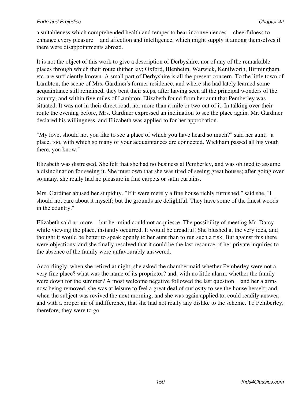a suitableness which comprehended health and temper to bear inconveniences cheerfulness to enhance every pleasure and affection and intelligence, which might supply it among themselves if there were disappointments abroad.

It is not the object of this work to give a description of Derbyshire, nor of any of the remarkable places through which their route thither lay; Oxford, Blenheim, Warwick, Kenilworth, Birmingham, etc. are sufficiently known. A small part of Derbyshire is all the present concern. To the little town of Lambton, the scene of Mrs. Gardiner's former residence, and where she had lately learned some acquaintance still remained, they bent their steps, after having seen all the principal wonders of the country; and within five miles of Lambton, Elizabeth found from her aunt that Pemberley was situated. It was not in their direct road, nor more than a mile or two out of it. In talking over their route the evening before, Mrs. Gardiner expressed an inclination to see the place again. Mr. Gardiner declared his willingness, and Elizabeth was applied to for her approbation.

"My love, should not you like to see a place of which you have heard so much?" said her aunt; "a place, too, with which so many of your acquaintances are connected. Wickham passed all his youth there, you know."

Elizabeth was distressed. She felt that she had no business at Pemberley, and was obliged to assume a disinclination for seeing it. She must own that she was tired of seeing great houses; after going over so many, she really had no pleasure in fine carpets or satin curtains.

Mrs. Gardiner abused her stupidity. "If it were merely a fine house richly furnished," said she, "I should not care about it myself; but the grounds are delightful. They have some of the finest woods in the country."

Elizabeth said no more but her mind could not acquiesce. The possibility of meeting Mr. Darcy, while viewing the place, instantly occurred. It would be dreadful! She blushed at the very idea, and thought it would be better to speak openly to her aunt than to run such a risk. But against this there were objections; and she finally resolved that it could be the last resource, if her private inquiries to the absence of the family were unfavourably answered.

Accordingly, when she retired at night, she asked the chambermaid whether Pemberley were not a very fine place? what was the name of its proprietor? and, with no little alarm, whether the family were down for the summer? A most welcome negative followed the last question and her alarms now being removed, she was at leisure to feel a great deal of curiosity to see the house herself; and when the subject was revived the next morning, and she was again applied to, could readily answer, and with a proper air of indifference, that she had not really any dislike to the scheme. To Pemberley, therefore, they were to go.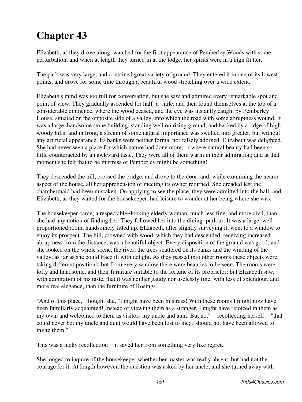# **Chapter 43**

Elizabeth, as they drove along, watched for the first appearance of Pemberley Woods with some perturbation; and when at length they turned in at the lodge, her spirits were in a high flutter.

The park was very large, and contained great variety of ground. They entered it in one of its lowest points, and drove for some time through a beautiful wood stretching over a wide extent.

Elizabeth's mind was too full for conversation, but she saw and admired every remarkable spot and point of view. They gradually ascended for half−a−mile, and then found themselves at the top of a considerable eminence, where the wood ceased, and the eye was instantly caught by Pemberley House, situated on the opposite side of a valley, into which the road with some abruptness wound. It was a large, handsome stone building, standing well on rising ground, and backed by a ridge of high woody hills; and in front, a stream of some natural importance was swelled into greater, but without any artificial appearance. Its banks were neither formal nor falsely adorned. Elizabeth was delighted. She had never seen a place for which nature had done more, or where natural beauty had been so little counteracted by an awkward taste. They were all of them warm in their admiration; and at that moment she felt that to be mistress of Pemberley might be something!

They descended the hill, crossed the bridge, and drove to the door; and, while examining the nearer aspect of the house, all her apprehension of meeting its owner returned. She dreaded lest the chambermaid had been mistaken. On applying to see the place, they were admitted into the hall; and Elizabeth, as they waited for the housekeeper, had leisure to wonder at her being where she was.

The house keeper came; a respectable–looking elderly woman, much less fine, and more civil, than she had any notion of finding her. They followed her into the dining−parlour. It was a large, well proportioned room, handsomely fitted up. Elizabeth, after slightly surveying it, went to a window to enjoy its prospect. The hill, crowned with wood, which they had descended, receiving increased abruptness from the distance, was a beautiful object. Every disposition of the ground was good; and she looked on the whole scene, the river, the trees scattered on its banks and the winding of the valley, as far as she could trace it, with delight. As they passed into other rooms these objects were taking different positions; but from every window there were beauties to be seen. The rooms were lofty and handsome, and their furniture suitable to the fortune of its proprietor; but Elizabeth saw, with admiration of his taste, that it was neither gaudy nor uselessly fine; with less of splendour, and more real elegance, than the furniture of Rosings.

"And of this place," thought she, "I might have been mistress! With these rooms I might now have been familiarly acquainted! Instead of viewing them as a stranger, I might have rejoiced in them as my own, and welcomed to them as visitors my uncle and aunt. But no," recollecting herself "that could never be; my uncle and aunt would have been lost to me; I should not have been allowed to invite them."

This was a lucky recollection it saved her from something very like regret.

She longed to inquire of the housekeeper whether her master was really absent, but had not the courage for it. At length however, the question was asked by her uncle; and she turned away with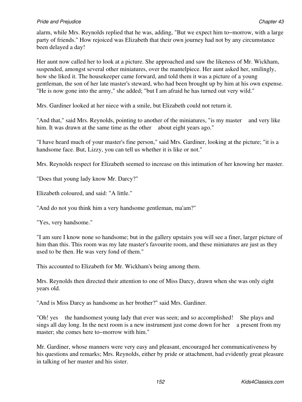alarm, while Mrs. Reynolds replied that he was, adding, "But we expect him to−morrow, with a large party of friends." How rejoiced was Elizabeth that their own journey had not by any circumstance been delayed a day!

Her aunt now called her to look at a picture. She approached and saw the likeness of Mr. Wickham, suspended, amongst several other miniatures, over the mantelpiece. Her aunt asked her, smilingly, how she liked it. The housekeeper came forward, and told them it was a picture of a young gentleman, the son of her late master's steward, who had been brought up by him at his own expense. "He is now gone into the army," she added; "but I am afraid he has turned out very wild."

Mrs. Gardiner looked at her niece with a smile, but Elizabeth could not return it.

"And that," said Mrs. Reynolds, pointing to another of the miniatures, "is my master and very like him. It was drawn at the same time as the other about eight years ago."

"I have heard much of your master's fine person," said Mrs. Gardiner, looking at the picture; "it is a handsome face. But, Lizzy, you can tell us whether it is like or not."

Mrs. Reynolds respect for Elizabeth seemed to increase on this intimation of her knowing her master.

"Does that young lady know Mr. Darcy?"

Elizabeth coloured, and said: "A little."

"And do not you think him a very handsome gentleman, ma'am?"

"Yes, very handsome."

"I am sure I know none so handsome; but in the gallery upstairs you will see a finer, larger picture of him than this. This room was my late master's favourite room, and these miniatures are just as they used to be then. He was very fond of them."

This accounted to Elizabeth for Mr. Wickham's being among them.

Mrs. Reynolds then directed their attention to one of Miss Darcy, drawn when she was only eight years old.

"And is Miss Darcy as handsome as her brother?" said Mrs. Gardiner.

"Oh! yes the handsomest young lady that ever was seen; and so accomplished! She plays and sings all day long. In the next room is a new instrument just come down for her a present from my master; she comes here to−morrow with him."

Mr. Gardiner, whose manners were very easy and pleasant, encouraged her communicativeness by his questions and remarks; Mrs. Reynolds, either by pride or attachment, had evidently great pleasure in talking of her master and his sister.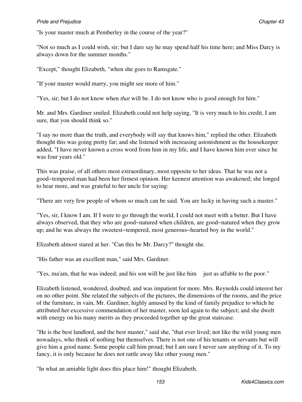"Is your master much at Pemberley in the course of the year?"

"Not so much as I could wish, sir; but I dare say he may spend half his time here; and Miss Darcy is always down for the summer months."

"Except," thought Elizabeth, "when she goes to Ramsgate."

"If your master would marry, you might see more of him."

"Yes, sir; but I do not know when *that* will be. I do not know who is good enough for him."

Mr. and Mrs. Gardiner smiled. Elizabeth could not help saying, "It is very much to his credit, I am sure, that you should think so."

"I say no more than the truth, and everybody will say that knows him," replied the other. Elizabeth thought this was going pretty far; and she listened with increasing astonishment as the housekeeper added, "I have never known a cross word from him in my life, and I have known him ever since he was four years old."

This was praise, of all others most extraordinary, most opposite to her ideas. That he was not a good−tempered man had been her firmest opinion. Her keenest attention was awakened; she longed to hear more, and was grateful to her uncle for saying:

"There are very few people of whom so much can be said. You are lucky in having such a master."

"Yes, sir, I know I am. If I were to go through the world, I could not meet with a better. But I have always observed, that they who are good−natured when children, are good−natured when they grow up; and he was always the sweetest−tempered, most generous−hearted boy in the world."

Elizabeth almost stared at her. "Can this be Mr. Darcy?" thought she.

"His father was an excellent man," said Mrs. Gardiner.

"Yes, ma'am, that he was indeed; and his son will be just like him just as affable to the poor."

Elizabeth listened, wondered, doubted, and was impatient for more. Mrs. Reynolds could interest her on no other point. She related the subjects of the pictures, the dimensions of the rooms, and the price of the furniture, in vain, Mr. Gardiner, highly amused by the kind of family prejudice to which he attributed her excessive commendation of her master, soon led again to the subject; and she dwelt with energy on his many merits as they proceeded together up the great staircase.

"He is the best landlord, and the best master," said she, "that ever lived; not like the wild young men nowadays, who think of nothing but themselves. There is not one of his tenants or servants but will give him a good name. Some people call him proud; but I am sure I never saw anything of it. To my fancy, it is only because he does not rattle away like other young men."

"In what an amiable light does this place him!" thought Elizabeth.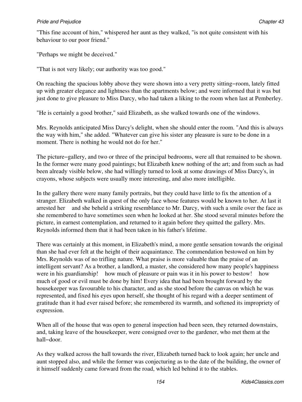"This fine account of him," whispered her aunt as they walked, "is not quite consistent with his behaviour to our poor friend."

"Perhaps we might be deceived."

"That is not very likely; our authority was too good."

On reaching the spacious lobby above they were shown into a very pretty sitting−room, lately fitted up with greater elegance and lightness than the apartments below; and were informed that it was but just done to give pleasure to Miss Darcy, who had taken a liking to the room when last at Pemberley.

"He is certainly a good brother," said Elizabeth, as she walked towards one of the windows.

Mrs. Reynolds anticipated Miss Darcy's delight, when she should enter the room. "And this is always the way with him," she added. "Whatever can give his sister any pleasure is sure to be done in a moment. There is nothing he would not do for her."

The picture−gallery, and two or three of the principal bedrooms, were all that remained to be shown. In the former were many good paintings; but Elizabeth knew nothing of the art; and from such as had been already visible below, she had willingly turned to look at some drawings of Miss Darcy's, in crayons, whose subjects were usually more interesting, and also more intelligible.

In the gallery there were many family portraits, but they could have little to fix the attention of a stranger. Elizabeth walked in quest of the only face whose features would be known to her. At last it arrested her and she beheld a striking resemblance to Mr. Darcy, with such a smile over the face as she remembered to have sometimes seen when he looked at her. She stood several minutes before the picture, in earnest contemplation, and returned to it again before they quitted the gallery. Mrs. Reynolds informed them that it had been taken in his father's lifetime.

There was certainly at this moment, in Elizabeth's mind, a more gentle sensation towards the original than she had ever felt at the height of their acquaintance. The commendation bestowed on him by Mrs. Reynolds was of no trifling nature. What praise is more valuable than the praise of an intelligent servant? As a brother, a landlord, a master, she considered how many people's happiness were in his guardianship! how much of pleasure or pain was it in his power to bestow! how much of good or evil must be done by him! Every idea that had been brought forward by the housekeeper was favourable to his character, and as she stood before the canvas on which he was represented, and fixed his eyes upon herself, she thought of his regard with a deeper sentiment of gratitude than it had ever raised before; she remembered its warmth, and softened its impropriety of expression.

When all of the house that was open to general inspection had been seen, they returned downstairs, and, taking leave of the housekeeper, were consigned over to the gardener, who met them at the hall−door.

As they walked across the hall towards the river, Elizabeth turned back to look again; her uncle and aunt stopped also, and while the former was conjecturing as to the date of the building, the owner of it himself suddenly came forward from the road, which led behind it to the stables.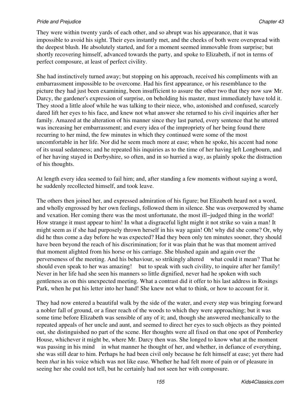They were within twenty yards of each other, and so abrupt was his appearance, that it was impossible to avoid his sight. Their eyes instantly met, and the cheeks of both were overspread with the deepest blush. He absolutely started, and for a moment seemed immovable from surprise; but shortly recovering himself, advanced towards the party, and spoke to Elizabeth, if not in terms of perfect composure, at least of perfect civility.

She had instinctively turned away; but stopping on his approach, received his compliments with an embarrassment impossible to be overcome. Had his first appearance, or his resemblance to the picture they had just been examining, been insufficient to assure the other two that they now saw Mr. Darcy, the gardener's expression of surprise, on beholding his master, must immediately have told it. They stood a little aloof while he was talking to their niece, who, astonished and confused, scarcely dared lift her eyes to his face, and knew not what answer she returned to his civil inquiries after her family. Amazed at the alteration of his manner since they last parted, every sentence that he uttered was increasing her embarrassment; and every idea of the impropriety of her being found there recurring to her mind, the few minutes in which they continued were some of the most uncomfortable in her life. Nor did he seem much more at ease; when he spoke, his accent had none of its usual sedateness; and he repeated his inquiries as to the time of her having left Longbourn, and of her having stayed in Derbyshire, so often, and in so hurried a way, as plainly spoke the distraction of his thoughts.

At length every idea seemed to fail him; and, after standing a few moments without saying a word, he suddenly recollected himself, and took leave.

The others then joined her, and expressed admiration of his figure; but Elizabeth heard not a word, and wholly engrossed by her own feelings, followed them in silence. She was overpowered by shame and vexation. Her coming there was the most unfortunate, the most ill−judged thing in the world! How strange it must appear to him! In what a disgraceful light might it not strike so vain a man! It might seem as if she had purposely thrown herself in his way again! Oh! why did she come? Or, why did he thus come a day before he was expected? Had they been only ten minutes sooner, they should have been beyond the reach of his discrimination; for it was plain that he was that moment arrived that moment alighted from his horse or his carriage. She blushed again and again over the perverseness of the meeting. And his behaviour, so strikingly altered what could it mean? That he should even speak to her was amazing! but to speak with such civility, to inquire after her family! Never in her life had she seen his manners so little dignified, never had he spoken with such gentleness as on this unexpected meeting. What a contrast did it offer to his last address in Rosings Park, when he put his letter into her hand! She knew not what to think, or how to account for it.

They had now entered a beautiful walk by the side of the water, and every step was bringing forward a nobler fall of ground, or a finer reach of the woods to which they were approaching; but it was some time before Elizabeth was sensible of any of it; and, though she answered mechanically to the repeated appeals of her uncle and aunt, and seemed to direct her eyes to such objects as they pointed out, she distinguished no part of the scene. Her thoughts were all fixed on that one spot of Pemberley House, whichever it might be, where Mr. Darcy then was. She longed to know what at the moment was passing in his mind in what manner he thought of her, and whether, in defiance of everything, she was still dear to him. Perhaps he had been civil only because he felt himself at ease; yet there had been *that* in his voice which was not like ease. Whether he had felt more of pain or of pleasure in seeing her she could not tell, but he certainly had not seen her with composure.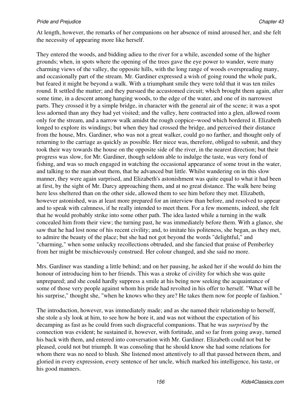At length, however, the remarks of her companions on her absence of mind aroused her, and she felt the necessity of appearing more like herself.

They entered the woods, and bidding adieu to the river for a while, ascended some of the higher grounds; when, in spots where the opening of the trees gave the eye power to wander, were many charming views of the valley, the opposite hills, with the long range of woods overspreading many, and occasionally part of the stream. Mr. Gardiner expressed a wish of going round the whole park, but feared it might be beyond a walk. With a triumphant smile they were told that it was ten miles round. It settled the matter; and they pursued the accustomed circuit; which brought them again, after some time, in a descent among hanging woods, to the edge of the water, and one of its narrowest parts. They crossed it by a simple bridge, in character with the general air of the scene; it was a spot less adorned than any they had yet visited; and the valley, here contracted into a glen, allowed room only for the stream, and a narrow walk amidst the rough coppice−wood which bordered it. Elizabeth longed to explore its windings; but when they had crossed the bridge, and perceived their distance from the house, Mrs. Gardiner, who was not a great walker, could go no farther, and thought only of returning to the carriage as quickly as possible. Her niece was, therefore, obliged to submit, and they took their way towards the house on the opposite side of the river, in the nearest direction; but their progress was slow, for Mr. Gardiner, though seldom able to indulge the taste, was very fond of fishing, and was so much engaged in watching the occasional appearance of some trout in the water, and talking to the man about them, that he advanced but little. Whilst wandering on in this slow manner, they were again surprised, and Elizabeth's astonishment was quite equal to what it had been at first, by the sight of Mr. Darcy approaching them, and at no great distance. The walk here being here less sheltered than on the other side, allowed them to see him before they met. Elizabeth, however astonished, was at least more prepared for an interview than before, and resolved to appear and to speak with calmness, if he really intended to meet them. For a few moments, indeed, she felt that he would probably strike into some other path. The idea lasted while a turning in the walk concealed him from their view; the turning past, he was immediately before them. With a glance, she saw that he had lost none of his recent civility; and, to imitate his politeness, she began, as they met, to admire the beauty of the place; but she had not got beyond the words "delightful," and "charming," when some unlucky recollections obtruded, and she fancied that praise of Pemberley from her might be mischievously construed. Her colour changed, and she said no more.

Mrs. Gardiner was standing a little behind; and on her pausing, he asked her if she would do him the honour of introducing him to her friends. This was a stroke of civility for which she was quite unprepared; and she could hardly suppress a smile at his being now seeking the acquaintance of some of those very people against whom his pride had revolted in his offer to herself. "What will be his surprise," thought she, "when he knows who they are? He takes them now for people of fashion."

The introduction, however, was immediately made; and as she named their relationship to herself, she stole a sly look at him, to see how he bore it, and was not without the expectation of his decamping as fast as he could from such disgraceful companions. That he was *surprised* by the connection was evident; he sustained it, however, with fortitude, and so far from going away, turned his back with them, and entered into conversation with Mr. Gardiner. Elizabeth could not but be pleased, could not but triumph. It was consoling that he should know she had some relations for whom there was no need to blush. She listened most attentively to all that passed between them, and gloried in every expression, every sentence of her uncle, which marked his intelligence, his taste, or his good manners.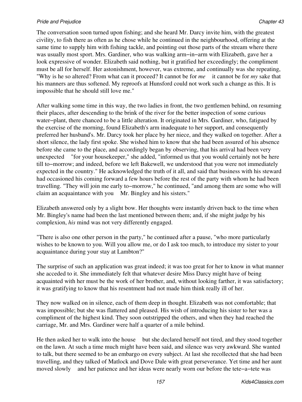The conversation soon turned upon fishing; and she heard Mr. Darcy invite him, with the greatest civility, to fish there as often as he chose while he continued in the neighbourhood, offering at the same time to supply him with fishing tackle, and pointing out those parts of the stream where there was usually most sport. Mrs. Gardiner, who was walking arm−in−arm with Elizabeth, gave her a look expressive of wonder. Elizabeth said nothing, but it gratified her exceedingly; the compliment must be all for herself. Her astonishment, however, was extreme, and continually was she repeating, "Why is he so altered? From what can it proceed? It cannot be for *me* it cannot be for *my* sake that his manners are thus softened. My reproofs at Hunsford could not work such a change as this. It is impossible that he should still love me."

After walking some time in this way, the two ladies in front, the two gentlemen behind, on resuming their places, after descending to the brink of the river for the better inspection of some curious water−plant, there chanced to be a little alteration. It originated in Mrs. Gardiner, who, fatigued by the exercise of the morning, found Elizabeth's arm inadequate to her support, and consequently preferred her husband's. Mr. Darcy took her place by her niece, and they walked on together. After a short silence, the lady first spoke. She wished him to know that she had been assured of his absence before she came to the place, and accordingly began by observing, that his arrival had been very unexpected "for your housekeeper," she added, "informed us that you would certainly not be here till to−morrow; and indeed, before we left Bakewell, we understood that you were not immediately expected in the country." He acknowledged the truth of it all, and said that business with his steward had occasioned his coming forward a few hours before the rest of the party with whom he had been travelling. "They will join me early to−morrow," he continued, "and among them are some who will claim an acquaintance with you Mr. Bingley and his sisters."

Elizabeth answered only by a slight bow. Her thoughts were instantly driven back to the time when Mr. Bingley's name had been the last mentioned between them; and, if she might judge by his complexion, *his* mind was not very differently engaged.

"There is also one other person in the party," he continued after a pause, "who more particularly wishes to be known to you. Will you allow me, or do I ask too much, to introduce my sister to your acquaintance during your stay at Lambton?"

The surprise of such an application was great indeed; it was too great for her to know in what manner she acceded to it. She immediately felt that whatever desire Miss Darcy might have of being acquainted with her must be the work of her brother, and, without looking farther, it was satisfactory; it was gratifying to know that his resentment had not made him think really ill of her.

They now walked on in silence, each of them deep in thought. Elizabeth was not comfortable; that was impossible; but she was flattered and pleased. His wish of introducing his sister to her was a compliment of the highest kind. They soon outstripped the others, and when they had reached the carriage, Mr. and Mrs. Gardiner were half a quarter of a mile behind.

He then asked her to walk into the house but she declared herself not tired, and they stood together on the lawn. At such a time much might have been said, and silence was very awkward. She wanted to talk, but there seemed to be an embargo on every subject. At last she recollected that she had been travelling, and they talked of Matlock and Dove Dale with great perseverance. Yet time and her aunt moved slowly and her patience and her ideas were nearly worn our before the tete−a−tete was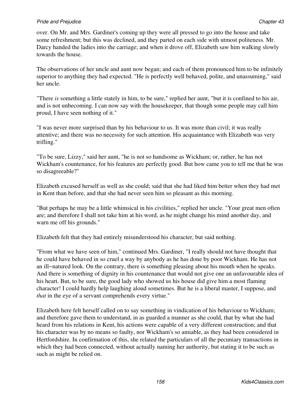over. On Mr. and Mrs. Gardiner's coming up they were all pressed to go into the house and take some refreshment; but this was declined, and they parted on each side with utmost politeness. Mr. Darcy handed the ladies into the carriage; and when it drove off, Elizabeth saw him walking slowly towards the house.

The observations of her uncle and aunt now began; and each of them pronounced him to be infinitely superior to anything they had expected. "He is perfectly well behaved, polite, and unassuming," said her uncle.

"There *is* something a little stately in him, to be sure," replied her aunt, "but it is confined to his air, and is not unbecoming. I can now say with the housekeeper, that though some people may call him proud, I have seen nothing of it."

"I was never more surprised than by his behaviour to us. It was more than civil; it was really attentive; and there was no necessity for such attention. His acquaintance with Elizabeth was very trifling."

"To be sure, Lizzy," said her aunt, "he is not so handsome as Wickham; or, rather, he has not Wickham's countenance, for his features are perfectly good. But how came you to tell me that he was so disagreeable?"

Elizabeth excused herself as well as she could; said that she had liked him better when they had met in Kent than before, and that she had never seen him so pleasant as this morning.

"But perhaps he may be a little whimsical in his civilities," replied her uncle. "Your great men often are; and therefore I shall not take him at his word, as he might change his mind another day, and warn me off his grounds."

Elizabeth felt that they had entirely misunderstood his character, but said nothing.

"From what we have seen of him," continued Mrs. Gardiner, "I really should not have thought that he could have behaved in so cruel a way by anybody as he has done by poor Wickham. He has not an ill−natured look. On the contrary, there is something pleasing about his mouth when he speaks. And there is something of dignity in his countenance that would not give one an unfavourable idea of his heart. But, to be sure, the good lady who showed us his house did give him a most flaming character! I could hardly help laughing aloud sometimes. But he is a liberal master, I suppose, and *that* in the eye of a servant comprehends every virtue."

Elizabeth here felt herself called on to say something in vindication of his behaviour to Wickham; and therefore gave them to understand, in as guarded a manner as she could, that by what she had heard from his relations in Kent, his actions were capable of a very different construction; and that his character was by no means so faulty, nor Wickham's so amiable, as they had been considered in Hertfordshire. In confirmation of this, she related the particulars of all the pecuniary transactions in which they had been connected, without actually naming her authority, but stating it to be such as such as might be relied on.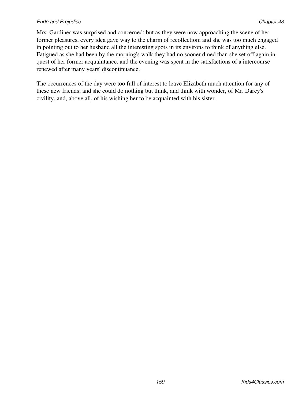Mrs. Gardiner was surprised and concerned; but as they were now approaching the scene of her former pleasures, every idea gave way to the charm of recollection; and she was too much engaged in pointing out to her husband all the interesting spots in its environs to think of anything else. Fatigued as she had been by the morning's walk they had no sooner dined than she set off again in quest of her former acquaintance, and the evening was spent in the satisfactions of a intercourse renewed after many years' discontinuance.

The occurrences of the day were too full of interest to leave Elizabeth much attention for any of these new friends; and she could do nothing but think, and think with wonder, of Mr. Darcy's civility, and, above all, of his wishing her to be acquainted with his sister.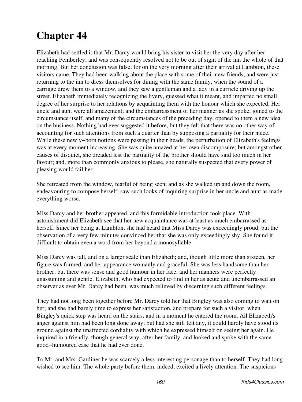# **Chapter 44**

Elizabeth had settled it that Mr. Darcy would bring his sister to visit her the very day after her reaching Pemberley; and was consequently resolved not to be out of sight of the inn the whole of that morning. But her conclusion was false; for on the very morning after their arrival at Lambton, these visitors came. They had been walking about the place with some of their new friends, and were just returning to the inn to dress themselves for dining with the same family, when the sound of a carriage drew them to a window, and they saw a gentleman and a lady in a curricle driving up the street. Elizabeth immediately recognizing the livery, guessed what it meant, and imparted no small degree of her surprise to her relations by acquainting them with the honour which she expected. Her uncle and aunt were all amazement; and the embarrassment of her manner as she spoke, joined to the circumstance itself, and many of the circumstances of the preceding day, opened to them a new idea on the business. Nothing had ever suggested it before, but they felt that there was no other way of accounting for such attentions from such a quarter than by supposing a partiality for their niece. While these newly−born notions were passing in their heads, the perturbation of Elizabeth's feelings was at every moment increasing. She was quite amazed at her own discomposure; but amongst other causes of disquiet, she dreaded lest the partiality of the brother should have said too much in her favour; and, more than commonly anxious to please, she naturally suspected that every power of pleasing would fail her.

She retreated from the window, fearful of being seen; and as she walked up and down the room, endeavouring to compose herself, saw such looks of inquiring surprise in her uncle and aunt as made everything worse.

Miss Darcy and her brother appeared, and this formidable introduction took place. With astonishment did Elizabeth see that her new acquaintance was at least as much embarrassed as herself. Since her being at Lambton, she had heard that Miss Darcy was exceedingly proud; but the observation of a very few minutes convinced her that she was only exceedingly shy. She found it difficult to obtain even a word from her beyond a monosyllable.

Miss Darcy was tall, and on a larger scale than Elizabeth; and, though little more than sixteen, her figure was formed, and her appearance womanly and graceful. She was less handsome than her brother; but there was sense and good humour in her face, and her manners were perfectly unassuming and gentle. Elizabeth, who had expected to find in her as acute and unembarrassed an observer as ever Mr. Darcy had been, was much relieved by discerning such different feelings.

They had not long been together before Mr. Darcy told her that Bingley was also coming to wait on her; and she had barely time to express her satisfaction, and prepare for such a visitor, when Bingley's quick step was heard on the stairs, and in a moment he entered the room. All Elizabeth's anger against him had been long done away; but had she still felt any, it could hardly have stood its ground against the unaffected cordiality with which he expressed himself on seeing her again. He inquired in a friendly, though general way, after her family, and looked and spoke with the same good−humoured ease that he had ever done.

To Mr. and Mrs. Gardiner he was scarcely a less interesting personage than to herself. They had long wished to see him. The whole party before them, indeed, excited a lively attention. The suspicions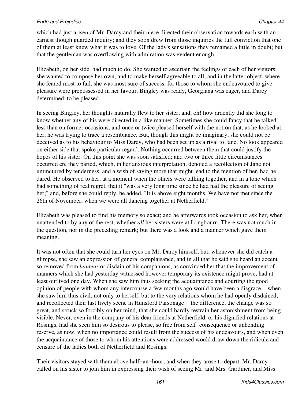which had just arisen of Mr. Darcy and their niece directed their observation towards each with an earnest though guarded inquiry; and they soon drew from those inquiries the full conviction that one of them at least knew what it was to love. Of the lady's sensations they remained a little in doubt; but that the gentleman was overflowing with admiration was evident enough.

Elizabeth, on her side, had much to do. She wanted to ascertain the feelings of each of her visitors; she wanted to compose her own, and to make herself agreeable to all; and in the latter object, where she feared most to fail, she was most sure of success, for those to whom she endeavoured to give pleasure were prepossessed in her favour. Bingley was ready, Georgiana was eager, and Darcy determined, to be pleased.

In seeing Bingley, her thoughts naturally flew to her sister; and, oh! how ardently did she long to know whether any of his were directed in a like manner. Sometimes she could fancy that he talked less than on former occasions, and once or twice pleased herself with the notion that, as he looked at her, he was trying to trace a resemblance. But, though this might be imaginary, she could not be deceived as to his behaviour to Miss Darcy, who had been set up as a rival to Jane. No look appeared on either side that spoke particular regard. Nothing occurred between them that could justify the hopes of his sister. On this point she was soon satisfied; and two or three little circumstances occurred ere they parted, which, in her anxious interpretation, denoted a recollection of Jane not untinctured by tenderness, and a wish of saying more that might lead to the mention of her, had he dared. He observed to her, at a moment when the others were talking together, and in a tone which had something of real regret, that it "was a very long time since he had had the pleasure of seeing her;" and, before she could reply, he added, "It is above eight months. We have not met since the 26th of November, when we were all dancing together at Netherfield."

Elizabeth was pleased to find his memory so exact; and he afterwards took occasion to ask her, when unattended to by any of the rest, whether *all* her sisters were at Longbourn. There was not much in the question, nor in the preceding remark; but there was a look and a manner which gave them meaning.

It was not often that she could turn her eyes on Mr. Darcy himself; but, whenever she did catch a glimpse, she saw an expression of general complaisance, and in all that he said she heard an accent so removed from *hauteur* or disdain of his companions, as convinced her that the improvement of manners which she had yesterday witnessed however temporary its existence might prove, had at least outlived one day. When she saw him thus seeking the acquaintance and courting the good opinion of people with whom any intercourse a few months ago would have been a disgrace when she saw him thus civil, not only to herself, but to the very relations whom he had openly disdained, and recollected their last lively scene in Hunsford Parsonage the difference, the change was so great, and struck so forcibly on her mind, that she could hardly restrain her astonishment from being visible. Never, even in the company of his dear friends at Netherfield, or his dignified relations at Rosings, had she seen him so desirous to please, so free from self−consequence or unbending reserve, as now, when no importance could result from the success of his endeavours, and when even the acquaintance of those to whom his attentions were addressed would draw down the ridicule and censure of the ladies both of Netherfield and Rosings.

Their visitors stayed with them above half−an−hour; and when they arose to depart, Mr. Darcy called on his sister to join him in expressing their wish of seeing Mr. and Mrs. Gardiner, and Miss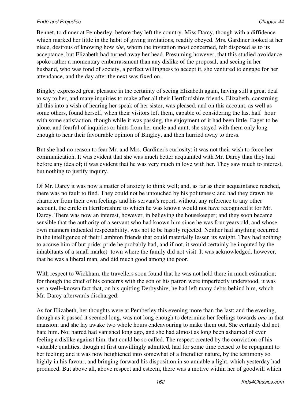Bennet, to dinner at Pemberley, before they left the country. Miss Darcy, though with a diffidence which marked her little in the habit of giving invitations, readily obeyed. Mrs. Gardiner looked at her niece, desirous of knowing how *she*, whom the invitation most concerned, felt disposed as to its acceptance, but Elizabeth had turned away her head. Presuming however, that this studied avoidance spoke rather a momentary embarrassment than any dislike of the proposal, and seeing in her husband, who was fond of society, a perfect willingness to accept it, she ventured to engage for her attendance, and the day after the next was fixed on.

Bingley expressed great pleasure in the certainty of seeing Elizabeth again, having still a great deal to say to her, and many inquiries to make after all their Hertfordshire friends. Elizabeth, construing all this into a wish of hearing her speak of her sister, was pleased, and on this account, as well as some others, found herself, when their visitors left them, capable of considering the last half−hour with some satisfaction, though while it was passing, the enjoyment of it had been little. Eager to be alone, and fearful of inquiries or hints from her uncle and aunt, she stayed with them only long enough to hear their favourable opinion of Bingley, and then hurried away to dress.

But she had no reason to fear Mr. and Mrs. Gardiner's curiosity; it was not their wish to force her communication. It was evident that she was much better acquainted with Mr. Darcy than they had before any idea of; it was evident that he was very much in love with her. They saw much to interest, but nothing to justify inquiry.

Of Mr. Darcy it was now a matter of anxiety to think well; and, as far as their acquaintance reached, there was no fault to find. They could not be untouched by his politeness; and had they drawn his character from their own feelings and his servant's report, without any reference to any other account, the circle in Hertfordshire to which he was known would not have recognized it for Mr. Darcy. There was now an interest, however, in believing the housekeeper; and they soon became sensible that the authority of a servant who had known him since he was four years old, and whose own manners indicated respectability, was not to be hastily rejected. Neither had anything occurred in the intelligence of their Lambton friends that could materially lessen its weight. They had nothing to accuse him of but pride; pride he probably had, and if not, it would certainly be imputed by the inhabitants of a small market−town where the family did not visit. It was acknowledged, however, that he was a liberal man, and did much good among the poor.

With respect to Wickham, the travellers soon found that he was not held there in much estimation; for though the chief of his concerns with the son of his patron were imperfectly understood, it was yet a well−known fact that, on his quitting Derbyshire, he had left many debts behind him, which Mr. Darcy afterwards discharged.

As for Elizabeth, her thoughts were at Pemberley this evening more than the last; and the evening, though as it passed it seemed long, was not long enough to determine her feelings towards *one* in that mansion; and she lay awake two whole hours endeavouring to make them out. She certainly did not hate him. No; hatred had vanished long ago, and she had almost as long been ashamed of ever feeling a dislike against him, that could be so called. The respect created by the conviction of his valuable qualities, though at first unwillingly admitted, had for some time ceased to be repugnant to her feeling; and it was now heightened into somewhat of a friendlier nature, by the testimony so highly in his favour, and bringing forward his disposition in so amiable a light, which yesterday had produced. But above all, above respect and esteem, there was a motive within her of goodwill which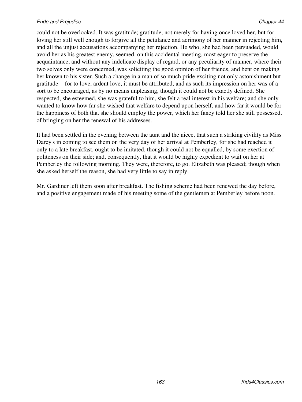could not be overlooked. It was gratitude; gratitude, not merely for having once loved her, but for loving her still well enough to forgive all the petulance and acrimony of her manner in rejecting him, and all the unjust accusations accompanying her rejection. He who, she had been persuaded, would avoid her as his greatest enemy, seemed, on this accidental meeting, most eager to preserve the acquaintance, and without any indelicate display of regard, or any peculiarity of manner, where their two selves only were concerned, was soliciting the good opinion of her friends, and bent on making her known to his sister. Such a change in a man of so much pride exciting not only astonishment but gratitude for to love, ardent love, it must be attributed; and as such its impression on her was of a sort to be encouraged, as by no means unpleasing, though it could not be exactly defined. She respected, she esteemed, she was grateful to him, she felt a real interest in his welfare; and she only wanted to know how far she wished that welfare to depend upon herself, and how far it would be for the happiness of both that she should employ the power, which her fancy told her she still possessed, of bringing on her the renewal of his addresses.

It had been settled in the evening between the aunt and the niece, that such a striking civility as Miss Darcy's in coming to see them on the very day of her arrival at Pemberley, for she had reached it only to a late breakfast, ought to be imitated, though it could not be equalled, by some exertion of politeness on their side; and, consequently, that it would be highly expedient to wait on her at Pemberley the following morning. They were, therefore, to go. Elizabeth was pleased; though when she asked herself the reason, she had very little to say in reply.

Mr. Gardiner left them soon after breakfast. The fishing scheme had been renewed the day before, and a positive engagement made of his meeting some of the gentlemen at Pemberley before noon.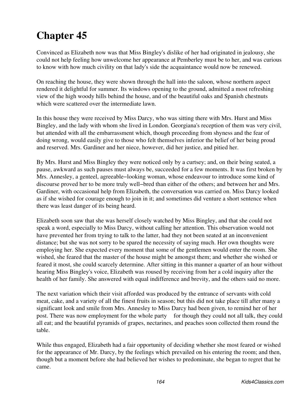# **Chapter 45**

Convinced as Elizabeth now was that Miss Bingley's dislike of her had originated in jealousy, she could not help feeling how unwelcome her appearance at Pemberley must be to her, and was curious to know with how much civility on that lady's side the acquaintance would now be renewed.

On reaching the house, they were shown through the hall into the saloon, whose northern aspect rendered it delightful for summer. Its windows opening to the ground, admitted a most refreshing view of the high woody hills behind the house, and of the beautiful oaks and Spanish chestnuts which were scattered over the intermediate lawn.

In this house they were received by Miss Darcy, who was sitting there with Mrs. Hurst and Miss Bingley, and the lady with whom she lived in London. Georgiana's reception of them was very civil, but attended with all the embarrassment which, though proceeding from shyness and the fear of doing wrong, would easily give to those who felt themselves inferior the belief of her being proud and reserved. Mrs. Gardiner and her niece, however, did her justice, and pitied her.

By Mrs. Hurst and Miss Bingley they were noticed only by a curtsey; and, on their being seated, a pause, awkward as such pauses must always be, succeeded for a few moments. It was first broken by Mrs. Annesley, a genteel, agreeable−looking woman, whose endeavour to introduce some kind of discourse proved her to be more truly well−bred than either of the others; and between her and Mrs. Gardiner, with occasional help from Elizabeth, the conversation was carried on. Miss Darcy looked as if she wished for courage enough to join in it; and sometimes did venture a short sentence when there was least danger of its being heard.

Elizabeth soon saw that she was herself closely watched by Miss Bingley, and that she could not speak a word, especially to Miss Darcy, without calling her attention. This observation would not have prevented her from trying to talk to the latter, had they not been seated at an inconvenient distance; but she was not sorry to be spared the necessity of saying much. Her own thoughts were employing her. She expected every moment that some of the gentlemen would enter the room. She wished, she feared that the master of the house might be amongst them; and whether she wished or feared it most, she could scarcely determine. After sitting in this manner a quarter of an hour without hearing Miss Bingley's voice, Elizabeth was roused by receiving from her a cold inquiry after the health of her family. She answered with equal indifference and brevity, and the others said no more.

The next variation which their visit afforded was produced by the entrance of servants with cold meat, cake, and a variety of all the finest fruits in season; but this did not take place till after many a significant look and smile from Mrs. Annesley to Miss Darcy had been given, to remind her of her post. There was now employment for the whole party for though they could not all talk, they could all eat; and the beautiful pyramids of grapes, nectarines, and peaches soon collected them round the table.

While thus engaged, Elizabeth had a fair opportunity of deciding whether she most feared or wished for the appearance of Mr. Darcy, by the feelings which prevailed on his entering the room; and then, though but a moment before she had believed her wishes to predominate, she began to regret that he came.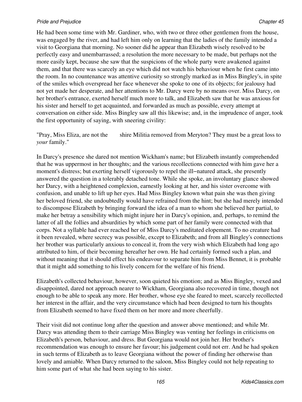He had been some time with Mr. Gardiner, who, with two or three other gentlemen from the house, was engaged by the river, and had left him only on learning that the ladies of the family intended a visit to Georgiana that morning. No sooner did he appear than Elizabeth wisely resolved to be perfectly easy and unembarrassed; a resolution the more necessary to be made, but perhaps not the more easily kept, because she saw that the suspicions of the whole party were awakened against them, and that there was scarcely an eye which did not watch his behaviour when he first came into the room. In no countenance was attentive curiosity so strongly marked as in Miss Bingley's, in spite of the smiles which overspread her face whenever she spoke to one of its objects; for jealousy had not yet made her desperate, and her attentions to Mr. Darcy were by no means over. Miss Darcy, on her brother's entrance, exerted herself much more to talk, and Elizabeth saw that he was anxious for his sister and herself to get acquainted, and forwarded as much as possible, every attempt at conversation on either side. Miss Bingley saw all this likewise; and, in the imprudence of anger, took the first opportunity of saying, with sneering civility:

"Pray, Miss Eliza, are not the shire Militia removed from Meryton? They must be a great loss to *your* family."

In Darcy's presence she dared not mention Wickham's name; but Elizabeth instantly comprehended that he was uppermost in her thoughts; and the various recollections connected with him gave her a moment's distress; but exerting herself vigorously to repel the ill−natured attack, she presently answered the question in a tolerably detached tone. While she spoke, an involuntary glance showed her Darcy, with a heightened complexion, earnestly looking at her, and his sister overcome with confusion, and unable to lift up her eyes. Had Miss Bingley known what pain she was then giving her beloved friend, she undoubtedly would have refrained from the hint; but she had merely intended to discompose Elizabeth by bringing forward the idea of a man to whom she believed her partial, to make her betray a sensibility which might injure her in Darcy's opinion, and, perhaps, to remind the latter of all the follies and absurdities by which some part of her family were connected with that corps. Not a syllable had ever reached her of Miss Darcy's meditated elopement. To no creature had it been revealed, where secrecy was possible, except to Elizabeth; and from all Bingley's connections her brother was particularly anxious to conceal it, from the very wish which Elizabeth had long ago attributed to him, of their becoming hereafter her own. He had certainly formed such a plan, and without meaning that it should effect his endeavour to separate him from Miss Bennet, it is probable that it might add something to his lively concern for the welfare of his friend.

Elizabeth's collected behaviour, however, soon quieted his emotion; and as Miss Bingley, vexed and disappointed, dared not approach nearer to Wickham, Georgiana also recovered in time, though not enough to be able to speak any more. Her brother, whose eye she feared to meet, scarcely recollected her interest in the affair, and the very circumstance which had been designed to turn his thoughts from Elizabeth seemed to have fixed them on her more and more cheerfully.

Their visit did not continue long after the question and answer above mentioned; and while Mr. Darcy was attending them to their carriage Miss Bingley was venting her feelings in criticisms on Elizabeth's person, behaviour, and dress. But Georgiana would not join her. Her brother's recommendation was enough to ensure her favour; his judgement could not err. And he had spoken in such terms of Elizabeth as to leave Georgiana without the power of finding her otherwise than lovely and amiable. When Darcy returned to the saloon, Miss Bingley could not help repeating to him some part of what she had been saying to his sister.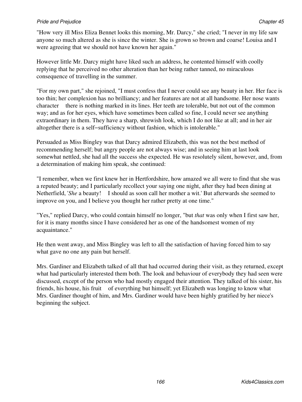## **Pride and Prejudice Chapter 25** Chapter 45

"How very ill Miss Eliza Bennet looks this morning, Mr. Darcy," she cried; "I never in my life saw anyone so much altered as she is since the winter. She is grown so brown and coarse! Louisa and I were agreeing that we should not have known her again."

However little Mr. Darcy might have liked such an address, he contented himself with coolly replying that he perceived no other alteration than her being rather tanned, no miraculous consequence of travelling in the summer.

"For my own part," she rejoined, "I must confess that I never could see any beauty in her. Her face is too thin; her complexion has no brilliancy; and her features are not at all handsome. Her nose wants character there is nothing marked in its lines. Her teeth are tolerable, but not out of the common way; and as for her eyes, which have sometimes been called so fine, I could never see anything extraordinary in them. They have a sharp, shrewish look, which I do not like at all; and in her air altogether there is a self−sufficiency without fashion, which is intolerable."

Persuaded as Miss Bingley was that Darcy admired Elizabeth, this was not the best method of recommending herself; but angry people are not always wise; and in seeing him at last look somewhat nettled, she had all the success she expected. He was resolutely silent, however, and, from a determination of making him speak, she continued:

"I remember, when we first knew her in Hertfordshire, how amazed we all were to find that she was a reputed beauty; and I particularly recollect your saying one night, after they had been dining at Netherfield, '*She* a beauty! I should as soon call her mother a wit.' But afterwards she seemed to improve on you, and I believe you thought her rather pretty at one time."

"Yes," replied Darcy, who could contain himself no longer, "but *that* was only when I first saw her, for it is many months since I have considered her as one of the handsomest women of my acquaintance."

He then went away, and Miss Bingley was left to all the satisfaction of having forced him to say what gave no one any pain but herself.

Mrs. Gardiner and Elizabeth talked of all that had occurred during their visit, as they returned, except what had particularly interested them both. The look and behaviour of everybody they had seen were discussed, except of the person who had mostly engaged their attention. They talked of his sister, his friends, his house, his fruit of everything but himself; yet Elizabeth was longing to know what Mrs. Gardiner thought of him, and Mrs. Gardiner would have been highly gratified by her niece's beginning the subject.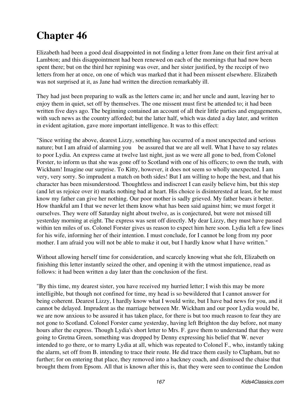## **Chapter 46**

Elizabeth had been a good deal disappointed in not finding a letter from Jane on their first arrival at Lambton; and this disappointment had been renewed on each of the mornings that had now been spent there; but on the third her repining was over, and her sister justified, by the receipt of two letters from her at once, on one of which was marked that it had been missent elsewhere. Elizabeth was not surprised at it, as Jane had written the direction remarkably ill.

They had just been preparing to walk as the letters came in; and her uncle and aunt, leaving her to enjoy them in quiet, set off by themselves. The one missent must first be attended to; it had been written five days ago. The beginning contained an account of all their little parties and engagements, with such news as the country afforded; but the latter half, which was dated a day later, and written in evident agitation, gave more important intelligence. It was to this effect:

"Since writing the above, dearest Lizzy, something has occurred of a most unexpected and serious nature; but I am afraid of alarming you be assured that we are all well. What I have to say relates to poor Lydia. An express came at twelve last night, just as we were all gone to bed, from Colonel Forster, to inform us that she was gone off to Scotland with one of his officers; to own the truth, with Wickham! Imagine our surprise. To Kitty, however, it does not seem so wholly unexpected. I am very, very sorry. So imprudent a match on both sides! But I am willing to hope the best, and that his character has been misunderstood. Thoughtless and indiscreet I can easily believe him, but this step (and let us rejoice over it) marks nothing bad at heart. His choice is disinterested at least, for he must know my father can give her nothing. Our poor mother is sadly grieved. My father bears it better. How thankful am I that we never let them know what has been said against him; we must forget it ourselves. They were off Saturday night about twelve, as is conjectured, but were not missed till yesterday morning at eight. The express was sent off directly. My dear Lizzy, they must have passed within ten miles of us. Colonel Forster gives us reason to expect him here soon. Lydia left a few lines for his wife, informing her of their intention. I must conclude, for I cannot be long from my poor mother. I am afraid you will not be able to make it out, but I hardly know what I have written."

Without allowing herself time for consideration, and scarcely knowing what she felt, Elizabeth on finishing this letter instantly seized the other, and opening it with the utmost impatience, read as follows: it had been written a day later than the conclusion of the first.

"By this time, my dearest sister, you have received my hurried letter; I wish this may be more intelligible, but though not confined for time, my head is so bewildered that I cannot answer for being coherent. Dearest Lizzy, I hardly know what I would write, but I have bad news for you, and it cannot be delayed. Imprudent as the marriage between Mr. Wickham and our poor Lydia would be, we are now anxious to be assured it has taken place, for there is but too much reason to fear they are not gone to Scotland. Colonel Forster came yesterday, having left Brighton the day before, not many hours after the express. Though Lydia's short letter to Mrs. F. gave them to understand that they were going to Gretna Green, something was dropped by Denny expressing his belief that W. never intended to go there, or to marry Lydia at all, which was repeated to Colonel F., who, instantly taking the alarm, set off from B. intending to trace their route. He did trace them easily to Clapham, but no further; for on entering that place, they removed into a hackney coach, and dismissed the chaise that brought them from Epsom. All that is known after this is, that they were seen to continue the London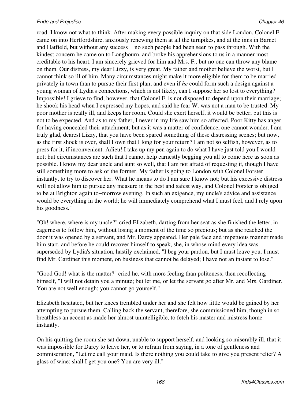road. I know not what to think. After making every possible inquiry on that side London, Colonel F. came on into Hertfordshire, anxiously renewing them at all the turnpikes, and at the inns in Barnet and Hatfield, but without any success no such people had been seen to pass through. With the kindest concern he came on to Longbourn, and broke his apprehensions to us in a manner most creditable to his heart. I am sincerely grieved for him and Mrs. F., but no one can throw any blame on them. Our distress, my dear Lizzy, is very great. My father and mother believe the worst, but I cannot think so ill of him. Many circumstances might make it more eligible for them to be married privately in town than to pursue their first plan; and even if *he* could form such a design against a young woman of Lydia's connections, which is not likely, can I suppose her so lost to everything? Impossible! I grieve to find, however, that Colonel F. is not disposed to depend upon their marriage; he shook his head when I expressed my hopes, and said he fear W. was not a man to be trusted. My poor mother is really ill, and keeps her room. Could she exert herself, it would be better; but this is not to be expected. And as to my father, I never in my life saw him so affected. Poor Kitty has anger for having concealed their attachment; but as it was a matter of confidence, one cannot wonder. I am truly glad, dearest Lizzy, that you have been spared something of these distressing scenes; but now, as the first shock is over, shall I own that I long for your return? I am not so selfish, however, as to press for it, if inconvenient. Adieu! I take up my pen again to do what I have just told you I would not; but circumstances are such that I cannot help earnestly begging you all to come here as soon as possible. I know my dear uncle and aunt so well, that I am not afraid of requesting it, though I have still something more to ask of the former. My father is going to London with Colonel Forster instantly, to try to discover her. What he means to do I am sure I know not; but his excessive distress will not allow him to pursue any measure in the best and safest way, and Colonel Forster is obliged to be at Brighton again to−morrow evening. In such an exigence, my uncle's advice and assistance would be everything in the world; he will immediately comprehend what I must feel, and I rely upon his goodness."

"Oh! where, where is my uncle?" cried Elizabeth, darting from her seat as she finished the letter, in eagerness to follow him, without losing a moment of the time so precious; but as she reached the door it was opened by a servant, and Mr. Darcy appeared. Her pale face and impetuous manner made him start, and before he could recover himself to speak, she, in whose mind every idea was superseded by Lydia's situation, hastily exclaimed, "I beg your pardon, but I must leave you. I must find Mr. Gardiner this moment, on business that cannot be delayed; I have not an instant to lose."

"Good God! what is the matter?" cried he, with more feeling than politeness; then recollecting himself, "I will not detain you a minute; but let me, or let the servant go after Mr. and Mrs. Gardiner. You are not well enough; you cannot go yourself."

Elizabeth hesitated, but her knees trembled under her and she felt how little would be gained by her attempting to pursue them. Calling back the servant, therefore, she commissioned him, though in so breathless an accent as made her almost unintelligible, to fetch his master and mistress home instantly.

On his quitting the room she sat down, unable to support herself, and looking so miserably ill, that it was impossible for Darcy to leave her, or to refrain from saying, in a tone of gentleness and commiseration, "Let me call your maid. Is there nothing you could take to give you present relief? A glass of wine; shall I get you one? You are very ill."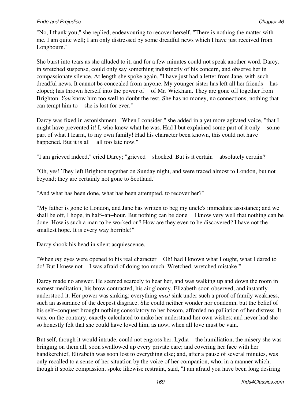"No, I thank you," she replied, endeavouring to recover herself. "There is nothing the matter with me. I am quite well; I am only distressed by some dreadful news which I have just received from Longbourn."

She burst into tears as she alluded to it, and for a few minutes could not speak another word. Darcy, in wretched suspense, could only say something indistinctly of his concern, and observe her in compassionate silence. At length she spoke again. "I have just had a letter from Jane, with such dreadful news. It cannot be concealed from anyone. My younger sister has left all her friends has eloped; has thrown herself into the power of of Mr. Wickham. They are gone off together from Brighton. *You* know him too well to doubt the rest. She has no money, no connections, nothing that can tempt him to she is lost for ever."

Darcy was fixed in astonishment. "When I consider," she added in a yet more agitated voice, "that I might have prevented it! I, who knew what he was. Had I but explained some part of it only some part of what I learnt, to my own family! Had his character been known, this could not have happened. But it is all all too late now."

"I am grieved indeed," cried Darcy; "grieved shocked. But is it certain absolutely certain?"

"Oh, yes! They left Brighton together on Sunday night, and were traced almost to London, but not beyond; they are certainly not gone to Scotland."

"And what has been done, what has been attempted, to recover her?"

"My father is gone to London, and Jane has written to beg my uncle's immediate assistance; and we shall be off, I hope, in half−an−hour. But nothing can be done I know very well that nothing can be done. How is such a man to be worked on? How are they even to be discovered? I have not the smallest hope. It is every way horrible!"

Darcy shook his head in silent acquiescence.

"When *my* eyes were opened to his real character Oh! had I known what I ought, what I dared to do! But I knew not I was afraid of doing too much. Wretched, wretched mistake!"

Darcy made no answer. He seemed scarcely to hear her, and was walking up and down the room in earnest meditation, his brow contracted, his air gloomy. Elizabeth soon observed, and instantly understood it. Her power was sinking; everything *must* sink under such a proof of family weakness, such an assurance of the deepest disgrace. She could neither wonder nor condemn, but the belief of his self−conquest brought nothing consolatory to her bosom, afforded no palliation of her distress. It was, on the contrary, exactly calculated to make her understand her own wishes; and never had she so honestly felt that she could have loved him, as now, when all love must be vain.

But self, though it would intrude, could not engross her. Lydia the humiliation, the misery she was bringing on them all, soon swallowed up every private care; and covering her face with her handkerchief, Elizabeth was soon lost to everything else; and, after a pause of several minutes, was only recalled to a sense of her situation by the voice of her companion, who, in a manner which, though it spoke compassion, spoke likewise restraint, said, "I am afraid you have been long desiring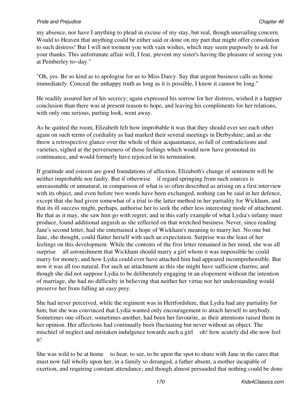my absence, nor have I anything to plead in excuse of my stay, but real, though unavailing concern. Would to Heaven that anything could be either said or done on my part that might offer consolation to such distress! But I will not torment you with vain wishes, which may seem purposely to ask for your thanks. This unfortunate affair will, I fear, prevent my sister's having the pleasure of seeing you at Pemberley to−day."

"Oh, yes. Be so kind as to apologise for us to Miss Darcy. Say that urgent business calls us home immediately. Conceal the unhappy truth as long as it is possible, I know it cannot be long."

He readily assured her of his secrecy; again expressed his sorrow for her distress, wished it a happier conclusion than there was at present reason to hope, and leaving his compliments for her relations, with only one serious, parting look, went away.

As he quitted the room, Elizabeth felt how improbable it was that they should ever see each other again on such terms of cordiality as had marked their several meetings in Derbyshire; and as she threw a retrospective glance over the whole of their acquaintance, so full of contradictions and varieties, sighed at the perverseness of those feelings which would now have promoted its continuance, and would formerly have rejoiced in its termination.

If gratitude and esteem are good foundations of affection, Elizabeth's change of sentiment will be neither improbable nor faulty. But if otherwise if regard springing from such sources is unreasonable or unnatural, in comparison of what is so often described as arising on a first interview with its object, and even before two words have been exchanged, nothing can be said in her defence, except that she had given somewhat of a trial to the latter method in her partiality for Wickham, and that its ill success might, perhaps, authorise her to seek the other less interesting mode of attachment. Be that as it may, she saw him go with regret; and in this early example of what Lydia's infamy must produce, found additional anguish as she reflected on that wretched business. Never, since reading Jane's second letter, had she entertained a hope of Wickham's meaning to marry her. No one but Jane, she thought, could flatter herself with such an expectation. Surprise was the least of her feelings on this development. While the contents of the first letter remained in her mind, she was all surprise all astonishment that Wickham should marry a girl whom it was impossible he could marry for money; and how Lydia could ever have attached him had appeared incomprehensible. But now it was all too natural. For such an attachment as this she might have sufficient charms; and though she did not suppose Lydia to be deliberately engaging in an elopement without the intention of marriage, she had no difficulty in believing that neither her virtue nor her understanding would preserve her from falling an easy prey.

She had never perceived, while the regiment was in Hertfordshire, that Lydia had any partiality for him; but she was convinced that Lydia wanted only encouragement to attach herself to anybody. Sometimes one officer, sometimes another, had been her favourite, as their attentions raised them in her opinion. Her affections had continually been fluctuating but never without an object. The mischief of neglect and mistaken indulgence towards such a girl oh! how acutely did she now feel it!

She was wild to be at home to hear, to see, to be upon the spot to share with Jane in the cares that must now fall wholly upon her, in a family so deranged, a father absent, a mother incapable of exertion, and requiring constant attendance; and though almost persuaded that nothing could be done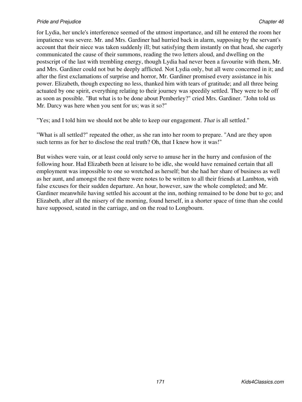for Lydia, her uncle's interference seemed of the utmost importance, and till he entered the room her impatience was severe. Mr. and Mrs. Gardiner had hurried back in alarm, supposing by the servant's account that their niece was taken suddenly ill; but satisfying them instantly on that head, she eagerly communicated the cause of their summons, reading the two letters aloud, and dwelling on the postscript of the last with trembling energy, though Lydia had never been a favourite with them, Mr. and Mrs. Gardiner could not but be deeply afflicted. Not Lydia only, but all were concerned in it; and after the first exclamations of surprise and horror, Mr. Gardiner promised every assistance in his power. Elizabeth, though expecting no less, thanked him with tears of gratitude; and all three being actuated by one spirit, everything relating to their journey was speedily settled. They were to be off as soon as possible. "But what is to be done about Pemberley?" cried Mrs. Gardiner. "John told us Mr. Darcy was here when you sent for us; was it so?"

"Yes; and I told him we should not be able to keep our engagement. *That* is all settled."

"What is all settled?" repeated the other, as she ran into her room to prepare. "And are they upon such terms as for her to disclose the real truth? Oh, that I knew how it was!"

But wishes were vain, or at least could only serve to amuse her in the hurry and confusion of the following hour. Had Elizabeth been at leisure to be idle, she would have remained certain that all employment was impossible to one so wretched as herself; but she had her share of business as well as her aunt, and amongst the rest there were notes to be written to all their friends at Lambton, with false excuses for their sudden departure. An hour, however, saw the whole completed; and Mr. Gardiner meanwhile having settled his account at the inn, nothing remained to be done but to go; and Elizabeth, after all the misery of the morning, found herself, in a shorter space of time than she could have supposed, seated in the carriage, and on the road to Longbourn.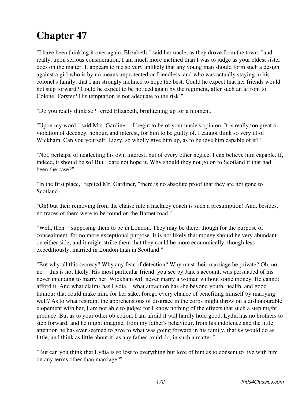# **Chapter 47**

"I have been thinking it over again, Elizabeth," said her uncle, as they drove from the town; "and really, upon serious consideration, I am much more inclined than I was to judge as your eldest sister does on the matter. It appears to me so very unlikely that any young man should form such a design against a girl who is by no means unprotected or friendless, and who was actually staying in his colonel's family, that I am strongly inclined to hope the best. Could he expect that her friends would not step forward? Could he expect to be noticed again by the regiment, after such an affront to Colonel Forster? His temptation is not adequate to the risk!"

"Do you really think so?" cried Elizabeth, brightening up for a moment.

"Upon my word," said Mrs. Gardiner, "I begin to be of your uncle's opinion. It is really too great a violation of decency, honour, and interest, for him to be guilty of. I cannot think so very ill of Wickham. Can you yourself, Lizzy, so wholly give him up, as to believe him capable of it?"

"Not, perhaps, of neglecting his own interest; but of every other neglect I can believe him capable. If, indeed, it should be so! But I dare not hope it. Why should they not go on to Scotland if that had been the case?"

"In the first place," replied Mr. Gardiner, "there is no absolute proof that they are not gone to Scotland."

"Oh! but their removing from the chaise into a hackney coach is such a presumption! And, besides, no traces of them were to be found on the Barnet road."

"Well, then supposing them to be in London. They may be there, though for the purpose of concealment, for no more exceptional purpose. It is not likely that money should be very abundant on either side; and it might strike them that they could be more economically, though less expeditiously, married in London than in Scotland."

"But why all this secrecy? Why any fear of detection? Why must their marriage be private? Oh, no, no this is not likely. His most particular friend, you see by Jane's account, was persuaded of his never intending to marry her. Wickham will never marry a woman without some money. He cannot afford it. And what claims has Lydia what attraction has she beyond youth, health, and good humour that could make him, for her sake, forego every chance of benefiting himself by marrying well? As to what restraint the apprehensions of disgrace in the corps might throw on a dishonourable elopement with her, I am not able to judge; for I know nothing of the effects that such a step might produce. But as to your other objection, I am afraid it will hardly hold good. Lydia has no brothers to step forward; and he might imagine, from my father's behaviour, from his indolence and the little attention he has ever seemed to give to what was going forward in his family, that *he* would do as little, and think as little about it, as any father could do, in such a matter."

"But can you think that Lydia is so lost to everything but love of him as to consent to live with him on any terms other than marriage?"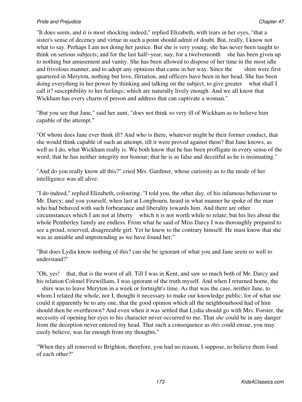"It does seem, and it is most shocking indeed," replied Elizabeth, with tears in her eyes, "that a sister's sense of decency and virtue in such a point should admit of doubt. But, really, I know not what to say. Perhaps I am not doing her justice. But she is very young; she has never been taught to think on serious subjects; and for the last half−year, nay, for a twelvemonth she has been given up to nothing but amusement and vanity. She has been allowed to dispose of her time in the most idle and frivolous manner, and to adopt any opinions that came in her way. Since the shire were first quartered in Meryton, nothing but love, flirtation, and officers have been in her head. She has been doing everything in her power by thinking and talking on the subject, to give greater what shall I call it? susceptibility to her feelings; which are naturally lively enough. And we all know that Wickham has every charm of person and address that can captivate a woman."

"But you see that Jane," said her aunt, "does not think so very ill of Wickham as to believe him capable of the attempt."

"Of whom does Jane ever think ill? And who is there, whatever might be their former conduct, that she would think capable of such an attempt, till it were proved against them? But Jane knows, as well as I do, what Wickham really is. We both know that he has been profligate in every sense of the word; that he has neither integrity nor honour; that he is as false and deceitful as he is insinuating."

"And do you really know all this?" cried Mrs. Gardiner, whose curiosity as to the mode of her intelligence was all alive.

"I do indeed," replied Elizabeth, colouring. "I told you, the other day, of his infamous behaviour to Mr. Darcy; and you yourself, when last at Longbourn, heard in what manner he spoke of the man who had behaved with such forbearance and liberality towards him. And there are other circumstances which I am not at liberty which it is not worth while to relate; but his lies about the whole Pemberley family are endless. From what he said of Miss Darcy I was thoroughly prepared to see a proud, reserved, disagreeable girl. Yet he knew to the contrary himself. He must know that she was as amiable and unpretending as we have found her."

"But does Lydia know nothing of this? can she be ignorant of what you and Jane seem so well to understand?"

"Oh, yes! that, that is the worst of all. Till I was in Kent, and saw so much both of Mr. Darcy and his relation Colonel Fitzwilliam, I was ignorant of the truth myself. And when I returned home, the shire was to leave Meryton in a week or fortnight's time. As that was the case, neither Jane, to whom I related the whole, nor I, thought it necessary to make our knowledge public; for of what use could it apparently be to any one, that the good opinion which all the neighbourhood had of him should then be overthrown? And even when it was settled that Lydia should go with Mrs. Forster, the necessity of opening her eyes to his character never occurred to me. That *she* could be in any danger from the deception never entered my head. That such a consequence as *this* could ensue, you may easily believe, was far enough from my thoughts."

"When they all removed to Brighton, therefore, you had no reason, I suppose, to believe them fond of each other?"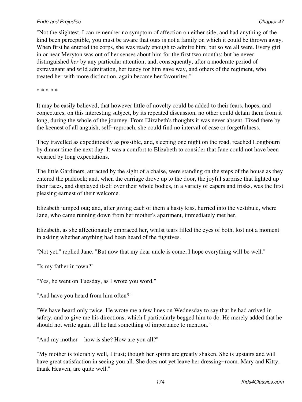## **Pride and Prejudice Chapter 47 Chapter 47 Chapter 47 Chapter 47 Chapter 47 Chapter 47**

"Not the slightest. I can remember no symptom of affection on either side; and had anything of the kind been perceptible, you must be aware that ours is not a family on which it could be thrown away. When first he entered the corps, she was ready enough to admire him; but so we all were. Every girl in or near Meryton was out of her senses about him for the first two months; but he never distinguished *her* by any particular attention; and, consequently, after a moderate period of extravagant and wild admiration, her fancy for him gave way, and others of the regiment, who treated her with more distinction, again became her favourites."

\* \* \* \* \*

It may be easily believed, that however little of novelty could be added to their fears, hopes, and conjectures, on this interesting subject, by its repeated discussion, no other could detain them from it long, during the whole of the journey. From Elizabeth's thoughts it was never absent. Fixed there by the keenest of all anguish, self−reproach, she could find no interval of ease or forgetfulness.

They travelled as expeditiously as possible, and, sleeping one night on the road, reached Longbourn by dinner time the next day. It was a comfort to Elizabeth to consider that Jane could not have been wearied by long expectations.

The little Gardiners, attracted by the sight of a chaise, were standing on the steps of the house as they entered the paddock; and, when the carriage drove up to the door, the joyful surprise that lighted up their faces, and displayed itself over their whole bodies, in a variety of capers and frisks, was the first pleasing earnest of their welcome.

Elizabeth jumped out; and, after giving each of them a hasty kiss, hurried into the vestibule, where Jane, who came running down from her mother's apartment, immediately met her.

Elizabeth, as she affectionately embraced her, whilst tears filled the eyes of both, lost not a moment in asking whether anything had been heard of the fugitives.

"Not yet," replied Jane. "But now that my dear uncle is come, I hope everything will be well."

"Is my father in town?"

"Yes, he went on Tuesday, as I wrote you word."

"And have you heard from him often?"

"We have heard only twice. He wrote me a few lines on Wednesday to say that he had arrived in safety, and to give me his directions, which I particularly begged him to do. He merely added that he should not write again till he had something of importance to mention."

"And my mother how is she? How are you all?"

"My mother is tolerably well, I trust; though her spirits are greatly shaken. She is upstairs and will have great satisfaction in seeing you all. She does not yet leave her dressing−room. Mary and Kitty, thank Heaven, are quite well."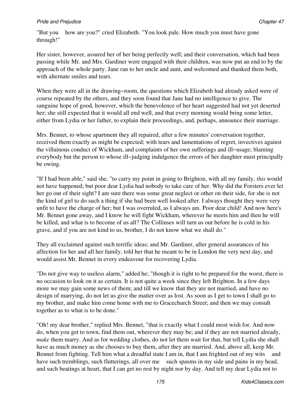"But you how are you?" cried Elizabeth. "You look pale. How much you must have gone through!"

Her sister, however, assured her of her being perfectly well; and their conversation, which had been passing while Mr. and Mrs. Gardiner were engaged with their children, was now put an end to by the approach of the whole party. Jane ran to her uncle and aunt, and welcomed and thanked them both, with alternate smiles and tears.

When they were all in the drawing−room, the questions which Elizabeth had already asked were of course repeated by the others, and they soon found that Jane had no intelligence to give. The sanguine hope of good, however, which the benevolence of her heart suggested had not yet deserted her; she still expected that it would all end well, and that every morning would bring some letter, either from Lydia or her father, to explain their proceedings, and, perhaps, announce their marriage.

Mrs. Bennet, to whose apartment they all repaired, after a few minutes' conversation together, received them exactly as might be expected; with tears and lamentations of regret, invectives against the villainous conduct of Wickham, and complaints of her own sufferings and ill−usage; blaming everybody but the person to whose ill−judging indulgence the errors of her daughter must principally be owing.

"If I had been able," said she, "to carry my point in going to Brighton, with all my family, *this* would not have happened; but poor dear Lydia had nobody to take care of her. Why did the Forsters ever let her go out of their sight? I am sure there was some great neglect or other on their side, for she is not the kind of girl to do such a thing if she had been well looked after. I always thought they were very unfit to have the charge of her; but I was overruled, as I always am. Poor dear child! And now here's Mr. Bennet gone away, and I know he will fight Wickham, wherever he meets him and then he will be killed, and what is to become of us all? The Collinses will turn us out before he is cold in his grave, and if you are not kind to us, brother, I do not know what we shall do."

They all exclaimed against such terrific ideas; and Mr. Gardiner, after general assurances of his affection for her and all her family, told her that he meant to be in London the very next day, and would assist Mr. Bennet in every endeavour for recovering Lydia.

"Do not give way to useless alarm," added he; "though it is right to be prepared for the worst, there is no occasion to look on it as certain. It is not quite a week since they left Brighton. In a few days more we may gain some news of them; and till we know that they are not married, and have no design of marrying, do not let us give the matter over as lost. As soon as I get to town I shall go to my brother, and make him come home with me to Gracechurch Street; and then we may consult together as to what is to be done."

"Oh! my dear brother," replied Mrs. Bennet, "that is exactly what I could most wish for. And now do, when you get to town, find them out, wherever they may be; and if they are not married already, *make* them marry. And as for wedding clothes, do not let them wait for that, but tell Lydia she shall have as much money as she chooses to buy them, after they are married. And, above all, keep Mr. Bennet from fighting. Tell him what a dreadful state I am in, that I am frighted out of my wits and have such tremblings, such flutterings, all over me such spasms in my side and pains in my head, and such beatings at heart, that I can get no rest by night nor by day. And tell my dear Lydia not to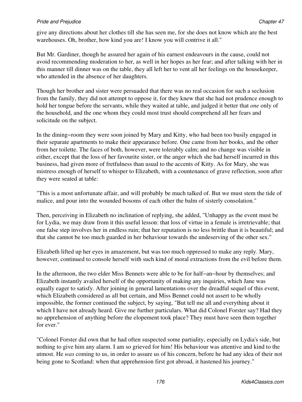give any directions about her clothes till she has seen me, for she does not know which are the best warehouses. Oh, brother, how kind you are! I know you will contrive it all."

But Mr. Gardiner, though he assured her again of his earnest endeavours in the cause, could not avoid recommending moderation to her, as well in her hopes as her fear; and after talking with her in this manner till dinner was on the table, they all left her to vent all her feelings on the housekeeper, who attended in the absence of her daughters.

Though her brother and sister were persuaded that there was no real occasion for such a seclusion from the family, they did not attempt to oppose it, for they knew that she had not prudence enough to hold her tongue before the servants, while they waited at table, and judged it better that *one* only of the household, and the one whom they could most trust should comprehend all her fears and solicitude on the subject.

In the dining−room they were soon joined by Mary and Kitty, who had been too busily engaged in their separate apartments to make their appearance before. One came from her books, and the other from her toilette. The faces of both, however, were tolerably calm; and no change was visible in either, except that the loss of her favourite sister, or the anger which she had herself incurred in this business, had given more of fretfulness than usual to the accents of Kitty. As for Mary, she was mistress enough of herself to whisper to Elizabeth, with a countenance of grave reflection, soon after they were seated at table:

"This is a most unfortunate affair, and will probably be much talked of. But we must stem the tide of malice, and pour into the wounded bosoms of each other the balm of sisterly consolation."

Then, perceiving in Elizabeth no inclination of replying, she added, "Unhappy as the event must be for Lydia, we may draw from it this useful lesson: that loss of virtue in a female is irretrievable; that one false step involves her in endless ruin; that her reputation is no less brittle than it is beautiful; and that she cannot be too much guarded in her behaviour towards the undeserving of the other sex."

Elizabeth lifted up her eyes in amazement, but was too much oppressed to make any reply. Mary, however, continued to console herself with such kind of moral extractions from the evil before them.

In the afternoon, the two elder Miss Bennets were able to be for half−an−hour by themselves; and Elizabeth instantly availed herself of the opportunity of making any inquiries, which Jane was equally eager to satisfy. After joining in general lamentations over the dreadful sequel of this event, which Elizabeth considered as all but certain, and Miss Bennet could not assert to be wholly impossible, the former continued the subject, by saying, "But tell me all and everything about it which I have not already heard. Give me further particulars. What did Colonel Forster say? Had they no apprehension of anything before the elopement took place? They must have seen them together for ever."

"Colonel Forster did own that he had often suspected some partiality, especially on Lydia's side, but nothing to give him any alarm. I am so grieved for him! His behaviour was attentive and kind to the utmost. He *was* coming to us, in order to assure us of his concern, before he had any idea of their not being gone to Scotland: when that apprehension first got abroad, it hastened his journey."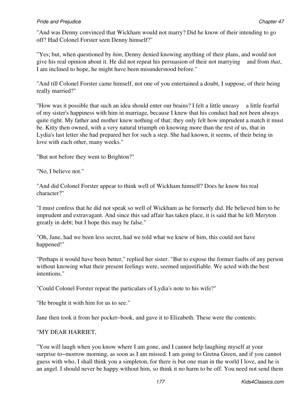## **Pride and Prejudice Chapter 47 Chapter 47 Chapter 47 Chapter 47 Chapter 47 Chapter 47**

"And was Denny convinced that Wickham would not marry? Did he know of their intending to go off? Had Colonel Forster seen Denny himself?"

"Yes; but, when questioned by *him*, Denny denied knowing anything of their plans, and would not give his real opinion about it. He did not repeat his persuasion of their not marrying and from *that*, I am inclined to hope, he might have been misunderstood before."

"And till Colonel Forster came himself, not one of you entertained a doubt, I suppose, of their being really married?"

"How was it possible that such an idea should enter our brains? I felt a little uneasy a little fearful of my sister's happiness with him in marriage, because I knew that his conduct had not been always quite right. My father and mother knew nothing of that; they only felt how imprudent a match it must be. Kitty then owned, with a very natural triumph on knowing more than the rest of us, that in Lydia's last letter she had prepared her for such a step. She had known, it seems, of their being in love with each other, many weeks."

"But not before they went to Brighton?"

"No, I believe not."

"And did Colonel Forster appear to think well of Wickham himself? Does he know his real character?"

"I must confess that he did not speak so well of Wickham as he formerly did. He believed him to be imprudent and extravagant. And since this sad affair has taken place, it is said that he left Meryton greatly in debt; but I hope this may be false."

"Oh, Jane, had we been less secret, had we told what we knew of him, this could not have happened!"

"Perhaps it would have been better," replied her sister. "But to expose the former faults of any person without knowing what their present feelings were, seemed unjustifiable. We acted with the best intentions."

"Could Colonel Forster repeat the particulars of Lydia's note to his wife?"

"He brought it with him for us to see."

Jane then took it from her pocket−book, and gave it to Elizabeth. These were the contents:

# "MY DEAR HARRIET,

"You will laugh when you know where I am gone, and I cannot help laughing myself at your surprise to–morrow morning, as soon as I am missed. I am going to Gretna Green, and if you cannot guess with who, I shall think you a simpleton, for there is but one man in the world I love, and he is an angel. I should never be happy without him, so think it no harm to be off. You need not send them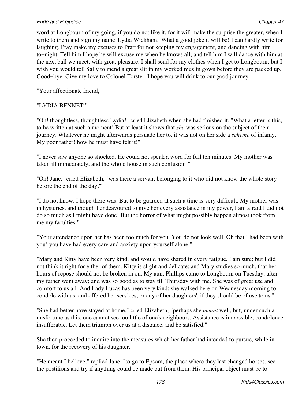## **Pride and Prejudice Chapter 47 Chapter 47 Chapter 47 Chapter 47 Chapter 47 Chapter 47**

word at Longbourn of my going, if you do not like it, for it will make the surprise the greater, when I write to them and sign my name 'Lydia Wickham.' What a good joke it will be! I can hardly write for laughing. Pray make my excuses to Pratt for not keeping my engagement, and dancing with him to−night. Tell him I hope he will excuse me when he knows all; and tell him I will dance with him at the next ball we meet, with great pleasure. I shall send for my clothes when I get to Longbourn; but I wish you would tell Sally to mend a great slit in my worked muslin gown before they are packed up. Good−bye. Give my love to Colonel Forster. I hope you will drink to our good journey.

"Your affectionate friend,

# "LYDIA BENNET."

"Oh! thoughtless, thoughtless Lydia!" cried Elizabeth when she had finished it. "What a letter is this, to be written at such a moment! But at least it shows that *she* was serious on the subject of their journey. Whatever he might afterwards persuade her to, it was not on her side a *scheme* of infamy. My poor father! how he must have felt it!"

"I never saw anyone so shocked. He could not speak a word for full ten minutes. My mother was taken ill immediately, and the whole house in such confusion!"

"Oh! Jane," cried Elizabeth, "was there a servant belonging to it who did not know the whole story before the end of the day?"

"I do not know. I hope there was. But to be guarded at such a time is very difficult. My mother was in hysterics, and though I endeavoured to give her every assistance in my power, I am afraid I did not do so much as I might have done! But the horror of what might possibly happen almost took from me my faculties."

"Your attendance upon her has been too much for you. You do not look well. Oh that I had been with you! you have had every care and anxiety upon yourself alone."

"Mary and Kitty have been very kind, and would have shared in every fatigue, I am sure; but I did not think it right for either of them. Kitty is slight and delicate; and Mary studies so much, that her hours of repose should not be broken in on. My aunt Phillips came to Longbourn on Tuesday, after my father went away; and was so good as to stay till Thursday with me. She was of great use and comfort to us all. And Lady Lucas has been very kind; she walked here on Wednesday morning to condole with us, and offered her services, or any of her daughters', if they should be of use to us."

"She had better have stayed at home," cried Elizabeth; "perhaps she *meant* well, but, under such a misfortune as this, one cannot see too little of one's neighbours. Assistance is impossible; condolence insufferable. Let them triumph over us at a distance, and be satisfied."

She then proceeded to inquire into the measures which her father had intended to pursue, while in town, for the recovery of his daughter.

"He meant I believe," replied Jane, "to go to Epsom, the place where they last changed horses, see the postilions and try if anything could be made out from them. His principal object must be to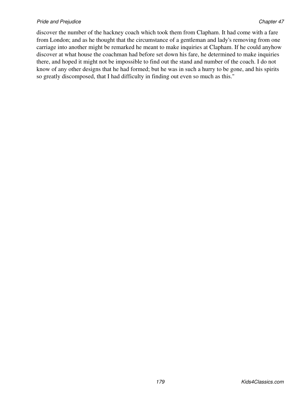#### *Pride and Prejudice* Chapter 47 **Chapter 47 Chapter 47 Chapter 47 Chapter 47 Chapter 47 Chapter 47 Chapter 47**

discover the number of the hackney coach which took them from Clapham. It had come with a fare from London; and as he thought that the circumstance of a gentleman and lady's removing from one carriage into another might be remarked he meant to make inquiries at Clapham. If he could anyhow discover at what house the coachman had before set down his fare, he determined to make inquiries there, and hoped it might not be impossible to find out the stand and number of the coach. I do not know of any other designs that he had formed; but he was in such a hurry to be gone, and his spirits so greatly discomposed, that I had difficulty in finding out even so much as this."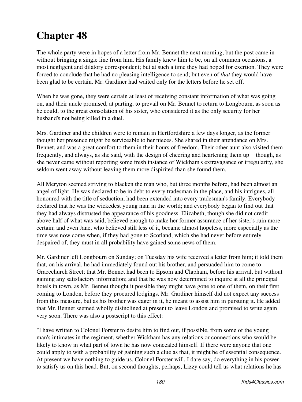# **Chapter 48**

The whole party were in hopes of a letter from Mr. Bennet the next morning, but the post came in without bringing a single line from him. His family knew him to be, on all common occasions, a most negligent and dilatory correspondent; but at such a time they had hoped for exertion. They were forced to conclude that he had no pleasing intelligence to send; but even of *that* they would have been glad to be certain. Mr. Gardiner had waited only for the letters before he set off.

When he was gone, they were certain at least of receiving constant information of what was going on, and their uncle promised, at parting, to prevail on Mr. Bennet to return to Longbourn, as soon as he could, to the great consolation of his sister, who considered it as the only security for her husband's not being killed in a duel.

Mrs. Gardiner and the children were to remain in Hertfordshire a few days longer, as the former thought her presence might be serviceable to her nieces. She shared in their attendance on Mrs. Bennet, and was a great comfort to them in their hours of freedom. Their other aunt also visited them frequently, and always, as she said, with the design of cheering and heartening them up though, as she never came without reporting some fresh instance of Wickham's extravagance or irregularity, she seldom went away without leaving them more dispirited than she found them.

All Meryton seemed striving to blacken the man who, but three months before, had been almost an angel of light. He was declared to be in debt to every tradesman in the place, and his intrigues, all honoured with the title of seduction, had been extended into every tradesman's family. Everybody declared that he was the wickedest young man in the world; and everybody began to find out that they had always distrusted the appearance of his goodness. Elizabeth, though she did not credit above half of what was said, believed enough to make her former assurance of her sister's ruin more certain; and even Jane, who believed still less of it, became almost hopeless, more especially as the time was now come when, if they had gone to Scotland, which she had never before entirely despaired of, they must in all probability have gained some news of them.

Mr. Gardiner left Longbourn on Sunday; on Tuesday his wife received a letter from him; it told them that, on his arrival, he had immediately found out his brother, and persuaded him to come to Gracechurch Street; that Mr. Bennet had been to Epsom and Clapham, before his arrival, but without gaining any satisfactory information; and that he was now determined to inquire at all the principal hotels in town, as Mr. Bennet thought it possible they might have gone to one of them, on their first coming to London, before they procured lodgings. Mr. Gardiner himself did not expect any success from this measure, but as his brother was eager in it, he meant to assist him in pursuing it. He added that Mr. Bennet seemed wholly disinclined at present to leave London and promised to write again very soon. There was also a postscript to this effect:

"I have written to Colonel Forster to desire him to find out, if possible, from some of the young man's intimates in the regiment, whether Wickham has any relations or connections who would be likely to know in what part of town he has now concealed himself. If there were anyone that one could apply to with a probability of gaining such a clue as that, it might be of essential consequence. At present we have nothing to guide us. Colonel Forster will, I dare say, do everything in his power to satisfy us on this head. But, on second thoughts, perhaps, Lizzy could tell us what relations he has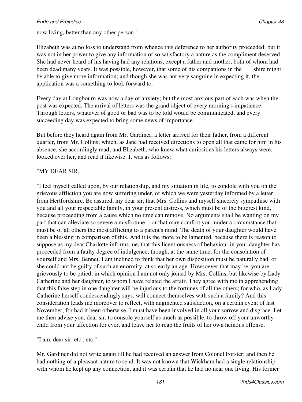now living, better than any other person."

Elizabeth was at no loss to understand from whence this deference to her authority proceeded; but it was not in her power to give any information of so satisfactory a nature as the compliment deserved. She had never heard of his having had any relations, except a father and mother, both of whom had been dead many years. It was possible, however, that some of his companions in the shire might be able to give more information; and though she was not very sanguine in expecting it, the application was a something to look forward to.

Every day at Longbourn was now a day of anxiety; but the most anxious part of each was when the post was expected. The arrival of letters was the grand object of every morning's impatience. Through letters, whatever of good or bad was to be told would be communicated, and every succeeding day was expected to bring some news of importance.

But before they heard again from Mr. Gardiner, a letter arrived for their father, from a different quarter, from Mr. Collins; which, as Jane had received directions to open all that came for him in his absence, she accordingly read; and Elizabeth, who knew what curiosities his letters always were, looked over her, and read it likewise. It was as follows:

### "MY DEAR SIR,

"I feel myself called upon, by our relationship, and my situation in life, to condole with you on the grievous affliction you are now suffering under, of which we were yesterday informed by a letter from Hertfordshire. Be assured, my dear sir, that Mrs. Collins and myself sincerely sympathise with you and all your respectable family, in your present distress, which must be of the bitterest kind, because proceeding from a cause which no time can remove. No arguments shall be wanting on my part that can alleviate so severe a misfortune or that may comfort you, under a circumstance that must be of all others the most afflicting to a parent's mind. The death of your daughter would have been a blessing in comparison of this. And it is the more to be lamented, because there is reason to suppose as my dear Charlotte informs me, that this licentiousness of behaviour in your daughter has proceeded from a faulty degree of indulgence; though, at the same time, for the consolation of yourself and Mrs. Bennet, I am inclined to think that her own disposition must be naturally bad, or she could not be guilty of such an enormity, at so early an age. Howsoever that may be, you are grievously to be pitied; in which opinion I am not only joined by Mrs. Collins, but likewise by Lady Catherine and her daughter, to whom I have related the affair. They agree with me in apprehending that this false step in one daughter will be injurious to the fortunes of all the others; for who, as Lady Catherine herself condescendingly says, will connect themselves with such a family? And this consideration leads me moreover to reflect, with augmented satisfaction, on a certain event of last November; for had it been otherwise, I must have been involved in all your sorrow and disgrace. Let me then advise you, dear sir, to console yourself as much as possible, to throw off your unworthy child from your affection for ever, and leave her to reap the fruits of her own heinous offense.

"I am, dear sir, etc., etc."

Mr. Gardiner did not write again till he had received an answer from Colonel Forster; and then he had nothing of a pleasant nature to send. It was not known that Wickham had a single relationship with whom he kept up any connection, and it was certain that he had no near one living. His former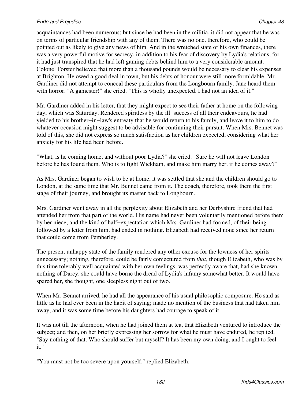acquaintances had been numerous; but since he had been in the militia, it did not appear that he was on terms of particular friendship with any of them. There was no one, therefore, who could be pointed out as likely to give any news of him. And in the wretched state of his own finances, there was a very powerful motive for secrecy, in addition to his fear of discovery by Lydia's relations, for it had just transpired that he had left gaming debts behind him to a very considerable amount. Colonel Forster believed that more than a thousand pounds would be necessary to clear his expenses at Brighton. He owed a good deal in town, but his debts of honour were still more formidable. Mr. Gardiner did not attempt to conceal these particulars from the Longbourn family. Jane heard them with horror. "A gamester!" she cried. "This is wholly unexpected. I had not an idea of it."

Mr. Gardiner added in his letter, that they might expect to see their father at home on the following day, which was Saturday. Rendered spiritless by the ill−success of all their endeavours, he had yielded to his brother−in−law's entreaty that he would return to his family, and leave it to him to do whatever occasion might suggest to be advisable for continuing their pursuit. When Mrs. Bennet was told of this, she did not express so much satisfaction as her children expected, considering what her anxiety for his life had been before.

"What, is he coming home, and without poor Lydia?" she cried. "Sure he will not leave London before he has found them. Who is to fight Wickham, and make him marry her, if he comes away?"

As Mrs. Gardiner began to wish to be at home, it was settled that she and the children should go to London, at the same time that Mr. Bennet came from it. The coach, therefore, took them the first stage of their journey, and brought its master back to Longbourn.

Mrs. Gardiner went away in all the perplexity about Elizabeth and her Derbyshire friend that had attended her from that part of the world. His name had never been voluntarily mentioned before them by her niece; and the kind of half−expectation which Mrs. Gardiner had formed, of their being followed by a letter from him, had ended in nothing. Elizabeth had received none since her return that could come from Pemberley.

The present unhappy state of the family rendered any other excuse for the lowness of her spirits unnecessary; nothing, therefore, could be fairly conjectured from *that*, though Elizabeth, who was by this time tolerably well acquainted with her own feelings, was perfectly aware that, had she known nothing of Darcy, she could have borne the dread of Lydia's infamy somewhat better. It would have spared her, she thought, one sleepless night out of two.

When Mr. Bennet arrived, he had all the appearance of his usual philosophic composure. He said as little as he had ever been in the habit of saying; made no mention of the business that had taken him away, and it was some time before his daughters had courage to speak of it.

It was not till the afternoon, when he had joined them at tea, that Elizabeth ventured to introduce the subject; and then, on her briefly expressing her sorrow for what he must have endured, he replied, "Say nothing of that. Who should suffer but myself? It has been my own doing, and I ought to feel it."

"You must not be too severe upon yourself," replied Elizabeth.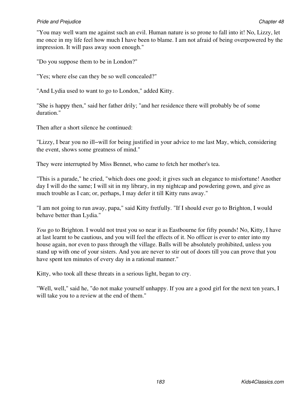"You may well warn me against such an evil. Human nature is so prone to fall into it! No, Lizzy, let me once in my life feel how much I have been to blame. I am not afraid of being overpowered by the impression. It will pass away soon enough."

"Do you suppose them to be in London?"

"Yes; where else can they be so well concealed?"

"And Lydia used to want to go to London," added Kitty.

"She is happy then," said her father drily; "and her residence there will probably be of some duration."

Then after a short silence he continued:

"Lizzy, I bear you no ill−will for being justified in your advice to me last May, which, considering the event, shows some greatness of mind."

They were interrupted by Miss Bennet, who came to fetch her mother's tea.

"This is a parade," he cried, "which does one good; it gives such an elegance to misfortune! Another day I will do the same; I will sit in my library, in my nightcap and powdering gown, and give as much trouble as I can; or, perhaps, I may defer it till Kitty runs away."

"I am not going to run away, papa," said Kitty fretfully. "If I should ever go to Brighton, I would behave better than Lydia."

*You* go to Brighton. I would not trust you so near it as Eastbourne for fifty pounds! No, Kitty, I have at last learnt to be cautious, and you will feel the effects of it. No officer is ever to enter into my house again, nor even to pass through the village. Balls will be absolutely prohibited, unless you stand up with one of your sisters. And you are never to stir out of doors till you can prove that you have spent ten minutes of every day in a rational manner."

Kitty, who took all these threats in a serious light, began to cry.

"Well, well," said he, "do not make yourself unhappy. If you are a good girl for the next ten years, I will take you to a review at the end of them."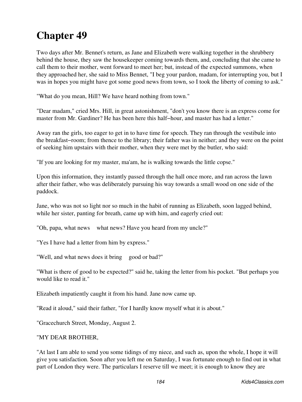# **Chapter 49**

Two days after Mr. Bennet's return, as Jane and Elizabeth were walking together in the shrubbery behind the house, they saw the housekeeper coming towards them, and, concluding that she came to call them to their mother, went forward to meet her; but, instead of the expected summons, when they approached her, she said to Miss Bennet, "I beg your pardon, madam, for interrupting you, but I was in hopes you might have got some good news from town, so I took the liberty of coming to ask."

"What do you mean, Hill? We have heard nothing from town."

"Dear madam," cried Mrs. Hill, in great astonishment, "don't you know there is an express come for master from Mr. Gardiner? He has been here this half−hour, and master has had a letter."

Away ran the girls, too eager to get in to have time for speech. They ran through the vestibule into the breakfast−room; from thence to the library; their father was in neither; and they were on the point of seeking him upstairs with their mother, when they were met by the butler, who said:

"If you are looking for my master, ma'am, he is walking towards the little copse."

Upon this information, they instantly passed through the hall once more, and ran across the lawn after their father, who was deliberately pursuing his way towards a small wood on one side of the paddock.

Jane, who was not so light nor so much in the habit of running as Elizabeth, soon lagged behind, while her sister, panting for breath, came up with him, and eagerly cried out:

"Oh, papa, what news what news? Have you heard from my uncle?"

"Yes I have had a letter from him by express."

"Well, and what news does it bring good or bad?"

"What is there of good to be expected?" said he, taking the letter from his pocket. "But perhaps you would like to read it."

Elizabeth impatiently caught it from his hand. Jane now came up.

"Read it aloud," said their father, "for I hardly know myself what it is about."

"Gracechurch Street, Monday, August 2.

### "MY DEAR BROTHER,

"At last I am able to send you some tidings of my niece, and such as, upon the whole, I hope it will give you satisfaction. Soon after you left me on Saturday, I was fortunate enough to find out in what part of London they were. The particulars I reserve till we meet; it is enough to know they are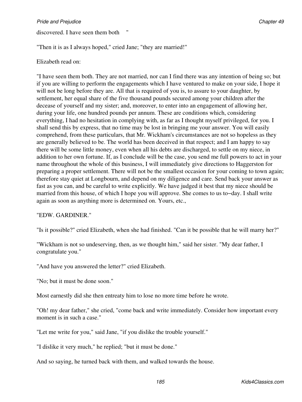discovered. I have seen them both

"Then it is as I always hoped," cried Jane; "they are married!"

# Elizabeth read on:

"I have seen them both. They are not married, nor can I find there was any intention of being so; but if you are willing to perform the engagements which I have ventured to make on your side, I hope it will not be long before they are. All that is required of you is, to assure to your daughter, by settlement, her equal share of the five thousand pounds secured among your children after the decease of yourself and my sister; and, moreover, to enter into an engagement of allowing her, during your life, one hundred pounds per annum. These are conditions which, considering everything, I had no hesitation in complying with, as far as I thought myself privileged, for you. I shall send this by express, that no time may be lost in bringing me your answer. You will easily comprehend, from these particulars, that Mr. Wickham's circumstances are not so hopeless as they are generally believed to be. The world has been deceived in that respect; and I am happy to say there will be some little money, even when all his debts are discharged, to settle on my niece, in addition to her own fortune. If, as I conclude will be the case, you send me full powers to act in your name throughout the whole of this business, I will immediately give directions to Haggerston for preparing a proper settlement. There will not be the smallest occasion for your coming to town again; therefore stay quiet at Longbourn, and depend on my diligence and care. Send back your answer as fast as you can, and be careful to write explicitly. We have judged it best that my niece should be married from this house, of which I hope you will approve. She comes to us to−day. I shall write again as soon as anything more is determined on. Yours, etc.,

# "EDW. GARDINER."

"Is it possible?" cried Elizabeth, when she had finished. "Can it be possible that he will marry her?"

"Wickham is not so undeserving, then, as we thought him," said her sister. "My dear father, I congratulate you."

"And have you answered the letter?" cried Elizabeth.

"No; but it must be done soon."

Most earnestly did she then entreaty him to lose no more time before he wrote.

"Oh! my dear father," she cried, "come back and write immediately. Consider how important every moment is in such a case."

"Let me write for you," said Jane, "if you dislike the trouble yourself."

"I dislike it very much," he replied; "but it must be done."

And so saying, he turned back with them, and walked towards the house.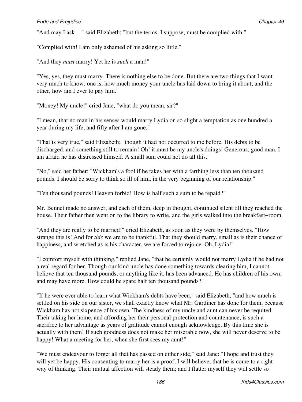"And may I ask " said Elizabeth; "but the terms, I suppose, must be complied with."

"Complied with! I am only ashamed of his asking so little."

"And they *must* marry! Yet he is *such* a man!"

"Yes, yes, they must marry. There is nothing else to be done. But there are two things that I want very much to know; one is, how much money your uncle has laid down to bring it about; and the other, how am I ever to pay him."

"Money! My uncle!" cried Jane, "what do you mean, sir?"

"I mean, that no man in his senses would marry Lydia on so slight a temptation as one hundred a year during my life, and fifty after I am gone."

"That is very true," said Elizabeth; "though it had not occurred to me before. His debts to be discharged, and something still to remain! Oh! it must be my uncle's doings! Generous, good man, I am afraid he has distressed himself. A small sum could not do all this."

"No," said her father; "Wickham's a fool if he takes her with a farthing less than ten thousand pounds. I should be sorry to think so ill of him, in the very beginning of our relationship."

"Ten thousand pounds! Heaven forbid! How is half such a sum to be repaid?"

Mr. Bennet made no answer, and each of them, deep in thought, continued silent till they reached the house. Their father then went on to the library to write, and the girls walked into the breakfast−room.

"And they are really to be married!" cried Elizabeth, as soon as they were by themselves. "How strange this is! And for *this* we are to be thankful. That they should marry, small as is their chance of happiness, and wretched as is his character, we are forced to rejoice. Oh, Lydia!"

"I comfort myself with thinking," replied Jane, "that he certainly would not marry Lydia if he had not a real regard for her. Though our kind uncle has done something towards clearing him, I cannot believe that ten thousand pounds, or anything like it, has been advanced. He has children of his own, and may have more. How could he spare half ten thousand pounds?"

"If he were ever able to learn what Wickham's debts have been," said Elizabeth, "and how much is settled on his side on our sister, we shall exactly know what Mr. Gardiner has done for them, because Wickham has not sixpence of his own. The kindness of my uncle and aunt can never be requited. Their taking her home, and affording her their personal protection and countenance, is such a sacrifice to her advantage as years of gratitude cannot enough acknowledge. By this time she is actually with them! If such goodness does not make her miserable now, she will never deserve to be happy! What a meeting for her, when she first sees my aunt!"

"We must endeavour to forget all that has passed on either side," said Jane: "I hope and trust they will yet be happy. His consenting to marry her is a proof, I will believe, that he is come to a right way of thinking. Their mutual affection will steady them; and I flatter myself they will settle so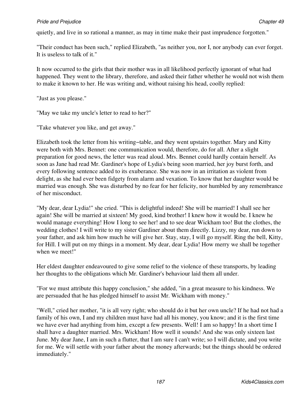quietly, and live in so rational a manner, as may in time make their past imprudence forgotten."

"Their conduct has been such," replied Elizabeth, "as neither you, nor I, nor anybody can ever forget. It is useless to talk of it."

It now occurred to the girls that their mother was in all likelihood perfectly ignorant of what had happened. They went to the library, therefore, and asked their father whether he would not wish them to make it known to her. He was writing and, without raising his head, coolly replied:

"Just as you please."

"May we take my uncle's letter to read to her?"

"Take whatever you like, and get away."

Elizabeth took the letter from his writing−table, and they went upstairs together. Mary and Kitty were both with Mrs. Bennet: one communication would, therefore, do for all. After a slight preparation for good news, the letter was read aloud. Mrs. Bennet could hardly contain herself. As soon as Jane had read Mr. Gardiner's hope of Lydia's being soon married, her joy burst forth, and every following sentence added to its exuberance. She was now in an irritation as violent from delight, as she had ever been fidgety from alarm and vexation. To know that her daughter would be married was enough. She was disturbed by no fear for her felicity, nor humbled by any remembrance of her misconduct.

"My dear, dear Lydia!" she cried. "This is delightful indeed! She will be married! I shall see her again! She will be married at sixteen! My good, kind brother! I knew how it would be. I knew he would manage everything! How I long to see her! and to see dear Wickham too! But the clothes, the wedding clothes! I will write to my sister Gardiner about them directly. Lizzy, my dear, run down to your father, and ask him how much he will give her. Stay, stay, I will go myself. Ring the bell, Kitty, for Hill. I will put on my things in a moment. My dear, dear Lydia! How merry we shall be together when we meet!"

Her eldest daughter endeavoured to give some relief to the violence of these transports, by leading her thoughts to the obligations which Mr. Gardiner's behaviour laid them all under.

"For we must attribute this happy conclusion," she added, "in a great measure to his kindness. We are persuaded that he has pledged himself to assist Mr. Wickham with money."

"Well," cried her mother, "it is all very right; who should do it but her own uncle? If he had not had a family of his own, I and my children must have had all his money, you know; and it is the first time we have ever had anything from him, except a few presents. Well! I am so happy! In a short time I shall have a daughter married. Mrs. Wickham! How well it sounds! And she was only sixteen last June. My dear Jane, I am in such a flutter, that I am sure I can't write; so I will dictate, and you write for me. We will settle with your father about the money afterwards; but the things should be ordered immediately."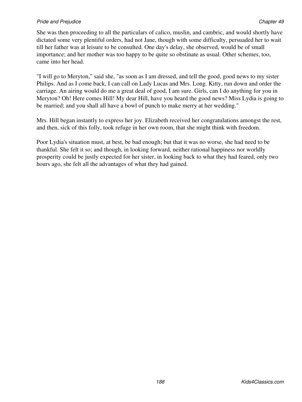She was then proceeding to all the particulars of calico, muslin, and cambric, and would shortly have dictated some very plentiful orders, had not Jane, though with some difficulty, persuaded her to wait till her father was at leisure to be consulted. One day's delay, she observed, would be of small importance; and her mother was too happy to be quite so obstinate as usual. Other schemes, too, came into her head.

"I will go to Meryton," said she, "as soon as I am dressed, and tell the good, good news to my sister Philips. And as I come back, I can call on Lady Lucas and Mrs. Long. Kitty, run down and order the carriage. An airing would do me a great deal of good, I am sure. Girls, can I do anything for you in Meryton? Oh! Here comes Hill! My dear Hill, have you heard the good news? Miss Lydia is going to be married; and you shall all have a bowl of punch to make merry at her wedding."

Mrs. Hill began instantly to express her joy. Elizabeth received her congratulations amongst the rest, and then, sick of this folly, took refuge in her own room, that she might think with freedom.

Poor Lydia's situation must, at best, be bad enough; but that it was no worse, she had need to be thankful. She felt it so; and though, in looking forward, neither rational happiness nor worldly prosperity could be justly expected for her sister, in looking back to what they had feared, only two hours ago, she felt all the advantages of what they had gained.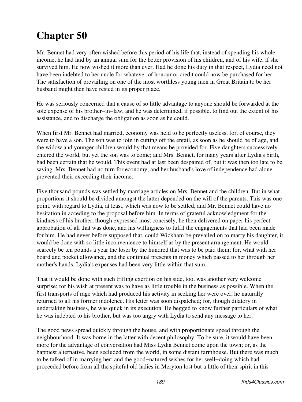# **Chapter 50**

Mr. Bennet had very often wished before this period of his life that, instead of spending his whole income, he had laid by an annual sum for the better provision of his children, and of his wife, if she survived him. He now wished it more than ever. Had he done his duty in that respect, Lydia need not have been indebted to her uncle for whatever of honour or credit could now be purchased for her. The satisfaction of prevailing on one of the most worthless young men in Great Britain to be her husband might then have rested in its proper place.

He was seriously concerned that a cause of so little advantage to anyone should be forwarded at the sole expense of his brother−in−law, and he was determined, if possible, to find out the extent of his assistance, and to discharge the obligation as soon as he could.

When first Mr. Bennet had married, economy was held to be perfectly useless, for, of course, they were to have a son. The son was to join in cutting off the entail, as soon as he should be of age, and the widow and younger children would by that means be provided for. Five daughters successively entered the world, but yet the son was to come; and Mrs. Bennet, for many years after Lydia's birth, had been certain that he would. This event had at last been despaired of, but it was then too late to be saving. Mrs. Bennet had no turn for economy, and her husband's love of independence had alone prevented their exceeding their income.

Five thousand pounds was settled by marriage articles on Mrs. Bennet and the children. But in what proportions it should be divided amongst the latter depended on the will of the parents. This was one point, with regard to Lydia, at least, which was now to be settled, and Mr. Bennet could have no hesitation in acceding to the proposal before him. In terms of grateful acknowledgment for the kindness of his brother, though expressed most concisely, he then delivered on paper his perfect approbation of all that was done, and his willingness to fulfil the engagements that had been made for him. He had never before supposed that, could Wickham be prevailed on to marry his daughter, it would be done with so little inconvenience to himself as by the present arrangement. He would scarcely be ten pounds a year the loser by the hundred that was to be paid them; for, what with her board and pocket allowance, and the continual presents in money which passed to her through her mother's hands, Lydia's expenses had been very little within that sum.

That it would be done with such trifling exertion on his side, too, was another very welcome surprise; for his wish at present was to have as little trouble in the business as possible. When the first transports of rage which had produced his activity in seeking her were over, he naturally returned to all his former indolence. His letter was soon dispatched; for, though dilatory in undertaking business, he was quick in its execution. He begged to know further particulars of what he was indebted to his brother, but was too angry with Lydia to send any message to her.

The good news spread quickly through the house, and with proportionate speed through the neighbourhood. It was borne in the latter with decent philosophy. To be sure, it would have been more for the advantage of conversation had Miss Lydia Bennet come upon the town; or, as the happiest alternative, been secluded from the world, in some distant farmhouse. But there was much to be talked of in marrying her; and the good−natured wishes for her well−doing which had proceeded before from all the spiteful old ladies in Meryton lost but a little of their spirit in this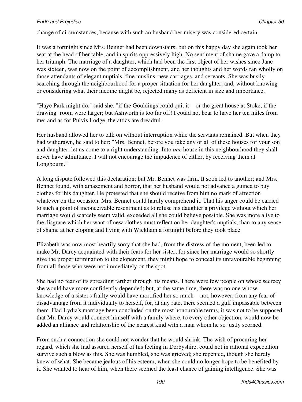change of circumstances, because with such an husband her misery was considered certain.

It was a fortnight since Mrs. Bennet had been downstairs; but on this happy day she again took her seat at the head of her table, and in spirits oppressively high. No sentiment of shame gave a damp to her triumph. The marriage of a daughter, which had been the first object of her wishes since Jane was sixteen, was now on the point of accomplishment, and her thoughts and her words ran wholly on those attendants of elegant nuptials, fine muslins, new carriages, and servants. She was busily searching through the neighbourhood for a proper situation for her daughter, and, without knowing or considering what their income might be, rejected many as deficient in size and importance.

"Haye Park might do," said she, "if the Gouldings could quit it or the great house at Stoke, if the drawing−room were larger; but Ashworth is too far off! I could not bear to have her ten miles from me; and as for Pulvis Lodge, the attics are dreadful."

Her husband allowed her to talk on without interruption while the servants remained. But when they had withdrawn, he said to her: "Mrs. Bennet, before you take any or all of these houses for your son and daughter, let us come to a right understanding. Into *one* house in this neighbourhood they shall never have admittance. I will not encourage the impudence of either, by receiving them at Longbourn."

A long dispute followed this declaration; but Mr. Bennet was firm. It soon led to another; and Mrs. Bennet found, with amazement and horror, that her husband would not advance a guinea to buy clothes for his daughter. He protested that she should receive from him no mark of affection whatever on the occasion. Mrs. Bennet could hardly comprehend it. That his anger could be carried to such a point of inconceivable resentment as to refuse his daughter a privilege without which her marriage would scarcely seem valid, exceeded all she could believe possible. She was more alive to the disgrace which her want of new clothes must reflect on her daughter's nuptials, than to any sense of shame at her eloping and living with Wickham a fortnight before they took place.

Elizabeth was now most heartily sorry that she had, from the distress of the moment, been led to make Mr. Darcy acquainted with their fears for her sister; for since her marriage would so shortly give the proper termination to the elopement, they might hope to conceal its unfavourable beginning from all those who were not immediately on the spot.

She had no fear of its spreading farther through his means. There were few people on whose secrecy she would have more confidently depended; but, at the same time, there was no one whose knowledge of a sister's frailty would have mortified her so much not, however, from any fear of disadvantage from it individually to herself, for, at any rate, there seemed a gulf impassable between them. Had Lydia's marriage been concluded on the most honourable terms, it was not to be supposed that Mr. Darcy would connect himself with a family where, to every other objection, would now be added an alliance and relationship of the nearest kind with a man whom he so justly scorned.

From such a connection she could not wonder that he would shrink. The wish of procuring her regard, which she had assured herself of his feeling in Derbyshire, could not in rational expectation survive such a blow as this. She was humbled, she was grieved; she repented, though she hardly knew of what. She became jealous of his esteem, when she could no longer hope to be benefited by it. She wanted to hear of him, when there seemed the least chance of gaining intelligence. She was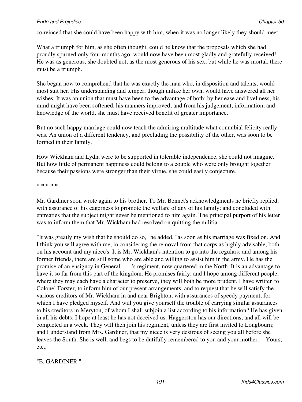convinced that she could have been happy with him, when it was no longer likely they should meet.

What a triumph for him, as she often thought, could he know that the proposals which she had proudly spurned only four months ago, would now have been most gladly and gratefully received! He was as generous, she doubted not, as the most generous of his sex; but while he was mortal, there must be a triumph.

She began now to comprehend that he was exactly the man who, in disposition and talents, would most suit her. His understanding and temper, though unlike her own, would have answered all her wishes. It was an union that must have been to the advantage of both; by her ease and liveliness, his mind might have been softened, his manners improved; and from his judgement, information, and knowledge of the world, she must have received benefit of greater importance.

But no such happy marriage could now teach the admiring multitude what connubial felicity really was. An union of a different tendency, and precluding the possibility of the other, was soon to be formed in their family.

How Wickham and Lydia were to be supported in tolerable independence, she could not imagine. But how little of permanent happiness could belong to a couple who were only brought together because their passions were stronger than their virtue, she could easily conjecture.

\* \* \* \* \*

Mr. Gardiner soon wrote again to his brother. To Mr. Bennet's acknowledgments he briefly replied, with assurance of his eagerness to promote the welfare of any of his family; and concluded with entreaties that the subject might never be mentioned to him again. The principal purport of his letter was to inform them that Mr. Wickham had resolved on quitting the militia.

"It was greatly my wish that he should do so," he added, "as soon as his marriage was fixed on. And I think you will agree with me, in considering the removal from that corps as highly advisable, both on his account and my niece's. It is Mr. Wickham's intention to go into the regulars; and among his former friends, there are still some who are able and willing to assist him in the army. He has the promise of an ensigncy in General 's regiment, now quartered in the North. It is an advantage to have it so far from this part of the kingdom. He promises fairly; and I hope among different people, where they may each have a character to preserve, they will both be more prudent. I have written to Colonel Forster, to inform him of our present arrangements, and to request that he will satisfy the various creditors of Mr. Wickham in and near Brighton, with assurances of speedy payment, for which I have pledged myself. And will you give yourself the trouble of carrying similar assurances to his creditors in Meryton, of whom I shall subjoin a list according to his information? He has given in all his debts; I hope at least he has not deceived us. Haggerston has our directions, and all will be completed in a week. They will then join his regiment, unless they are first invited to Longbourn; and I understand from Mrs. Gardiner, that my niece is very desirous of seeing you all before she leaves the South. She is well, and begs to be dutifully remembered to you and your mother. Yours, etc.,

# "E. GARDINER."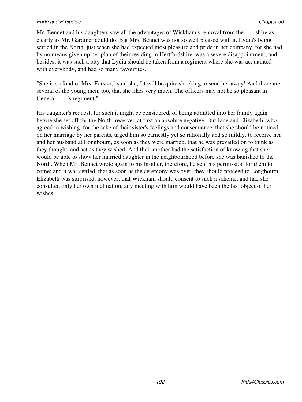Mr. Bennet and his daughters saw all the advantages of Wickham's removal from the shire as clearly as Mr. Gardiner could do. But Mrs. Bennet was not so well pleased with it. Lydia's being settled in the North, just when she had expected most pleasure and pride in her company, for she had by no means given up her plan of their residing in Hertfordshire, was a severe disappointment; and, besides, it was such a pity that Lydia should be taken from a regiment where she was acquainted with everybody, and had so many favourites.

"She is so fond of Mrs. Forster," said she, "it will be quite shocking to send her away! And there are several of the young men, too, that she likes very much. The officers may not be so pleasant in General 's regiment."

His daughter's request, for such it might be considered, of being admitted into her family again before she set off for the North, received at first an absolute negative. But Jane and Elizabeth, who agreed in wishing, for the sake of their sister's feelings and consequence, that she should be noticed on her marriage by her parents, urged him so earnestly yet so rationally and so mildly, to receive her and her husband at Longbourn, as soon as they were married, that he was prevailed on to think as they thought, and act as they wished. And their mother had the satisfaction of knowing that she would be able to show her married daughter in the neighbourhood before she was banished to the North. When Mr. Bennet wrote again to his brother, therefore, he sent his permission for them to come; and it was settled, that as soon as the ceremony was over, they should proceed to Longbourn. Elizabeth was surprised, however, that Wickham should consent to such a scheme, and had she consulted only her own inclination, any meeting with him would have been the last object of her wishes.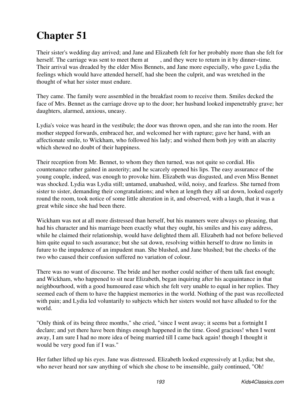# **Chapter 51**

Their sister's wedding day arrived; and Jane and Elizabeth felt for her probably more than she felt for herself. The carriage was sent to meet them at , and they were to return in it by dinner−time. Their arrival was dreaded by the elder Miss Bennets, and Jane more especially, who gave Lydia the feelings which would have attended herself, had she been the culprit, and was wretched in the thought of what her sister must endure.

They came. The family were assembled in the breakfast room to receive them. Smiles decked the face of Mrs. Bennet as the carriage drove up to the door; her husband looked impenetrably grave; her daughters, alarmed, anxious, uneasy.

Lydia's voice was heard in the vestibule; the door was thrown open, and she ran into the room. Her mother stepped forwards, embraced her, and welcomed her with rapture; gave her hand, with an affectionate smile, to Wickham, who followed his lady; and wished them both joy with an alacrity which shewed no doubt of their happiness.

Their reception from Mr. Bennet, to whom they then turned, was not quite so cordial. His countenance rather gained in austerity; and he scarcely opened his lips. The easy assurance of the young couple, indeed, was enough to provoke him. Elizabeth was disgusted, and even Miss Bennet was shocked. Lydia was Lydia still; untamed, unabashed, wild, noisy, and fearless. She turned from sister to sister, demanding their congratulations; and when at length they all sat down, looked eagerly round the room, took notice of some little alteration in it, and observed, with a laugh, that it was a great while since she had been there.

Wickham was not at all more distressed than herself, but his manners were always so pleasing, that had his character and his marriage been exactly what they ought, his smiles and his easy address, while he claimed their relationship, would have delighted them all. Elizabeth had not before believed him quite equal to such assurance; but she sat down, resolving within herself to draw no limits in future to the impudence of an impudent man. She blushed, and Jane blushed; but the cheeks of the two who caused their confusion suffered no variation of colour.

There was no want of discourse. The bride and her mother could neither of them talk fast enough; and Wickham, who happened to sit near Elizabeth, began inquiring after his acquaintance in that neighbourhood, with a good humoured ease which she felt very unable to equal in her replies. They seemed each of them to have the happiest memories in the world. Nothing of the past was recollected with pain; and Lydia led voluntarily to subjects which her sisters would not have alluded to for the world.

"Only think of its being three months," she cried, "since I went away; it seems but a fortnight I declare; and yet there have been things enough happened in the time. Good gracious! when I went away, I am sure I had no more idea of being married till I came back again! though I thought it would be very good fun if I was."

Her father lifted up his eyes. Jane was distressed. Elizabeth looked expressively at Lydia; but she, who never heard nor saw anything of which she chose to be insensible, gaily continued, "Oh!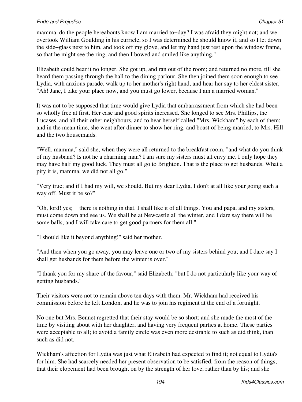mamma, do the people hereabouts know I am married to−day? I was afraid they might not; and we overtook William Goulding in his curricle, so I was determined he should know it, and so I let down the side−glass next to him, and took off my glove, and let my hand just rest upon the window frame, so that he might see the ring, and then I bowed and smiled like anything."

Elizabeth could bear it no longer. She got up, and ran out of the room; and returned no more, till she heard them passing through the hall to the dining parlour. She then joined them soon enough to see Lydia, with anxious parade, walk up to her mother's right hand, and hear her say to her eldest sister, "Ah! Jane, I take your place now, and you must go lower, because I am a married woman."

It was not to be supposed that time would give Lydia that embarrassment from which she had been so wholly free at first. Her ease and good spirits increased. She longed to see Mrs. Phillips, the Lucases, and all their other neighbours, and to hear herself called "Mrs. Wickham" by each of them; and in the mean time, she went after dinner to show her ring, and boast of being married, to Mrs. Hill and the two housemaids.

"Well, mamma," said she, when they were all returned to the breakfast room, "and what do you think of my husband? Is not he a charming man? I am sure my sisters must all envy me. I only hope they may have half my good luck. They must all go to Brighton. That is the place to get husbands. What a pity it is, mamma, we did not all go."

"Very true; and if I had my will, we should. But my dear Lydia, I don't at all like your going such a way off. Must it be so?"

"Oh, lord! yes; there is nothing in that. I shall like it of all things. You and papa, and my sisters, must come down and see us. We shall be at Newcastle all the winter, and I dare say there will be some balls, and I will take care to get good partners for them all."

"I should like it beyond anything!" said her mother.

"And then when you go away, you may leave one or two of my sisters behind you; and I dare say I shall get husbands for them before the winter is over."

"I thank you for my share of the favour," said Elizabeth; "but I do not particularly like your way of getting husbands."

Their visitors were not to remain above ten days with them. Mr. Wickham had received his commission before he left London, and he was to join his regiment at the end of a fortnight.

No one but Mrs. Bennet regretted that their stay would be so short; and she made the most of the time by visiting about with her daughter, and having very frequent parties at home. These parties were acceptable to all; to avoid a family circle was even more desirable to such as did think, than such as did not.

Wickham's affection for Lydia was just what Elizabeth had expected to find it; not equal to Lydia's for him. She had scarcely needed her present observation to be satisfied, from the reason of things, that their elopement had been brought on by the strength of her love, rather than by his; and she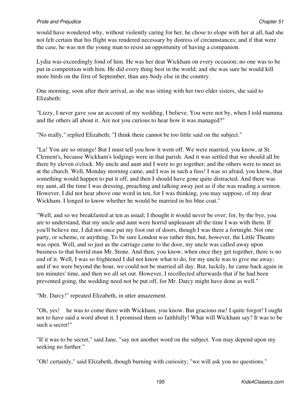would have wondered why, without violently caring for her, he chose to elope with her at all, had she not felt certain that his flight was rendered necessary by distress of circumstances; and if that were the case, he was not the young man to resist an opportunity of having a companion.

Lydia was exceedingly fond of him. He was her dear Wickham on every occasion; no one was to be put in competition with him. He did every thing best in the world; and she was sure he would kill more birds on the first of September, than any body else in the country.

One morning, soon after their arrival, as she was sitting with her two elder sisters, she said to Elizabeth:

"Lizzy, I never gave *you* an account of my wedding, I believe. You were not by, when I told mamma and the others all about it. Are not you curious to hear how it was managed?"

"No really," replied Elizabeth; "I think there cannot be too little said on the subject."

"La! You are so strange! But I must tell you how it went off. We were married, you know, at St. Clement's, because Wickham's lodgings were in that parish. And it was settled that we should all be there by eleven o'clock. My uncle and aunt and I were to go together; and the others were to meet us at the church. Well, Monday morning came, and I was in such a fuss! I was so afraid, you know, that something would happen to put it off, and then I should have gone quite distracted. And there was my aunt, all the time I was dressing, preaching and talking away just as if she was reading a sermon. However, I did not hear above one word in ten, for I was thinking, you may suppose, of my dear Wickham. I longed to know whether he would be married in his blue coat."

"Well, and so we breakfasted at ten as usual; I thought it would never be over; for, by the bye, you are to understand, that my uncle and aunt were horrid unpleasant all the time I was with them. If you'll believe me, I did not once put my foot out of doors, though I was there a fortnight. Not one party, or scheme, or anything. To be sure London was rather thin, but, however, the Little Theatre was open. Well, and so just as the carriage came to the door, my uncle was called away upon business to that horrid man Mr. Stone. And then, you know, when once they get together, there is no end of it. Well, I was so frightened I did not know what to do, for my uncle was to give me away; and if we were beyond the hour, we could not be married all day. But, luckily, he came back again in ten minutes' time, and then we all set out. However, I recollected afterwards that if he had been prevented going, the wedding need not be put off, for Mr. Darcy might have done as well."

"Mr. Darcy!" repeated Elizabeth, in utter amazement.

"Oh, yes! he was to come there with Wickham, you know. But gracious me! I quite forgot! I ought not to have said a word about it. I promised them so faithfully! What will Wickham say? It was to be such a secret!"

"If it was to be secret," said Jane, "say not another word on the subject. You may depend upon my seeking no further."

"Oh! certainly," said Elizabeth, though burning with curiosity; "we will ask you no questions."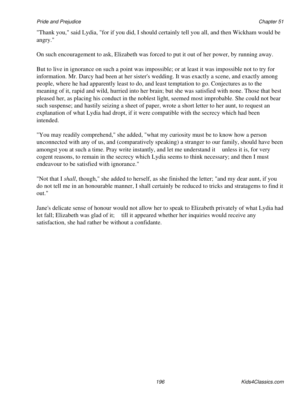"Thank you," said Lydia, "for if you did, I should certainly tell you all, and then Wickham would be angry."

On such encouragement to ask, Elizabeth was forced to put it out of her power, by running away.

But to live in ignorance on such a point was impossible; or at least it was impossible not to try for information. Mr. Darcy had been at her sister's wedding. It was exactly a scene, and exactly among people, where he had apparently least to do, and least temptation to go. Conjectures as to the meaning of it, rapid and wild, hurried into her brain; but she was satisfied with none. Those that best pleased her, as placing his conduct in the noblest light, seemed most improbable. She could not bear such suspense; and hastily seizing a sheet of paper, wrote a short letter to her aunt, to request an explanation of what Lydia had dropt, if it were compatible with the secrecy which had been intended.

"You may readily comprehend," she added, "what my curiosity must be to know how a person unconnected with any of us, and (comparatively speaking) a stranger to our family, should have been amongst you at such a time. Pray write instantly, and let me understand it unless it is, for very cogent reasons, to remain in the secrecy which Lydia seems to think necessary; and then I must endeavour to be satisfied with ignorance."

"Not that I *shall*, though," she added to herself, as she finished the letter; "and my dear aunt, if you do not tell me in an honourable manner, I shall certainly be reduced to tricks and stratagems to find it out."

Jane's delicate sense of honour would not allow her to speak to Elizabeth privately of what Lydia had let fall; Elizabeth was glad of it; till it appeared whether her inquiries would receive any satisfaction, she had rather be without a confidante.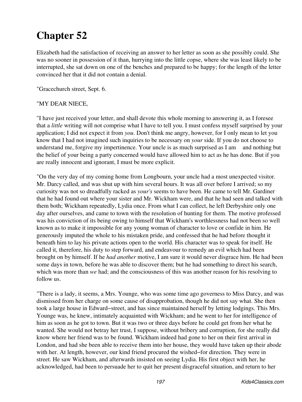# **Chapter 52**

Elizabeth had the satisfaction of receiving an answer to her letter as soon as she possibly could. She was no sooner in possession of it than, hurrying into the little copse, where she was least likely to be interrupted, she sat down on one of the benches and prepared to be happy; for the length of the letter convinced her that it did not contain a denial.

"Gracechurch street, Sept. 6.

# "MY DEAR NIECE,

"I have just received your letter, and shall devote this whole morning to answering it, as I foresee that a *little* writing will not comprise what I have to tell you. I must confess myself surprised by your application; I did not expect it from *you*. Don't think me angry, however, for I only mean to let you know that I had not imagined such inquiries to be necessary on *your* side. If you do not choose to understand me, forgive my impertinence. Your uncle is as much surprised as I am and nothing but the belief of your being a party concerned would have allowed him to act as he has done. But if you are really innocent and ignorant, I must be more explicit.

"On the very day of my coming home from Longbourn, your uncle had a most unexpected visitor. Mr. Darcy called, and was shut up with him several hours. It was all over before I arrived; so my curiosity was not so dreadfully racked as *your's* seems to have been. He came to tell Mr. Gardiner that he had found out where your sister and Mr. Wickham were, and that he had seen and talked with them both; Wickham repeatedly, Lydia once. From what I can collect, he left Derbyshire only one day after ourselves, and came to town with the resolution of hunting for them. The motive professed was his conviction of its being owing to himself that Wickham's worthlessness had not been so well known as to make it impossible for any young woman of character to love or confide in him. He generously imputed the whole to his mistaken pride, and confessed that he had before thought it beneath him to lay his private actions open to the world. His character was to speak for itself. He called it, therefore, his duty to step forward, and endeavour to remedy an evil which had been brought on by himself. If he *had another* motive, I am sure it would never disgrace him. He had been some days in town, before he was able to discover them; but he had something to direct his search, which was more than *we* had; and the consciousness of this was another reason for his resolving to follow us.

"There is a lady, it seems, a Mrs. Younge, who was some time ago governess to Miss Darcy, and was dismissed from her charge on some cause of disapprobation, though he did not say what. She then took a large house in Edward−street, and has since maintained herself by letting lodgings. This Mrs. Younge was, he knew, intimately acquainted with Wickham; and he went to her for intelligence of him as soon as he got to town. But it was two or three days before he could get from her what he wanted. She would not betray her trust, I suppose, without bribery and corruption, for she really did know where her friend was to be found. Wickham indeed had gone to her on their first arrival in London, and had she been able to receive them into her house, they would have taken up their abode with her. At length, however, our kind friend procured the wished−for direction. They were in street. He saw Wickham, and afterwards insisted on seeing Lydia. His first object with her, he acknowledged, had been to persuade her to quit her present disgraceful situation, and return to her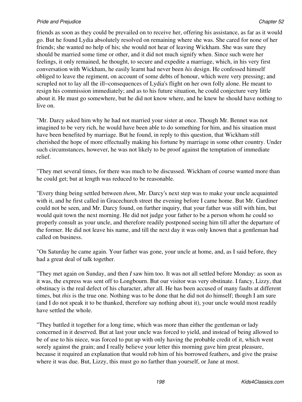friends as soon as they could be prevailed on to receive her, offering his assistance, as far as it would go. But he found Lydia absolutely resolved on remaining where she was. She cared for none of her friends; she wanted no help of his; she would not hear of leaving Wickham. She was sure they should be married some time or other, and it did not much signify when. Since such were her feelings, it only remained, he thought, to secure and expedite a marriage, which, in his very first conversation with Wickham, he easily learnt had never been *his* design. He confessed himself obliged to leave the regiment, on account of some debts of honour, which were very pressing; and scrupled not to lay all the ill−consequences of Lydia's flight on her own folly alone. He meant to resign his commission immediately; and as to his future situation, he could conjecture very little about it. He must go somewhere, but he did not know where, and he knew he should have nothing to live on.

"Mr. Darcy asked him why he had not married your sister at once. Though Mr. Bennet was not imagined to be very rich, he would have been able to do something for him, and his situation must have been benefited by marriage. But he found, in reply to this question, that Wickham still cherished the hope of more effectually making his fortune by marriage in some other country. Under such circumstances, however, he was not likely to be proof against the temptation of immediate relief.

"They met several times, for there was much to be discussed. Wickham of course wanted more than he could get; but at length was reduced to be reasonable.

"Every thing being settled between *them*, Mr. Darcy's next step was to make your uncle acquainted with it, and he first called in Gracechurch street the evening before I came home. But Mr. Gardiner could not be seen, and Mr. Darcy found, on further inquiry, that your father was still with him, but would quit town the next morning. He did not judge your father to be a person whom he could so properly consult as your uncle, and therefore readily postponed seeing him till after the departure of the former. He did not leave his name, and till the next day it was only known that a gentleman had called on business.

"On Saturday he came again. Your father was gone, your uncle at home, and, as I said before, they had a great deal of talk together.

"They met again on Sunday, and then *I* saw him too. It was not all settled before Monday: as soon as it was, the express was sent off to Longbourn. But our visitor was very obstinate. I fancy, Lizzy, that obstinacy is the real defect of his character, after all. He has been accused of many faults at different times, but *this* is the true one. Nothing was to be done that he did not do himself; though I am sure (and I do not speak it to be thanked, therefore say nothing about it), your uncle would most readily have settled the whole.

"They battled it together for a long time, which was more than either the gentleman or lady concerned in it deserved. But at last your uncle was forced to yield, and instead of being allowed to be of use to his niece, was forced to put up with only having the probable credit of it, which went sorely against the grain; and I really believe your letter this morning gave him great pleasure, because it required an explanation that would rob him of his borrowed feathers, and give the praise where it was due. But, Lizzy, this must go no farther than yourself, or Jane at most.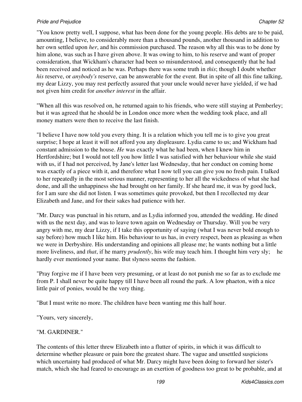"You know pretty well, I suppose, what has been done for the young people. His debts are to be paid, amounting, I believe, to considerably more than a thousand pounds, another thousand in addition to her own settled upon *her*, and his commission purchased. The reason why all this was to be done by him alone, was such as I have given above. It was owing to him, to his reserve and want of proper consideration, that Wickham's character had been so misunderstood, and consequently that he had been received and noticed as he was. Perhaps there was some truth in *this*; though I doubt whether *his* reserve, or *anybody's* reserve, can be answerable for the event. But in spite of all this fine talking, my dear Lizzy, you may rest perfectly assured that your uncle would never have yielded, if we had not given him credit for *another interest* in the affair.

"When all this was resolved on, he returned again to his friends, who were still staying at Pemberley; but it was agreed that he should be in London once more when the wedding took place, and all money matters were then to receive the last finish.

"I believe I have now told you every thing. It is a relation which you tell me is to give you great surprise; I hope at least it will not afford you any displeasure. Lydia came to us; and Wickham had constant admission to the house. *He* was exactly what he had been, when I knew him in Hertfordshire; but I would not tell you how little I was satisfied with her behaviour while she staid with us, if I had not perceived, by Jane's letter last Wednesday, that her conduct on coming home was exactly of a piece with it, and therefore what I now tell you can give you no fresh pain. I talked to her repeatedly in the most serious manner, representing to her all the wickedness of what she had done, and all the unhappiness she had brought on her family. If she heard me, it was by good luck, for I am sure she did not listen. I was sometimes quite provoked, but then I recollected my dear Elizabeth and Jane, and for their sakes had patience with her.

"Mr. Darcy was punctual in his return, and as Lydia informed you, attended the wedding. He dined with us the next day, and was to leave town again on Wednesday or Thursday. Will you be very angry with me, my dear Lizzy, if I take this opportunity of saying (what I was never bold enough to say before) how much I like him. His behaviour to us has, in every respect, been as pleasing as when we were in Derbyshire. His understanding and opinions all please me; he wants nothing but a little more liveliness, and *that*, if he marry *prudently*, his wife may teach him. I thought him very sly; he hardly ever mentioned your name. But slyness seems the fashion.

"Pray forgive me if I have been very presuming, or at least do not punish me so far as to exclude me from P. I shall never be quite happy till I have been all round the park. A low phaeton, with a nice little pair of ponies, would be the very thing.

"But I must write no more. The children have been wanting me this half hour.

"Yours, very sincerely,

# "M. GARDINER."

The contents of this letter threw Elizabeth into a flutter of spirits, in which it was difficult to determine whether pleasure or pain bore the greatest share. The vague and unsettled suspicions which uncertainty had produced of what Mr. Darcy might have been doing to forward her sister's match, which she had feared to encourage as an exertion of goodness too great to be probable, and at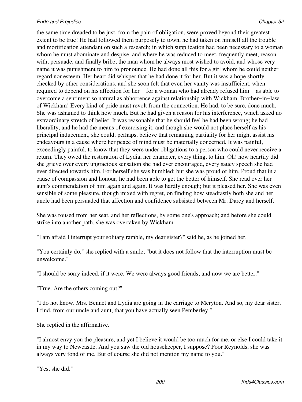the same time dreaded to be just, from the pain of obligation, were proved beyond their greatest extent to be true! He had followed them purposely to town, he had taken on himself all the trouble and mortification attendant on such a research; in which supplication had been necessary to a woman whom he must abominate and despise, and where he was reduced to meet, frequently meet, reason with, persuade, and finally bribe, the man whom he always most wished to avoid, and whose very name it was punishment to him to pronounce. He had done all this for a girl whom he could neither regard nor esteem. Her heart did whisper that he had done it for her. But it was a hope shortly checked by other considerations, and she soon felt that even her vanity was insufficient, when required to depend on his affection for her for a woman who had already refused him as able to overcome a sentiment so natural as abhorrence against relationship with Wickham. Brother−in−law of Wickham! Every kind of pride must revolt from the connection. He had, to be sure, done much. She was ashamed to think how much. But he had given a reason for his interference, which asked no extraordinary stretch of belief. It was reasonable that he should feel he had been wrong; he had liberality, and he had the means of exercising it; and though she would not place herself as his principal inducement, she could, perhaps, believe that remaining partiality for her might assist his endeavours in a cause where her peace of mind must be materially concerned. It was painful, exceedingly painful, to know that they were under obligations to a person who could never receive a return. They owed the restoration of Lydia, her character, every thing, to him. Oh! how heartily did she grieve over every ungracious sensation she had ever encouraged, every saucy speech she had ever directed towards him. For herself she was humbled; but she was proud of him. Proud that in a cause of compassion and honour, he had been able to get the better of himself. She read over her aunt's commendation of him again and again. It was hardly enough; but it pleased her. She was even sensible of some pleasure, though mixed with regret, on finding how steadfastly both she and her uncle had been persuaded that affection and confidence subsisted between Mr. Darcy and herself.

She was roused from her seat, and her reflections, by some one's approach; and before she could strike into another path, she was overtaken by Wickham.

"I am afraid I interrupt your solitary ramble, my dear sister?" said he, as he joined her.

"You certainly do," she replied with a smile; "but it does not follow that the interruption must be unwelcome."

"I should be sorry indeed, if it were. We were always good friends; and now we are better."

"True. Are the others coming out?"

"I do not know. Mrs. Bennet and Lydia are going in the carriage to Meryton. And so, my dear sister, I find, from our uncle and aunt, that you have actually seen Pemberley."

She replied in the affirmative.

"I almost envy you the pleasure, and yet I believe it would be too much for me, or else I could take it in my way to Newcastle. And you saw the old housekeeper, I suppose? Poor Reynolds, she was always very fond of me. But of course she did not mention my name to you."

"Yes, she did."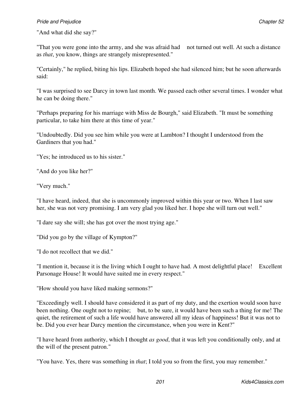"And what did she say?"

"That you were gone into the army, and she was afraid had not turned out well. At such a distance as *that*, you know, things are strangely misrepresented."

"Certainly," he replied, biting his lips. Elizabeth hoped she had silenced him; but he soon afterwards said:

"I was surprised to see Darcy in town last month. We passed each other several times. I wonder what he can be doing there."

"Perhaps preparing for his marriage with Miss de Bourgh," said Elizabeth. "It must be something particular, to take him there at this time of year."

"Undoubtedly. Did you see him while you were at Lambton? I thought I understood from the Gardiners that you had."

"Yes; he introduced us to his sister."

"And do you like her?"

"Very much."

"I have heard, indeed, that she is uncommonly improved within this year or two. When I last saw her, she was not very promising. I am very glad you liked her. I hope she will turn out well."

"I dare say she will; she has got over the most trying age."

"Did you go by the village of Kympton?"

"I do not recollect that we did."

"I mention it, because it is the living which I ought to have had. A most delightful place! Excellent Parsonage House! It would have suited me in every respect."

"How should you have liked making sermons?"

"Exceedingly well. I should have considered it as part of my duty, and the exertion would soon have been nothing. One ought not to repine; but, to be sure, it would have been such a thing for me! The quiet, the retirement of such a life would have answered all my ideas of happiness! But it was not to be. Did you ever hear Darcy mention the circumstance, when you were in Kent?"

"I have heard from authority, which I thought *as good*, that it was left you conditionally only, and at the will of the present patron."

"You have. Yes, there was something in *that*; I told you so from the first, you may remember."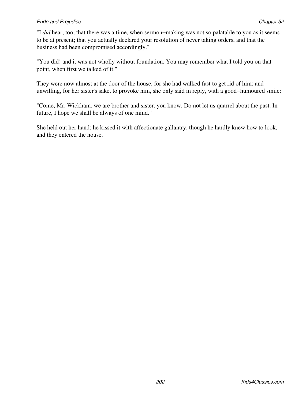"I *did* hear, too, that there was a time, when sermon−making was not so palatable to you as it seems to be at present; that you actually declared your resolution of never taking orders, and that the business had been compromised accordingly."

"You did! and it was not wholly without foundation. You may remember what I told you on that point, when first we talked of it."

They were now almost at the door of the house, for she had walked fast to get rid of him; and unwilling, for her sister's sake, to provoke him, she only said in reply, with a good−humoured smile:

"Come, Mr. Wickham, we are brother and sister, you know. Do not let us quarrel about the past. In future, I hope we shall be always of one mind."

She held out her hand; he kissed it with affectionate gallantry, though he hardly knew how to look, and they entered the house.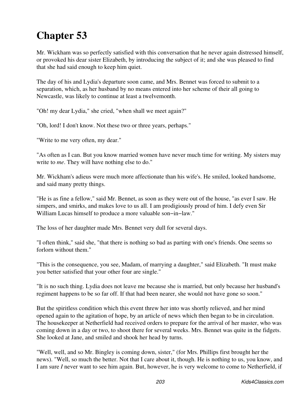# **Chapter 53**

Mr. Wickham was so perfectly satisfied with this conversation that he never again distressed himself, or provoked his dear sister Elizabeth, by introducing the subject of it; and she was pleased to find that she had said enough to keep him quiet.

The day of his and Lydia's departure soon came, and Mrs. Bennet was forced to submit to a separation, which, as her husband by no means entered into her scheme of their all going to Newcastle, was likely to continue at least a twelvemonth.

"Oh! my dear Lydia," she cried, "when shall we meet again?"

"Oh, lord! I don't know. Not these two or three years, perhaps."

"Write to me very often, my dear."

"As often as I can. But you know married women have never much time for writing. My sisters may write to *me*. They will have nothing else to do."

Mr. Wickham's adieus were much more affectionate than his wife's. He smiled, looked handsome, and said many pretty things.

"He is as fine a fellow," said Mr. Bennet, as soon as they were out of the house, "as ever I saw. He simpers, and smirks, and makes love to us all. I am prodigiously proud of him. I defy even Sir William Lucas himself to produce a more valuable son−in−law."

The loss of her daughter made Mrs. Bennet very dull for several days.

"I often think," said she, "that there is nothing so bad as parting with one's friends. One seems so forlorn without them."

"This is the consequence, you see, Madam, of marrying a daughter," said Elizabeth. "It must make you better satisfied that your other four are single."

"It is no such thing. Lydia does not leave me because she is married, but only because her husband's regiment happens to be so far off. If that had been nearer, she would not have gone so soon."

But the spiritless condition which this event threw her into was shortly relieved, and her mind opened again to the agitation of hope, by an article of news which then began to be in circulation. The housekeeper at Netherfield had received orders to prepare for the arrival of her master, who was coming down in a day or two, to shoot there for several weeks. Mrs. Bennet was quite in the fidgets. She looked at Jane, and smiled and shook her head by turns.

"Well, well, and so Mr. Bingley is coming down, sister," (for Mrs. Phillips first brought her the news). "Well, so much the better. Not that I care about it, though. He is nothing to us, you know, and I am sure *I* never want to see him again. But, however, he is very welcome to come to Netherfield, if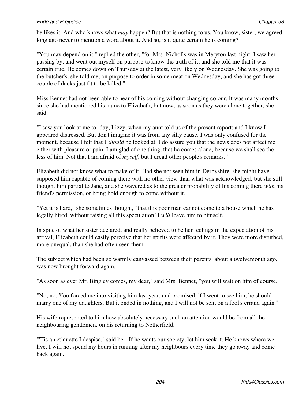## **Pride and Prejudice Chapter 53** Chapter 53

he likes it. And who knows what *may* happen? But that is nothing to us. You know, sister, we agreed long ago never to mention a word about it. And so, is it quite certain he is coming?"

"You may depend on it," replied the other, "for Mrs. Nicholls was in Meryton last night; I saw her passing by, and went out myself on purpose to know the truth of it; and she told me that it was certain true. He comes down on Thursday at the latest, very likely on Wednesday. She was going to the butcher's, she told me, on purpose to order in some meat on Wednesday, and she has got three couple of ducks just fit to be killed."

Miss Bennet had not been able to hear of his coming without changing colour. It was many months since she had mentioned his name to Elizabeth; but now, as soon as they were alone together, she said:

"I saw you look at me to−day, Lizzy, when my aunt told us of the present report; and I know I appeared distressed. But don't imagine it was from any silly cause. I was only confused for the moment, because I felt that I *should* be looked at. I do assure you that the news does not affect me either with pleasure or pain. I am glad of one thing, that he comes alone; because we shall see the less of him. Not that I am afraid of *myself*, but I dread other people's remarks."

Elizabeth did not know what to make of it. Had she not seen him in Derbyshire, she might have supposed him capable of coming there with no other view than what was acknowledged; but she still thought him partial to Jane, and she wavered as to the greater probability of his coming there *with* his friend's permission, or being bold enough to come without it.

"Yet it is hard," she sometimes thought, "that this poor man cannot come to a house which he has legally hired, without raising all this speculation! I *will* leave him to himself."

In spite of what her sister declared, and really believed to be her feelings in the expectation of his arrival, Elizabeth could easily perceive that her spirits were affected by it. They were more disturbed, more unequal, than she had often seen them.

The subject which had been so warmly canvassed between their parents, about a twelvemonth ago, was now brought forward again.

"As soon as ever Mr. Bingley comes, my dear," said Mrs. Bennet, "you will wait on him of course."

"No, no. You forced me into visiting him last year, and promised, if I went to see him, he should marry one of my daughters. But it ended in nothing, and I will not be sent on a fool's errand again."

His wife represented to him how absolutely necessary such an attention would be from all the neighbouring gentlemen, on his returning to Netherfield.

"'Tis an etiquette I despise," said he. "If he wants our society, let him seek it. He knows where we live. I will not spend my hours in running after my neighbours every time they go away and come back again."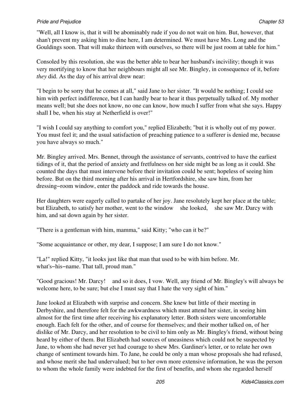### **Pride and Prejudice Chapter 53** Chapter 53

"Well, all I know is, that it will be abominably rude if you do not wait on him. But, however, that shan't prevent my asking him to dine here, I am determined. We must have Mrs. Long and the Gouldings soon. That will make thirteen with ourselves, so there will be just room at table for him."

Consoled by this resolution, she was the better able to bear her husband's incivility; though it was very mortifying to know that her neighbours might all see Mr. Bingley, in consequence of it, before *they* did. As the day of his arrival drew near:

"I begin to be sorry that he comes at all," said Jane to her sister. "It would be nothing; I could see him with perfect indifference, but I can hardly bear to hear it thus perpetually talked of. My mother means well; but she does not know, no one can know, how much I suffer from what she says. Happy shall I be, when his stay at Netherfield is over!"

"I wish I could say anything to comfort you," replied Elizabeth; "but it is wholly out of my power. You must feel it; and the usual satisfaction of preaching patience to a sufferer is denied me, because you have always so much."

Mr. Bingley arrived. Mrs. Bennet, through the assistance of servants, contrived to have the earliest tidings of it, that the period of anxiety and fretfulness on her side might be as long as it could. She counted the days that must intervene before their invitation could be sent; hopeless of seeing him before. But on the third morning after his arrival in Hertfordshire, she saw him, from her dressing−room window, enter the paddock and ride towards the house.

Her daughters were eagerly called to partake of her joy. Jane resolutely kept her place at the table; but Elizabeth, to satisfy her mother, went to the window she looked, she saw Mr. Darcy with him, and sat down again by her sister.

"There is a gentleman with him, mamma," said Kitty; "who can it be?"

"Some acquaintance or other, my dear, I suppose; I am sure I do not know."

"La!" replied Kitty, "it looks just like that man that used to be with him before. Mr. what's−his−name. That tall, proud man."

"Good gracious! Mr. Darcy! and so it does, I vow. Well, any friend of Mr. Bingley's will always be welcome here, to be sure; but else I must say that I hate the very sight of him."

Jane looked at Elizabeth with surprise and concern. She knew but little of their meeting in Derbyshire, and therefore felt for the awkwardness which must attend her sister, in seeing him almost for the first time after receiving his explanatory letter. Both sisters were uncomfortable enough. Each felt for the other, and of course for themselves; and their mother talked on, of her dislike of Mr. Darcy, and her resolution to be civil to him only as Mr. Bingley's friend, without being heard by either of them. But Elizabeth had sources of uneasiness which could not be suspected by Jane, to whom she had never yet had courage to shew Mrs. Gardiner's letter, or to relate her own change of sentiment towards him. To Jane, he could be only a man whose proposals she had refused, and whose merit she had undervalued; but to her own more extensive information, he was the person to whom the whole family were indebted for the first of benefits, and whom she regarded herself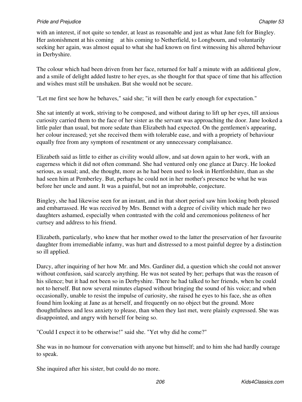with an interest, if not quite so tender, at least as reasonable and just as what Jane felt for Bingley. Her astonishment at his coming at his coming to Netherfield, to Longbourn, and voluntarily seeking her again, was almost equal to what she had known on first witnessing his altered behaviour in Derbyshire.

The colour which had been driven from her face, returned for half a minute with an additional glow, and a smile of delight added lustre to her eyes, as she thought for that space of time that his affection and wishes must still be unshaken. But she would not be secure.

"Let me first see how he behaves," said she; "it will then be early enough for expectation."

She sat intently at work, striving to be composed, and without daring to lift up her eyes, till anxious curiosity carried them to the face of her sister as the servant was approaching the door. Jane looked a little paler than usual, but more sedate than Elizabeth had expected. On the gentlemen's appearing, her colour increased; yet she received them with tolerable ease, and with a propriety of behaviour equally free from any symptom of resentment or any unnecessary complaisance.

Elizabeth said as little to either as civility would allow, and sat down again to her work, with an eagerness which it did not often command. She had ventured only one glance at Darcy. He looked serious, as usual; and, she thought, more as he had been used to look in Hertfordshire, than as she had seen him at Pemberley. But, perhaps he could not in her mother's presence be what he was before her uncle and aunt. It was a painful, but not an improbable, conjecture.

Bingley, she had likewise seen for an instant, and in that short period saw him looking both pleased and embarrassed. He was received by Mrs. Bennet with a degree of civility which made her two daughters ashamed, especially when contrasted with the cold and ceremonious politeness of her curtsey and address to his friend.

Elizabeth, particularly, who knew that her mother owed to the latter the preservation of her favourite daughter from irremediable infamy, was hurt and distressed to a most painful degree by a distinction so ill applied.

Darcy, after inquiring of her how Mr. and Mrs. Gardiner did, a question which she could not answer without confusion, said scarcely anything. He was not seated by her; perhaps that was the reason of his silence; but it had not been so in Derbyshire. There he had talked to her friends, when he could not to herself. But now several minutes elapsed without bringing the sound of his voice; and when occasionally, unable to resist the impulse of curiosity, she raised he eyes to his face, she as often found him looking at Jane as at herself, and frequently on no object but the ground. More thoughtfulness and less anxiety to please, than when they last met, were plainly expressed. She was disappointed, and angry with herself for being so.

"Could I expect it to be otherwise!" said she. "Yet why did he come?"

She was in no humour for conversation with anyone but himself; and to him she had hardly courage to speak.

She inquired after his sister, but could do no more.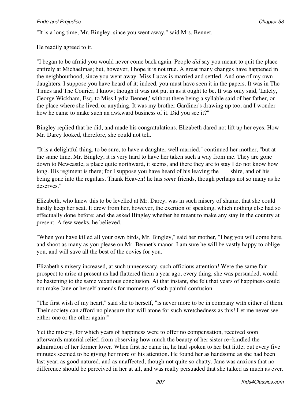"It is a long time, Mr. Bingley, since you went away," said Mrs. Bennet.

He readily agreed to it.

"I began to be afraid you would never come back again. People *did* say you meant to quit the place entirely at Michaelmas; but, however, I hope it is not true. A great many changes have happened in the neighbourhood, since you went away. Miss Lucas is married and settled. And one of my own daughters. I suppose you have heard of it; indeed, you must have seen it in the papers. It was in The Times and The Courier, I know; though it was not put in as it ought to be. It was only said, 'Lately, George Wickham, Esq. to Miss Lydia Bennet,' without there being a syllable said of her father, or the place where she lived, or anything. It was my brother Gardiner's drawing up too, and I wonder how he came to make such an awkward business of it. Did you see it?"

Bingley replied that he did, and made his congratulations. Elizabeth dared not lift up her eyes. How Mr. Darcy looked, therefore, she could not tell.

"It is a delightful thing, to be sure, to have a daughter well married," continued her mother, "but at the same time, Mr. Bingley, it is very hard to have her taken such a way from me. They are gone down to Newcastle, a place quite northward, it seems, and there they are to stay I do not know how long. His regiment is there; for I suppose you have heard of his leaving the shire, and of his being gone into the regulars. Thank Heaven! he has *some* friends, though perhaps not so many as he deserves."

Elizabeth, who knew this to be levelled at Mr. Darcy, was in such misery of shame, that she could hardly keep her seat. It drew from her, however, the exertion of speaking, which nothing else had so effectually done before; and she asked Bingley whether he meant to make any stay in the country at present. A few weeks, he believed.

"When you have killed all your own birds, Mr. Bingley," said her mother, "I beg you will come here, and shoot as many as you please on Mr. Bennet's manor. I am sure he will be vastly happy to oblige you, and will save all the best of the covies for you."

Elizabeth's misery increased, at such unnecessary, such officious attention! Were the same fair prospect to arise at present as had flattered them a year ago, every thing, she was persuaded, would be hastening to the same vexatious conclusion. At that instant, she felt that years of happiness could not make Jane or herself amends for moments of such painful confusion.

"The first wish of my heart," said she to herself, "is never more to be in company with either of them. Their society can afford no pleasure that will atone for such wretchedness as this! Let me never see either one or the other again!"

Yet the misery, for which years of happiness were to offer no compensation, received soon afterwards material relief, from observing how much the beauty of her sister re−kindled the admiration of her former lover. When first he came in, he had spoken to her but little; but every five minutes seemed to be giving her more of his attention. He found her as handsome as she had been last year; as good natured, and as unaffected, though not quite so chatty. Jane was anxious that no difference should be perceived in her at all, and was really persuaded that she talked as much as ever.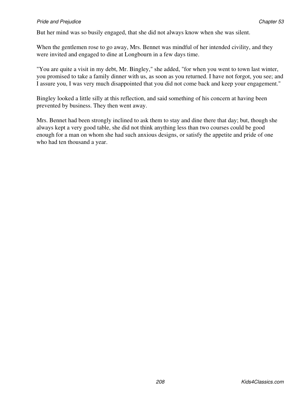But her mind was so busily engaged, that she did not always know when she was silent.

When the gentlemen rose to go away, Mrs. Bennet was mindful of her intended civility, and they were invited and engaged to dine at Longbourn in a few days time.

"You are quite a visit in my debt, Mr. Bingley," she added, "for when you went to town last winter, you promised to take a family dinner with us, as soon as you returned. I have not forgot, you see; and I assure you, I was very much disappointed that you did not come back and keep your engagement."

Bingley looked a little silly at this reflection, and said something of his concern at having been prevented by business. They then went away.

Mrs. Bennet had been strongly inclined to ask them to stay and dine there that day; but, though she always kept a very good table, she did not think anything less than two courses could be good enough for a man on whom she had such anxious designs, or satisfy the appetite and pride of one who had ten thousand a year.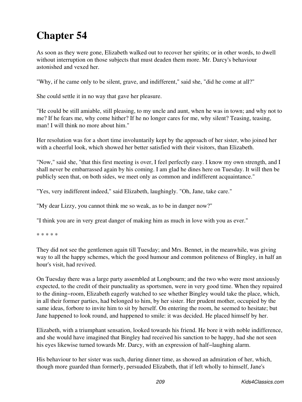# **Chapter 54**

As soon as they were gone, Elizabeth walked out to recover her spirits; or in other words, to dwell without interruption on those subjects that must deaden them more. Mr. Darcy's behaviour astonished and vexed her.

"Why, if he came only to be silent, grave, and indifferent," said she, "did he come at all?"

She could settle it in no way that gave her pleasure.

"He could be still amiable, still pleasing, to my uncle and aunt, when he was in town; and why not to me? If he fears me, why come hither? If he no longer cares for me, why silent? Teasing, teasing, man! I will think no more about him."

Her resolution was for a short time involuntarily kept by the approach of her sister, who joined her with a cheerful look, which showed her better satisfied with their visitors, than Elizabeth.

"Now," said she, "that this first meeting is over, I feel perfectly easy. I know my own strength, and I shall never be embarrassed again by his coming. I am glad he dines here on Tuesday. It will then be publicly seen that, on both sides, we meet only as common and indifferent acquaintance."

"Yes, very indifferent indeed," said Elizabeth, laughingly. "Oh, Jane, take care."

"My dear Lizzy, you cannot think me so weak, as to be in danger now?"

"I think you are in very great danger of making him as much in love with you as ever."

\* \* \* \* \*

They did not see the gentlemen again till Tuesday; and Mrs. Bennet, in the meanwhile, was giving way to all the happy schemes, which the good humour and common politeness of Bingley, in half an hour's visit, had revived.

On Tuesday there was a large party assembled at Longbourn; and the two who were most anxiously expected, to the credit of their punctuality as sportsmen, were in very good time. When they repaired to the dining−room, Elizabeth eagerly watched to see whether Bingley would take the place, which, in all their former parties, had belonged to him, by her sister. Her prudent mother, occupied by the same ideas, forbore to invite him to sit by herself. On entering the room, he seemed to hesitate; but Jane happened to look round, and happened to smile: it was decided. He placed himself by her.

Elizabeth, with a triumphant sensation, looked towards his friend. He bore it with noble indifference, and she would have imagined that Bingley had received his sanction to be happy, had she not seen his eyes likewise turned towards Mr. Darcy, with an expression of half−laughing alarm.

His behaviour to her sister was such, during dinner time, as showed an admiration of her, which, though more guarded than formerly, persuaded Elizabeth, that if left wholly to himself, Jane's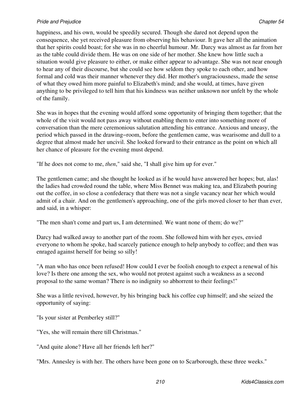happiness, and his own, would be speedily secured. Though she dared not depend upon the consequence, she yet received pleasure from observing his behaviour. It gave her all the animation that her spirits could boast; for she was in no cheerful humour. Mr. Darcy was almost as far from her as the table could divide them. He was on one side of her mother. She knew how little such a situation would give pleasure to either, or make either appear to advantage. She was not near enough to hear any of their discourse, but she could see how seldom they spoke to each other, and how formal and cold was their manner whenever they did. Her mother's ungraciousness, made the sense of what they owed him more painful to Elizabeth's mind; and she would, at times, have given anything to be privileged to tell him that his kindness was neither unknown nor unfelt by the whole of the family.

She was in hopes that the evening would afford some opportunity of bringing them together; that the whole of the visit would not pass away without enabling them to enter into something more of conversation than the mere ceremonious salutation attending his entrance. Anxious and uneasy, the period which passed in the drawing−room, before the gentlemen came, was wearisome and dull to a degree that almost made her uncivil. She looked forward to their entrance as the point on which all her chance of pleasure for the evening must depend.

"If he does not come to me, *then*," said she, "I shall give him up for ever."

The gentlemen came; and she thought he looked as if he would have answered her hopes; but, alas! the ladies had crowded round the table, where Miss Bennet was making tea, and Elizabeth pouring out the coffee, in so close a confederacy that there was not a single vacancy near her which would admit of a chair. And on the gentlemen's approaching, one of the girls moved closer to her than ever, and said, in a whisper:

"The men shan't come and part us, I am determined. We want none of them; do we?"

Darcy had walked away to another part of the room. She followed him with her eyes, envied everyone to whom he spoke, had scarcely patience enough to help anybody to coffee; and then was enraged against herself for being so silly!

"A man who has once been refused! How could I ever be foolish enough to expect a renewal of his love? Is there one among the sex, who would not protest against such a weakness as a second proposal to the same woman? There is no indignity so abhorrent to their feelings!"

She was a little revived, however, by his bringing back his coffee cup himself; and she seized the opportunity of saying:

"Is your sister at Pemberley still?"

"Yes, she will remain there till Christmas."

"And quite alone? Have all her friends left her?"

"Mrs. Annesley is with her. The others have been gone on to Scarborough, these three weeks."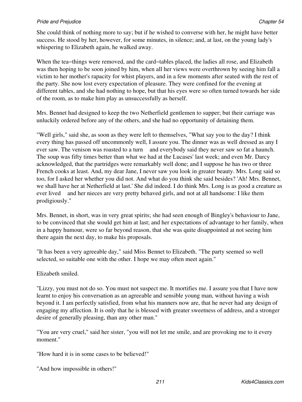She could think of nothing more to say; but if he wished to converse with her, he might have better success. He stood by her, however, for some minutes, in silence; and, at last, on the young lady's whispering to Elizabeth again, he walked away.

When the tea−things were removed, and the card−tables placed, the ladies all rose, and Elizabeth was then hoping to be soon joined by him, when all her views were overthrown by seeing him fall a victim to her mother's rapacity for whist players, and in a few moments after seated with the rest of the party. She now lost every expectation of pleasure. They were confined for the evening at different tables, and she had nothing to hope, but that his eyes were so often turned towards her side of the room, as to make him play as unsuccessfully as herself.

Mrs. Bennet had designed to keep the two Netherfield gentlemen to supper; but their carriage was unluckily ordered before any of the others, and she had no opportunity of detaining them.

"Well girls," said she, as soon as they were left to themselves, "What say you to the day? I think every thing has passed off uncommonly well, I assure you. The dinner was as well dressed as any I ever saw. The venison was roasted to a turn and everybody said they never saw so fat a haunch. The soup was fifty times better than what we had at the Lucases' last week; and even Mr. Darcy acknowledged, that the partridges were remarkably well done; and I suppose he has two or three French cooks at least. And, my dear Jane, I never saw you look in greater beauty. Mrs. Long said so too, for I asked her whether you did not. And what do you think she said besides? 'Ah! Mrs. Bennet, we shall have her at Netherfield at last.' She did indeed. I do think Mrs. Long is as good a creature as ever lived and her nieces are very pretty behaved girls, and not at all handsome: I like them prodigiously."

Mrs. Bennet, in short, was in very great spirits; she had seen enough of Bingley's behaviour to Jane, to be convinced that she would get him at last; and her expectations of advantage to her family, when in a happy humour, were so far beyond reason, that she was quite disappointed at not seeing him there again the next day, to make his proposals.

"It has been a very agreeable day," said Miss Bennet to Elizabeth. "The party seemed so well selected, so suitable one with the other. I hope we may often meet again."

Elizabeth smiled.

"Lizzy, you must not do so. You must not suspect me. It mortifies me. I assure you that I have now learnt to enjoy his conversation as an agreeable and sensible young man, without having a wish beyond it. I am perfectly satisfied, from what his manners now are, that he never had any design of engaging my affection. It is only that he is blessed with greater sweetness of address, and a stronger desire of generally pleasing, than any other man."

"You are very cruel," said her sister, "you will not let me smile, and are provoking me to it every moment."

"How hard it is in some cases to be believed!"

"And how impossible in others!"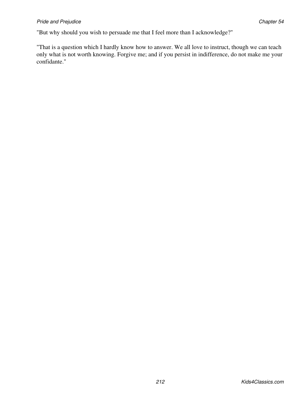"But why should you wish to persuade me that I feel more than I acknowledge?"

"That is a question which I hardly know how to answer. We all love to instruct, though we can teach only what is not worth knowing. Forgive me; and if you persist in indifference, do not make me your confidante."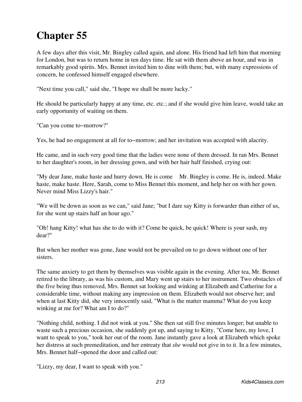A few days after this visit, Mr. Bingley called again, and alone. His friend had left him that morning for London, but was to return home in ten days time. He sat with them above an hour, and was in remarkably good spirits. Mrs. Bennet invited him to dine with them; but, with many expressions of concern, he confessed himself engaged elsewhere.

"Next time you call," said she, "I hope we shall be more lucky."

He should be particularly happy at any time, etc. etc.; and if she would give him leave, would take an early opportunity of waiting on them.

"Can you come to−morrow?"

Yes, he had no engagement at all for to−morrow; and her invitation was accepted with alacrity.

He came, and in such very good time that the ladies were none of them dressed. In ran Mrs. Bennet to her daughter's room, in her dressing gown, and with her hair half finished, crying out:

"My dear Jane, make haste and hurry down. He is come Mr. Bingley is come. He is, indeed. Make haste, make haste. Here, Sarah, come to Miss Bennet this moment, and help her on with her gown. Never mind Miss Lizzy's hair."

"We will be down as soon as we can," said Jane; "but I dare say Kitty is forwarder than either of us, for she went up stairs half an hour ago."

"Oh! hang Kitty! what has she to do with it? Come be quick, be quick! Where is your sash, my dear?"

But when her mother was gone, Jane would not be prevailed on to go down without one of her sisters.

The same anxiety to get them by themselves was visible again in the evening. After tea, Mr. Bennet retired to the library, as was his custom, and Mary went up stairs to her instrument. Two obstacles of the five being thus removed, Mrs. Bennet sat looking and winking at Elizabeth and Catherine for a considerable time, without making any impression on them. Elizabeth would not observe her; and when at last Kitty did, she very innocently said, "What is the matter mamma? What do you keep winking at me for? What am I to do?"

"Nothing child, nothing. I did not wink at you." She then sat still five minutes longer; but unable to waste such a precious occasion, she suddenly got up, and saying to Kitty, "Come here, my love, I want to speak to you," took her out of the room. Jane instantly gave a look at Elizabeth which spoke her distress at such premeditation, and her entreaty that *she* would not give in to it. In a few minutes, Mrs. Bennet half−opened the door and called out:

"Lizzy, my dear, I want to speak with you."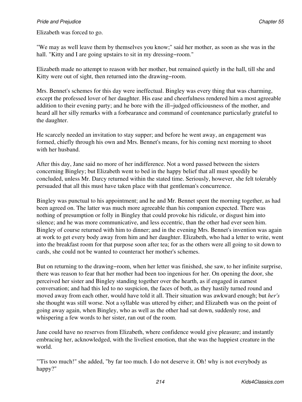Elizabeth was forced to go.

"We may as well leave them by themselves you know;" said her mother, as soon as she was in the hall. "Kitty and I are going upstairs to sit in my dressing–room."

Elizabeth made no attempt to reason with her mother, but remained quietly in the hall, till she and Kitty were out of sight, then returned into the drawing−room.

Mrs. Bennet's schemes for this day were ineffectual. Bingley was every thing that was charming, except the professed lover of her daughter. His ease and cheerfulness rendered him a most agreeable addition to their evening party; and he bore with the ill−judged officiousness of the mother, and heard all her silly remarks with a forbearance and command of countenance particularly grateful to the daughter.

He scarcely needed an invitation to stay supper; and before he went away, an engagement was formed, chiefly through his own and Mrs. Bennet's means, for his coming next morning to shoot with her husband.

After this day, Jane said no more of her indifference. Not a word passed between the sisters concerning Bingley; but Elizabeth went to bed in the happy belief that all must speedily be concluded, unless Mr. Darcy returned within the stated time. Seriously, however, she felt tolerably persuaded that all this must have taken place with that gentleman's concurrence.

Bingley was punctual to his appointment; and he and Mr. Bennet spent the morning together, as had been agreed on. The latter was much more agreeable than his companion expected. There was nothing of presumption or folly in Bingley that could provoke his ridicule, or disgust him into silence; and he was more communicative, and less eccentric, than the other had ever seen him. Bingley of course returned with him to dinner; and in the evening Mrs. Bennet's invention was again at work to get every body away from him and her daughter. Elizabeth, who had a letter to write, went into the breakfast room for that purpose soon after tea; for as the others were all going to sit down to cards, she could not be wanted to counteract her mother's schemes.

But on returning to the drawing−room, when her letter was finished, she saw, to her infinite surprise, there was reason to fear that her mother had been too ingenious for her. On opening the door, she perceived her sister and Bingley standing together over the hearth, as if engaged in earnest conversation; and had this led to no suspicion, the faces of both, as they hastily turned round and moved away from each other, would have told it all. Their situation was awkward enough; but *her's* she thought was still worse. Not a syllable was uttered by either; and Elizabeth was on the point of going away again, when Bingley, who as well as the other had sat down, suddenly rose, and whispering a few words to her sister, ran out of the room.

Jane could have no reserves from Elizabeth, where confidence would give pleasure; and instantly embracing her, acknowledged, with the liveliest emotion, that she was the happiest creature in the world.

"'Tis too much!" she added, "by far too much. I do not deserve it. Oh! why is not everybody as happy?"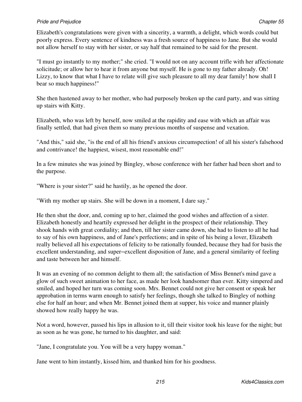Elizabeth's congratulations were given with a sincerity, a warmth, a delight, which words could but poorly express. Every sentence of kindness was a fresh source of happiness to Jane. But she would not allow herself to stay with her sister, or say half that remained to be said for the present.

"I must go instantly to my mother;" she cried. "I would not on any account trifle with her affectionate solicitude; or allow her to hear it from anyone but myself. He is gone to my father already. Oh! Lizzy, to know that what I have to relate will give such pleasure to all my dear family! how shall I bear so much happiness!"

She then hastened away to her mother, who had purposely broken up the card party, and was sitting up stairs with Kitty.

Elizabeth, who was left by herself, now smiled at the rapidity and ease with which an affair was finally settled, that had given them so many previous months of suspense and vexation.

"And this," said she, "is the end of all his friend's anxious circumspection! of all his sister's falsehood and contrivance! the happiest, wisest, most reasonable end!"

In a few minutes she was joined by Bingley, whose conference with her father had been short and to the purpose.

"Where is your sister?" said he hastily, as he opened the door.

"With my mother up stairs. She will be down in a moment, I dare say."

He then shut the door, and, coming up to her, claimed the good wishes and affection of a sister. Elizabeth honestly and heartily expressed her delight in the prospect of their relationship. They shook hands with great cordiality; and then, till her sister came down, she had to listen to all he had to say of his own happiness, and of Jane's perfections; and in spite of his being a lover, Elizabeth really believed all his expectations of felicity to be rationally founded, because they had for basis the excellent understanding, and super−excellent disposition of Jane, and a general similarity of feeling and taste between her and himself.

It was an evening of no common delight to them all; the satisfaction of Miss Bennet's mind gave a glow of such sweet animation to her face, as made her look handsomer than ever. Kitty simpered and smiled, and hoped her turn was coming soon. Mrs. Bennet could not give her consent or speak her approbation in terms warm enough to satisfy her feelings, though she talked to Bingley of nothing else for half an hour; and when Mr. Bennet joined them at supper, his voice and manner plainly showed how really happy he was.

Not a word, however, passed his lips in allusion to it, till their visitor took his leave for the night; but as soon as he was gone, he turned to his daughter, and said:

"Jane, I congratulate you. You will be a very happy woman."

Jane went to him instantly, kissed him, and thanked him for his goodness.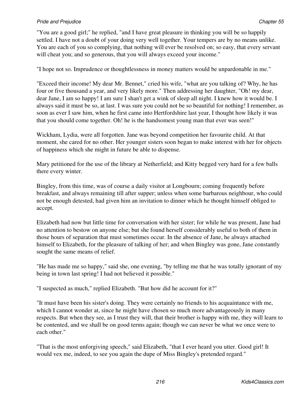"You are a good girl;" he replied, "and I have great pleasure in thinking you will be so happily settled. I have not a doubt of your doing very well together. Your tempers are by no means unlike. You are each of you so complying, that nothing will ever be resolved on; so easy, that every servant will cheat you; and so generous, that you will always exceed your income."

"I hope not so. Imprudence or thoughtlessness in money matters would be unpardonable in me."

"Exceed their income! My dear Mr. Bennet," cried his wife, "what are you talking of? Why, he has four or five thousand a year, and very likely more." Then addressing her daughter, "Oh! my dear, dear Jane, I am so happy! I am sure I shan't get a wink of sleep all night. I knew how it would be. I always said it must be so, at last. I was sure you could not be so beautiful for nothing! I remember, as soon as ever I saw him, when he first came into Hertfordshire last year, I thought how likely it was that you should come together. Oh! he is the handsomest young man that ever was seen!"

Wickham, Lydia, were all forgotten. Jane was beyond competition her favourite child. At that moment, she cared for no other. Her younger sisters soon began to make interest with her for objects of happiness which she might in future be able to dispense.

Mary petitioned for the use of the library at Netherfield; and Kitty begged very hard for a few balls there every winter.

Bingley, from this time, was of course a daily visitor at Longbourn; coming frequently before breakfast, and always remaining till after supper; unless when some barbarous neighbour, who could not be enough detested, had given him an invitation to dinner which he thought himself obliged to accept.

Elizabeth had now but little time for conversation with her sister; for while he was present, Jane had no attention to bestow on anyone else; but she found herself considerably useful to both of them in those hours of separation that must sometimes occur. In the absence of Jane, he always attached himself to Elizabeth, for the pleasure of talking of her; and when Bingley was gone, Jane constantly sought the same means of relief.

"He has made me so happy," said she, one evening, "by telling me that he was totally ignorant of my being in town last spring! I had not believed it possible."

"I suspected as much," replied Elizabeth. "But how did he account for it?"

"It must have been his sister's doing. They were certainly no friends to his acquaintance with me, which I cannot wonder at, since he might have chosen so much more advantageously in many respects. But when they see, as I trust they will, that their brother is happy with me, they will learn to be contented, and we shall be on good terms again; though we can never be what we once were to each other."

"That is the most unforgiving speech," said Elizabeth, "that I ever heard you utter. Good girl! It would vex me, indeed, to see you again the dupe of Miss Bingley's pretended regard."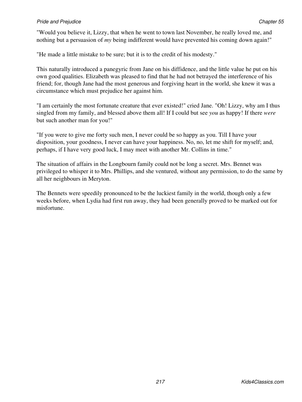"Would you believe it, Lizzy, that when he went to town last November, he really loved me, and nothing but a persuasion of *my* being indifferent would have prevented his coming down again!"

"He made a little mistake to be sure; but it is to the credit of his modesty."

This naturally introduced a panegyric from Jane on his diffidence, and the little value he put on his own good qualities. Elizabeth was pleased to find that he had not betrayed the interference of his friend; for, though Jane had the most generous and forgiving heart in the world, she knew it was a circumstance which must prejudice her against him.

"I am certainly the most fortunate creature that ever existed!" cried Jane. "Oh! Lizzy, why am I thus singled from my family, and blessed above them all! If I could but see *you* as happy! If there *were* but such another man for you!"

"If you were to give me forty such men, I never could be so happy as you. Till I have your disposition, your goodness, I never can have your happiness. No, no, let me shift for myself; and, perhaps, if I have very good luck, I may meet with another Mr. Collins in time."

The situation of affairs in the Longbourn family could not be long a secret. Mrs. Bennet was privileged to whisper it to Mrs. Phillips, and she ventured, without any permission, to do the same by all her neighbours in Meryton.

The Bennets were speedily pronounced to be the luckiest family in the world, though only a few weeks before, when Lydia had first run away, they had been generally proved to be marked out for misfortune.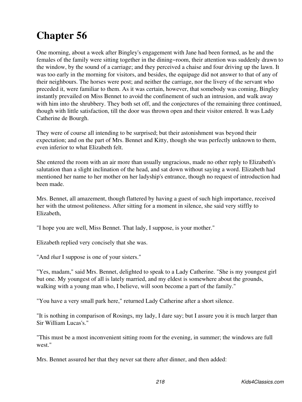One morning, about a week after Bingley's engagement with Jane had been formed, as he and the females of the family were sitting together in the dining−room, their attention was suddenly drawn to the window, by the sound of a carriage; and they perceived a chaise and four driving up the lawn. It was too early in the morning for visitors, and besides, the equipage did not answer to that of any of their neighbours. The horses were post; and neither the carriage, nor the livery of the servant who preceded it, were familiar to them. As it was certain, however, that somebody was coming, Bingley instantly prevailed on Miss Bennet to avoid the confinement of such an intrusion, and walk away with him into the shrubbery. They both set off, and the conjectures of the remaining three continued, though with little satisfaction, till the door was thrown open and their visitor entered. It was Lady Catherine de Bourgh.

They were of course all intending to be surprised; but their astonishment was beyond their expectation; and on the part of Mrs. Bennet and Kitty, though she was perfectly unknown to them, even inferior to what Elizabeth felt.

She entered the room with an air more than usually ungracious, made no other reply to Elizabeth's salutation than a slight inclination of the head, and sat down without saying a word. Elizabeth had mentioned her name to her mother on her ladyship's entrance, though no request of introduction had been made.

Mrs. Bennet, all amazement, though flattered by having a guest of such high importance, received her with the utmost politeness. After sitting for a moment in silence, she said very stiffly to Elizabeth,

"I hope you are well, Miss Bennet. That lady, I suppose, is your mother."

Elizabeth replied very concisely that she was.

"And *that* I suppose is one of your sisters."

"Yes, madam," said Mrs. Bennet, delighted to speak to a Lady Catherine. "She is my youngest girl but one. My youngest of all is lately married, and my eldest is somewhere about the grounds, walking with a young man who, I believe, will soon become a part of the family."

"You have a very small park here," returned Lady Catherine after a short silence.

"It is nothing in comparison of Rosings, my lady, I dare say; but I assure you it is much larger than Sir William Lucas's."

"This must be a most inconvenient sitting room for the evening, in summer; the windows are full west."

Mrs. Bennet assured her that they never sat there after dinner, and then added: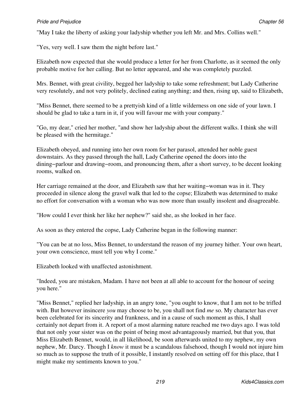"May I take the liberty of asking your ladyship whether you left Mr. and Mrs. Collins well."

"Yes, very well. I saw them the night before last."

Elizabeth now expected that she would produce a letter for her from Charlotte, as it seemed the only probable motive for her calling. But no letter appeared, and she was completely puzzled.

Mrs. Bennet, with great civility, begged her ladyship to take some refreshment; but Lady Catherine very resolutely, and not very politely, declined eating anything; and then, rising up, said to Elizabeth,

"Miss Bennet, there seemed to be a prettyish kind of a little wilderness on one side of your lawn. I should be glad to take a turn in it, if you will favour me with your company."

"Go, my dear," cried her mother, "and show her ladyship about the different walks. I think she will be pleased with the hermitage."

Elizabeth obeyed, and running into her own room for her parasol, attended her noble guest downstairs. As they passed through the hall, Lady Catherine opened the doors into the dining−parlour and drawing−room, and pronouncing them, after a short survey, to be decent looking rooms, walked on.

Her carriage remained at the door, and Elizabeth saw that her waiting−woman was in it. They proceeded in silence along the gravel walk that led to the copse; Elizabeth was determined to make no effort for conversation with a woman who was now more than usually insolent and disagreeable.

"How could I ever think her like her nephew?" said she, as she looked in her face.

As soon as they entered the copse, Lady Catherine began in the following manner:

"You can be at no loss, Miss Bennet, to understand the reason of my journey hither. Your own heart, your own conscience, must tell you why I come."

Elizabeth looked with unaffected astonishment.

"Indeed, you are mistaken, Madam. I have not been at all able to account for the honour of seeing you here."

"Miss Bennet," replied her ladyship, in an angry tone, "you ought to know, that I am not to be trifled with. But however insincere *you* may choose to be, you shall not find *me* so. My character has ever been celebrated for its sincerity and frankness, and in a cause of such moment as this, I shall certainly not depart from it. A report of a most alarming nature reached me two days ago. I was told that not only your sister was on the point of being most advantageously married, but that you, that Miss Elizabeth Bennet, would, in all likelihood, be soon afterwards united to my nephew, my own nephew, Mr. Darcy. Though I *know* it must be a scandalous falsehood, though I would not injure him so much as to suppose the truth of it possible, I instantly resolved on setting off for this place, that I might make my sentiments known to you."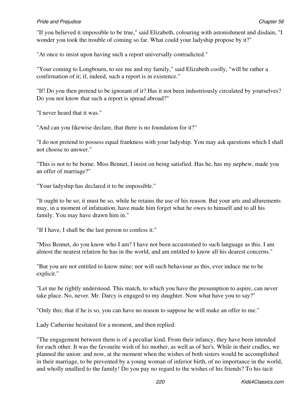"If you believed it impossible to be true," said Elizabeth, colouring with astonishment and disdain, "I wonder you took the trouble of coming so far. What could your ladyship propose by it?"

"At once to insist upon having such a report universally contradicted."

"Your coming to Longbourn, to see me and my family," said Elizabeth coolly, "will be rather a confirmation of it; if, indeed, such a report is in existence."

"If! Do you then pretend to be ignorant of it? Has it not been industriously circulated by yourselves? Do you not know that such a report is spread abroad?"

"I never heard that it was."

"And can you likewise declare, that there is no foundation for it?"

"I do not pretend to possess equal frankness with your ladyship. You may ask questions which I shall not choose to answer."

"This is not to be borne. Miss Bennet, I insist on being satisfied. Has he, has my nephew, made you an offer of marriage?"

"Your ladyship has declared it to be impossible."

"It ought to be so; it must be so, while he retains the use of his reason. But your arts and allurements may, in a moment of infatuation, have made him forget what he owes to himself and to all his family. You may have drawn him in."

"If I have, I shall be the last person to confess it."

"Miss Bennet, do you know who I am? I have not been accustomed to such language as this. I am almost the nearest relation he has in the world, and am entitled to know all his dearest concerns."

"But you are not entitled to know mine; nor will such behaviour as this, ever induce me to be explicit."

"Let me be rightly understood. This match, to which you have the presumption to aspire, can never take place. No, never. Mr. Darcy is engaged to my daughter. Now what have you to say?"

"Only this; that if he is so, you can have no reason to suppose he will make an offer to me."

Lady Catherine hesitated for a moment, and then replied:

"The engagement between them is of a peculiar kind. From their infancy, they have been intended for each other. It was the favourite wish of *his* mother, as well as of her's. While in their cradles, we planned the union: and now, at the moment when the wishes of both sisters would be accomplished in their marriage, to be prevented by a young woman of inferior birth, of no importance in the world, and wholly unallied to the family! Do you pay no regard to the wishes of his friends? To his tacit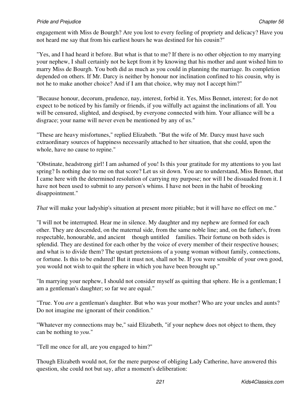engagement with Miss de Bourgh? Are you lost to every feeling of propriety and delicacy? Have you not heard me say that from his earliest hours he was destined for his cousin?"

"Yes, and I had heard it before. But what is that to me? If there is no other objection to my marrying your nephew, I shall certainly not be kept from it by knowing that his mother and aunt wished him to marry Miss de Bourgh. You both did as much as you could in planning the marriage. Its completion depended on others. If Mr. Darcy is neither by honour nor inclination confined to his cousin, why is not he to make another choice? And if I am that choice, why may not I accept him?"

"Because honour, decorum, prudence, nay, interest, forbid it. Yes, Miss Bennet, interest; for do not expect to be noticed by his family or friends, if you wilfully act against the inclinations of all. You will be censured, slighted, and despised, by everyone connected with him. Your alliance will be a disgrace; your name will never even be mentioned by any of us."

"These are heavy misfortunes," replied Elizabeth. "But the wife of Mr. Darcy must have such extraordinary sources of happiness necessarily attached to her situation, that she could, upon the whole, have no cause to repine."

"Obstinate, headstrong girl! I am ashamed of you! Is this your gratitude for my attentions to you last spring? Is nothing due to me on that score? Let us sit down. You are to understand, Miss Bennet, that I came here with the determined resolution of carrying my purpose; nor will I be dissuaded from it. I have not been used to submit to any person's whims. I have not been in the habit of brooking disappointment."

*That* will make your ladyship's situation at present more pitiable; but it will have no effect on me."

"I will not be interrupted. Hear me in silence. My daughter and my nephew are formed for each other. They are descended, on the maternal side, from the same noble line; and, on the father's, from respectable, honourable, and ancient though untitled families. Their fortune on both sides is splendid. They are destined for each other by the voice of every member of their respective houses; and what is to divide them? The upstart pretensions of a young woman without family, connections, or fortune. Is this to be endured! But it must not, shall not be. If you were sensible of your own good, you would not wish to quit the sphere in which you have been brought up."

"In marrying your nephew, I should not consider myself as quitting that sphere. He is a gentleman; I am a gentleman's daughter; so far we are equal."

"True. You *are* a gentleman's daughter. But who was your mother? Who are your uncles and aunts? Do not imagine me ignorant of their condition."

"Whatever my connections may be," said Elizabeth, "if your nephew does not object to them, they can be nothing to *you*."

"Tell me once for all, are you engaged to him?"

Though Elizabeth would not, for the mere purpose of obliging Lady Catherine, have answered this question, she could not but say, after a moment's deliberation: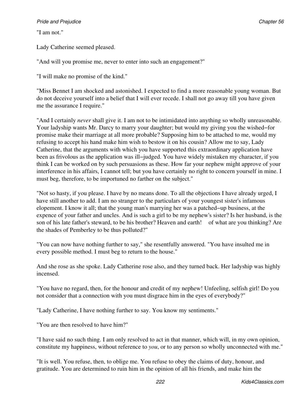"I am not."

Lady Catherine seemed pleased.

"And will you promise me, never to enter into such an engagement?"

"I will make no promise of the kind."

"Miss Bennet I am shocked and astonished. I expected to find a more reasonable young woman. But do not deceive yourself into a belief that I will ever recede. I shall not go away till you have given me the assurance I require."

"And I certainly *never* shall give it. I am not to be intimidated into anything so wholly unreasonable. Your ladyship wants Mr. Darcy to marry your daughter; but would my giving you the wished−for promise make their marriage at all more probable? Supposing him to be attached to me, would my refusing to accept his hand make him wish to bestow it on his cousin? Allow me to say, Lady Catherine, that the arguments with which you have supported this extraordinary application have been as frivolous as the application was ill−judged. You have widely mistaken my character, if you think I can be worked on by such persuasions as these. How far your nephew might approve of your interference in his affairs, I cannot tell; but you have certainly no right to concern yourself in mine. I must beg, therefore, to be importuned no farther on the subject."

"Not so hasty, if you please. I have by no means done. To all the objections I have already urged, I have still another to add. I am no stranger to the particulars of your youngest sister's infamous elopement. I know it all; that the young man's marrying her was a patched−up business, at the expence of your father and uncles. And is such a girl to be my nephew's sister? Is her husband, is the son of his late father's steward, to be his brother? Heaven and earth! of what are you thinking? Are the shades of Pemberley to be thus polluted?"

"You can now have nothing further to say," she resentfully answered. "You have insulted me in every possible method. I must beg to return to the house."

And she rose as she spoke. Lady Catherine rose also, and they turned back. Her ladyship was highly incensed.

"You have no regard, then, for the honour and credit of my nephew! Unfeeling, selfish girl! Do you not consider that a connection with you must disgrace him in the eyes of everybody?"

"Lady Catherine, I have nothing further to say. You know my sentiments."

"You are then resolved to have him?"

"I have said no such thing. I am only resolved to act in that manner, which will, in my own opinion, constitute my happiness, without reference to *you*, or to any person so wholly unconnected with me."

"It is well. You refuse, then, to oblige me. You refuse to obey the claims of duty, honour, and gratitude. You are determined to ruin him in the opinion of all his friends, and make him the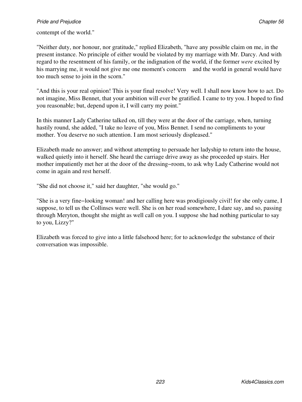#### contempt of the world."

"Neither duty, nor honour, nor gratitude," replied Elizabeth, "have any possible claim on me, in the present instance. No principle of either would be violated by my marriage with Mr. Darcy. And with regard to the resentment of his family, or the indignation of the world, if the former *were* excited by his marrying me, it would not give me one moment's concern and the world in general would have too much sense to join in the scorn."

"And this is your real opinion! This is your final resolve! Very well. I shall now know how to act. Do not imagine, Miss Bennet, that your ambition will ever be gratified. I came to try you. I hoped to find you reasonable; but, depend upon it, I will carry my point."

In this manner Lady Catherine talked on, till they were at the door of the carriage, when, turning hastily round, she added, "I take no leave of you, Miss Bennet. I send no compliments to your mother. You deserve no such attention. I am most seriously displeased."

Elizabeth made no answer; and without attempting to persuade her ladyship to return into the house, walked quietly into it herself. She heard the carriage drive away as she proceeded up stairs. Her mother impatiently met her at the door of the dressing−room, to ask why Lady Catherine would not come in again and rest herself.

"She did not choose it," said her daughter, "she would go."

"She is a very fine−looking woman! and her calling here was prodigiously civil! for she only came, I suppose, to tell us the Collinses were well. She is on her road somewhere, I dare say, and so, passing through Meryton, thought she might as well call on you. I suppose she had nothing particular to say to you, Lizzy?"

Elizabeth was forced to give into a little falsehood here; for to acknowledge the substance of their conversation was impossible.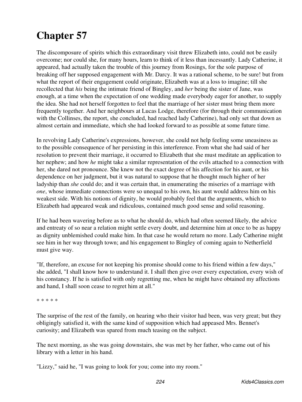The discomposure of spirits which this extraordinary visit threw Elizabeth into, could not be easily overcome; nor could she, for many hours, learn to think of it less than incessantly. Lady Catherine, it appeared, had actually taken the trouble of this journey from Rosings, for the sole purpose of breaking off her supposed engagement with Mr. Darcy. It was a rational scheme, to be sure! but from what the report of their engagement could originate, Elizabeth was at a loss to imagine; till she recollected that *his* being the intimate friend of Bingley, and *her* being the sister of Jane, was enough, at a time when the expectation of one wedding made everybody eager for another, to supply the idea. She had not herself forgotten to feel that the marriage of her sister must bring them more frequently together. And her neighbours at Lucas Lodge, therefore (for through their communication with the Collinses, the report, she concluded, had reached lady Catherine), had only set that down as almost certain and immediate, which she had looked forward to as possible at some future time.

In revolving Lady Catherine's expressions, however, she could not help feeling some uneasiness as to the possible consequence of her persisting in this interference. From what she had said of her resolution to prevent their marriage, it occurred to Elizabeth that she must meditate an application to her nephew; and how *he* might take a similar representation of the evils attached to a connection with her, she dared not pronounce. She knew not the exact degree of his affection for his aunt, or his dependence on her judgment, but it was natural to suppose that he thought much higher of her ladyship than *she* could do; and it was certain that, in enumerating the miseries of a marriage with *one*, whose immediate connections were so unequal to his own, his aunt would address him on his weakest side. With his notions of dignity, he would probably feel that the arguments, which to Elizabeth had appeared weak and ridiculous, contained much good sense and solid reasoning.

If he had been wavering before as to what he should do, which had often seemed likely, the advice and entreaty of so near a relation might settle every doubt, and determine him at once to be as happy as dignity unblemished could make him. In that case he would return no more. Lady Catherine might see him in her way through town; and his engagement to Bingley of coming again to Netherfield must give way.

"If, therefore, an excuse for not keeping his promise should come to his friend within a few days," she added, "I shall know how to understand it. I shall then give over every expectation, every wish of his constancy. If he is satisfied with only regretting me, when he might have obtained my affections and hand, I shall soon cease to regret him at all."

\* \* \* \* \*

The surprise of the rest of the family, on hearing who their visitor had been, was very great; but they obligingly satisfied it, with the same kind of supposition which had appeased Mrs. Bennet's curiosity; and Elizabeth was spared from much teasing on the subject.

The next morning, as she was going downstairs, she was met by her father, who came out of his library with a letter in his hand.

"Lizzy," said he, "I was going to look for you; come into my room."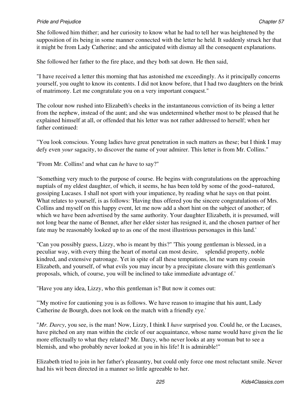#### *Pride and Prejudice* Chapter 57 **Chapter 57**

She followed him thither; and her curiosity to know what he had to tell her was heightened by the supposition of its being in some manner connected with the letter he held. It suddenly struck her that it might be from Lady Catherine; and she anticipated with dismay all the consequent explanations.

She followed her father to the fire place, and they both sat down. He then said,

"I have received a letter this morning that has astonished me exceedingly. As it principally concerns yourself, you ought to know its contents. I did not know before, that I had two daughters on the brink of matrimony. Let me congratulate you on a very important conquest."

The colour now rushed into Elizabeth's cheeks in the instantaneous conviction of its being a letter from the nephew, instead of the aunt; and she was undetermined whether most to be pleased that he explained himself at all, or offended that his letter was not rather addressed to herself; when her father continued:

"You look conscious. Young ladies have great penetration in such matters as these; but I think I may defy even *your* sagacity, to discover the name of your admirer. This letter is from Mr. Collins."

"From Mr. Collins! and what can *he* have to say?"

"Something very much to the purpose of course. He begins with congratulations on the approaching nuptials of my eldest daughter, of which, it seems, he has been told by some of the good−natured, gossiping Lucases. I shall not sport with your impatience, by reading what he says on that point. What relates to yourself, is as follows: 'Having thus offered you the sincere congratulations of Mrs. Collins and myself on this happy event, let me now add a short hint on the subject of another; of which we have been advertised by the same authority. Your daughter Elizabeth, it is presumed, will not long bear the name of Bennet, after her elder sister has resigned it, and the chosen partner of her fate may be reasonably looked up to as one of the most illustrious personages in this land.'

"Can you possibly guess, Lizzy, who is meant by this?" 'This young gentleman is blessed, in a peculiar way, with every thing the heart of mortal can most desire, splendid property, noble kindred, and extensive patronage. Yet in spite of all these temptations, let me warn my cousin Elizabeth, and yourself, of what evils you may incur by a precipitate closure with this gentleman's proposals, which, of course, you will be inclined to take immediate advantage of.'

"Have you any idea, Lizzy, who this gentleman is? But now it comes out:

"'My motive for cautioning you is as follows. We have reason to imagine that his aunt, Lady Catherine de Bourgh, does not look on the match with a friendly eye.'

"*Mr. Darcy*, you see, is the man! Now, Lizzy, I think I *have* surprised you. Could he, or the Lucases, have pitched on any man within the circle of our acquaintance, whose name would have given the lie more effectually to what they related? Mr. Darcy, who never looks at any woman but to see a blemish, and who probably never looked at you in his life! It is admirable!"

Elizabeth tried to join in her father's pleasantry, but could only force one most reluctant smile. Never had his wit been directed in a manner so little agreeable to her.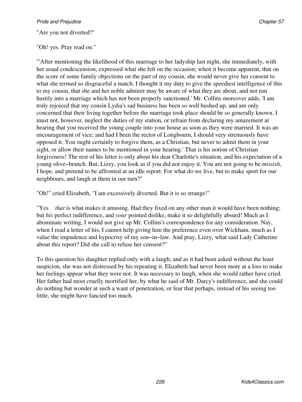"Are you not diverted?"

"Oh! yes. Pray read on."

"'After mentioning the likelihood of this marriage to her ladyship last night, she immediately, with her usual condescension, expressed what she felt on the occasion; when it become apparent, that on the score of some family objections on the part of my cousin, she would never give her consent to what she termed so disgraceful a match. I thought it my duty to give the speediest intelligence of this to my cousin, that she and her noble admirer may be aware of what they are about, and not run hastily into a marriage which has not been properly sanctioned.' Mr. Collins moreover adds, 'I am truly rejoiced that my cousin Lydia's sad business has been so well hushed up, and am only concerned that their living together before the marriage took place should be so generally known. I must not, however, neglect the duties of my station, or refrain from declaring my amazement at hearing that you received the young couple into your house as soon as they were married. It was an encouragement of vice; and had I been the rector of Longbourn, I should very strenuously have opposed it. You ought certainly to forgive them, as a Christian, but never to admit them in your sight, or allow their names to be mentioned in your hearing.' That is his notion of Christian forgiveness! The rest of his letter is only about his dear Charlotte's situation, and his expectation of a young olive−branch. But, Lizzy, you look as if you did not enjoy it. You are not going to be *missish*, I hope, and pretend to be affronted at an idle report. For what do we live, but to make sport for our neighbours, and laugh at them in our turn?"

"Oh!" cried Elizabeth, "I am excessively diverted. But it is so strange!"

"Yes  *that* is what makes it amusing. Had they fixed on any other man it would have been nothing; but *his* perfect indifference, and *your* pointed dislike, make it so delightfully absurd! Much as I abominate writing, I would not give up Mr. Collins's correspondence for any consideration. Nay, when I read a letter of his, I cannot help giving him the preference even over Wickham, much as I value the impudence and hypocrisy of my son−in−law. And pray, Lizzy, what said Lady Catherine about this report? Did she call to refuse her consent?"

To this question his daughter replied only with a laugh; and as it had been asked without the least suspicion, she was not distressed by his repeating it. Elizabeth had never been more at a loss to make her feelings appear what they were not. It was necessary to laugh, when she would rather have cried. Her father had most cruelly mortified her, by what he said of Mr. Darcy's indifference, and she could do nothing but wonder at such a want of penetration, or fear that perhaps, instead of his seeing too little, she might have fancied too much.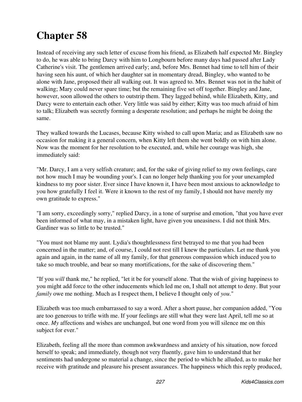Instead of receiving any such letter of excuse from his friend, as Elizabeth half expected Mr. Bingley to do, he was able to bring Darcy with him to Longbourn before many days had passed after Lady Catherine's visit. The gentlemen arrived early; and, before Mrs. Bennet had time to tell him of their having seen his aunt, of which her daughter sat in momentary dread, Bingley, who wanted to be alone with Jane, proposed their all walking out. It was agreed to. Mrs. Bennet was not in the habit of walking; Mary could never spare time; but the remaining five set off together. Bingley and Jane, however, soon allowed the others to outstrip them. They lagged behind, while Elizabeth, Kitty, and Darcy were to entertain each other. Very little was said by either; Kitty was too much afraid of him to talk; Elizabeth was secretly forming a desperate resolution; and perhaps he might be doing the same.

They walked towards the Lucases, because Kitty wished to call upon Maria; and as Elizabeth saw no occasion for making it a general concern, when Kitty left them she went boldly on with him alone. Now was the moment for her resolution to be executed, and, while her courage was high, she immediately said:

"Mr. Darcy, I am a very selfish creature; and, for the sake of giving relief to my own feelings, care not how much I may be wounding your's. I can no longer help thanking you for your unexampled kindness to my poor sister. Ever since I have known it, I have been most anxious to acknowledge to you how gratefully I feel it. Were it known to the rest of my family, I should not have merely my own gratitude to express."

"I am sorry, exceedingly sorry," replied Darcy, in a tone of surprise and emotion, "that you have ever been informed of what may, in a mistaken light, have given you uneasiness. I did not think Mrs. Gardiner was so little to be trusted."

"You must not blame my aunt. Lydia's thoughtlessness first betrayed to me that you had been concerned in the matter; and, of course, I could not rest till I knew the particulars. Let me thank you again and again, in the name of all my family, for that generous compassion which induced you to take so much trouble, and bear so many mortifications, for the sake of discovering them."

"If you *will* thank me," he replied, "let it be for yourself alone. That the wish of giving happiness to you might add force to the other inducements which led me on, I shall not attempt to deny. But your *family* owe me nothing. Much as I respect them, I believe I thought only of *you*."

Elizabeth was too much embarrassed to say a word. After a short pause, her companion added, "You are too generous to trifle with me. If your feelings are still what they were last April, tell me so at once. *My* affections and wishes are unchanged, but one word from you will silence me on this subject for ever."

Elizabeth, feeling all the more than common awkwardness and anxiety of his situation, now forced herself to speak; and immediately, though not very fluently, gave him to understand that her sentiments had undergone so material a change, since the period to which he alluded, as to make her receive with gratitude and pleasure his present assurances. The happiness which this reply produced,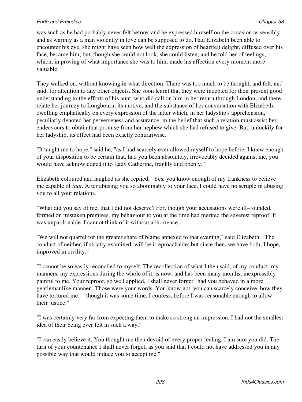#### **Pride and Prejudice Chapter 58** Chapter 58

was such as he had probably never felt before; and he expressed himself on the occasion as sensibly and as warmly as a man violently in love can be supposed to do. Had Elizabeth been able to encounter his eye, she might have seen how well the expression of heartfelt delight, diffused over his face, became him; but, though she could not look, she could listen, and he told her of feelings, which, in proving of what importance she was to him, made his affection every moment more valuable.

They walked on, without knowing in what direction. There was too much to be thought, and felt, and said, for attention to any other objects. She soon learnt that they were indebted for their present good understanding to the efforts of his aunt, who did call on him in her return through London, and there relate her journey to Longbourn, its motive, and the substance of her conversation with Elizabeth; dwelling emphatically on every expression of the latter which, in her ladyship's apprehension, peculiarly denoted her perverseness and assurance; in the belief that such a relation must assist her endeavours to obtain that promise from her nephew which she had refused to give. But, unluckily for her ladyship, its effect had been exactly contrariwise.

"It taught me to hope," said he, "as I had scarcely ever allowed myself to hope before. I knew enough of your disposition to be certain that, had you been absolutely, irrevocably decided against me, you would have acknowledged it to Lady Catherine, frankly and openly."

Elizabeth coloured and laughed as she replied, "Yes, you know enough of my frankness to believe me capable of *that*. After abusing you so abominably to your face, I could have no scruple in abusing you to all your relations."

"What did you say of me, that I did not deserve? For, though your accusations were ill−founded, formed on mistaken premises, my behaviour to you at the time had merited the severest reproof. It was unpardonable. I cannot think of it without abhorrence."

"We will not quarrel for the greater share of blame annexed to that evening," said Elizabeth. "The conduct of neither, if strictly examined, will be irreproachable; but since then, we have both, I hope, improved in civility."

"I cannot be so easily reconciled to myself. The recollection of what I then said, of my conduct, my manners, my expressions during the whole of it, is now, and has been many months, inexpressibly painful to me. Your reproof, so well applied, I shall never forget: 'had you behaved in a more gentlemanlike manner.' Those were your words. You know not, you can scarcely conceive, how they have tortured me; though it was some time, I confess, before I was reasonable enough to allow their justice."

"I was certainly very far from expecting them to make so strong an impression. I had not the smallest idea of their being ever felt in such a way."

"I can easily believe it. You thought me then devoid of every proper feeling, I am sure you did. The turn of your countenance I shall never forget, as you said that I could not have addressed you in any possible way that would induce you to accept me."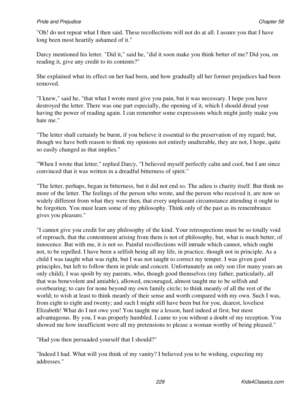"Oh! do not repeat what I then said. These recollections will not do at all. I assure you that I have long been most heartily ashamed of it."

Darcy mentioned his letter. "Did it," said he, "did it soon make you think better of me? Did you, on reading it, give any credit to its contents?"

She explained what its effect on her had been, and how gradually all her former prejudices had been removed.

"I knew," said he, "that what I wrote must give you pain, but it was necessary. I hope you have destroyed the letter. There was one part especially, the opening of it, which I should dread your having the power of reading again. I can remember some expressions which might justly make you hate me."

"The letter shall certainly be burnt, if you believe it essential to the preservation of my regard; but, though we have both reason to think my opinions not entirely unalterable, they are not, I hope, quite so easily changed as that implies."

"When I wrote that letter," replied Darcy, "I believed myself perfectly calm and cool, but I am since convinced that it was written in a dreadful bitterness of spirit."

"The letter, perhaps, began in bitterness, but it did not end so. The adieu is charity itself. But think no more of the letter. The feelings of the person who wrote, and the person who received it, are now so widely different from what they were then, that every unpleasant circumstance attending it ought to be forgotten. You must learn some of my philosophy. Think only of the past as its remembrance gives you pleasure."

"I cannot give you credit for any philosophy of the kind. Your retrospections must be so totally void of reproach, that the contentment arising from them is not of philosophy, but, what is much better, of innocence. But with me, it is not so. Painful recollections will intrude which cannot, which ought not, to be repelled. I have been a selfish being all my life, in practice, though not in principle. As a child I was taught what was right, but I was not taught to correct my temper. I was given good principles, but left to follow them in pride and conceit. Unfortunately an only son (for many years an only child), I was spoilt by my parents, who, though good themselves (my father, particularly, all that was benevolent and amiable), allowed, encouraged, almost taught me to be selfish and overbearing; to care for none beyond my own family circle; to think meanly of all the rest of the world; to wish at least to think meanly of their sense and worth compared with my own. Such I was, from eight to eight and twenty; and such I might still have been but for you, dearest, loveliest Elizabeth! What do I not owe you! You taught me a lesson, hard indeed at first, but most advantageous. By you, I was properly humbled. I came to you without a doubt of my reception. You showed me how insufficient were all my pretensions to please a woman worthy of being pleased."

"Had you then persuaded yourself that I should?"

"Indeed I had. What will you think of my vanity? I believed you to be wishing, expecting my addresses."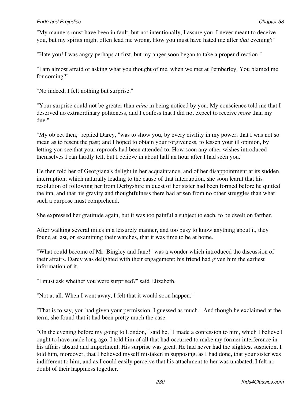#### **Pride and Prejudice Chapter 58** Chapter 58

"My manners must have been in fault, but not intentionally, I assure you. I never meant to deceive you, but my spirits might often lead me wrong. How you must have hated me after *that* evening?"

"Hate you! I was angry perhaps at first, but my anger soon began to take a proper direction."

"I am almost afraid of asking what you thought of me, when we met at Pemberley. You blamed me for coming?"

"No indeed; I felt nothing but surprise."

"Your surprise could not be greater than *mine* in being noticed by you. My conscience told me that I deserved no extraordinary politeness, and I confess that I did not expect to receive *more* than my due."

"My object then," replied Darcy, "was to show you, by every civility in my power, that I was not so mean as to resent the past; and I hoped to obtain your forgiveness, to lessen your ill opinion, by letting you see that your reproofs had been attended to. How soon any other wishes introduced themselves I can hardly tell, but I believe in about half an hour after I had seen you."

He then told her of Georgiana's delight in her acquaintance, and of her disappointment at its sudden interruption; which naturally leading to the cause of that interruption, she soon learnt that his resolution of following her from Derbyshire in quest of her sister had been formed before he quitted the inn, and that his gravity and thoughtfulness there had arisen from no other struggles than what such a purpose must comprehend.

She expressed her gratitude again, but it was too painful a subject to each, to be dwelt on farther.

After walking several miles in a leisurely manner, and too busy to know anything about it, they found at last, on examining their watches, that it was time to be at home.

"What could become of Mr. Bingley and Jane!" was a wonder which introduced the discussion of their affairs. Darcy was delighted with their engagement; his friend had given him the earliest information of it.

"I must ask whether you were surprised?" said Elizabeth.

"Not at all. When I went away, I felt that it would soon happen."

"That is to say, you had given your permission. I guessed as much." And though he exclaimed at the term, she found that it had been pretty much the case.

"On the evening before my going to London," said he, "I made a confession to him, which I believe I ought to have made long ago. I told him of all that had occurred to make my former interference in his affairs absurd and impertinent. His surprise was great. He had never had the slightest suspicion. I told him, moreover, that I believed myself mistaken in supposing, as I had done, that your sister was indifferent to him; and as I could easily perceive that his attachment to her was unabated, I felt no doubt of their happiness together."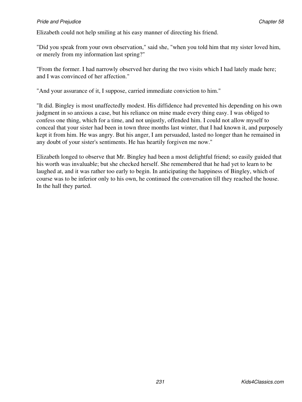#### **Pride and Prejudice Chapter 58** Chapter 58

Elizabeth could not help smiling at his easy manner of directing his friend.

"Did you speak from your own observation," said she, "when you told him that my sister loved him, or merely from my information last spring?"

"From the former. I had narrowly observed her during the two visits which I had lately made here; and I was convinced of her affection."

"And your assurance of it, I suppose, carried immediate conviction to him."

"It did. Bingley is most unaffectedly modest. His diffidence had prevented his depending on his own judgment in so anxious a case, but his reliance on mine made every thing easy. I was obliged to confess one thing, which for a time, and not unjustly, offended him. I could not allow myself to conceal that your sister had been in town three months last winter, that I had known it, and purposely kept it from him. He was angry. But his anger, I am persuaded, lasted no longer than he remained in any doubt of your sister's sentiments. He has heartily forgiven me now."

Elizabeth longed to observe that Mr. Bingley had been a most delightful friend; so easily guided that his worth was invaluable; but she checked herself. She remembered that he had yet to learn to be laughed at, and it was rather too early to begin. In anticipating the happiness of Bingley, which of course was to be inferior only to his own, he continued the conversation till they reached the house. In the hall they parted.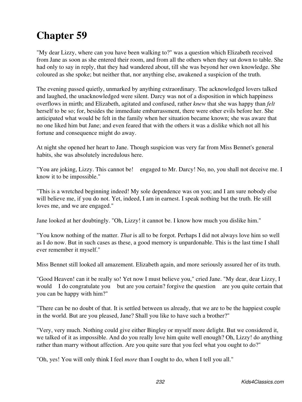"My dear Lizzy, where can you have been walking to?" was a question which Elizabeth received from Jane as soon as she entered their room, and from all the others when they sat down to table. She had only to say in reply, that they had wandered about, till she was beyond her own knowledge. She coloured as she spoke; but neither that, nor anything else, awakened a suspicion of the truth.

The evening passed quietly, unmarked by anything extraordinary. The acknowledged lovers talked and laughed, the unacknowledged were silent. Darcy was not of a disposition in which happiness overflows in mirth; and Elizabeth, agitated and confused, rather *knew* that she was happy than *felt* herself to be so; for, besides the immediate embarrassment, there were other evils before her. She anticipated what would be felt in the family when her situation became known; she was aware that no one liked him but Jane; and even feared that with the others it was a dislike which not all his fortune and consequence might do away.

At night she opened her heart to Jane. Though suspicion was very far from Miss Bennet's general habits, she was absolutely incredulous here.

"You are joking, Lizzy. This cannot be! engaged to Mr. Darcy! No, no, you shall not deceive me. I know it to be impossible."

"This is a wretched beginning indeed! My sole dependence was on you; and I am sure nobody else will believe me, if you do not. Yet, indeed, I am in earnest. I speak nothing but the truth. He still loves me, and we are engaged."

Jane looked at her doubtingly. "Oh, Lizzy! it cannot be. I know how much you dislike him."

"You know nothing of the matter. *That* is all to be forgot. Perhaps I did not always love him so well as I do now. But in such cases as these, a good memory is unpardonable. This is the last time I shall ever remember it myself."

Miss Bennet still looked all amazement. Elizabeth again, and more seriously assured her of its truth.

"Good Heaven! can it be really so! Yet now I must believe you," cried Jane. "My dear, dear Lizzy, I would I do congratulate you but are you certain? forgive the question are you quite certain that you can be happy with him?"

"There can be no doubt of that. It is settled between us already, that we are to be the happiest couple in the world. But are you pleased, Jane? Shall you like to have such a brother?"

"Very, very much. Nothing could give either Bingley or myself more delight. But we considered it, we talked of it as impossible. And do you really love him quite well enough? Oh, Lizzy! do anything rather than marry without affection. Are you quite sure that you feel what you ought to do?"

"Oh, yes! You will only think I feel *more* than I ought to do, when I tell you all."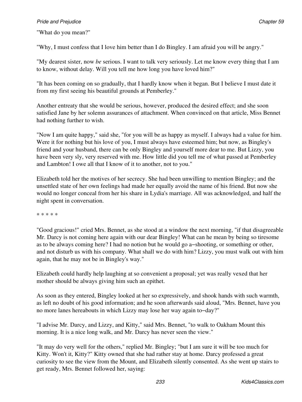"What do you mean?"

"Why, I must confess that I love him better than I do Bingley. I am afraid you will be angry."

"My dearest sister, now *be* serious. I want to talk very seriously. Let me know every thing that I am to know, without delay. Will you tell me how long you have loved him?"

"It has been coming on so gradually, that I hardly know when it began. But I believe I must date it from my first seeing his beautiful grounds at Pemberley."

Another entreaty that she would be serious, however, produced the desired effect; and she soon satisfied Jane by her solemn assurances of attachment. When convinced on that article, Miss Bennet had nothing further to wish.

"Now I am quite happy," said she, "for you will be as happy as myself. I always had a value for him. Were it for nothing but his love of you, I must always have esteemed him; but now, as Bingley's friend and your husband, there can be only Bingley and yourself more dear to me. But Lizzy, you have been very sly, very reserved with me. How little did you tell me of what passed at Pemberley and Lambton! I owe all that I know of it to another, not to you."

Elizabeth told her the motives of her secrecy. She had been unwilling to mention Bingley; and the unsettled state of her own feelings had made her equally avoid the name of his friend. But now she would no longer conceal from her his share in Lydia's marriage. All was acknowledged, and half the night spent in conversation.

\* \* \* \* \*

"Good gracious!" cried Mrs. Bennet, as she stood at a window the next morning, "if that disagreeable Mr. Darcy is not coming here again with our dear Bingley! What can he mean by being so tiresome as to be always coming here? I had no notion but he would go a−shooting, or something or other, and not disturb us with his company. What shall we do with him? Lizzy, you must walk out with him again, that he may not be in Bingley's way."

Elizabeth could hardly help laughing at so convenient a proposal; yet was really vexed that her mother should be always giving him such an epithet.

As soon as they entered, Bingley looked at her so expressively, and shook hands with such warmth, as left no doubt of his good information; and he soon afterwards said aloud, "Mrs. Bennet, have you no more lanes hereabouts in which Lizzy may lose her way again to−day?"

"I advise Mr. Darcy, and Lizzy, and Kitty," said Mrs. Bennet, "to walk to Oakham Mount this morning. It is a nice long walk, and Mr. Darcy has never seen the view."

"It may do very well for the others," replied Mr. Bingley; "but I am sure it will be too much for Kitty. Won't it, Kitty?" Kitty owned that she had rather stay at home. Darcy professed a great curiosity to see the view from the Mount, and Elizabeth silently consented. As she went up stairs to get ready, Mrs. Bennet followed her, saying: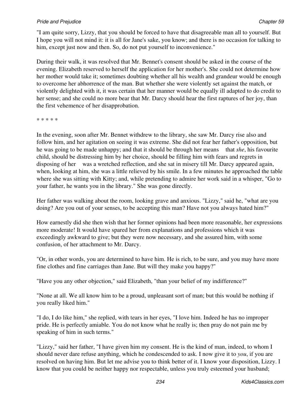"I am quite sorry, Lizzy, that you should be forced to have that disagreeable man all to yourself. But I hope you will not mind it: it is all for Jane's sake, you know; and there is no occasion for talking to him, except just now and then. So, do not put yourself to inconvenience."

During their walk, it was resolved that Mr. Bennet's consent should be asked in the course of the evening. Elizabeth reserved to herself the application for her mother's. She could not determine how her mother would take it; sometimes doubting whether all his wealth and grandeur would be enough to overcome her abhorrence of the man. But whether she were violently set against the match, or violently delighted with it, it was certain that her manner would be equally ill adapted to do credit to her sense; and she could no more bear that Mr. Darcy should hear the first raptures of her joy, than the first vehemence of her disapprobation.

\* \* \* \* \*

In the evening, soon after Mr. Bennet withdrew to the library, she saw Mr. Darcy rise also and follow him, and her agitation on seeing it was extreme. She did not fear her father's opposition, but he was going to be made unhappy; and that it should be through her means that *she*, his favourite child, should be distressing him by her choice, should be filling him with fears and regrets in disposing of her was a wretched reflection, and she sat in misery till Mr. Darcy appeared again, when, looking at him, she was a little relieved by his smile. In a few minutes he approached the table where she was sitting with Kitty; and, while pretending to admire her work said in a whisper, "Go to your father, he wants you in the library." She was gone directly.

Her father was walking about the room, looking grave and anxious. "Lizzy," said he, "what are you doing? Are you out of your senses, to be accepting this man? Have not you always hated him?"

How earnestly did she then wish that her former opinions had been more reasonable, her expressions more moderate! It would have spared her from explanations and professions which it was exceedingly awkward to give; but they were now necessary, and she assured him, with some confusion, of her attachment to Mr. Darcy.

"Or, in other words, you are determined to have him. He is rich, to be sure, and you may have more fine clothes and fine carriages than Jane. But will they make you happy?"

"Have you any other objection," said Elizabeth, "than your belief of my indifference?"

"None at all. We all know him to be a proud, unpleasant sort of man; but this would be nothing if you really liked him."

"I do, I do like him," she replied, with tears in her eyes, "I love him. Indeed he has no improper pride. He is perfectly amiable. You do not know what he really is; then pray do not pain me by speaking of him in such terms."

"Lizzy," said her father, "I have given him my consent. He is the kind of man, indeed, to whom I should never dare refuse anything, which he condescended to ask. I now give it to *you*, if you are resolved on having him. But let me advise you to think better of it. I know your disposition, Lizzy. I know that you could be neither happy nor respectable, unless you truly esteemed your husband;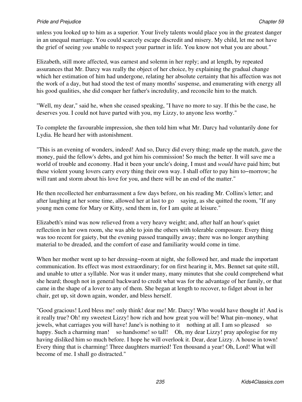unless you looked up to him as a superior. Your lively talents would place you in the greatest danger in an unequal marriage. You could scarcely escape discredit and misery. My child, let me not have the grief of seeing *you* unable to respect your partner in life. You know not what you are about."

Elizabeth, still more affected, was earnest and solemn in her reply; and at length, by repeated assurances that Mr. Darcy was really the object of her choice, by explaining the gradual change which her estimation of him had undergone, relating her absolute certainty that his affection was not the work of a day, but had stood the test of many months' suspense, and enumerating with energy all his good qualities, she did conquer her father's incredulity, and reconcile him to the match.

"Well, my dear," said he, when she ceased speaking, "I have no more to say. If this be the case, he deserves you. I could not have parted with you, my Lizzy, to anyone less worthy."

To complete the favourable impression, she then told him what Mr. Darcy had voluntarily done for Lydia. He heard her with astonishment.

"This is an evening of wonders, indeed! And so, Darcy did every thing; made up the match, gave the money, paid the fellow's debts, and got him his commission! So much the better. It will save me a world of trouble and economy. Had it been your uncle's doing, I must and *would* have paid him; but these violent young lovers carry every thing their own way. I shall offer to pay him to−morrow; he will rant and storm about his love for you, and there will be an end of the matter."

He then recollected her embarrassment a few days before, on his reading Mr. Collins's letter; and after laughing at her some time, allowed her at last to go saying, as she quitted the room, "If any young men come for Mary or Kitty, send them in, for I am quite at leisure."

Elizabeth's mind was now relieved from a very heavy weight; and, after half an hour's quiet reflection in her own room, she was able to join the others with tolerable composure. Every thing was too recent for gaiety, but the evening passed tranquilly away; there was no longer anything material to be dreaded, and the comfort of ease and familiarity would come in time.

When her mother went up to her dressing−room at night, she followed her, and made the important communication. Its effect was most extraordinary; for on first hearing it, Mrs. Bennet sat quite still, and unable to utter a syllable. Nor was it under many, many minutes that she could comprehend what she heard; though not in general backward to credit what was for the advantage of her family, or that came in the shape of a lover to any of them. She began at length to recover, to fidget about in her chair, get up, sit down again, wonder, and bless herself.

"Good gracious! Lord bless me! only think! dear me! Mr. Darcy! Who would have thought it! And is it really true? Oh! my sweetest Lizzy! how rich and how great you will be! What pin−money, what jewels, what carriages you will have! Jane's is nothing to it nothing at all. I am so pleased so happy. Such a charming man! so handsome! so tall! Oh, my dear Lizzy! pray apologise for my having disliked him so much before. I hope he will overlook it. Dear, dear Lizzy. A house in town! Every thing that is charming! Three daughters married! Ten thousand a year! Oh, Lord! What will become of me. I shall go distracted."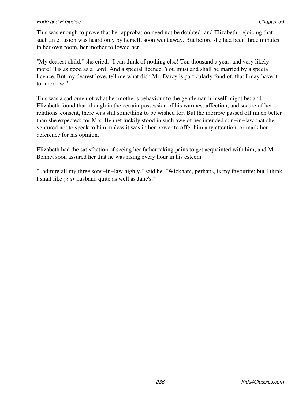This was enough to prove that her approbation need not be doubted: and Elizabeth, rejoicing that such an effusion was heard only by herself, soon went away. But before she had been three minutes in her own room, her mother followed her.

"My dearest child," she cried, "I can think of nothing else! Ten thousand a year, and very likely more! 'Tis as good as a Lord! And a special licence. You must and shall be married by a special licence. But my dearest love, tell me what dish Mr. Darcy is particularly fond of, that I may have it to−morrow."

This was a sad omen of what her mother's behaviour to the gentleman himself might be; and Elizabeth found that, though in the certain possession of his warmest affection, and secure of her relations' consent, there was still something to be wished for. But the morrow passed off much better than she expected; for Mrs. Bennet luckily stood in such awe of her intended son−in−law that she ventured not to speak to him, unless it was in her power to offer him any attention, or mark her deference for his opinion.

Elizabeth had the satisfaction of seeing her father taking pains to get acquainted with him; and Mr. Bennet soon assured her that he was rising every hour in his esteem.

"I admire all my three sons−in−law highly," said he. "Wickham, perhaps, is my favourite; but I think I shall like *your* husband quite as well as Jane's."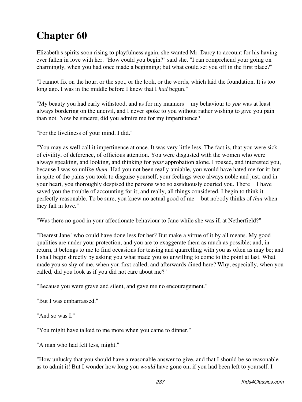Elizabeth's spirits soon rising to playfulness again, she wanted Mr. Darcy to account for his having ever fallen in love with her. "How could you begin?" said she. "I can comprehend your going on charmingly, when you had once made a beginning; but what could set you off in the first place?"

"I cannot fix on the hour, or the spot, or the look, or the words, which laid the foundation. It is too long ago. I was in the middle before I knew that I *had* begun."

"My beauty you had early withstood, and as for my manners my behaviour to *you* was at least always bordering on the uncivil, and I never spoke to you without rather wishing to give you pain than not. Now be sincere; did you admire me for my impertinence?"

"For the liveliness of your mind, I did."

"You may as well call it impertinence at once. It was very little less. The fact is, that you were sick of civility, of deference, of officious attention. You were disgusted with the women who were always speaking, and looking, and thinking for *your* approbation alone. I roused, and interested you, because I was so unlike *them*. Had you not been really amiable, you would have hated me for it; but in spite of the pains you took to disguise yourself, your feelings were always noble and just; and in your heart, you thoroughly despised the persons who so assiduously courted you. There I have saved you the trouble of accounting for it; and really, all things considered, I begin to think it perfectly reasonable. To be sure, you knew no actual good of me but nobody thinks of *that* when they fall in love."

"Was there no good in your affectionate behaviour to Jane while she was ill at Netherfield?"

"Dearest Jane! who could have done less for her? But make a virtue of it by all means. My good qualities are under your protection, and you are to exaggerate them as much as possible; and, in return, it belongs to me to find occasions for teasing and quarrelling with you as often as may be; and I shall begin directly by asking you what made you so unwilling to come to the point at last. What made you so shy of me, when you first called, and afterwards dined here? Why, especially, when you called, did you look as if you did not care about me?"

"Because you were grave and silent, and gave me no encouragement."

"But I was embarrassed."

"And so was I."

"You might have talked to me more when you came to dinner."

"A man who had felt less, might."

"How unlucky that you should have a reasonable answer to give, and that I should be so reasonable as to admit it! But I wonder how long you *would* have gone on, if you had been left to yourself. I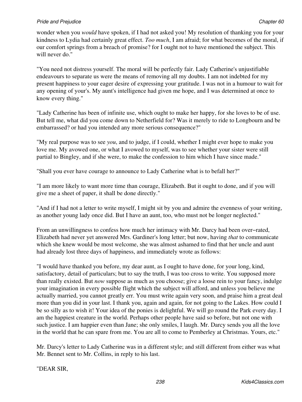wonder when you *would* have spoken, if I had not asked you! My resolution of thanking you for your kindness to Lydia had certainly great effect. *Too much*, I am afraid; for what becomes of the moral, if our comfort springs from a breach of promise? for I ought not to have mentioned the subject. This will never do."

"You need not distress yourself. The moral will be perfectly fair. Lady Catherine's unjustifiable endeavours to separate us were the means of removing all my doubts. I am not indebted for my present happiness to your eager desire of expressing your gratitude. I was not in a humour to wait for any opening of your's. My aunt's intelligence had given me hope, and I was determined at once to know every thing."

"Lady Catherine has been of infinite use, which ought to make her happy, for she loves to be of use. But tell me, what did you come down to Netherfield for? Was it merely to ride to Longbourn and be embarrassed? or had you intended any more serious consequence?"

"My real purpose was to see *you*, and to judge, if I could, whether I might ever hope to make you love me. My avowed one, or what I avowed to myself, was to see whether your sister were still partial to Bingley, and if she were, to make the confession to him which I have since made."

"Shall you ever have courage to announce to Lady Catherine what is to befall her?"

"I am more likely to want more time than courage, Elizabeth. But it ought to done, and if you will give me a sheet of paper, it shall be done directly."

"And if I had not a letter to write myself, I might sit by you and admire the evenness of your writing, as another young lady once did. But I have an aunt, too, who must not be longer neglected."

From an unwillingness to confess how much her intimacy with Mr. Darcy had been over−rated, Elizabeth had never yet answered Mrs. Gardiner's long letter; but now, having *that* to communicate which she knew would be most welcome, she was almost ashamed to find that her uncle and aunt had already lost three days of happiness, and immediately wrote as follows:

"I would have thanked you before, my dear aunt, as I ought to have done, for your long, kind, satisfactory, detail of particulars; but to say the truth, I was too cross to write. You supposed more than really existed. But *now* suppose as much as you choose; give a loose rein to your fancy, indulge your imagination in every possible flight which the subject will afford, and unless you believe me actually married, you cannot greatly err. You must write again very soon, and praise him a great deal more than you did in your last. I thank you, again and again, for not going to the Lakes. How could I be so silly as to wish it! Your idea of the ponies is delightful. We will go round the Park every day. I am the happiest creature in the world. Perhaps other people have said so before, but not one with such justice. I am happier even than Jane; she only smiles, I laugh. Mr. Darcy sends you all the love in the world that he can spare from me. You are all to come to Pemberley at Christmas. Yours, etc."

Mr. Darcy's letter to Lady Catherine was in a different style; and still different from either was what Mr. Bennet sent to Mr. Collins, in reply to his last.

"DEAR SIR,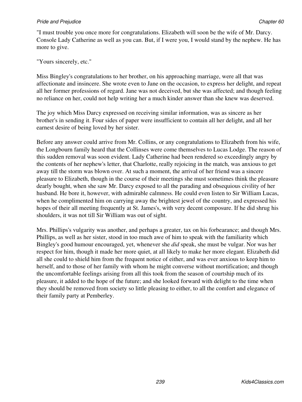"I must trouble you once more for congratulations. Elizabeth will soon be the wife of Mr. Darcy. Console Lady Catherine as well as you can. But, if I were you, I would stand by the nephew. He has more to give.

"Yours sincerely, etc."

Miss Bingley's congratulations to her brother, on his approaching marriage, were all that was affectionate and insincere. She wrote even to Jane on the occasion, to express her delight, and repeat all her former professions of regard. Jane was not deceived, but she was affected; and though feeling no reliance on her, could not help writing her a much kinder answer than she knew was deserved.

The joy which Miss Darcy expressed on receiving similar information, was as sincere as her brother's in sending it. Four sides of paper were insufficient to contain all her delight, and all her earnest desire of being loved by her sister.

Before any answer could arrive from Mr. Collins, or any congratulations to Elizabeth from his wife, the Longbourn family heard that the Collinses were come themselves to Lucas Lodge. The reason of this sudden removal was soon evident. Lady Catherine had been rendered so exceedingly angry by the contents of her nephew's letter, that Charlotte, really rejoicing in the match, was anxious to get away till the storm was blown over. At such a moment, the arrival of her friend was a sincere pleasure to Elizabeth, though in the course of their meetings she must sometimes think the pleasure dearly bought, when she saw Mr. Darcy exposed to all the parading and obsequious civility of her husband. He bore it, however, with admirable calmness. He could even listen to Sir William Lucas, when he complimented him on carrying away the brightest jewel of the country, and expressed his hopes of their all meeting frequently at St. James's, with very decent composure. If he did shrug his shoulders, it was not till Sir William was out of sight.

Mrs. Phillips's vulgarity was another, and perhaps a greater, tax on his forbearance; and though Mrs. Phillips, as well as her sister, stood in too much awe of him to speak with the familiarity which Bingley's good humour encouraged, yet, whenever she *did* speak, she must be vulgar. Nor was her respect for him, though it made her more quiet, at all likely to make her more elegant. Elizabeth did all she could to shield him from the frequent notice of either, and was ever anxious to keep him to herself, and to those of her family with whom he might converse without mortification; and though the uncomfortable feelings arising from all this took from the season of courtship much of its pleasure, it added to the hope of the future; and she looked forward with delight to the time when they should be removed from society so little pleasing to either, to all the comfort and elegance of their family party at Pemberley.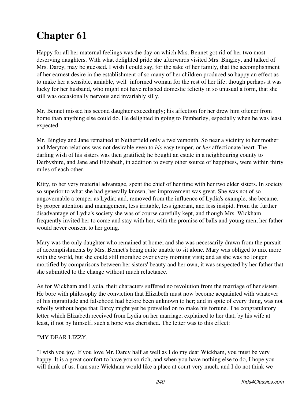Happy for all her maternal feelings was the day on which Mrs. Bennet got rid of her two most deserving daughters. With what delighted pride she afterwards visited Mrs. Bingley, and talked of Mrs. Darcy, may be guessed. I wish I could say, for the sake of her family, that the accomplishment of her earnest desire in the establishment of so many of her children produced so happy an effect as to make her a sensible, amiable, well−informed woman for the rest of her life; though perhaps it was lucky for her husband, who might not have relished domestic felicity in so unusual a form, that she still was occasionally nervous and invariably silly.

Mr. Bennet missed his second daughter exceedingly; his affection for her drew him oftener from home than anything else could do. He delighted in going to Pemberley, especially when he was least expected.

Mr. Bingley and Jane remained at Netherfield only a twelvemonth. So near a vicinity to her mother and Meryton relations was not desirable even to *his* easy temper, or *her* affectionate heart. The darling wish of his sisters was then gratified; he bought an estate in a neighbouring county to Derbyshire, and Jane and Elizabeth, in addition to every other source of happiness, were within thirty miles of each other.

Kitty, to her very material advantage, spent the chief of her time with her two elder sisters. In society so superior to what she had generally known, her improvement was great. She was not of so ungovernable a temper as Lydia; and, removed from the influence of Lydia's example, she became, by proper attention and management, less irritable, less ignorant, and less insipid. From the further disadvantage of Lydia's society she was of course carefully kept, and though Mrs. Wickham frequently invited her to come and stay with her, with the promise of balls and young men, her father would never consent to her going.

Mary was the only daughter who remained at home; and she was necessarily drawn from the pursuit of accomplishments by Mrs. Bennet's being quite unable to sit alone. Mary was obliged to mix more with the world, but she could still moralize over every morning visit; and as she was no longer mortified by comparisons between her sisters' beauty and her own, it was suspected by her father that she submitted to the change without much reluctance.

As for Wickham and Lydia, their characters suffered no revolution from the marriage of her sisters. He bore with philosophy the conviction that Elizabeth must now become acquainted with whatever of his ingratitude and falsehood had before been unknown to her; and in spite of every thing, was not wholly without hope that Darcy might yet be prevailed on to make his fortune. The congratulatory letter which Elizabeth received from Lydia on her marriage, explained to her that, by his wife at least, if not by himself, such a hope was cherished. The letter was to this effect:

### "MY DEAR LIZZY,

"I wish you joy. If you love Mr. Darcy half as well as I do my dear Wickham, you must be very happy. It is a great comfort to have you so rich, and when you have nothing else to do, I hope you will think of us. I am sure Wickham would like a place at court very much, and I do not think we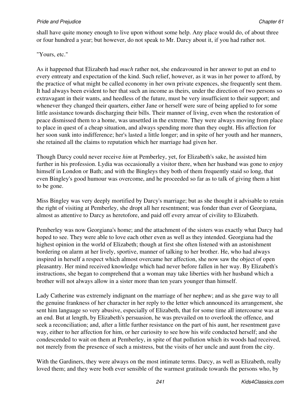shall have quite money enough to live upon without some help. Any place would do, of about three or four hundred a year; but however, do not speak to Mr. Darcy about it, if you had rather not.

### "Yours, etc."

As it happened that Elizabeth had *much* rather not, she endeavoured in her answer to put an end to every entreaty and expectation of the kind. Such relief, however, as it was in her power to afford, by the practice of what might be called economy in her own private expences, she frequently sent them. It had always been evident to her that such an income as theirs, under the direction of two persons so extravagant in their wants, and heedless of the future, must be very insufficient to their support; and whenever they changed their quarters, either Jane or herself were sure of being applied to for some little assistance towards discharging their bills. Their manner of living, even when the restoration of peace dismissed them to a home, was unsettled in the extreme. They were always moving from place to place in quest of a cheap situation, and always spending more than they ought. His affection for her soon sunk into indifference; her's lasted a little longer; and in spite of her youth and her manners, she retained all the claims to reputation which her marriage had given her.

Though Darcy could never receive *him* at Pemberley, yet, for Elizabeth's sake, he assisted him further in his profession. Lydia was occasionally a visitor there, when her husband was gone to enjoy himself in London or Bath; and with the Bingleys they both of them frequently staid so long, that even Bingley's good humour was overcome, and he proceeded so far as to talk of giving them a hint to be gone.

Miss Bingley was very deeply mortified by Darcy's marriage; but as she thought it advisable to retain the right of visiting at Pemberley, she dropt all her resentment; was fonder than ever of Georgiana, almost as attentive to Darcy as heretofore, and paid off every arrear of civility to Elizabeth.

Pemberley was now Georgiana's home; and the attachment of the sisters was exactly what Darcy had hoped to see. They were able to love each other even as well as they intended. Georgiana had the highest opinion in the world of Elizabeth; though at first she often listened with an astonishment bordering on alarm at her lively, sportive, manner of talking to her brother. He, who had always inspired in herself a respect which almost overcame her affection, she now saw the object of open pleasantry. Her mind received knowledge which had never before fallen in her way. By Elizabeth's instructions, she began to comprehend that a woman may take liberties with her husband which a brother will not always allow in a sister more than ten years younger than himself.

Lady Catherine was extremely indignant on the marriage of her nephew; and as she gave way to all the genuine frankness of her character in her reply to the letter which announced its arrangement, she sent him language so very abusive, especially of Elizabeth, that for some time all intercourse was at an end. But at length, by Elizabeth's persuasion, he was prevailed on to overlook the offence, and seek a reconciliation; and, after a little further resistance on the part of his aunt, her resentment gave way, either to her affection for him, or her curiosity to see how his wife conducted herself; and she condescended to wait on them at Pemberley, in spite of that pollution which its woods had received, not merely from the presence of such a mistress, but the visits of her uncle and aunt from the city.

With the Gardiners, they were always on the most intimate terms. Darcy, as well as Elizabeth, really loved them; and they were both ever sensible of the warmest gratitude towards the persons who, by